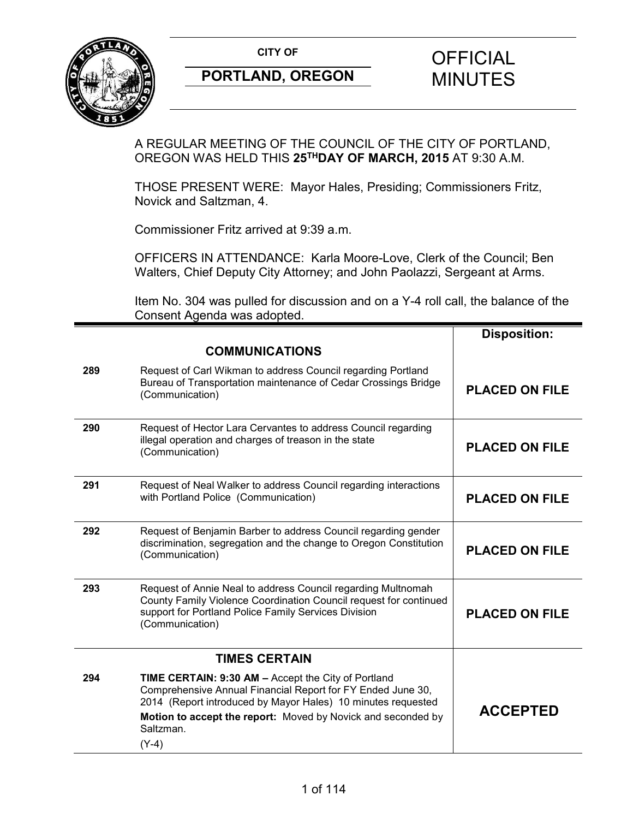

A REGULAR MEETING OF THE COUNCIL OF THE CITY OF PORTLAND, OREGON WAS HELD THIS **25THDAY OF MARCH, 2015** AT 9:30 A.M.

THOSE PRESENT WERE: Mayor Hales, Presiding; Commissioners Fritz, Novick and Saltzman, 4.

Commissioner Fritz arrived at 9:39 a.m.

OFFICERS IN ATTENDANCE: Karla Moore-Love, Clerk of the Council; Ben Walters, Chief Deputy City Attorney; and John Paolazzi, Sergeant at Arms.

Item No. 304 was pulled for discussion and on a Y-4 roll call, the balance of the Consent Agenda was adopted.

|     |                                                                                                                                                                                                                                                                            | <b>Disposition:</b>   |
|-----|----------------------------------------------------------------------------------------------------------------------------------------------------------------------------------------------------------------------------------------------------------------------------|-----------------------|
|     | <b>COMMUNICATIONS</b>                                                                                                                                                                                                                                                      |                       |
| 289 | Request of Carl Wikman to address Council regarding Portland<br>Bureau of Transportation maintenance of Cedar Crossings Bridge<br>(Communication)                                                                                                                          | <b>PLACED ON FILE</b> |
| 290 | Request of Hector Lara Cervantes to address Council regarding<br>illegal operation and charges of treason in the state<br>(Communication)                                                                                                                                  | <b>PLACED ON FILE</b> |
| 291 | Request of Neal Walker to address Council regarding interactions<br>with Portland Police (Communication)                                                                                                                                                                   | <b>PLACED ON FILE</b> |
| 292 | Request of Benjamin Barber to address Council regarding gender<br>discrimination, segregation and the change to Oregon Constitution<br>(Communication)                                                                                                                     | <b>PLACED ON FILE</b> |
| 293 | Request of Annie Neal to address Council regarding Multnomah<br>County Family Violence Coordination Council request for continued<br>support for Portland Police Family Services Division<br>(Communication)                                                               | <b>PLACED ON FILE</b> |
|     | <b>TIMES CERTAIN</b>                                                                                                                                                                                                                                                       |                       |
| 294 | TIME CERTAIN: 9:30 AM - Accept the City of Portland<br>Comprehensive Annual Financial Report for FY Ended June 30,<br>2014 (Report introduced by Mayor Hales) 10 minutes requested<br>Motion to accept the report: Moved by Novick and seconded by<br>Saltzman.<br>$(Y-4)$ | <b>ACCEPTED</b>       |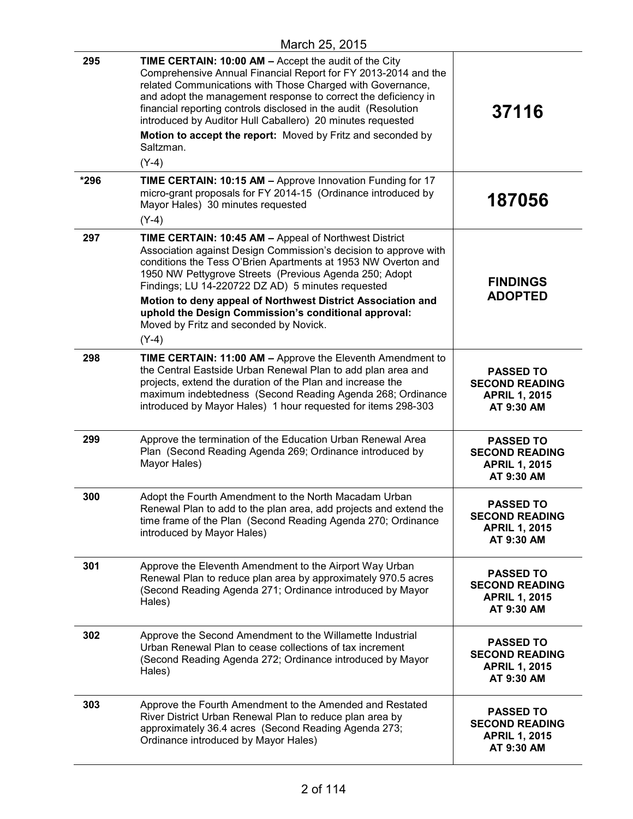| 295  | TIME CERTAIN: 10:00 AM - Accept the audit of the City<br>Comprehensive Annual Financial Report for FY 2013-2014 and the<br>related Communications with Those Charged with Governance,<br>and adopt the management response to correct the deficiency in<br>financial reporting controls disclosed in the audit (Resolution<br>introduced by Auditor Hull Caballero) 20 minutes requested<br>Motion to accept the report: Moved by Fritz and seconded by                               | 37116                                                                           |
|------|---------------------------------------------------------------------------------------------------------------------------------------------------------------------------------------------------------------------------------------------------------------------------------------------------------------------------------------------------------------------------------------------------------------------------------------------------------------------------------------|---------------------------------------------------------------------------------|
|      | Saltzman.<br>$(Y-4)$                                                                                                                                                                                                                                                                                                                                                                                                                                                                  |                                                                                 |
| *296 | TIME CERTAIN: 10:15 AM - Approve Innovation Funding for 17<br>micro-grant proposals for FY 2014-15 (Ordinance introduced by<br>Mayor Hales) 30 minutes requested<br>$(Y-4)$                                                                                                                                                                                                                                                                                                           | 187056                                                                          |
| 297  | TIME CERTAIN: 10:45 AM - Appeal of Northwest District<br>Association against Design Commission's decision to approve with<br>conditions the Tess O'Brien Apartments at 1953 NW Overton and<br>1950 NW Pettygrove Streets (Previous Agenda 250; Adopt<br>Findings; LU 14-220722 DZ AD) 5 minutes requested<br>Motion to deny appeal of Northwest District Association and<br>uphold the Design Commission's conditional approval:<br>Moved by Fritz and seconded by Novick.<br>$(Y-4)$ | <b>FINDINGS</b><br><b>ADOPTED</b>                                               |
| 298  | TIME CERTAIN: 11:00 AM - Approve the Eleventh Amendment to<br>the Central Eastside Urban Renewal Plan to add plan area and<br>projects, extend the duration of the Plan and increase the<br>maximum indebtedness (Second Reading Agenda 268; Ordinance<br>introduced by Mayor Hales) 1 hour requested for items 298-303                                                                                                                                                               | <b>PASSED TO</b><br><b>SECOND READING</b><br><b>APRIL 1, 2015</b><br>AT 9:30 AM |
| 299  | Approve the termination of the Education Urban Renewal Area<br>Plan (Second Reading Agenda 269; Ordinance introduced by<br>Mayor Hales)                                                                                                                                                                                                                                                                                                                                               | <b>PASSED TO</b><br><b>SECOND READING</b><br><b>APRIL 1, 2015</b><br>AT 9:30 AM |
| 300  | Adopt the Fourth Amendment to the North Macadam Urban<br>Renewal Plan to add to the plan area, add projects and extend the<br>time frame of the Plan (Second Reading Agenda 270; Ordinance<br>introduced by Mayor Hales)                                                                                                                                                                                                                                                              | <b>PASSED TO</b><br><b>SECOND READING</b><br><b>APRIL 1, 2015</b><br>AT 9:30 AM |
| 301  | Approve the Eleventh Amendment to the Airport Way Urban<br>Renewal Plan to reduce plan area by approximately 970.5 acres<br>(Second Reading Agenda 271; Ordinance introduced by Mayor<br>Hales)                                                                                                                                                                                                                                                                                       | <b>PASSED TO</b><br><b>SECOND READING</b><br><b>APRIL 1, 2015</b><br>AT 9:30 AM |
| 302  | Approve the Second Amendment to the Willamette Industrial<br>Urban Renewal Plan to cease collections of tax increment<br>(Second Reading Agenda 272; Ordinance introduced by Mayor<br>Hales)                                                                                                                                                                                                                                                                                          | <b>PASSED TO</b><br><b>SECOND READING</b><br><b>APRIL 1, 2015</b><br>AT 9:30 AM |
| 303  | Approve the Fourth Amendment to the Amended and Restated<br>River District Urban Renewal Plan to reduce plan area by<br>approximately 36.4 acres (Second Reading Agenda 273;<br>Ordinance introduced by Mayor Hales)                                                                                                                                                                                                                                                                  | <b>PASSED TO</b><br><b>SECOND READING</b><br><b>APRIL 1, 2015</b><br>AT 9:30 AM |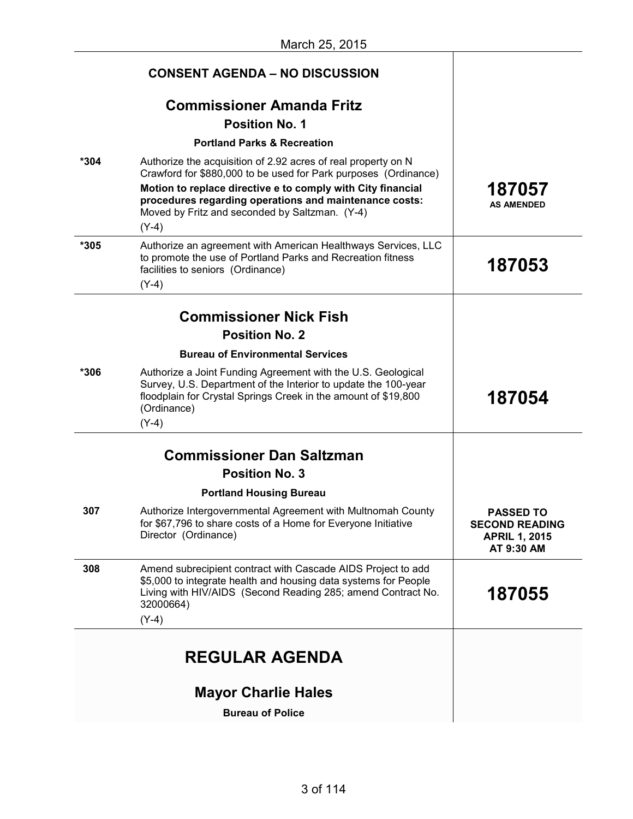|      | <b>CONSENT AGENDA – NO DISCUSSION</b>                                                                                                                                                                                                                                                                                  |                                                                                 |
|------|------------------------------------------------------------------------------------------------------------------------------------------------------------------------------------------------------------------------------------------------------------------------------------------------------------------------|---------------------------------------------------------------------------------|
|      | <b>Commissioner Amanda Fritz</b><br><b>Position No. 1</b>                                                                                                                                                                                                                                                              |                                                                                 |
|      | <b>Portland Parks &amp; Recreation</b>                                                                                                                                                                                                                                                                                 |                                                                                 |
| *304 | Authorize the acquisition of 2.92 acres of real property on N<br>Crawford for \$880,000 to be used for Park purposes (Ordinance)<br>Motion to replace directive e to comply with City financial<br>procedures regarding operations and maintenance costs:<br>Moved by Fritz and seconded by Saltzman. (Y-4)<br>$(Y-4)$ | 187057<br><b>AS AMENDED</b>                                                     |
| *305 | Authorize an agreement with American Healthways Services, LLC<br>to promote the use of Portland Parks and Recreation fitness<br>facilities to seniors (Ordinance)<br>$(Y-4)$                                                                                                                                           | 187053                                                                          |
|      | <b>Commissioner Nick Fish</b>                                                                                                                                                                                                                                                                                          |                                                                                 |
|      | <b>Position No. 2</b>                                                                                                                                                                                                                                                                                                  |                                                                                 |
|      | <b>Bureau of Environmental Services</b>                                                                                                                                                                                                                                                                                |                                                                                 |
| *306 | Authorize a Joint Funding Agreement with the U.S. Geological<br>Survey, U.S. Department of the Interior to update the 100-year<br>floodplain for Crystal Springs Creek in the amount of \$19,800<br>(Ordinance)<br>$(Y-4)$                                                                                             | 187054                                                                          |
|      |                                                                                                                                                                                                                                                                                                                        |                                                                                 |
|      | <b>Commissioner Dan Saltzman</b>                                                                                                                                                                                                                                                                                       |                                                                                 |
|      | <b>Position No. 3</b>                                                                                                                                                                                                                                                                                                  |                                                                                 |
| 307  | <b>Portland Housing Bureau</b><br>Authorize Intergovernmental Agreement with Multnomah County<br>for \$67,796 to share costs of a Home for Everyone Initiative<br>Director (Ordinance)                                                                                                                                 | <b>PASSED TO</b><br><b>SECOND READING</b><br><b>APRIL 1, 2015</b><br>AT 9:30 AM |
| 308  | Amend subrecipient contract with Cascade AIDS Project to add<br>\$5,000 to integrate health and housing data systems for People<br>Living with HIV/AIDS (Second Reading 285; amend Contract No.<br>32000664)<br>$(Y-4)$                                                                                                | 187055                                                                          |
|      | <b>REGULAR AGENDA</b>                                                                                                                                                                                                                                                                                                  |                                                                                 |
|      | <b>Mayor Charlie Hales</b>                                                                                                                                                                                                                                                                                             |                                                                                 |
|      | <b>Bureau of Police</b>                                                                                                                                                                                                                                                                                                |                                                                                 |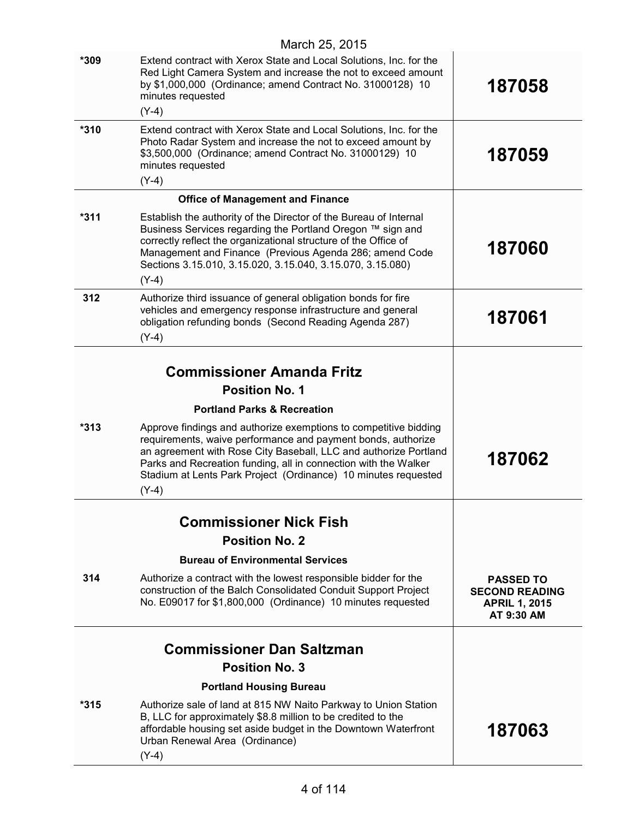| $*315$ | Authorize sale of land at 815 NW Naito Parkway to Union Station<br>B, LLC for approximately \$8.8 million to be credited to the<br>affordable housing set aside budget in the Downtown Waterfront<br>Urban Renewal Area (Ordinance)                                                                                                                  | 187063                                                                          |
|--------|------------------------------------------------------------------------------------------------------------------------------------------------------------------------------------------------------------------------------------------------------------------------------------------------------------------------------------------------------|---------------------------------------------------------------------------------|
|        | <b>Portland Housing Bureau</b>                                                                                                                                                                                                                                                                                                                       |                                                                                 |
|        | <b>Position No. 3</b>                                                                                                                                                                                                                                                                                                                                |                                                                                 |
|        | <b>Commissioner Dan Saltzman</b>                                                                                                                                                                                                                                                                                                                     |                                                                                 |
| 314    | Authorize a contract with the lowest responsible bidder for the<br>construction of the Balch Consolidated Conduit Support Project<br>No. E09017 for \$1,800,000 (Ordinance) 10 minutes requested                                                                                                                                                     | <b>PASSED TO</b><br><b>SECOND READING</b><br><b>APRIL 1, 2015</b><br>AT 9:30 AM |
|        | <b>Bureau of Environmental Services</b>                                                                                                                                                                                                                                                                                                              |                                                                                 |
|        | <b>Position No. 2</b>                                                                                                                                                                                                                                                                                                                                |                                                                                 |
|        | <b>Commissioner Nick Fish</b>                                                                                                                                                                                                                                                                                                                        |                                                                                 |
| $*313$ | Approve findings and authorize exemptions to competitive bidding<br>requirements, waive performance and payment bonds, authorize<br>an agreement with Rose City Baseball, LLC and authorize Portland<br>Parks and Recreation funding, all in connection with the Walker<br>Stadium at Lents Park Project (Ordinance) 10 minutes requested<br>$(Y-4)$ | 187062                                                                          |
|        | <b>Portland Parks &amp; Recreation</b>                                                                                                                                                                                                                                                                                                               |                                                                                 |
|        | <b>Position No. 1</b>                                                                                                                                                                                                                                                                                                                                |                                                                                 |
|        | <b>Commissioner Amanda Fritz</b>                                                                                                                                                                                                                                                                                                                     |                                                                                 |
| 312    | Authorize third issuance of general obligation bonds for fire<br>vehicles and emergency response infrastructure and general<br>obligation refunding bonds (Second Reading Agenda 287)<br>$(Y-4)$                                                                                                                                                     | 187061                                                                          |
|        | Management and Finance (Previous Agenda 286; amend Code<br>Sections 3.15.010, 3.15.020, 3.15.040, 3.15.070, 3.15.080)<br>$(Y-4)$                                                                                                                                                                                                                     |                                                                                 |
| $*311$ | Establish the authority of the Director of the Bureau of Internal<br>Business Services regarding the Portland Oregon ™ sign and<br>correctly reflect the organizational structure of the Office of                                                                                                                                                   | 187060                                                                          |
|        | <b>Office of Management and Finance</b>                                                                                                                                                                                                                                                                                                              |                                                                                 |
| *310   | Extend contract with Xerox State and Local Solutions, Inc. for the<br>Photo Radar System and increase the not to exceed amount by<br>\$3,500,000 (Ordinance; amend Contract No. 31000129) 10<br>minutes requested<br>$(Y-4)$                                                                                                                         | 187059                                                                          |
|        | $(Y-4)$                                                                                                                                                                                                                                                                                                                                              |                                                                                 |
| $*309$ | Extend contract with Xerox State and Local Solutions, Inc. for the<br>Red Light Camera System and increase the not to exceed amount<br>by \$1,000,000 (Ordinance; amend Contract No. 31000128) 10<br>minutes requested                                                                                                                               | 187058                                                                          |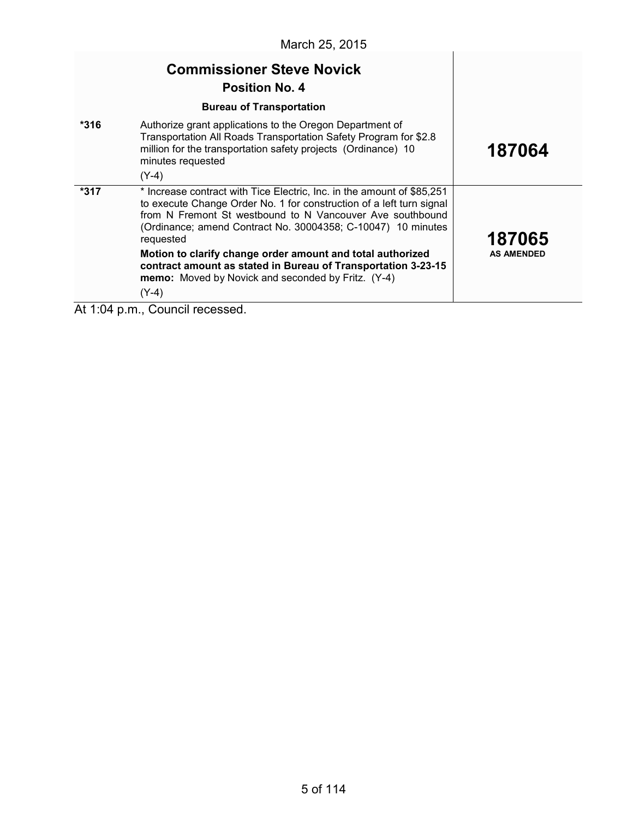|                                                                        | March 25, 2015                                                                                                                                                                                                                                                                                                                                                                                                          |                             |
|------------------------------------------------------------------------|-------------------------------------------------------------------------------------------------------------------------------------------------------------------------------------------------------------------------------------------------------------------------------------------------------------------------------------------------------------------------------------------------------------------------|-----------------------------|
|                                                                        | <b>Commissioner Steve Novick</b><br><b>Position No. 4</b>                                                                                                                                                                                                                                                                                                                                                               |                             |
| $*316$                                                                 | <b>Bureau of Transportation</b><br>Authorize grant applications to the Oregon Department of<br>Transportation All Roads Transportation Safety Program for \$2.8<br>million for the transportation safety projects (Ordinance) 10<br>minutes requested<br>$(Y-4)$                                                                                                                                                        | 187064                      |
| *317                                                                   | * Increase contract with Tice Electric, Inc. in the amount of \$85,251<br>to execute Change Order No. 1 for construction of a left turn signal<br>from N Fremont St westbound to N Vancouver Ave southbound<br>(Ordinance; amend Contract No. 30004358; C-10047) 10 minutes<br>requested<br>Motion to clarify change order amount and total authorized<br>contract amount as stated in Bureau of Transportation 3-23-15 | 187065<br><b>AS AMENDED</b> |
| $\begin{array}{ccccccccccccccccc}\nA & A & A & A & A & A\n\end{array}$ | memo: Moved by Novick and seconded by Fritz. (Y-4)<br>$(Y-4)$<br>$\sim$ -<br>المتحاج والمتحالة                                                                                                                                                                                                                                                                                                                          |                             |

At 1:04 p.m., Council recessed.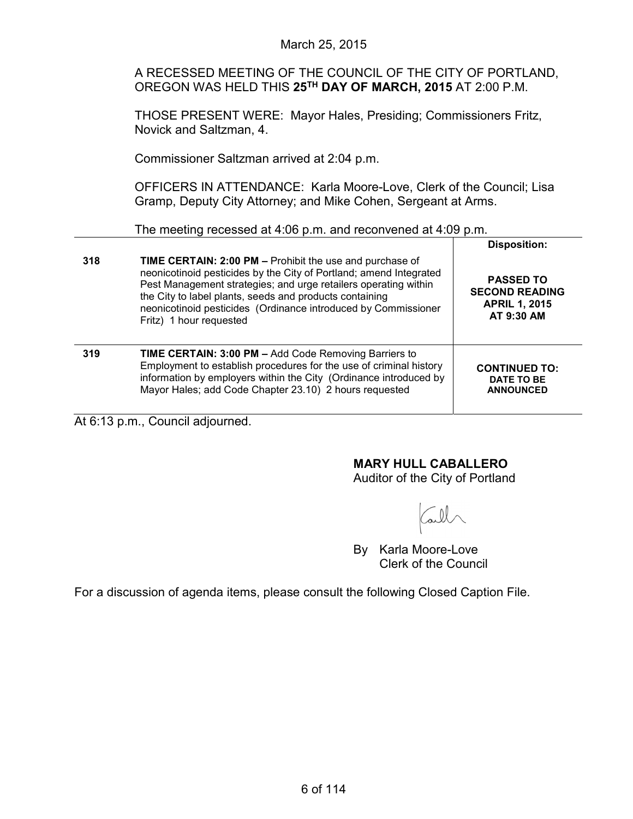A RECESSED MEETING OF THE COUNCIL OF THE CITY OF PORTLAND, OREGON WAS HELD THIS **25TH DAY OF MARCH, 2015** AT 2:00 P.M.

THOSE PRESENT WERE: Mayor Hales, Presiding; Commissioners Fritz, Novick and Saltzman, 4.

Commissioner Saltzman arrived at 2:04 p.m.

OFFICERS IN ATTENDANCE: Karla Moore-Love, Clerk of the Council; Lisa Gramp, Deputy City Attorney; and Mike Cohen, Sergeant at Arms.

The meeting recessed at 4:06 p.m. and reconvened at 4:09 p.m.

| 318 | <b>TIME CERTAIN: 2:00 PM - Prohibit the use and purchase of</b><br>neonicotinoid pesticides by the City of Portland; amend Integrated<br>Pest Management strategies; and urge retailers operating within<br>the City to label plants, seeds and products containing<br>neonicotinoid pesticides (Ordinance introduced by Commissioner<br>Fritz) 1 hour requested | <b>Disposition:</b><br><b>PASSED TO</b><br><b>SECOND READING</b><br><b>APRIL 1, 2015</b><br>AT 9:30 AM |
|-----|------------------------------------------------------------------------------------------------------------------------------------------------------------------------------------------------------------------------------------------------------------------------------------------------------------------------------------------------------------------|--------------------------------------------------------------------------------------------------------|
| 319 | <b>TIME CERTAIN: 3:00 PM - Add Code Removing Barriers to</b><br>Employment to establish procedures for the use of criminal history<br>information by employers within the City (Ordinance introduced by<br>Mayor Hales; add Code Chapter 23.10) 2 hours requested                                                                                                | <b>CONTINUED TO:</b><br>DATE TO BE<br><b>ANNOUNCED</b>                                                 |

At 6:13 p.m., Council adjourned.

# **MARY HULL CABALLERO**

Auditor of the City of Portland

all

By Karla Moore-Love Clerk of the Council

For a discussion of agenda items, please consult the following Closed Caption File.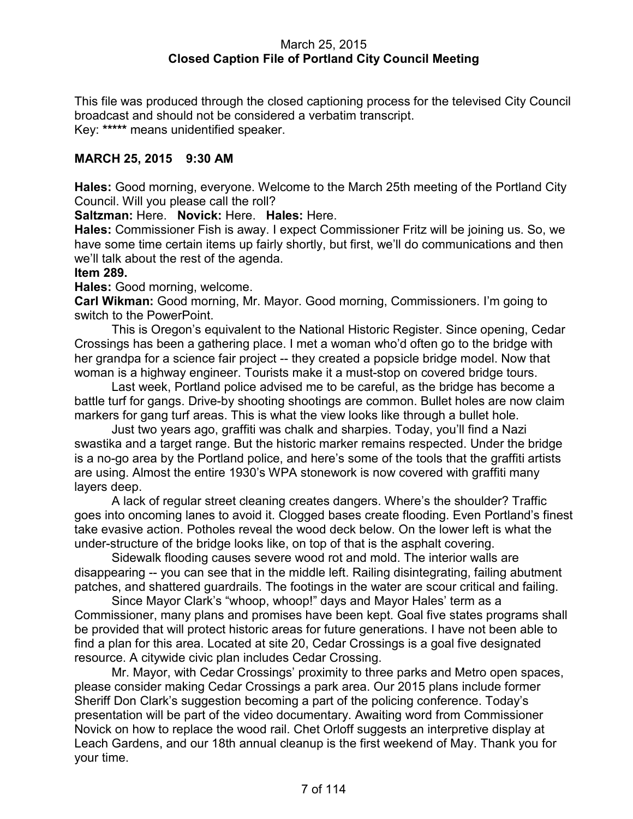### March 25, 2015 **Closed Caption File of Portland City Council Meeting**

This file was produced through the closed captioning process for the televised City Council broadcast and should not be considered a verbatim transcript. Key: **\*\*\*\*\*** means unidentified speaker.

### **MARCH 25, 2015 9:30 AM**

**Hales:** Good morning, everyone. Welcome to the March 25th meeting of the Portland City Council. Will you please call the roll?

**Saltzman:** Here. **Novick:** Here. **Hales:** Here.

**Hales:** Commissioner Fish is away. I expect Commissioner Fritz will be joining us. So, we have some time certain items up fairly shortly, but first, we'll do communications and then we'll talk about the rest of the agenda.

#### **Item 289.**

**Hales:** Good morning, welcome.

**Carl Wikman:** Good morning, Mr. Mayor. Good morning, Commissioners. I'm going to switch to the PowerPoint.

This is Oregon's equivalent to the National Historic Register. Since opening, Cedar Crossings has been a gathering place. I met a woman who'd often go to the bridge with her grandpa for a science fair project -- they created a popsicle bridge model. Now that woman is a highway engineer. Tourists make it a must-stop on covered bridge tours.

Last week, Portland police advised me to be careful, as the bridge has become a battle turf for gangs. Drive-by shooting shootings are common. Bullet holes are now claim markers for gang turf areas. This is what the view looks like through a bullet hole.

Just two years ago, graffiti was chalk and sharpies. Today, you'll find a Nazi swastika and a target range. But the historic marker remains respected. Under the bridge is a no-go area by the Portland police, and here's some of the tools that the graffiti artists are using. Almost the entire 1930's WPA stonework is now covered with graffiti many layers deep.

A lack of regular street cleaning creates dangers. Where's the shoulder? Traffic goes into oncoming lanes to avoid it. Clogged bases create flooding. Even Portland's finest take evasive action. Potholes reveal the wood deck below. On the lower left is what the under-structure of the bridge looks like, on top of that is the asphalt covering.

Sidewalk flooding causes severe wood rot and mold. The interior walls are disappearing -- you can see that in the middle left. Railing disintegrating, failing abutment patches, and shattered guardrails. The footings in the water are scour critical and failing.

Since Mayor Clark's "whoop, whoop!" days and Mayor Hales' term as a Commissioner, many plans and promises have been kept. Goal five states programs shall be provided that will protect historic areas for future generations. I have not been able to find a plan for this area. Located at site 20, Cedar Crossings is a goal five designated resource. A citywide civic plan includes Cedar Crossing.

Mr. Mayor, with Cedar Crossings' proximity to three parks and Metro open spaces, please consider making Cedar Crossings a park area. Our 2015 plans include former Sheriff Don Clark's suggestion becoming a part of the policing conference. Today's presentation will be part of the video documentary. Awaiting word from Commissioner Novick on how to replace the wood rail. Chet Orloff suggests an interpretive display at Leach Gardens, and our 18th annual cleanup is the first weekend of May. Thank you for your time.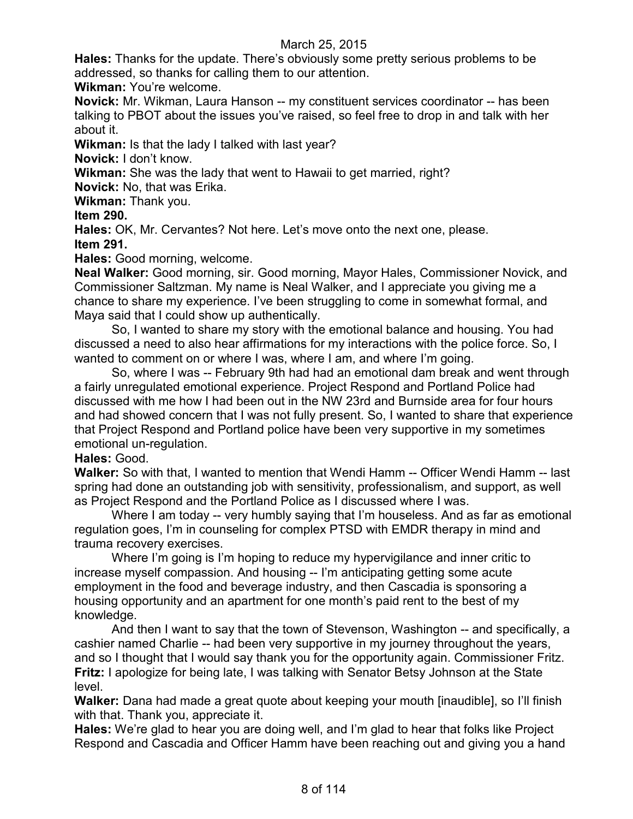**Hales:** Thanks for the update. There's obviously some pretty serious problems to be addressed, so thanks for calling them to our attention.

**Wikman:** You're welcome.

**Novick:** Mr. Wikman, Laura Hanson -- my constituent services coordinator -- has been talking to PBOT about the issues you've raised, so feel free to drop in and talk with her about it.

**Wikman:** Is that the lady I talked with last year?

**Novick:** I don't know.

**Wikman:** She was the lady that went to Hawaii to get married, right?

**Novick:** No, that was Erika.

**Wikman:** Thank you.

**Item 290.**

**Hales:** OK, Mr. Cervantes? Not here. Let's move onto the next one, please.

**Item 291.**

**Hales:** Good morning, welcome.

**Neal Walker:** Good morning, sir. Good morning, Mayor Hales, Commissioner Novick, and Commissioner Saltzman. My name is Neal Walker, and I appreciate you giving me a chance to share my experience. I've been struggling to come in somewhat formal, and Maya said that I could show up authentically.

So, I wanted to share my story with the emotional balance and housing. You had discussed a need to also hear affirmations for my interactions with the police force. So, I wanted to comment on or where I was, where I am, and where I'm going.

So, where I was -- February 9th had had an emotional dam break and went through a fairly unregulated emotional experience. Project Respond and Portland Police had discussed with me how I had been out in the NW 23rd and Burnside area for four hours and had showed concern that I was not fully present. So, I wanted to share that experience that Project Respond and Portland police have been very supportive in my sometimes emotional un-regulation.

### **Hales:** Good.

**Walker:** So with that, I wanted to mention that Wendi Hamm -- Officer Wendi Hamm -- last spring had done an outstanding job with sensitivity, professionalism, and support, as well as Project Respond and the Portland Police as I discussed where I was.

Where I am today -- very humbly saying that I'm houseless. And as far as emotional regulation goes, I'm in counseling for complex PTSD with EMDR therapy in mind and trauma recovery exercises.

Where I'm going is I'm hoping to reduce my hypervigilance and inner critic to increase myself compassion. And housing -- I'm anticipating getting some acute employment in the food and beverage industry, and then Cascadia is sponsoring a housing opportunity and an apartment for one month's paid rent to the best of my knowledge.

And then I want to say that the town of Stevenson, Washington -- and specifically, a cashier named Charlie -- had been very supportive in my journey throughout the years, and so I thought that I would say thank you for the opportunity again. Commissioner Fritz. **Fritz:** I apologize for being late, I was talking with Senator Betsy Johnson at the State level.

**Walker:** Dana had made a great quote about keeping your mouth [inaudible], so I'll finish with that. Thank you, appreciate it.

**Hales:** We're glad to hear you are doing well, and I'm glad to hear that folks like Project Respond and Cascadia and Officer Hamm have been reaching out and giving you a hand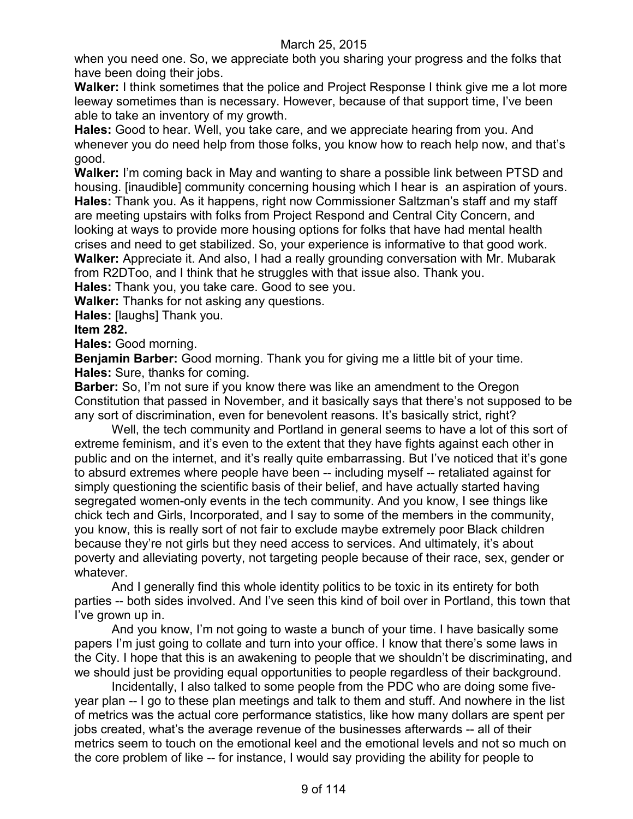when you need one. So, we appreciate both you sharing your progress and the folks that have been doing their jobs.

**Walker:** I think sometimes that the police and Project Response I think give me a lot more leeway sometimes than is necessary. However, because of that support time, I've been able to take an inventory of my growth.

**Hales:** Good to hear. Well, you take care, and we appreciate hearing from you. And whenever you do need help from those folks, you know how to reach help now, and that's good.

**Walker:** I'm coming back in May and wanting to share a possible link between PTSD and housing. [inaudible] community concerning housing which I hear is an aspiration of yours. **Hales:** Thank you. As it happens, right now Commissioner Saltzman's staff and my staff are meeting upstairs with folks from Project Respond and Central City Concern, and looking at ways to provide more housing options for folks that have had mental health crises and need to get stabilized. So, your experience is informative to that good work. **Walker:** Appreciate it. And also, I had a really grounding conversation with Mr. Mubarak from R2DToo, and I think that he struggles with that issue also. Thank you.

**Hales:** Thank you, you take care. Good to see you.

**Walker:** Thanks for not asking any questions.

**Hales:** [laughs] Thank you.

#### **Item 282.**

**Hales:** Good morning.

**Benjamin Barber:** Good morning. Thank you for giving me a little bit of your time. **Hales:** Sure, thanks for coming.

**Barber:** So, I'm not sure if you know there was like an amendment to the Oregon Constitution that passed in November, and it basically says that there's not supposed to be any sort of discrimination, even for benevolent reasons. It's basically strict, right?

Well, the tech community and Portland in general seems to have a lot of this sort of extreme feminism, and it's even to the extent that they have fights against each other in public and on the internet, and it's really quite embarrassing. But I've noticed that it's gone to absurd extremes where people have been -- including myself -- retaliated against for simply questioning the scientific basis of their belief, and have actually started having segregated women-only events in the tech community. And you know, I see things like chick tech and Girls, Incorporated, and I say to some of the members in the community, you know, this is really sort of not fair to exclude maybe extremely poor Black children because they're not girls but they need access to services. And ultimately, it's about poverty and alleviating poverty, not targeting people because of their race, sex, gender or whatever.

And I generally find this whole identity politics to be toxic in its entirety for both parties -- both sides involved. And I've seen this kind of boil over in Portland, this town that I've grown up in.

And you know, I'm not going to waste a bunch of your time. I have basically some papers I'm just going to collate and turn into your office. I know that there's some laws in the City. I hope that this is an awakening to people that we shouldn't be discriminating, and we should just be providing equal opportunities to people regardless of their background.

Incidentally, I also talked to some people from the PDC who are doing some fiveyear plan -- I go to these plan meetings and talk to them and stuff. And nowhere in the list of metrics was the actual core performance statistics, like how many dollars are spent per jobs created, what's the average revenue of the businesses afterwards -- all of their metrics seem to touch on the emotional keel and the emotional levels and not so much on the core problem of like -- for instance, I would say providing the ability for people to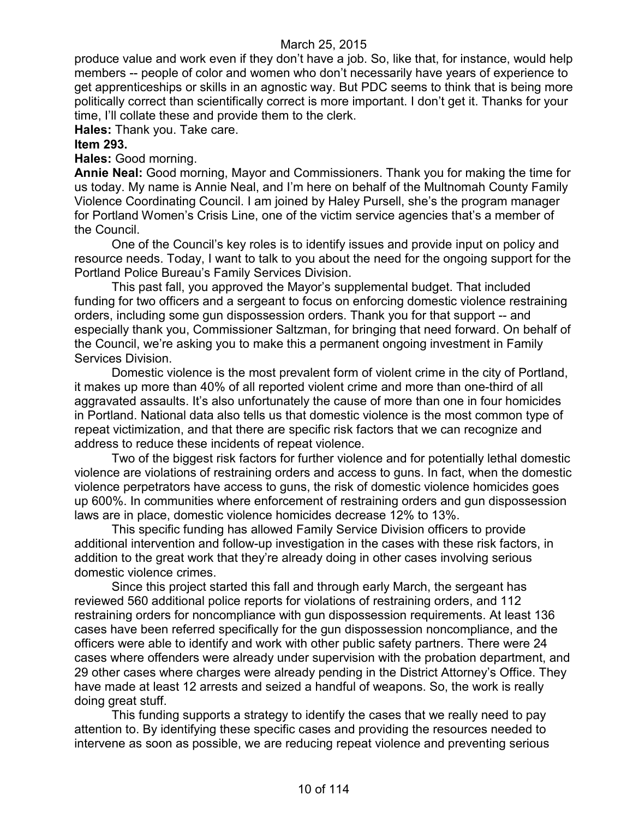produce value and work even if they don't have a job. So, like that, for instance, would help members -- people of color and women who don't necessarily have years of experience to get apprenticeships or skills in an agnostic way. But PDC seems to think that is being more politically correct than scientifically correct is more important. I don't get it. Thanks for your time, I'll collate these and provide them to the clerk.

**Hales:** Thank you. Take care.

#### **Item 293.**

**Hales:** Good morning.

**Annie Neal:** Good morning, Mayor and Commissioners. Thank you for making the time for us today. My name is Annie Neal, and I'm here on behalf of the Multnomah County Family Violence Coordinating Council. I am joined by Haley Pursell, she's the program manager for Portland Women's Crisis Line, one of the victim service agencies that's a member of the Council.

One of the Council's key roles is to identify issues and provide input on policy and resource needs. Today, I want to talk to you about the need for the ongoing support for the Portland Police Bureau's Family Services Division.

This past fall, you approved the Mayor's supplemental budget. That included funding for two officers and a sergeant to focus on enforcing domestic violence restraining orders, including some gun dispossession orders. Thank you for that support -- and especially thank you, Commissioner Saltzman, for bringing that need forward. On behalf of the Council, we're asking you to make this a permanent ongoing investment in Family Services Division.

Domestic violence is the most prevalent form of violent crime in the city of Portland, it makes up more than 40% of all reported violent crime and more than one-third of all aggravated assaults. It's also unfortunately the cause of more than one in four homicides in Portland. National data also tells us that domestic violence is the most common type of repeat victimization, and that there are specific risk factors that we can recognize and address to reduce these incidents of repeat violence.

Two of the biggest risk factors for further violence and for potentially lethal domestic violence are violations of restraining orders and access to guns. In fact, when the domestic violence perpetrators have access to guns, the risk of domestic violence homicides goes up 600%. In communities where enforcement of restraining orders and gun dispossession laws are in place, domestic violence homicides decrease 12% to 13%.

This specific funding has allowed Family Service Division officers to provide additional intervention and follow-up investigation in the cases with these risk factors, in addition to the great work that they're already doing in other cases involving serious domestic violence crimes.

Since this project started this fall and through early March, the sergeant has reviewed 560 additional police reports for violations of restraining orders, and 112 restraining orders for noncompliance with gun dispossession requirements. At least 136 cases have been referred specifically for the gun dispossession noncompliance, and the officers were able to identify and work with other public safety partners. There were 24 cases where offenders were already under supervision with the probation department, and 29 other cases where charges were already pending in the District Attorney's Office. They have made at least 12 arrests and seized a handful of weapons. So, the work is really doing great stuff.

This funding supports a strategy to identify the cases that we really need to pay attention to. By identifying these specific cases and providing the resources needed to intervene as soon as possible, we are reducing repeat violence and preventing serious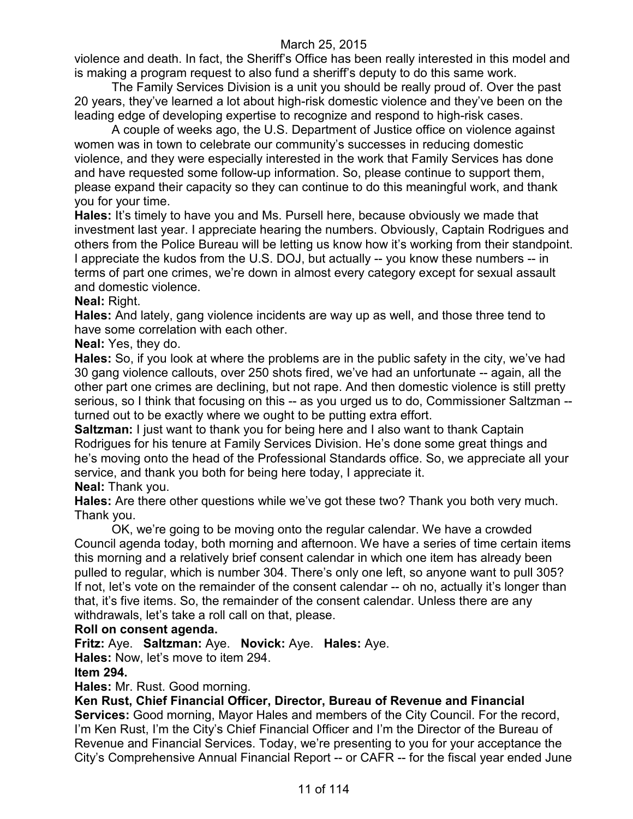violence and death. In fact, the Sheriff's Office has been really interested in this model and is making a program request to also fund a sheriff's deputy to do this same work.

The Family Services Division is a unit you should be really proud of. Over the past 20 years, they've learned a lot about high-risk domestic violence and they've been on the leading edge of developing expertise to recognize and respond to high-risk cases.

A couple of weeks ago, the U.S. Department of Justice office on violence against women was in town to celebrate our community's successes in reducing domestic violence, and they were especially interested in the work that Family Services has done and have requested some follow-up information. So, please continue to support them, please expand their capacity so they can continue to do this meaningful work, and thank you for your time.

**Hales:** It's timely to have you and Ms. Pursell here, because obviously we made that investment last year. I appreciate hearing the numbers. Obviously, Captain Rodrigues and others from the Police Bureau will be letting us know how it's working from their standpoint. I appreciate the kudos from the U.S. DOJ, but actually -- you know these numbers -- in terms of part one crimes, we're down in almost every category except for sexual assault and domestic violence.

### **Neal:** Right.

**Hales:** And lately, gang violence incidents are way up as well, and those three tend to have some correlation with each other.

**Neal:** Yes, they do.

**Hales:** So, if you look at where the problems are in the public safety in the city, we've had 30 gang violence callouts, over 250 shots fired, we've had an unfortunate -- again, all the other part one crimes are declining, but not rape. And then domestic violence is still pretty serious, so I think that focusing on this -- as you urged us to do, Commissioner Saltzman - turned out to be exactly where we ought to be putting extra effort.

**Saltzman:** I just want to thank you for being here and I also want to thank Captain Rodrigues for his tenure at Family Services Division. He's done some great things and he's moving onto the head of the Professional Standards office. So, we appreciate all your service, and thank you both for being here today, I appreciate it. **Neal:** Thank you.

**Hales:** Are there other questions while we've got these two? Thank you both very much. Thank you.

OK, we're going to be moving onto the regular calendar. We have a crowded Council agenda today, both morning and afternoon. We have a series of time certain items this morning and a relatively brief consent calendar in which one item has already been pulled to regular, which is number 304. There's only one left, so anyone want to pull 305? If not, let's vote on the remainder of the consent calendar -- oh no, actually it's longer than that, it's five items. So, the remainder of the consent calendar. Unless there are any withdrawals, let's take a roll call on that, please.

### **Roll on consent agenda.**

**Fritz:** Aye. **Saltzman:** Aye. **Novick:** Aye. **Hales:** Aye.

**Hales:** Now, let's move to item 294.

### **Item 294.**

**Hales:** Mr. Rust. Good morning.

**Ken Rust, Chief Financial Officer, Director, Bureau of Revenue and Financial** 

**Services:** Good morning, Mayor Hales and members of the City Council. For the record, I'm Ken Rust, I'm the City's Chief Financial Officer and I'm the Director of the Bureau of Revenue and Financial Services. Today, we're presenting to you for your acceptance the City's Comprehensive Annual Financial Report -- or CAFR -- for the fiscal year ended June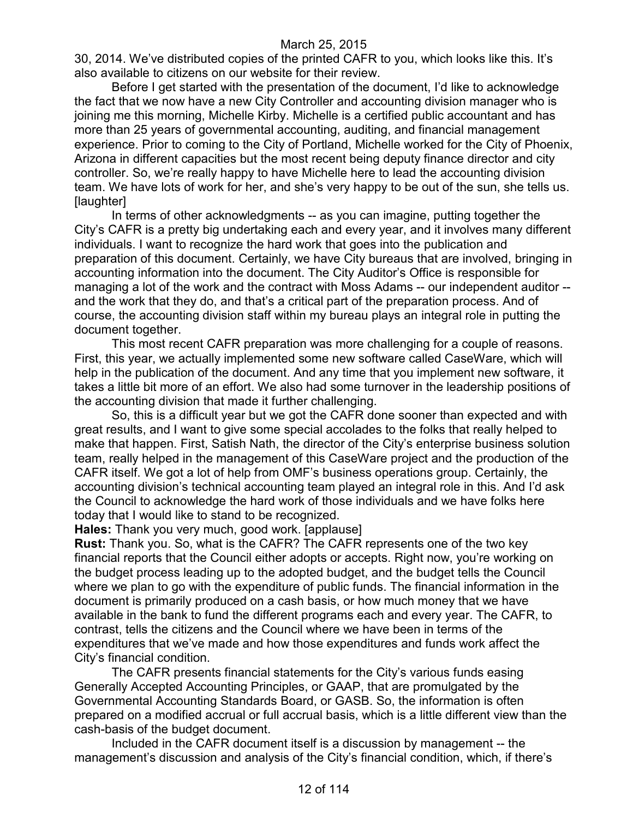30, 2014. We've distributed copies of the printed CAFR to you, which looks like this. It's also available to citizens on our website for their review.

Before I get started with the presentation of the document, I'd like to acknowledge the fact that we now have a new City Controller and accounting division manager who is joining me this morning, Michelle Kirby. Michelle is a certified public accountant and has more than 25 years of governmental accounting, auditing, and financial management experience. Prior to coming to the City of Portland, Michelle worked for the City of Phoenix, Arizona in different capacities but the most recent being deputy finance director and city controller. So, we're really happy to have Michelle here to lead the accounting division team. We have lots of work for her, and she's very happy to be out of the sun, she tells us. [laughter]

In terms of other acknowledgments -- as you can imagine, putting together the City's CAFR is a pretty big undertaking each and every year, and it involves many different individuals. I want to recognize the hard work that goes into the publication and preparation of this document. Certainly, we have City bureaus that are involved, bringing in accounting information into the document. The City Auditor's Office is responsible for managing a lot of the work and the contract with Moss Adams -- our independent auditor - and the work that they do, and that's a critical part of the preparation process. And of course, the accounting division staff within my bureau plays an integral role in putting the document together.

This most recent CAFR preparation was more challenging for a couple of reasons. First, this year, we actually implemented some new software called CaseWare, which will help in the publication of the document. And any time that you implement new software, it takes a little bit more of an effort. We also had some turnover in the leadership positions of the accounting division that made it further challenging.

So, this is a difficult year but we got the CAFR done sooner than expected and with great results, and I want to give some special accolades to the folks that really helped to make that happen. First, Satish Nath, the director of the City's enterprise business solution team, really helped in the management of this CaseWare project and the production of the CAFR itself. We got a lot of help from OMF's business operations group. Certainly, the accounting division's technical accounting team played an integral role in this. And I'd ask the Council to acknowledge the hard work of those individuals and we have folks here today that I would like to stand to be recognized.

**Hales:** Thank you very much, good work. [applause]

**Rust:** Thank you. So, what is the CAFR? The CAFR represents one of the two key financial reports that the Council either adopts or accepts. Right now, you're working on the budget process leading up to the adopted budget, and the budget tells the Council where we plan to go with the expenditure of public funds. The financial information in the document is primarily produced on a cash basis, or how much money that we have available in the bank to fund the different programs each and every year. The CAFR, to contrast, tells the citizens and the Council where we have been in terms of the expenditures that we've made and how those expenditures and funds work affect the City's financial condition.

The CAFR presents financial statements for the City's various funds easing Generally Accepted Accounting Principles, or GAAP, that are promulgated by the Governmental Accounting Standards Board, or GASB. So, the information is often prepared on a modified accrual or full accrual basis, which is a little different view than the cash-basis of the budget document.

Included in the CAFR document itself is a discussion by management -- the management's discussion and analysis of the City's financial condition, which, if there's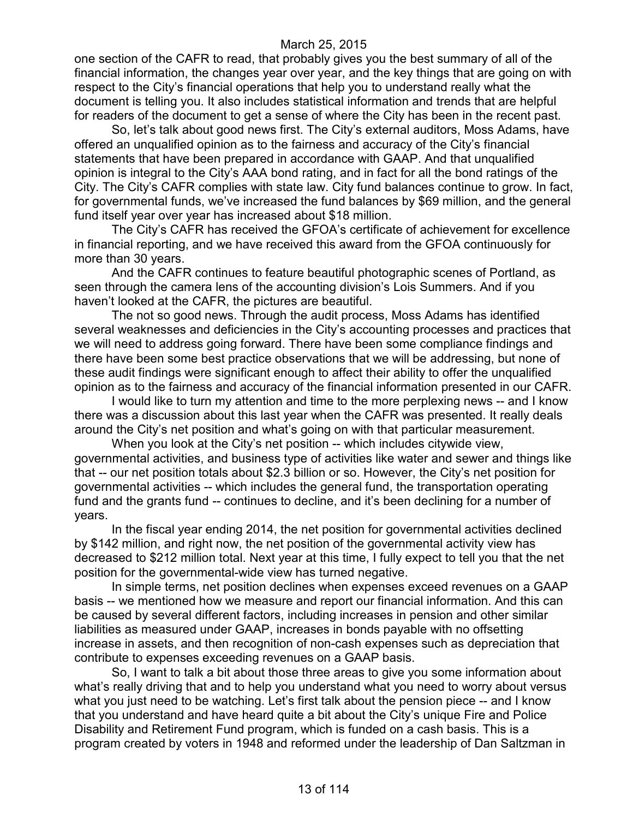one section of the CAFR to read, that probably gives you the best summary of all of the financial information, the changes year over year, and the key things that are going on with respect to the City's financial operations that help you to understand really what the document is telling you. It also includes statistical information and trends that are helpful for readers of the document to get a sense of where the City has been in the recent past.

So, let's talk about good news first. The City's external auditors, Moss Adams, have offered an unqualified opinion as to the fairness and accuracy of the City's financial statements that have been prepared in accordance with GAAP. And that unqualified opinion is integral to the City's AAA bond rating, and in fact for all the bond ratings of the City. The City's CAFR complies with state law. City fund balances continue to grow. In fact, for governmental funds, we've increased the fund balances by \$69 million, and the general fund itself year over year has increased about \$18 million.

The City's CAFR has received the GFOA's certificate of achievement for excellence in financial reporting, and we have received this award from the GFOA continuously for more than 30 years.

And the CAFR continues to feature beautiful photographic scenes of Portland, as seen through the camera lens of the accounting division's Lois Summers. And if you haven't looked at the CAFR, the pictures are beautiful.

The not so good news. Through the audit process, Moss Adams has identified several weaknesses and deficiencies in the City's accounting processes and practices that we will need to address going forward. There have been some compliance findings and there have been some best practice observations that we will be addressing, but none of these audit findings were significant enough to affect their ability to offer the unqualified opinion as to the fairness and accuracy of the financial information presented in our CAFR.

I would like to turn my attention and time to the more perplexing news -- and I know there was a discussion about this last year when the CAFR was presented. It really deals around the City's net position and what's going on with that particular measurement.

When you look at the City's net position -- which includes citywide view, governmental activities, and business type of activities like water and sewer and things like that -- our net position totals about \$2.3 billion or so. However, the City's net position for governmental activities -- which includes the general fund, the transportation operating fund and the grants fund -- continues to decline, and it's been declining for a number of years.

In the fiscal year ending 2014, the net position for governmental activities declined by \$142 million, and right now, the net position of the governmental activity view has decreased to \$212 million total. Next year at this time, I fully expect to tell you that the net position for the governmental-wide view has turned negative.

In simple terms, net position declines when expenses exceed revenues on a GAAP basis -- we mentioned how we measure and report our financial information. And this can be caused by several different factors, including increases in pension and other similar liabilities as measured under GAAP, increases in bonds payable with no offsetting increase in assets, and then recognition of non-cash expenses such as depreciation that contribute to expenses exceeding revenues on a GAAP basis.

So, I want to talk a bit about those three areas to give you some information about what's really driving that and to help you understand what you need to worry about versus what you just need to be watching. Let's first talk about the pension piece -- and I know that you understand and have heard quite a bit about the City's unique Fire and Police Disability and Retirement Fund program, which is funded on a cash basis. This is a program created by voters in 1948 and reformed under the leadership of Dan Saltzman in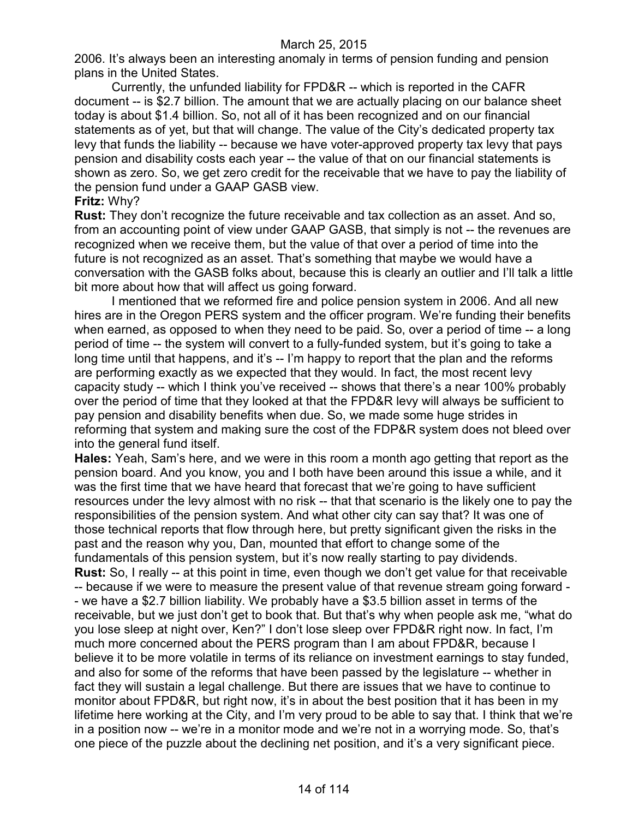2006. It's always been an interesting anomaly in terms of pension funding and pension plans in the United States.

Currently, the unfunded liability for FPD&R -- which is reported in the CAFR document -- is \$2.7 billion. The amount that we are actually placing on our balance sheet today is about \$1.4 billion. So, not all of it has been recognized and on our financial statements as of yet, but that will change. The value of the City's dedicated property tax levy that funds the liability -- because we have voter-approved property tax levy that pays pension and disability costs each year -- the value of that on our financial statements is shown as zero. So, we get zero credit for the receivable that we have to pay the liability of the pension fund under a GAAP GASB view.

### **Fritz:** Why?

**Rust:** They don't recognize the future receivable and tax collection as an asset. And so, from an accounting point of view under GAAP GASB, that simply is not -- the revenues are recognized when we receive them, but the value of that over a period of time into the future is not recognized as an asset. That's something that maybe we would have a conversation with the GASB folks about, because this is clearly an outlier and I'll talk a little bit more about how that will affect us going forward.

I mentioned that we reformed fire and police pension system in 2006. And all new hires are in the Oregon PERS system and the officer program. We're funding their benefits when earned, as opposed to when they need to be paid. So, over a period of time -- a long period of time -- the system will convert to a fully-funded system, but it's going to take a long time until that happens, and it's -- I'm happy to report that the plan and the reforms are performing exactly as we expected that they would. In fact, the most recent levy capacity study -- which I think you've received -- shows that there's a near 100% probably over the period of time that they looked at that the FPD&R levy will always be sufficient to pay pension and disability benefits when due. So, we made some huge strides in reforming that system and making sure the cost of the FDP&R system does not bleed over into the general fund itself.

**Hales:** Yeah, Sam's here, and we were in this room a month ago getting that report as the pension board. And you know, you and I both have been around this issue a while, and it was the first time that we have heard that forecast that we're going to have sufficient resources under the levy almost with no risk -- that that scenario is the likely one to pay the responsibilities of the pension system. And what other city can say that? It was one of those technical reports that flow through here, but pretty significant given the risks in the past and the reason why you, Dan, mounted that effort to change some of the fundamentals of this pension system, but it's now really starting to pay dividends. **Rust:** So, I really -- at this point in time, even though we don't get value for that receivable -- because if we were to measure the present value of that revenue stream going forward - - we have a \$2.7 billion liability. We probably have a \$3.5 billion asset in terms of the receivable, but we just don't get to book that. But that's why when people ask me, "what do you lose sleep at night over, Ken?" I don't lose sleep over FPD&R right now. In fact, I'm much more concerned about the PERS program than I am about FPD&R, because I believe it to be more volatile in terms of its reliance on investment earnings to stay funded, and also for some of the reforms that have been passed by the legislature -- whether in fact they will sustain a legal challenge. But there are issues that we have to continue to monitor about FPD&R, but right now, it's in about the best position that it has been in my lifetime here working at the City, and I'm very proud to be able to say that. I think that we're in a position now -- we're in a monitor mode and we're not in a worrying mode. So, that's one piece of the puzzle about the declining net position, and it's a very significant piece.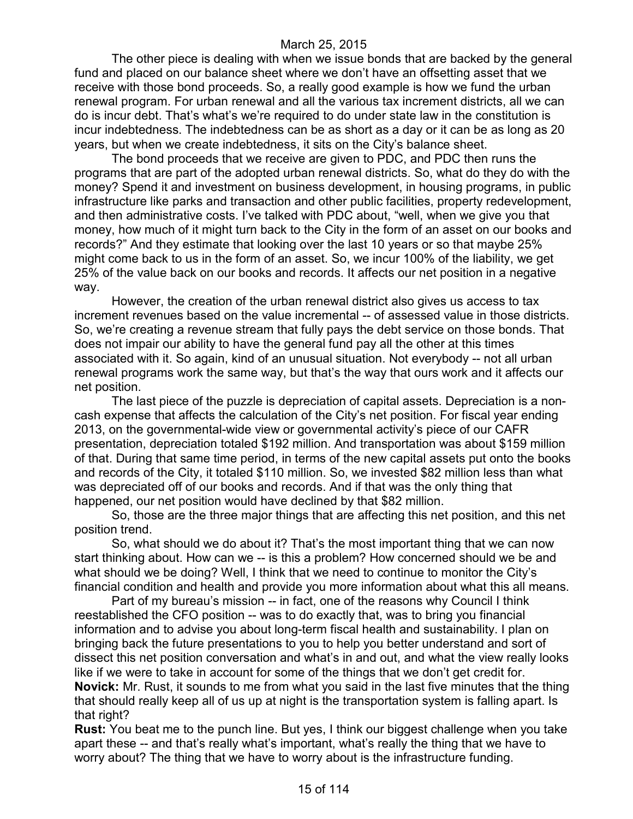The other piece is dealing with when we issue bonds that are backed by the general fund and placed on our balance sheet where we don't have an offsetting asset that we receive with those bond proceeds. So, a really good example is how we fund the urban renewal program. For urban renewal and all the various tax increment districts, all we can do is incur debt. That's what's we're required to do under state law in the constitution is incur indebtedness. The indebtedness can be as short as a day or it can be as long as 20 years, but when we create indebtedness, it sits on the City's balance sheet.

The bond proceeds that we receive are given to PDC, and PDC then runs the programs that are part of the adopted urban renewal districts. So, what do they do with the money? Spend it and investment on business development, in housing programs, in public infrastructure like parks and transaction and other public facilities, property redevelopment, and then administrative costs. I've talked with PDC about, "well, when we give you that money, how much of it might turn back to the City in the form of an asset on our books and records?" And they estimate that looking over the last 10 years or so that maybe 25% might come back to us in the form of an asset. So, we incur 100% of the liability, we get 25% of the value back on our books and records. It affects our net position in a negative way.

However, the creation of the urban renewal district also gives us access to tax increment revenues based on the value incremental -- of assessed value in those districts. So, we're creating a revenue stream that fully pays the debt service on those bonds. That does not impair our ability to have the general fund pay all the other at this times associated with it. So again, kind of an unusual situation. Not everybody -- not all urban renewal programs work the same way, but that's the way that ours work and it affects our net position.

The last piece of the puzzle is depreciation of capital assets. Depreciation is a noncash expense that affects the calculation of the City's net position. For fiscal year ending 2013, on the governmental-wide view or governmental activity's piece of our CAFR presentation, depreciation totaled \$192 million. And transportation was about \$159 million of that. During that same time period, in terms of the new capital assets put onto the books and records of the City, it totaled \$110 million. So, we invested \$82 million less than what was depreciated off of our books and records. And if that was the only thing that happened, our net position would have declined by that \$82 million.

So, those are the three major things that are affecting this net position, and this net position trend.

So, what should we do about it? That's the most important thing that we can now start thinking about. How can we -- is this a problem? How concerned should we be and what should we be doing? Well, I think that we need to continue to monitor the City's financial condition and health and provide you more information about what this all means.

Part of my bureau's mission -- in fact, one of the reasons why Council I think reestablished the CFO position -- was to do exactly that, was to bring you financial information and to advise you about long-term fiscal health and sustainability. I plan on bringing back the future presentations to you to help you better understand and sort of dissect this net position conversation and what's in and out, and what the view really looks like if we were to take in account for some of the things that we don't get credit for.

**Novick:** Mr. Rust, it sounds to me from what you said in the last five minutes that the thing that should really keep all of us up at night is the transportation system is falling apart. Is that right?

**Rust:** You beat me to the punch line. But yes, I think our biggest challenge when you take apart these -- and that's really what's important, what's really the thing that we have to worry about? The thing that we have to worry about is the infrastructure funding.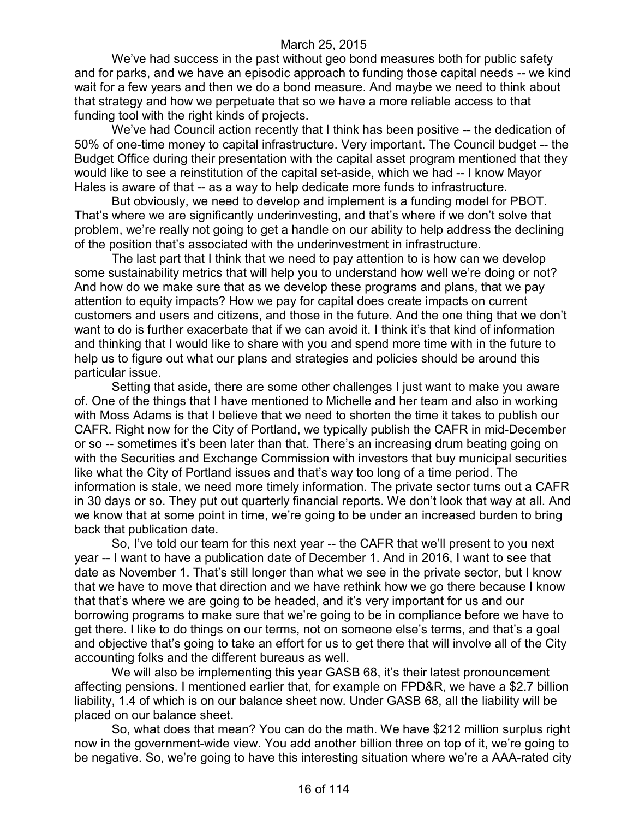We've had success in the past without geo bond measures both for public safety and for parks, and we have an episodic approach to funding those capital needs -- we kind wait for a few years and then we do a bond measure. And maybe we need to think about that strategy and how we perpetuate that so we have a more reliable access to that funding tool with the right kinds of projects.

We've had Council action recently that I think has been positive -- the dedication of 50% of one-time money to capital infrastructure. Very important. The Council budget -- the Budget Office during their presentation with the capital asset program mentioned that they would like to see a reinstitution of the capital set-aside, which we had -- I know Mayor Hales is aware of that -- as a way to help dedicate more funds to infrastructure.

But obviously, we need to develop and implement is a funding model for PBOT. That's where we are significantly underinvesting, and that's where if we don't solve that problem, we're really not going to get a handle on our ability to help address the declining of the position that's associated with the underinvestment in infrastructure.

The last part that I think that we need to pay attention to is how can we develop some sustainability metrics that will help you to understand how well we're doing or not? And how do we make sure that as we develop these programs and plans, that we pay attention to equity impacts? How we pay for capital does create impacts on current customers and users and citizens, and those in the future. And the one thing that we don't want to do is further exacerbate that if we can avoid it. I think it's that kind of information and thinking that I would like to share with you and spend more time with in the future to help us to figure out what our plans and strategies and policies should be around this particular issue.

Setting that aside, there are some other challenges I just want to make you aware of. One of the things that I have mentioned to Michelle and her team and also in working with Moss Adams is that I believe that we need to shorten the time it takes to publish our CAFR. Right now for the City of Portland, we typically publish the CAFR in mid-December or so -- sometimes it's been later than that. There's an increasing drum beating going on with the Securities and Exchange Commission with investors that buy municipal securities like what the City of Portland issues and that's way too long of a time period. The information is stale, we need more timely information. The private sector turns out a CAFR in 30 days or so. They put out quarterly financial reports. We don't look that way at all. And we know that at some point in time, we're going to be under an increased burden to bring back that publication date.

So, I've told our team for this next year -- the CAFR that we'll present to you next year -- I want to have a publication date of December 1. And in 2016, I want to see that date as November 1. That's still longer than what we see in the private sector, but I know that we have to move that direction and we have rethink how we go there because I know that that's where we are going to be headed, and it's very important for us and our borrowing programs to make sure that we're going to be in compliance before we have to get there. I like to do things on our terms, not on someone else's terms, and that's a goal and objective that's going to take an effort for us to get there that will involve all of the City accounting folks and the different bureaus as well.

We will also be implementing this year GASB 68, it's their latest pronouncement affecting pensions. I mentioned earlier that, for example on FPD&R, we have a \$2.7 billion liability, 1.4 of which is on our balance sheet now. Under GASB 68, all the liability will be placed on our balance sheet.

So, what does that mean? You can do the math. We have \$212 million surplus right now in the government-wide view. You add another billion three on top of it, we're going to be negative. So, we're going to have this interesting situation where we're a AAA-rated city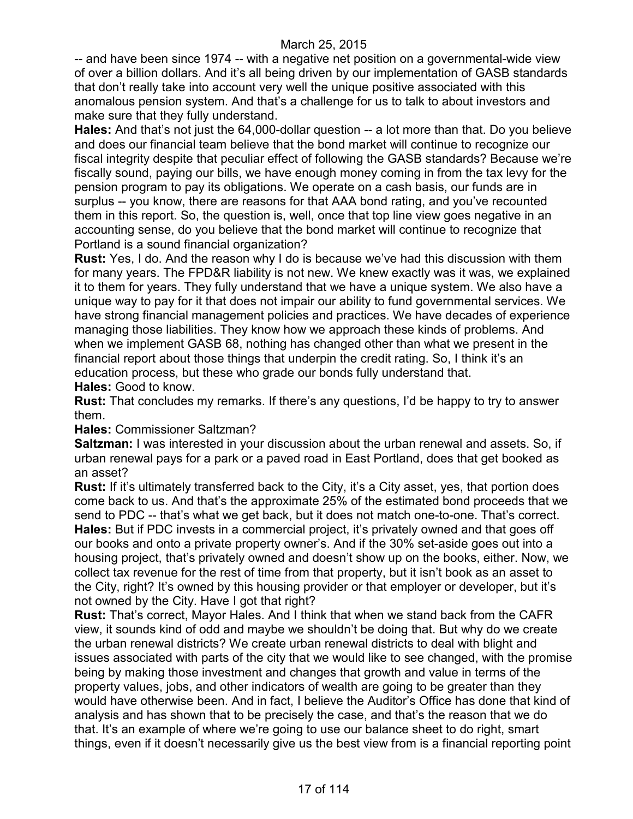-- and have been since 1974 -- with a negative net position on a governmental-wide view of over a billion dollars. And it's all being driven by our implementation of GASB standards that don't really take into account very well the unique positive associated with this anomalous pension system. And that's a challenge for us to talk to about investors and make sure that they fully understand.

**Hales:** And that's not just the 64,000-dollar question -- a lot more than that. Do you believe and does our financial team believe that the bond market will continue to recognize our fiscal integrity despite that peculiar effect of following the GASB standards? Because we're fiscally sound, paying our bills, we have enough money coming in from the tax levy for the pension program to pay its obligations. We operate on a cash basis, our funds are in surplus -- you know, there are reasons for that AAA bond rating, and you've recounted them in this report. So, the question is, well, once that top line view goes negative in an accounting sense, do you believe that the bond market will continue to recognize that Portland is a sound financial organization?

**Rust:** Yes, I do. And the reason why I do is because we've had this discussion with them for many years. The FPD&R liability is not new. We knew exactly was it was, we explained it to them for years. They fully understand that we have a unique system. We also have a unique way to pay for it that does not impair our ability to fund governmental services. We have strong financial management policies and practices. We have decades of experience managing those liabilities. They know how we approach these kinds of problems. And when we implement GASB 68, nothing has changed other than what we present in the financial report about those things that underpin the credit rating. So, I think it's an education process, but these who grade our bonds fully understand that. **Hales:** Good to know.

**Rust:** That concludes my remarks. If there's any questions, I'd be happy to try to answer them.

**Hales:** Commissioner Saltzman?

**Saltzman:** I was interested in your discussion about the urban renewal and assets. So, if urban renewal pays for a park or a paved road in East Portland, does that get booked as an asset?

**Rust:** If it's ultimately transferred back to the City, it's a City asset, yes, that portion does come back to us. And that's the approximate 25% of the estimated bond proceeds that we send to PDC -- that's what we get back, but it does not match one-to-one. That's correct. **Hales:** But if PDC invests in a commercial project, it's privately owned and that goes off our books and onto a private property owner's. And if the 30% set-aside goes out into a housing project, that's privately owned and doesn't show up on the books, either. Now, we collect tax revenue for the rest of time from that property, but it isn't book as an asset to the City, right? It's owned by this housing provider or that employer or developer, but it's not owned by the City. Have I got that right?

**Rust:** That's correct, Mayor Hales. And I think that when we stand back from the CAFR view, it sounds kind of odd and maybe we shouldn't be doing that. But why do we create the urban renewal districts? We create urban renewal districts to deal with blight and issues associated with parts of the city that we would like to see changed, with the promise being by making those investment and changes that growth and value in terms of the property values, jobs, and other indicators of wealth are going to be greater than they would have otherwise been. And in fact, I believe the Auditor's Office has done that kind of analysis and has shown that to be precisely the case, and that's the reason that we do that. It's an example of where we're going to use our balance sheet to do right, smart things, even if it doesn't necessarily give us the best view from is a financial reporting point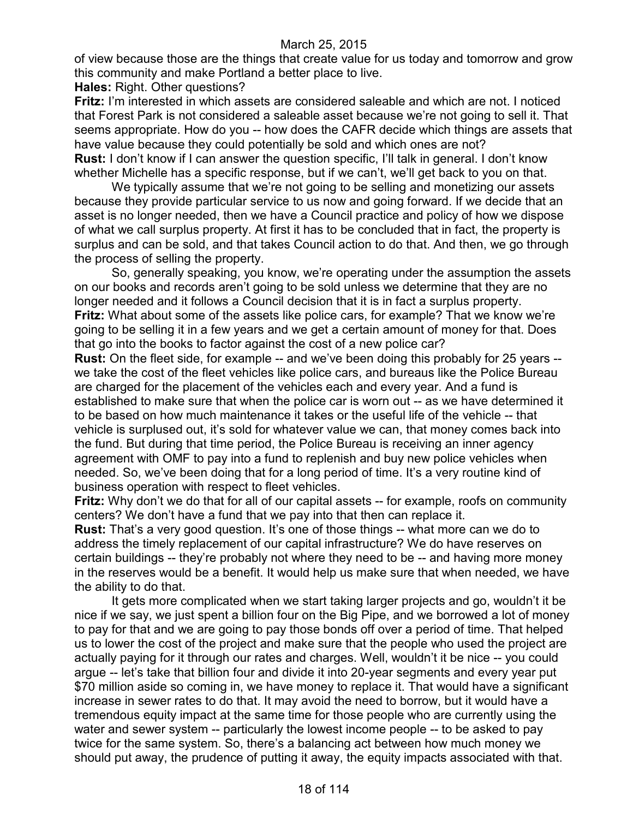of view because those are the things that create value for us today and tomorrow and grow this community and make Portland a better place to live.

**Hales:** Right. Other questions?

**Fritz:** I'm interested in which assets are considered saleable and which are not. I noticed that Forest Park is not considered a saleable asset because we're not going to sell it. That seems appropriate. How do you -- how does the CAFR decide which things are assets that have value because they could potentially be sold and which ones are not? **Rust:** I don't know if I can answer the question specific, I'll talk in general. I don't know whether Michelle has a specific response, but if we can't, we'll get back to you on that.

We typically assume that we're not going to be selling and monetizing our assets because they provide particular service to us now and going forward. If we decide that an asset is no longer needed, then we have a Council practice and policy of how we dispose of what we call surplus property. At first it has to be concluded that in fact, the property is surplus and can be sold, and that takes Council action to do that. And then, we go through the process of selling the property.

So, generally speaking, you know, we're operating under the assumption the assets on our books and records aren't going to be sold unless we determine that they are no longer needed and it follows a Council decision that it is in fact a surplus property. **Fritz:** What about some of the assets like police cars, for example? That we know we're going to be selling it in a few years and we get a certain amount of money for that. Does that go into the books to factor against the cost of a new police car?

**Rust:** On the fleet side, for example -- and we've been doing this probably for 25 years -we take the cost of the fleet vehicles like police cars, and bureaus like the Police Bureau are charged for the placement of the vehicles each and every year. And a fund is established to make sure that when the police car is worn out -- as we have determined it to be based on how much maintenance it takes or the useful life of the vehicle -- that vehicle is surplused out, it's sold for whatever value we can, that money comes back into the fund. But during that time period, the Police Bureau is receiving an inner agency agreement with OMF to pay into a fund to replenish and buy new police vehicles when needed. So, we've been doing that for a long period of time. It's a very routine kind of business operation with respect to fleet vehicles.

**Fritz:** Why don't we do that for all of our capital assets -- for example, roofs on community centers? We don't have a fund that we pay into that then can replace it.

**Rust:** That's a very good question. It's one of those things -- what more can we do to address the timely replacement of our capital infrastructure? We do have reserves on certain buildings -- they're probably not where they need to be -- and having more money in the reserves would be a benefit. It would help us make sure that when needed, we have the ability to do that.

It gets more complicated when we start taking larger projects and go, wouldn't it be nice if we say, we just spent a billion four on the Big Pipe, and we borrowed a lot of money to pay for that and we are going to pay those bonds off over a period of time. That helped us to lower the cost of the project and make sure that the people who used the project are actually paying for it through our rates and charges. Well, wouldn't it be nice -- you could argue -- let's take that billion four and divide it into 20-year segments and every year put \$70 million aside so coming in, we have money to replace it. That would have a significant increase in sewer rates to do that. It may avoid the need to borrow, but it would have a tremendous equity impact at the same time for those people who are currently using the water and sewer system -- particularly the lowest income people -- to be asked to pay twice for the same system. So, there's a balancing act between how much money we should put away, the prudence of putting it away, the equity impacts associated with that.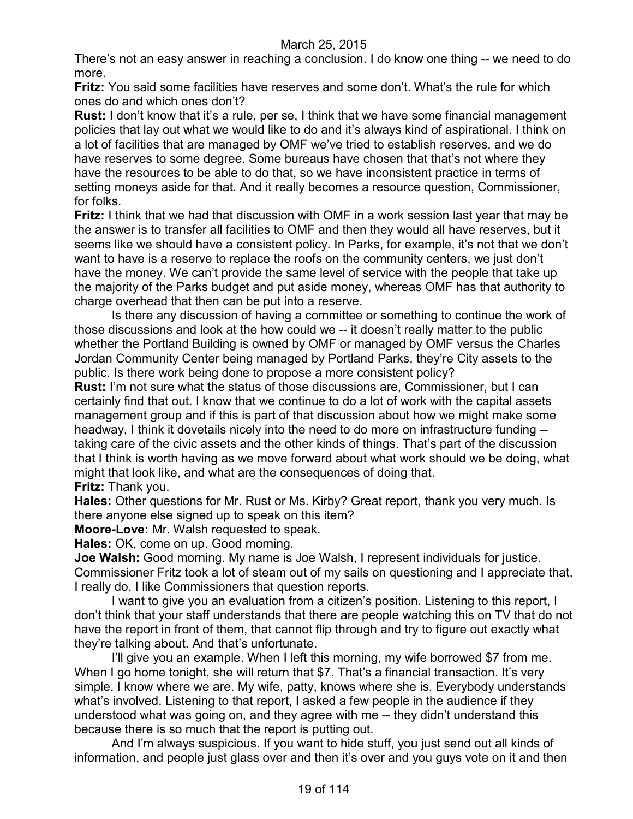There's not an easy answer in reaching a conclusion. I do know one thing -- we need to do more.

**Fritz:** You said some facilities have reserves and some don't. What's the rule for which ones do and which ones don't?

**Rust:** I don't know that it's a rule, per se, I think that we have some financial management policies that lay out what we would like to do and it's always kind of aspirational. I think on a lot of facilities that are managed by OMF we've tried to establish reserves, and we do have reserves to some degree. Some bureaus have chosen that that's not where they have the resources to be able to do that, so we have inconsistent practice in terms of setting moneys aside for that. And it really becomes a resource question, Commissioner, for folks.

**Fritz:** I think that we had that discussion with OMF in a work session last year that may be the answer is to transfer all facilities to OMF and then they would all have reserves, but it seems like we should have a consistent policy. In Parks, for example, it's not that we don't want to have is a reserve to replace the roofs on the community centers, we just don't have the money. We can't provide the same level of service with the people that take up the majority of the Parks budget and put aside money, whereas OMF has that authority to charge overhead that then can be put into a reserve.

Is there any discussion of having a committee or something to continue the work of those discussions and look at the how could we -- it doesn't really matter to the public whether the Portland Building is owned by OMF or managed by OMF versus the Charles Jordan Community Center being managed by Portland Parks, they're City assets to the public. Is there work being done to propose a more consistent policy?

**Rust:** I'm not sure what the status of those discussions are, Commissioner, but I can certainly find that out. I know that we continue to do a lot of work with the capital assets management group and if this is part of that discussion about how we might make some headway, I think it dovetails nicely into the need to do more on infrastructure funding - taking care of the civic assets and the other kinds of things. That's part of the discussion that I think is worth having as we move forward about what work should we be doing, what might that look like, and what are the consequences of doing that.

**Fritz:** Thank you.

**Hales:** Other questions for Mr. Rust or Ms. Kirby? Great report, thank you very much. Is there anyone else signed up to speak on this item?

**Moore-Love:** Mr. Walsh requested to speak.

**Hales:** OK, come on up. Good morning.

**Joe Walsh:** Good morning. My name is Joe Walsh, I represent individuals for justice. Commissioner Fritz took a lot of steam out of my sails on questioning and I appreciate that, I really do. I like Commissioners that question reports.

I want to give you an evaluation from a citizen's position. Listening to this report, I don't think that your staff understands that there are people watching this on TV that do not have the report in front of them, that cannot flip through and try to figure out exactly what they're talking about. And that's unfortunate.

I'll give you an example. When I left this morning, my wife borrowed \$7 from me. When I go home tonight, she will return that \$7. That's a financial transaction. It's very simple. I know where we are. My wife, patty, knows where she is. Everybody understands what's involved. Listening to that report, I asked a few people in the audience if they understood what was going on, and they agree with me -- they didn't understand this because there is so much that the report is putting out.

And I'm always suspicious. If you want to hide stuff, you just send out all kinds of information, and people just glass over and then it's over and you guys vote on it and then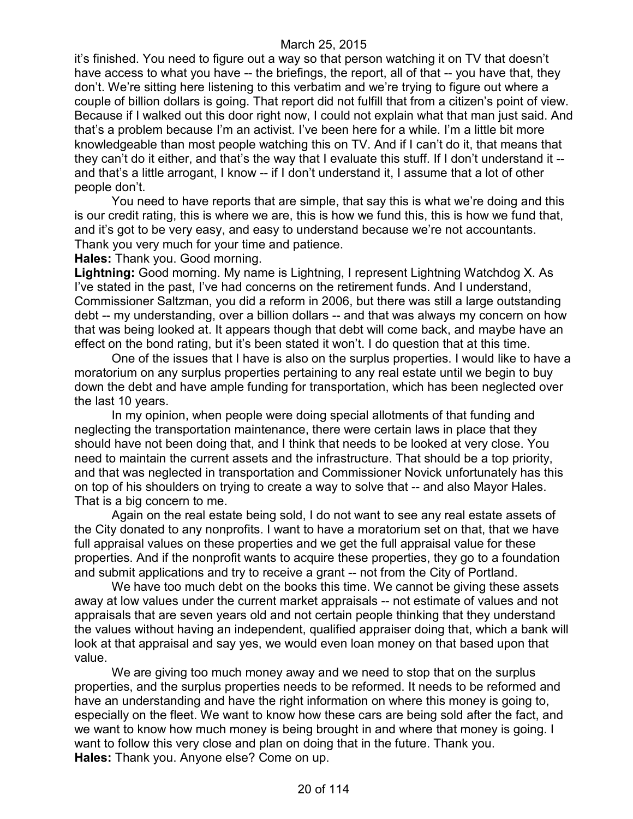it's finished. You need to figure out a way so that person watching it on TV that doesn't have access to what you have -- the briefings, the report, all of that -- you have that, they don't. We're sitting here listening to this verbatim and we're trying to figure out where a couple of billion dollars is going. That report did not fulfill that from a citizen's point of view. Because if I walked out this door right now, I could not explain what that man just said. And that's a problem because I'm an activist. I've been here for a while. I'm a little bit more knowledgeable than most people watching this on TV. And if I can't do it, that means that they can't do it either, and that's the way that I evaluate this stuff. If I don't understand it - and that's a little arrogant, I know -- if I don't understand it, I assume that a lot of other people don't.

You need to have reports that are simple, that say this is what we're doing and this is our credit rating, this is where we are, this is how we fund this, this is how we fund that, and it's got to be very easy, and easy to understand because we're not accountants. Thank you very much for your time and patience.

**Hales:** Thank you. Good morning.

**Lightning:** Good morning. My name is Lightning, I represent Lightning Watchdog X. As I've stated in the past, I've had concerns on the retirement funds. And I understand, Commissioner Saltzman, you did a reform in 2006, but there was still a large outstanding debt -- my understanding, over a billion dollars -- and that was always my concern on how that was being looked at. It appears though that debt will come back, and maybe have an effect on the bond rating, but it's been stated it won't. I do question that at this time.

One of the issues that I have is also on the surplus properties. I would like to have a moratorium on any surplus properties pertaining to any real estate until we begin to buy down the debt and have ample funding for transportation, which has been neglected over the last 10 years.

In my opinion, when people were doing special allotments of that funding and neglecting the transportation maintenance, there were certain laws in place that they should have not been doing that, and I think that needs to be looked at very close. You need to maintain the current assets and the infrastructure. That should be a top priority, and that was neglected in transportation and Commissioner Novick unfortunately has this on top of his shoulders on trying to create a way to solve that -- and also Mayor Hales. That is a big concern to me.

Again on the real estate being sold, I do not want to see any real estate assets of the City donated to any nonprofits. I want to have a moratorium set on that, that we have full appraisal values on these properties and we get the full appraisal value for these properties. And if the nonprofit wants to acquire these properties, they go to a foundation and submit applications and try to receive a grant -- not from the City of Portland.

We have too much debt on the books this time. We cannot be giving these assets away at low values under the current market appraisals -- not estimate of values and not appraisals that are seven years old and not certain people thinking that they understand the values without having an independent, qualified appraiser doing that, which a bank will look at that appraisal and say yes, we would even loan money on that based upon that value.

We are giving too much money away and we need to stop that on the surplus properties, and the surplus properties needs to be reformed. It needs to be reformed and have an understanding and have the right information on where this money is going to, especially on the fleet. We want to know how these cars are being sold after the fact, and we want to know how much money is being brought in and where that money is going. I want to follow this very close and plan on doing that in the future. Thank you. **Hales:** Thank you. Anyone else? Come on up.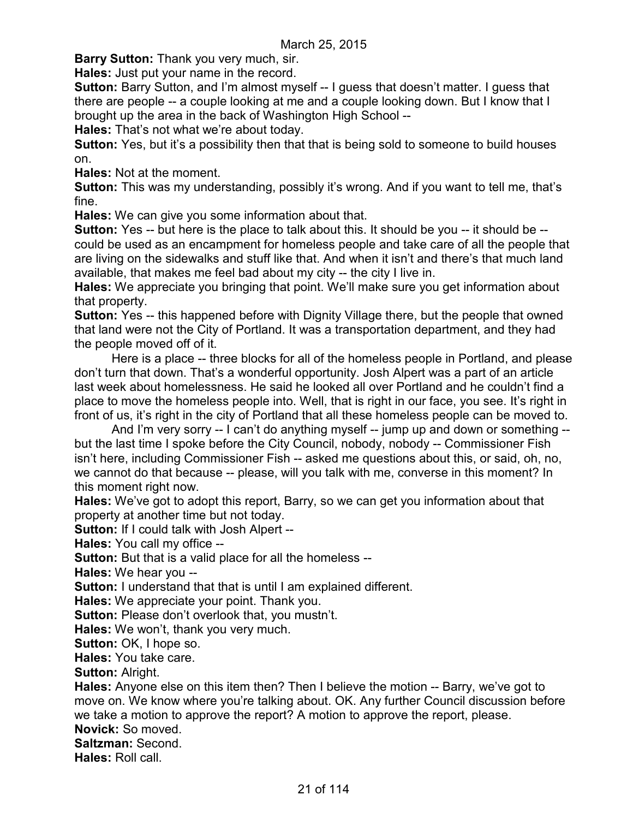**Barry Sutton:** Thank you very much, sir.

**Hales:** Just put your name in the record.

**Sutton:** Barry Sutton, and I'm almost myself -- I guess that doesn't matter. I guess that there are people -- a couple looking at me and a couple looking down. But I know that I brought up the area in the back of Washington High School --

**Hales:** That's not what we're about today.

**Sutton:** Yes, but it's a possibility then that that is being sold to someone to build houses on.

**Hales:** Not at the moment.

**Sutton:** This was my understanding, possibly it's wrong. And if you want to tell me, that's fine.

**Hales:** We can give you some information about that.

**Sutton:** Yes -- but here is the place to talk about this. It should be you -- it should be -could be used as an encampment for homeless people and take care of all the people that are living on the sidewalks and stuff like that. And when it isn't and there's that much land available, that makes me feel bad about my city -- the city I live in.

**Hales:** We appreciate you bringing that point. We'll make sure you get information about that property.

**Sutton:** Yes -- this happened before with Dignity Village there, but the people that owned that land were not the City of Portland. It was a transportation department, and they had the people moved off of it.

Here is a place -- three blocks for all of the homeless people in Portland, and please don't turn that down. That's a wonderful opportunity. Josh Alpert was a part of an article last week about homelessness. He said he looked all over Portland and he couldn't find a place to move the homeless people into. Well, that is right in our face, you see. It's right in front of us, it's right in the city of Portland that all these homeless people can be moved to.

And I'm very sorry -- I can't do anything myself -- jump up and down or something - but the last time I spoke before the City Council, nobody, nobody -- Commissioner Fish isn't here, including Commissioner Fish -- asked me questions about this, or said, oh, no, we cannot do that because -- please, will you talk with me, converse in this moment? In this moment right now.

**Hales:** We've got to adopt this report, Barry, so we can get you information about that property at another time but not today.

**Sutton: If I could talk with Josh Alpert --**

**Hales:** You call my office --

**Sutton:** But that is a valid place for all the homeless --

**Hales:** We hear you --

**Sutton:** I understand that that is until I am explained different.

**Hales:** We appreciate your point. Thank you.

**Sutton:** Please don't overlook that, you mustn't.

**Hales:** We won't, thank you very much.

**Sutton: OK, I hope so.** 

**Hales:** You take care.

**Sutton: Alright.** 

**Hales:** Anyone else on this item then? Then I believe the motion -- Barry, we've got to move on. We know where you're talking about. OK. Any further Council discussion before we take a motion to approve the report? A motion to approve the report, please.

**Novick:** So moved.

**Saltzman:** Second.

**Hales:** Roll call.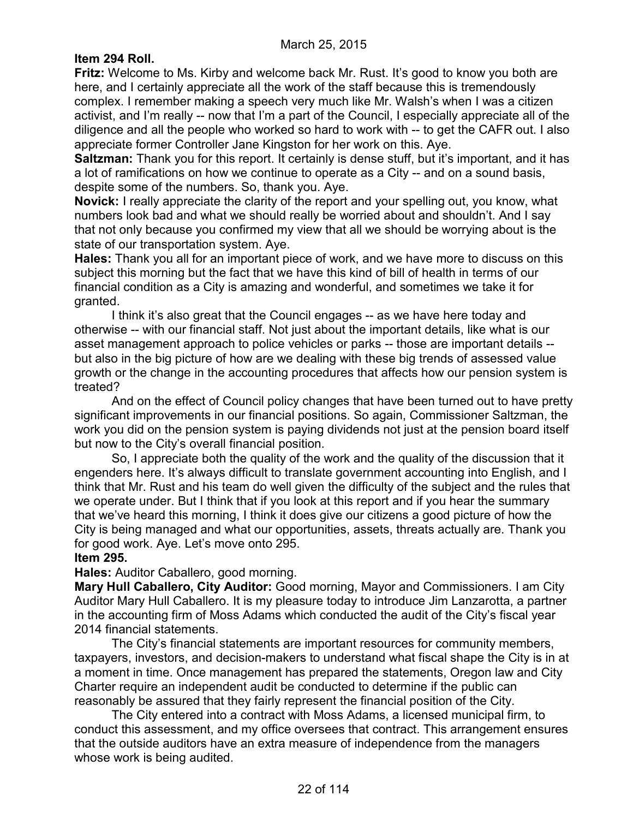### **Item 294 Roll.**

**Fritz:** Welcome to Ms. Kirby and welcome back Mr. Rust. It's good to know you both are here, and I certainly appreciate all the work of the staff because this is tremendously complex. I remember making a speech very much like Mr. Walsh's when I was a citizen activist, and I'm really -- now that I'm a part of the Council, I especially appreciate all of the diligence and all the people who worked so hard to work with -- to get the CAFR out. I also appreciate former Controller Jane Kingston for her work on this. Aye.

**Saltzman:** Thank you for this report. It certainly is dense stuff, but it's important, and it has a lot of ramifications on how we continue to operate as a City -- and on a sound basis, despite some of the numbers. So, thank you. Aye.

**Novick:** I really appreciate the clarity of the report and your spelling out, you know, what numbers look bad and what we should really be worried about and shouldn't. And I say that not only because you confirmed my view that all we should be worrying about is the state of our transportation system. Aye.

**Hales:** Thank you all for an important piece of work, and we have more to discuss on this subject this morning but the fact that we have this kind of bill of health in terms of our financial condition as a City is amazing and wonderful, and sometimes we take it for granted.

I think it's also great that the Council engages -- as we have here today and otherwise -- with our financial staff. Not just about the important details, like what is our asset management approach to police vehicles or parks -- those are important details - but also in the big picture of how are we dealing with these big trends of assessed value growth or the change in the accounting procedures that affects how our pension system is treated?

And on the effect of Council policy changes that have been turned out to have pretty significant improvements in our financial positions. So again, Commissioner Saltzman, the work you did on the pension system is paying dividends not just at the pension board itself but now to the City's overall financial position.

So, I appreciate both the quality of the work and the quality of the discussion that it engenders here. It's always difficult to translate government accounting into English, and I think that Mr. Rust and his team do well given the difficulty of the subject and the rules that we operate under. But I think that if you look at this report and if you hear the summary that we've heard this morning, I think it does give our citizens a good picture of how the City is being managed and what our opportunities, assets, threats actually are. Thank you for good work. Aye. Let's move onto 295.

### **Item 295.**

**Hales:** Auditor Caballero, good morning.

**Mary Hull Caballero, City Auditor:** Good morning, Mayor and Commissioners. I am City Auditor Mary Hull Caballero. It is my pleasure today to introduce Jim Lanzarotta, a partner in the accounting firm of Moss Adams which conducted the audit of the City's fiscal year 2014 financial statements.

The City's financial statements are important resources for community members, taxpayers, investors, and decision-makers to understand what fiscal shape the City is in at a moment in time. Once management has prepared the statements, Oregon law and City Charter require an independent audit be conducted to determine if the public can reasonably be assured that they fairly represent the financial position of the City.

The City entered into a contract with Moss Adams, a licensed municipal firm, to conduct this assessment, and my office oversees that contract. This arrangement ensures that the outside auditors have an extra measure of independence from the managers whose work is being audited.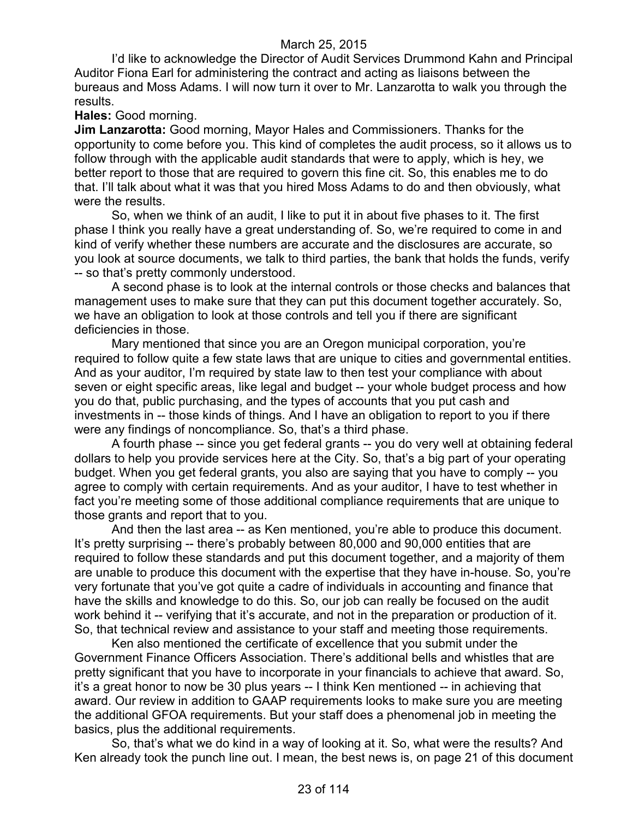I'd like to acknowledge the Director of Audit Services Drummond Kahn and Principal Auditor Fiona Earl for administering the contract and acting as liaisons between the bureaus and Moss Adams. I will now turn it over to Mr. Lanzarotta to walk you through the results.

#### **Hales:** Good morning.

**Jim Lanzarotta:** Good morning, Mayor Hales and Commissioners. Thanks for the opportunity to come before you. This kind of completes the audit process, so it allows us to follow through with the applicable audit standards that were to apply, which is hey, we better report to those that are required to govern this fine cit. So, this enables me to do that. I'll talk about what it was that you hired Moss Adams to do and then obviously, what were the results.

So, when we think of an audit, I like to put it in about five phases to it. The first phase I think you really have a great understanding of. So, we're required to come in and kind of verify whether these numbers are accurate and the disclosures are accurate, so you look at source documents, we talk to third parties, the bank that holds the funds, verify -- so that's pretty commonly understood.

A second phase is to look at the internal controls or those checks and balances that management uses to make sure that they can put this document together accurately. So, we have an obligation to look at those controls and tell you if there are significant deficiencies in those.

Mary mentioned that since you are an Oregon municipal corporation, you're required to follow quite a few state laws that are unique to cities and governmental entities. And as your auditor, I'm required by state law to then test your compliance with about seven or eight specific areas, like legal and budget -- your whole budget process and how you do that, public purchasing, and the types of accounts that you put cash and investments in -- those kinds of things. And I have an obligation to report to you if there were any findings of noncompliance. So, that's a third phase.

A fourth phase -- since you get federal grants -- you do very well at obtaining federal dollars to help you provide services here at the City. So, that's a big part of your operating budget. When you get federal grants, you also are saying that you have to comply -- you agree to comply with certain requirements. And as your auditor, I have to test whether in fact you're meeting some of those additional compliance requirements that are unique to those grants and report that to you.

And then the last area -- as Ken mentioned, you're able to produce this document. It's pretty surprising -- there's probably between 80,000 and 90,000 entities that are required to follow these standards and put this document together, and a majority of them are unable to produce this document with the expertise that they have in-house. So, you're very fortunate that you've got quite a cadre of individuals in accounting and finance that have the skills and knowledge to do this. So, our job can really be focused on the audit work behind it -- verifying that it's accurate, and not in the preparation or production of it. So, that technical review and assistance to your staff and meeting those requirements.

Ken also mentioned the certificate of excellence that you submit under the Government Finance Officers Association. There's additional bells and whistles that are pretty significant that you have to incorporate in your financials to achieve that award. So, it's a great honor to now be 30 plus years -- I think Ken mentioned -- in achieving that award. Our review in addition to GAAP requirements looks to make sure you are meeting the additional GFOA requirements. But your staff does a phenomenal job in meeting the basics, plus the additional requirements.

So, that's what we do kind in a way of looking at it. So, what were the results? And Ken already took the punch line out. I mean, the best news is, on page 21 of this document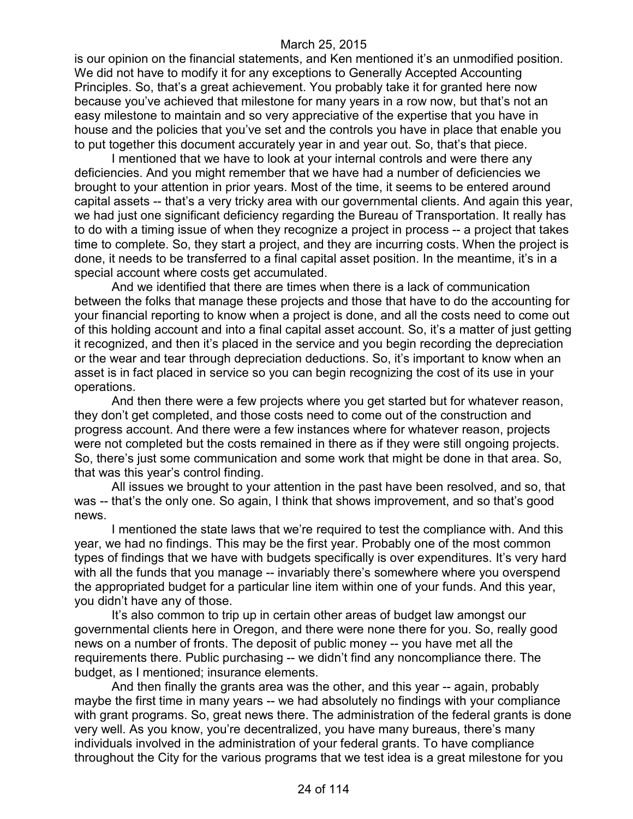is our opinion on the financial statements, and Ken mentioned it's an unmodified position. We did not have to modify it for any exceptions to Generally Accepted Accounting Principles. So, that's a great achievement. You probably take it for granted here now because you've achieved that milestone for many years in a row now, but that's not an easy milestone to maintain and so very appreciative of the expertise that you have in house and the policies that you've set and the controls you have in place that enable you to put together this document accurately year in and year out. So, that's that piece.

I mentioned that we have to look at your internal controls and were there any deficiencies. And you might remember that we have had a number of deficiencies we brought to your attention in prior years. Most of the time, it seems to be entered around capital assets -- that's a very tricky area with our governmental clients. And again this year, we had just one significant deficiency regarding the Bureau of Transportation. It really has to do with a timing issue of when they recognize a project in process -- a project that takes time to complete. So, they start a project, and they are incurring costs. When the project is done, it needs to be transferred to a final capital asset position. In the meantime, it's in a special account where costs get accumulated.

And we identified that there are times when there is a lack of communication between the folks that manage these projects and those that have to do the accounting for your financial reporting to know when a project is done, and all the costs need to come out of this holding account and into a final capital asset account. So, it's a matter of just getting it recognized, and then it's placed in the service and you begin recording the depreciation or the wear and tear through depreciation deductions. So, it's important to know when an asset is in fact placed in service so you can begin recognizing the cost of its use in your operations.

And then there were a few projects where you get started but for whatever reason, they don't get completed, and those costs need to come out of the construction and progress account. And there were a few instances where for whatever reason, projects were not completed but the costs remained in there as if they were still ongoing projects. So, there's just some communication and some work that might be done in that area. So, that was this year's control finding.

All issues we brought to your attention in the past have been resolved, and so, that was -- that's the only one. So again, I think that shows improvement, and so that's good news.

I mentioned the state laws that we're required to test the compliance with. And this year, we had no findings. This may be the first year. Probably one of the most common types of findings that we have with budgets specifically is over expenditures. It's very hard with all the funds that you manage -- invariably there's somewhere where you overspend the appropriated budget for a particular line item within one of your funds. And this year, you didn't have any of those.

It's also common to trip up in certain other areas of budget law amongst our governmental clients here in Oregon, and there were none there for you. So, really good news on a number of fronts. The deposit of public money -- you have met all the requirements there. Public purchasing -- we didn't find any noncompliance there. The budget, as I mentioned; insurance elements.

And then finally the grants area was the other, and this year -- again, probably maybe the first time in many years -- we had absolutely no findings with your compliance with grant programs. So, great news there. The administration of the federal grants is done very well. As you know, you're decentralized, you have many bureaus, there's many individuals involved in the administration of your federal grants. To have compliance throughout the City for the various programs that we test idea is a great milestone for you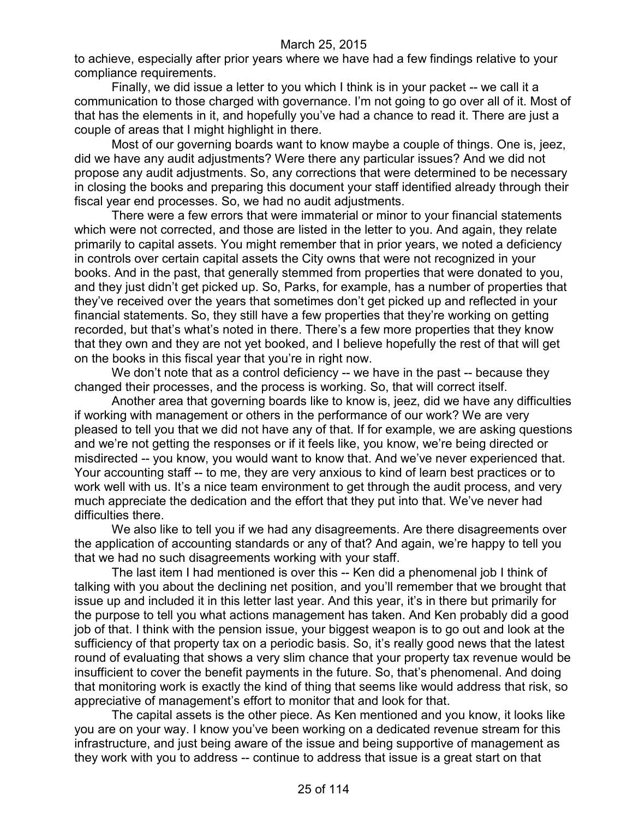to achieve, especially after prior years where we have had a few findings relative to your compliance requirements.

Finally, we did issue a letter to you which I think is in your packet -- we call it a communication to those charged with governance. I'm not going to go over all of it. Most of that has the elements in it, and hopefully you've had a chance to read it. There are just a couple of areas that I might highlight in there.

Most of our governing boards want to know maybe a couple of things. One is, jeez, did we have any audit adjustments? Were there any particular issues? And we did not propose any audit adjustments. So, any corrections that were determined to be necessary in closing the books and preparing this document your staff identified already through their fiscal year end processes. So, we had no audit adjustments.

There were a few errors that were immaterial or minor to your financial statements which were not corrected, and those are listed in the letter to you. And again, they relate primarily to capital assets. You might remember that in prior years, we noted a deficiency in controls over certain capital assets the City owns that were not recognized in your books. And in the past, that generally stemmed from properties that were donated to you, and they just didn't get picked up. So, Parks, for example, has a number of properties that they've received over the years that sometimes don't get picked up and reflected in your financial statements. So, they still have a few properties that they're working on getting recorded, but that's what's noted in there. There's a few more properties that they know that they own and they are not yet booked, and I believe hopefully the rest of that will get on the books in this fiscal year that you're in right now.

We don't note that as a control deficiency -- we have in the past -- because they changed their processes, and the process is working. So, that will correct itself.

Another area that governing boards like to know is, jeez, did we have any difficulties if working with management or others in the performance of our work? We are very pleased to tell you that we did not have any of that. If for example, we are asking questions and we're not getting the responses or if it feels like, you know, we're being directed or misdirected -- you know, you would want to know that. And we've never experienced that. Your accounting staff -- to me, they are very anxious to kind of learn best practices or to work well with us. It's a nice team environment to get through the audit process, and very much appreciate the dedication and the effort that they put into that. We've never had difficulties there.

We also like to tell you if we had any disagreements. Are there disagreements over the application of accounting standards or any of that? And again, we're happy to tell you that we had no such disagreements working with your staff.

The last item I had mentioned is over this -- Ken did a phenomenal job I think of talking with you about the declining net position, and you'll remember that we brought that issue up and included it in this letter last year. And this year, it's in there but primarily for the purpose to tell you what actions management has taken. And Ken probably did a good job of that. I think with the pension issue, your biggest weapon is to go out and look at the sufficiency of that property tax on a periodic basis. So, it's really good news that the latest round of evaluating that shows a very slim chance that your property tax revenue would be insufficient to cover the benefit payments in the future. So, that's phenomenal. And doing that monitoring work is exactly the kind of thing that seems like would address that risk, so appreciative of management's effort to monitor that and look for that.

The capital assets is the other piece. As Ken mentioned and you know, it looks like you are on your way. I know you've been working on a dedicated revenue stream for this infrastructure, and just being aware of the issue and being supportive of management as they work with you to address -- continue to address that issue is a great start on that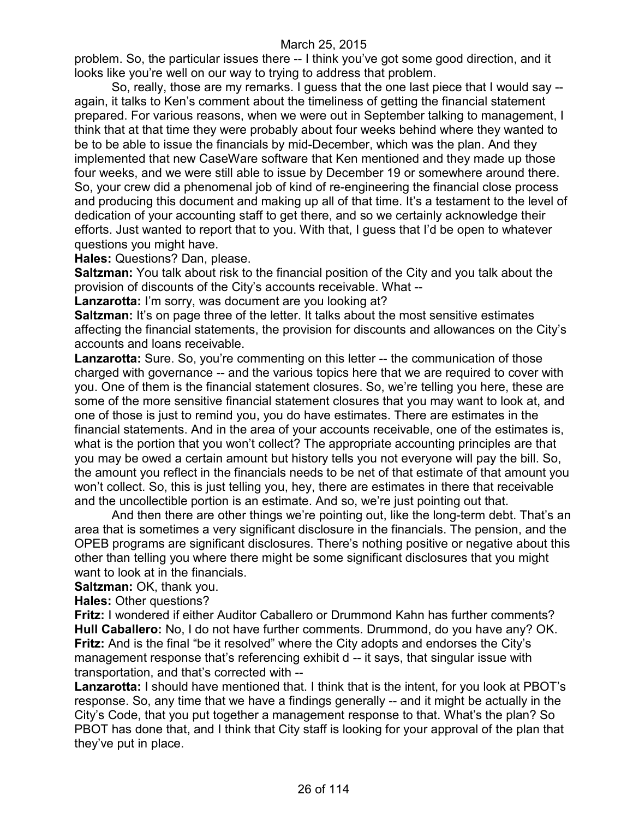problem. So, the particular issues there -- I think you've got some good direction, and it looks like you're well on our way to trying to address that problem.

So, really, those are my remarks. I guess that the one last piece that I would say - again, it talks to Ken's comment about the timeliness of getting the financial statement prepared. For various reasons, when we were out in September talking to management, I think that at that time they were probably about four weeks behind where they wanted to be to be able to issue the financials by mid-December, which was the plan. And they implemented that new CaseWare software that Ken mentioned and they made up those four weeks, and we were still able to issue by December 19 or somewhere around there. So, your crew did a phenomenal job of kind of re-engineering the financial close process and producing this document and making up all of that time. It's a testament to the level of dedication of your accounting staff to get there, and so we certainly acknowledge their efforts. Just wanted to report that to you. With that, I guess that I'd be open to whatever questions you might have.

**Hales:** Questions? Dan, please.

**Saltzman:** You talk about risk to the financial position of the City and you talk about the provision of discounts of the City's accounts receivable. What --

**Lanzarotta:** I'm sorry, was document are you looking at?

**Saltzman:** It's on page three of the letter. It talks about the most sensitive estimates affecting the financial statements, the provision for discounts and allowances on the City's accounts and loans receivable.

**Lanzarotta:** Sure. So, you're commenting on this letter -- the communication of those charged with governance -- and the various topics here that we are required to cover with you. One of them is the financial statement closures. So, we're telling you here, these are some of the more sensitive financial statement closures that you may want to look at, and one of those is just to remind you, you do have estimates. There are estimates in the financial statements. And in the area of your accounts receivable, one of the estimates is, what is the portion that you won't collect? The appropriate accounting principles are that you may be owed a certain amount but history tells you not everyone will pay the bill. So, the amount you reflect in the financials needs to be net of that estimate of that amount you won't collect. So, this is just telling you, hey, there are estimates in there that receivable and the uncollectible portion is an estimate. And so, we're just pointing out that.

And then there are other things we're pointing out, like the long-term debt. That's an area that is sometimes a very significant disclosure in the financials. The pension, and the OPEB programs are significant disclosures. There's nothing positive or negative about this other than telling you where there might be some significant disclosures that you might want to look at in the financials.

**Saltzman:** OK, thank you.

**Hales:** Other questions?

**Fritz:** I wondered if either Auditor Caballero or Drummond Kahn has further comments? **Hull Caballero:** No, I do not have further comments. Drummond, do you have any? OK. **Fritz:** And is the final "be it resolved" where the City adopts and endorses the City's management response that's referencing exhibit d -- it says, that singular issue with transportation, and that's corrected with --

**Lanzarotta:** I should have mentioned that. I think that is the intent, for you look at PBOT's response. So, any time that we have a findings generally -- and it might be actually in the City's Code, that you put together a management response to that. What's the plan? So PBOT has done that, and I think that City staff is looking for your approval of the plan that they've put in place.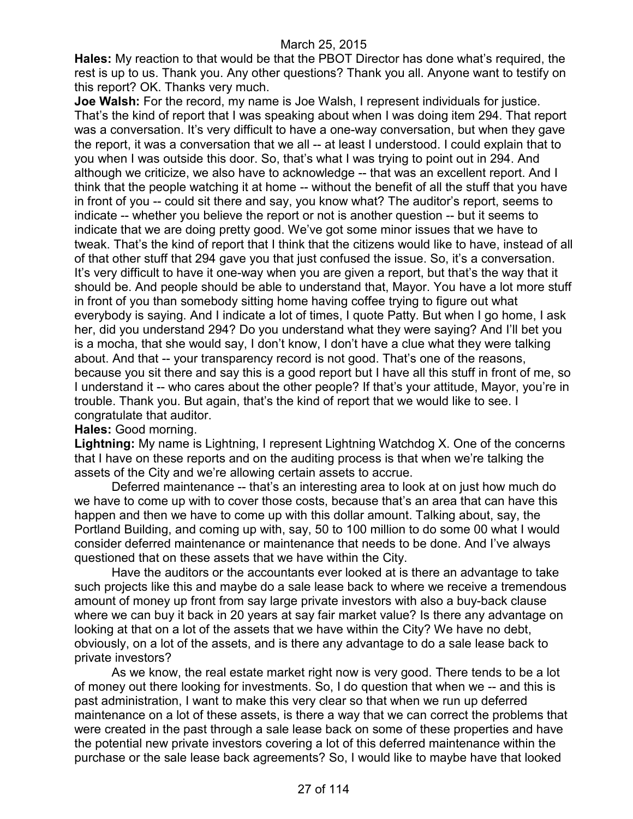**Hales:** My reaction to that would be that the PBOT Director has done what's required, the rest is up to us. Thank you. Any other questions? Thank you all. Anyone want to testify on this report? OK. Thanks very much.

**Joe Walsh:** For the record, my name is Joe Walsh, I represent individuals for justice. That's the kind of report that I was speaking about when I was doing item 294. That report was a conversation. It's very difficult to have a one-way conversation, but when they gave the report, it was a conversation that we all -- at least I understood. I could explain that to you when I was outside this door. So, that's what I was trying to point out in 294. And although we criticize, we also have to acknowledge -- that was an excellent report. And I think that the people watching it at home -- without the benefit of all the stuff that you have in front of you -- could sit there and say, you know what? The auditor's report, seems to indicate -- whether you believe the report or not is another question -- but it seems to indicate that we are doing pretty good. We've got some minor issues that we have to tweak. That's the kind of report that I think that the citizens would like to have, instead of all of that other stuff that 294 gave you that just confused the issue. So, it's a conversation. It's very difficult to have it one-way when you are given a report, but that's the way that it should be. And people should be able to understand that, Mayor. You have a lot more stuff in front of you than somebody sitting home having coffee trying to figure out what everybody is saying. And I indicate a lot of times, I quote Patty. But when I go home, I ask her, did you understand 294? Do you understand what they were saying? And I'll bet you is a mocha, that she would say, I don't know, I don't have a clue what they were talking about. And that -- your transparency record is not good. That's one of the reasons, because you sit there and say this is a good report but I have all this stuff in front of me, so I understand it -- who cares about the other people? If that's your attitude, Mayor, you're in trouble. Thank you. But again, that's the kind of report that we would like to see. I congratulate that auditor.

**Hales:** Good morning.

**Lightning:** My name is Lightning, I represent Lightning Watchdog X. One of the concerns that I have on these reports and on the auditing process is that when we're talking the assets of the City and we're allowing certain assets to accrue.

Deferred maintenance -- that's an interesting area to look at on just how much do we have to come up with to cover those costs, because that's an area that can have this happen and then we have to come up with this dollar amount. Talking about, say, the Portland Building, and coming up with, say, 50 to 100 million to do some 00 what I would consider deferred maintenance or maintenance that needs to be done. And I've always questioned that on these assets that we have within the City.

Have the auditors or the accountants ever looked at is there an advantage to take such projects like this and maybe do a sale lease back to where we receive a tremendous amount of money up front from say large private investors with also a buy-back clause where we can buy it back in 20 years at say fair market value? Is there any advantage on looking at that on a lot of the assets that we have within the City? We have no debt, obviously, on a lot of the assets, and is there any advantage to do a sale lease back to private investors?

As we know, the real estate market right now is very good. There tends to be a lot of money out there looking for investments. So, I do question that when we -- and this is past administration, I want to make this very clear so that when we run up deferred maintenance on a lot of these assets, is there a way that we can correct the problems that were created in the past through a sale lease back on some of these properties and have the potential new private investors covering a lot of this deferred maintenance within the purchase or the sale lease back agreements? So, I would like to maybe have that looked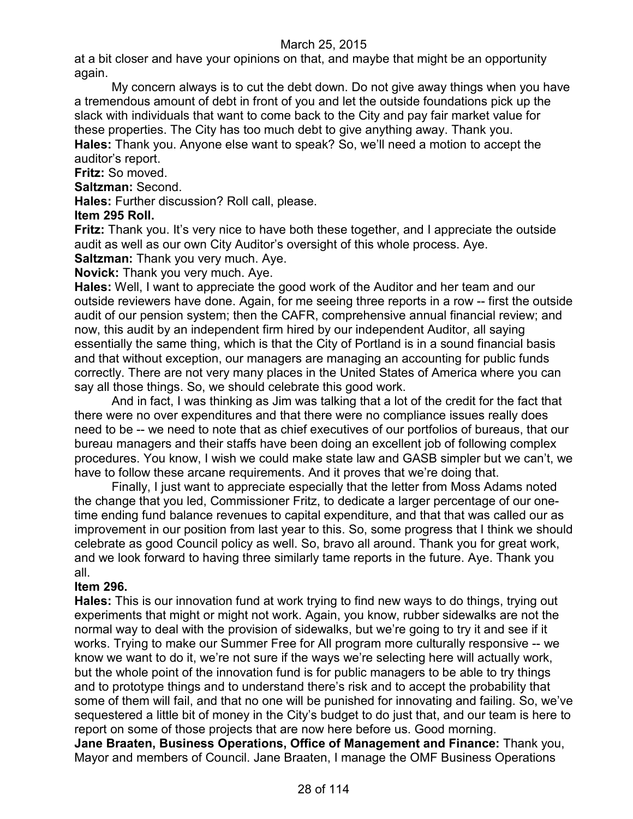at a bit closer and have your opinions on that, and maybe that might be an opportunity again.

My concern always is to cut the debt down. Do not give away things when you have a tremendous amount of debt in front of you and let the outside foundations pick up the slack with individuals that want to come back to the City and pay fair market value for these properties. The City has too much debt to give anything away. Thank you. **Hales:** Thank you. Anyone else want to speak? So, we'll need a motion to accept the auditor's report.

### **Fritz:** So moved.

# **Saltzman:** Second.

**Hales:** Further discussion? Roll call, please.

### **Item 295 Roll.**

**Fritz:** Thank you. It's very nice to have both these together, and I appreciate the outside audit as well as our own City Auditor's oversight of this whole process. Aye.

**Saltzman:** Thank you very much. Aye.

**Novick:** Thank you very much. Aye.

**Hales:** Well, I want to appreciate the good work of the Auditor and her team and our outside reviewers have done. Again, for me seeing three reports in a row -- first the outside audit of our pension system; then the CAFR, comprehensive annual financial review; and now, this audit by an independent firm hired by our independent Auditor, all saying essentially the same thing, which is that the City of Portland is in a sound financial basis and that without exception, our managers are managing an accounting for public funds correctly. There are not very many places in the United States of America where you can say all those things. So, we should celebrate this good work.

And in fact, I was thinking as Jim was talking that a lot of the credit for the fact that there were no over expenditures and that there were no compliance issues really does need to be -- we need to note that as chief executives of our portfolios of bureaus, that our bureau managers and their staffs have been doing an excellent job of following complex procedures. You know, I wish we could make state law and GASB simpler but we can't, we have to follow these arcane requirements. And it proves that we're doing that.

Finally, I just want to appreciate especially that the letter from Moss Adams noted the change that you led, Commissioner Fritz, to dedicate a larger percentage of our onetime ending fund balance revenues to capital expenditure, and that that was called our as improvement in our position from last year to this. So, some progress that I think we should celebrate as good Council policy as well. So, bravo all around. Thank you for great work, and we look forward to having three similarly tame reports in the future. Aye. Thank you all.

### **Item 296.**

**Hales:** This is our innovation fund at work trying to find new ways to do things, trying out experiments that might or might not work. Again, you know, rubber sidewalks are not the normal way to deal with the provision of sidewalks, but we're going to try it and see if it works. Trying to make our Summer Free for All program more culturally responsive -- we know we want to do it, we're not sure if the ways we're selecting here will actually work, but the whole point of the innovation fund is for public managers to be able to try things and to prototype things and to understand there's risk and to accept the probability that some of them will fail, and that no one will be punished for innovating and failing. So, we've sequestered a little bit of money in the City's budget to do just that, and our team is here to report on some of those projects that are now here before us. Good morning.

**Jane Braaten, Business Operations, Office of Management and Finance:** Thank you, Mayor and members of Council. Jane Braaten, I manage the OMF Business Operations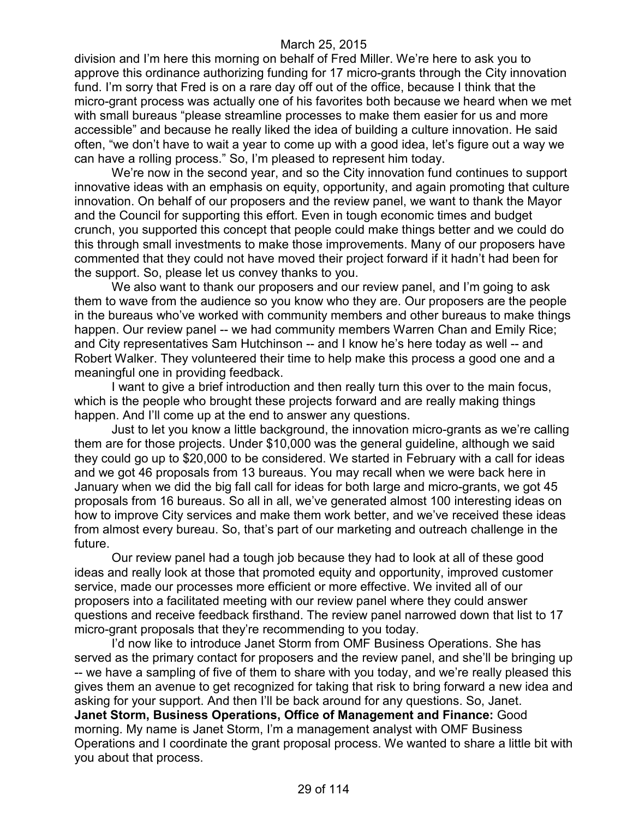division and I'm here this morning on behalf of Fred Miller. We're here to ask you to approve this ordinance authorizing funding for 17 micro-grants through the City innovation fund. I'm sorry that Fred is on a rare day off out of the office, because I think that the micro-grant process was actually one of his favorites both because we heard when we met with small bureaus "please streamline processes to make them easier for us and more accessible" and because he really liked the idea of building a culture innovation. He said often, "we don't have to wait a year to come up with a good idea, let's figure out a way we can have a rolling process." So, I'm pleased to represent him today.

We're now in the second year, and so the City innovation fund continues to support innovative ideas with an emphasis on equity, opportunity, and again promoting that culture innovation. On behalf of our proposers and the review panel, we want to thank the Mayor and the Council for supporting this effort. Even in tough economic times and budget crunch, you supported this concept that people could make things better and we could do this through small investments to make those improvements. Many of our proposers have commented that they could not have moved their project forward if it hadn't had been for the support. So, please let us convey thanks to you.

We also want to thank our proposers and our review panel, and I'm going to ask them to wave from the audience so you know who they are. Our proposers are the people in the bureaus who've worked with community members and other bureaus to make things happen. Our review panel -- we had community members Warren Chan and Emily Rice; and City representatives Sam Hutchinson -- and I know he's here today as well -- and Robert Walker. They volunteered their time to help make this process a good one and a meaningful one in providing feedback.

I want to give a brief introduction and then really turn this over to the main focus, which is the people who brought these projects forward and are really making things happen. And I'll come up at the end to answer any questions.

Just to let you know a little background, the innovation micro-grants as we're calling them are for those projects. Under \$10,000 was the general guideline, although we said they could go up to \$20,000 to be considered. We started in February with a call for ideas and we got 46 proposals from 13 bureaus. You may recall when we were back here in January when we did the big fall call for ideas for both large and micro-grants, we got 45 proposals from 16 bureaus. So all in all, we've generated almost 100 interesting ideas on how to improve City services and make them work better, and we've received these ideas from almost every bureau. So, that's part of our marketing and outreach challenge in the future.

Our review panel had a tough job because they had to look at all of these good ideas and really look at those that promoted equity and opportunity, improved customer service, made our processes more efficient or more effective. We invited all of our proposers into a facilitated meeting with our review panel where they could answer questions and receive feedback firsthand. The review panel narrowed down that list to 17 micro-grant proposals that they're recommending to you today.

I'd now like to introduce Janet Storm from OMF Business Operations. She has served as the primary contact for proposers and the review panel, and she'll be bringing up -- we have a sampling of five of them to share with you today, and we're really pleased this gives them an avenue to get recognized for taking that risk to bring forward a new idea and asking for your support. And then I'll be back around for any questions. So, Janet. **Janet Storm, Business Operations, Office of Management and Finance:** Good morning. My name is Janet Storm, I'm a management analyst with OMF Business Operations and I coordinate the grant proposal process. We wanted to share a little bit with you about that process.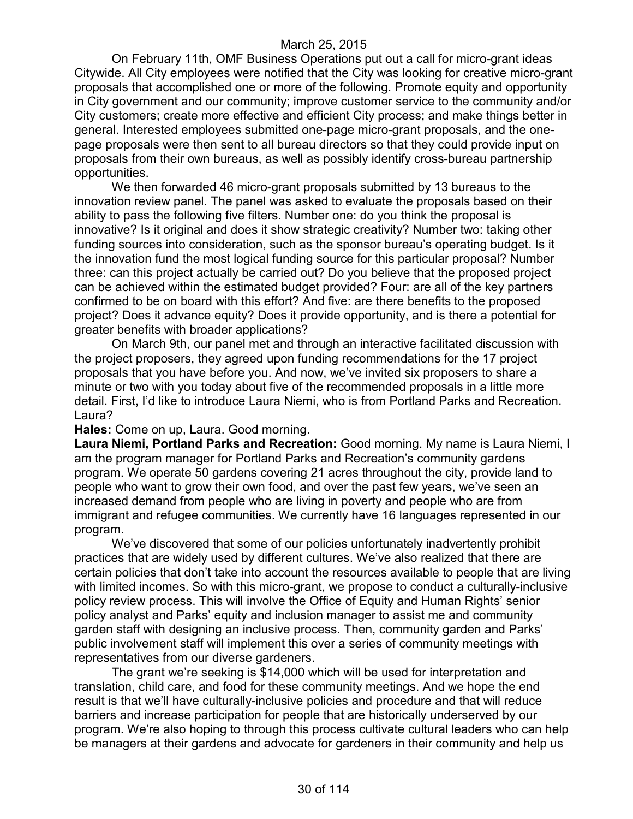On February 11th, OMF Business Operations put out a call for micro-grant ideas Citywide. All City employees were notified that the City was looking for creative micro-grant proposals that accomplished one or more of the following. Promote equity and opportunity in City government and our community; improve customer service to the community and/or City customers; create more effective and efficient City process; and make things better in general. Interested employees submitted one-page micro-grant proposals, and the onepage proposals were then sent to all bureau directors so that they could provide input on proposals from their own bureaus, as well as possibly identify cross-bureau partnership opportunities.

We then forwarded 46 micro-grant proposals submitted by 13 bureaus to the innovation review panel. The panel was asked to evaluate the proposals based on their ability to pass the following five filters. Number one: do you think the proposal is innovative? Is it original and does it show strategic creativity? Number two: taking other funding sources into consideration, such as the sponsor bureau's operating budget. Is it the innovation fund the most logical funding source for this particular proposal? Number three: can this project actually be carried out? Do you believe that the proposed project can be achieved within the estimated budget provided? Four: are all of the key partners confirmed to be on board with this effort? And five: are there benefits to the proposed project? Does it advance equity? Does it provide opportunity, and is there a potential for greater benefits with broader applications?

On March 9th, our panel met and through an interactive facilitated discussion with the project proposers, they agreed upon funding recommendations for the 17 project proposals that you have before you. And now, we've invited six proposers to share a minute or two with you today about five of the recommended proposals in a little more detail. First, I'd like to introduce Laura Niemi, who is from Portland Parks and Recreation. Laura?

**Hales:** Come on up, Laura. Good morning.

**Laura Niemi, Portland Parks and Recreation:** Good morning. My name is Laura Niemi, I am the program manager for Portland Parks and Recreation's community gardens program. We operate 50 gardens covering 21 acres throughout the city, provide land to people who want to grow their own food, and over the past few years, we've seen an increased demand from people who are living in poverty and people who are from immigrant and refugee communities. We currently have 16 languages represented in our program.

We've discovered that some of our policies unfortunately inadvertently prohibit practices that are widely used by different cultures. We've also realized that there are certain policies that don't take into account the resources available to people that are living with limited incomes. So with this micro-grant, we propose to conduct a culturally-inclusive policy review process. This will involve the Office of Equity and Human Rights' senior policy analyst and Parks' equity and inclusion manager to assist me and community garden staff with designing an inclusive process. Then, community garden and Parks' public involvement staff will implement this over a series of community meetings with representatives from our diverse gardeners.

The grant we're seeking is \$14,000 which will be used for interpretation and translation, child care, and food for these community meetings. And we hope the end result is that we'll have culturally-inclusive policies and procedure and that will reduce barriers and increase participation for people that are historically underserved by our program. We're also hoping to through this process cultivate cultural leaders who can help be managers at their gardens and advocate for gardeners in their community and help us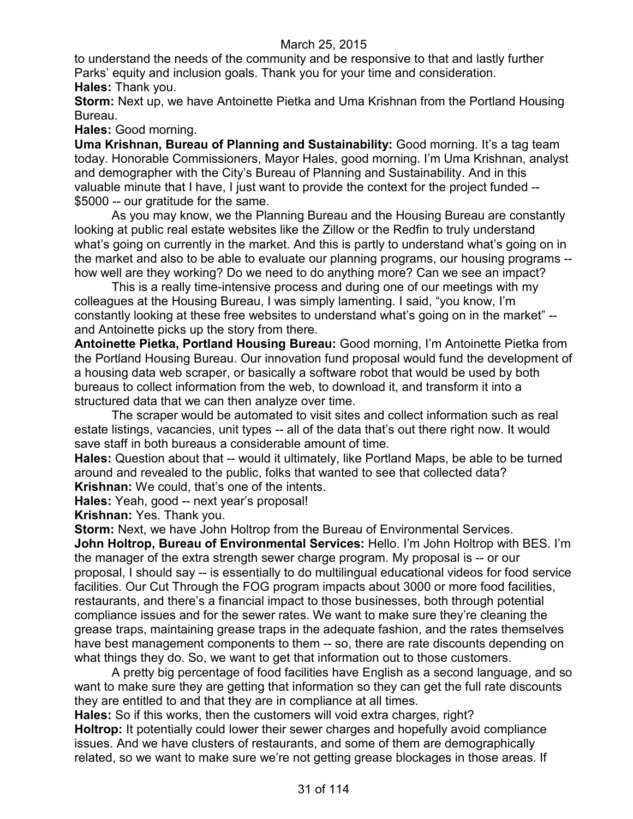to understand the needs of the community and be responsive to that and lastly further Parks' equity and inclusion goals. Thank you for your time and consideration. **Hales:** Thank you.

**Storm:** Next up, we have Antoinette Pietka and Uma Krishnan from the Portland Housing Bureau.

**Hales:** Good morning.

**Uma Krishnan, Bureau of Planning and Sustainability:** Good morning. It's a tag team today. Honorable Commissioners, Mayor Hales, good morning. I'm Uma Krishnan, analyst and demographer with the City's Bureau of Planning and Sustainability. And in this valuable minute that I have, I just want to provide the context for the project funded -- \$5000 -- our gratitude for the same.

As you may know, we the Planning Bureau and the Housing Bureau are constantly looking at public real estate websites like the Zillow or the Redfin to truly understand what's going on currently in the market. And this is partly to understand what's going on in the market and also to be able to evaluate our planning programs, our housing programs - how well are they working? Do we need to do anything more? Can we see an impact?

This is a really time-intensive process and during one of our meetings with my colleagues at the Housing Bureau, I was simply lamenting. I said, "you know, I'm constantly looking at these free websites to understand what's going on in the market" - and Antoinette picks up the story from there.

**Antoinette Pietka, Portland Housing Bureau:** Good morning, I'm Antoinette Pietka from the Portland Housing Bureau. Our innovation fund proposal would fund the development of a housing data web scraper, or basically a software robot that would be used by both bureaus to collect information from the web, to download it, and transform it into a structured data that we can then analyze over time.

The scraper would be automated to visit sites and collect information such as real estate listings, vacancies, unit types -- all of the data that's out there right now. It would save staff in both bureaus a considerable amount of time.

**Hales:** Question about that -- would it ultimately, like Portland Maps, be able to be turned around and revealed to the public, folks that wanted to see that collected data? **Krishnan:** We could, that's one of the intents.

**Hales:** Yeah, good -- next year's proposal!

**Krishnan:** Yes. Thank you.

**Storm:** Next, we have John Holtrop from the Bureau of Environmental Services. **John Holtrop, Bureau of Environmental Services:** Hello. I'm John Holtrop with BES. I'm the manager of the extra strength sewer charge program. My proposal is -- or our proposal, I should say -- is essentially to do multilingual educational videos for food service facilities. Our Cut Through the FOG program impacts about 3000 or more food facilities, restaurants, and there's a financial impact to those businesses, both through potential compliance issues and for the sewer rates. We want to make sure they're cleaning the grease traps, maintaining grease traps in the adequate fashion, and the rates themselves have best management components to them -- so, there are rate discounts depending on what things they do. So, we want to get that information out to those customers.

A pretty big percentage of food facilities have English as a second language, and so want to make sure they are getting that information so they can get the full rate discounts they are entitled to and that they are in compliance at all times.

**Hales:** So if this works, then the customers will void extra charges, right? **Holtrop:** It potentially could lower their sewer charges and hopefully avoid compliance issues. And we have clusters of restaurants, and some of them are demographically related, so we want to make sure we're not getting grease blockages in those areas. If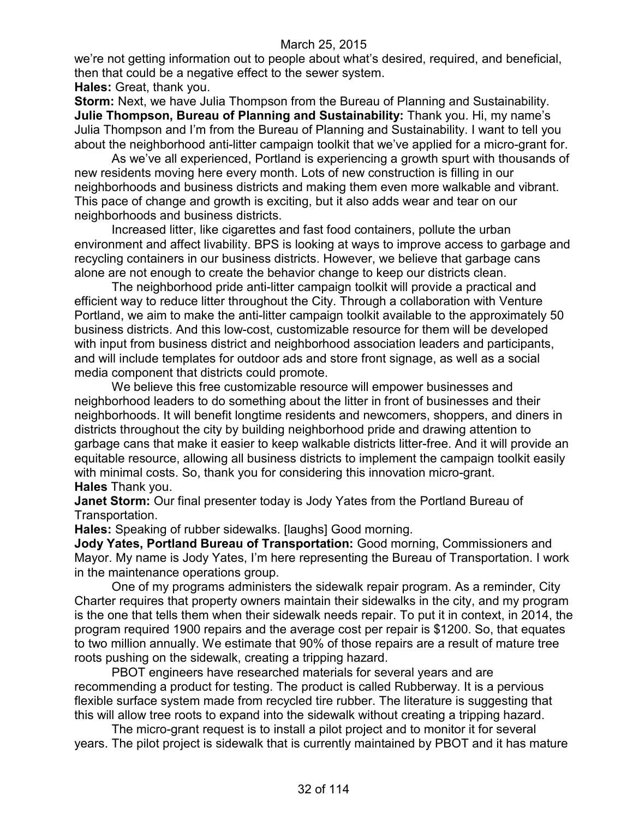we're not getting information out to people about what's desired, required, and beneficial, then that could be a negative effect to the sewer system.

**Hales:** Great, thank you.

**Storm:** Next, we have Julia Thompson from the Bureau of Planning and Sustainability. **Julie Thompson, Bureau of Planning and Sustainability:** Thank you. Hi, my name's Julia Thompson and I'm from the Bureau of Planning and Sustainability. I want to tell you about the neighborhood anti-litter campaign toolkit that we've applied for a micro-grant for.

As we've all experienced, Portland is experiencing a growth spurt with thousands of new residents moving here every month. Lots of new construction is filling in our neighborhoods and business districts and making them even more walkable and vibrant. This pace of change and growth is exciting, but it also adds wear and tear on our neighborhoods and business districts.

Increased litter, like cigarettes and fast food containers, pollute the urban environment and affect livability. BPS is looking at ways to improve access to garbage and recycling containers in our business districts. However, we believe that garbage cans alone are not enough to create the behavior change to keep our districts clean.

The neighborhood pride anti-litter campaign toolkit will provide a practical and efficient way to reduce litter throughout the City. Through a collaboration with Venture Portland, we aim to make the anti-litter campaign toolkit available to the approximately 50 business districts. And this low-cost, customizable resource for them will be developed with input from business district and neighborhood association leaders and participants, and will include templates for outdoor ads and store front signage, as well as a social media component that districts could promote.

We believe this free customizable resource will empower businesses and neighborhood leaders to do something about the litter in front of businesses and their neighborhoods. It will benefit longtime residents and newcomers, shoppers, and diners in districts throughout the city by building neighborhood pride and drawing attention to garbage cans that make it easier to keep walkable districts litter-free. And it will provide an equitable resource, allowing all business districts to implement the campaign toolkit easily with minimal costs. So, thank you for considering this innovation micro-grant. **Hales** Thank you.

**Janet Storm:** Our final presenter today is Jody Yates from the Portland Bureau of Transportation.

**Hales:** Speaking of rubber sidewalks. [laughs] Good morning.

**Jody Yates, Portland Bureau of Transportation:** Good morning, Commissioners and Mayor. My name is Jody Yates, I'm here representing the Bureau of Transportation. I work in the maintenance operations group.

One of my programs administers the sidewalk repair program. As a reminder, City Charter requires that property owners maintain their sidewalks in the city, and my program is the one that tells them when their sidewalk needs repair. To put it in context, in 2014, the program required 1900 repairs and the average cost per repair is \$1200. So, that equates to two million annually. We estimate that 90% of those repairs are a result of mature tree roots pushing on the sidewalk, creating a tripping hazard.

PBOT engineers have researched materials for several years and are recommending a product for testing. The product is called Rubberway. It is a pervious flexible surface system made from recycled tire rubber. The literature is suggesting that this will allow tree roots to expand into the sidewalk without creating a tripping hazard.

The micro-grant request is to install a pilot project and to monitor it for several years. The pilot project is sidewalk that is currently maintained by PBOT and it has mature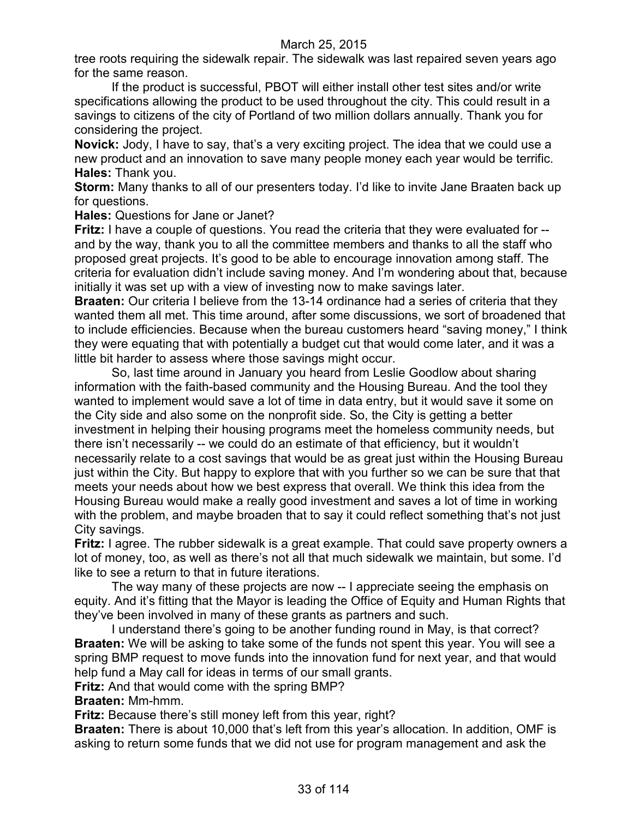tree roots requiring the sidewalk repair. The sidewalk was last repaired seven years ago for the same reason.

If the product is successful, PBOT will either install other test sites and/or write specifications allowing the product to be used throughout the city. This could result in a savings to citizens of the city of Portland of two million dollars annually. Thank you for considering the project.

**Novick:** Jody, I have to say, that's a very exciting project. The idea that we could use a new product and an innovation to save many people money each year would be terrific. **Hales:** Thank you.

**Storm:** Many thanks to all of our presenters today. I'd like to invite Jane Braaten back up for questions.

**Hales:** Questions for Jane or Janet?

**Fritz:** I have a couple of questions. You read the criteria that they were evaluated for - and by the way, thank you to all the committee members and thanks to all the staff who proposed great projects. It's good to be able to encourage innovation among staff. The criteria for evaluation didn't include saving money. And I'm wondering about that, because initially it was set up with a view of investing now to make savings later.

**Braaten:** Our criteria I believe from the 13-14 ordinance had a series of criteria that they wanted them all met. This time around, after some discussions, we sort of broadened that to include efficiencies. Because when the bureau customers heard "saving money," I think they were equating that with potentially a budget cut that would come later, and it was a little bit harder to assess where those savings might occur.

So, last time around in January you heard from Leslie Goodlow about sharing information with the faith-based community and the Housing Bureau. And the tool they wanted to implement would save a lot of time in data entry, but it would save it some on the City side and also some on the nonprofit side. So, the City is getting a better investment in helping their housing programs meet the homeless community needs, but there isn't necessarily -- we could do an estimate of that efficiency, but it wouldn't necessarily relate to a cost savings that would be as great just within the Housing Bureau just within the City. But happy to explore that with you further so we can be sure that that meets your needs about how we best express that overall. We think this idea from the Housing Bureau would make a really good investment and saves a lot of time in working with the problem, and maybe broaden that to say it could reflect something that's not just City savings.

**Fritz:** I agree. The rubber sidewalk is a great example. That could save property owners a lot of money, too, as well as there's not all that much sidewalk we maintain, but some. I'd like to see a return to that in future iterations.

The way many of these projects are now -- I appreciate seeing the emphasis on equity. And it's fitting that the Mayor is leading the Office of Equity and Human Rights that they've been involved in many of these grants as partners and such.

I understand there's going to be another funding round in May, is that correct? **Braaten:** We will be asking to take some of the funds not spent this year. You will see a spring BMP request to move funds into the innovation fund for next year, and that would help fund a May call for ideas in terms of our small grants.

**Fritz:** And that would come with the spring BMP?

**Braaten:** Mm-hmm.

**Fritz:** Because there's still money left from this year, right?

**Braaten:** There is about 10,000 that's left from this year's allocation. In addition, OMF is asking to return some funds that we did not use for program management and ask the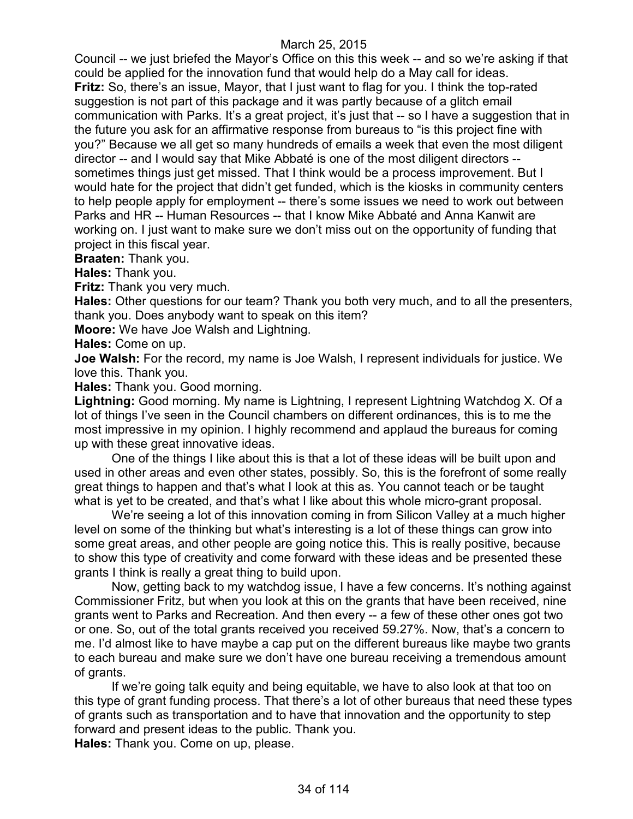Council -- we just briefed the Mayor's Office on this this week -- and so we're asking if that could be applied for the innovation fund that would help do a May call for ideas. **Fritz:** So, there's an issue, Mayor, that I just want to flag for you. I think the top-rated suggestion is not part of this package and it was partly because of a glitch email communication with Parks. It's a great project, it's just that -- so I have a suggestion that in the future you ask for an affirmative response from bureaus to "is this project fine with you?" Because we all get so many hundreds of emails a week that even the most diligent director -- and I would say that Mike Abbaté is one of the most diligent directors - sometimes things just get missed. That I think would be a process improvement. But I would hate for the project that didn't get funded, which is the kiosks in community centers to help people apply for employment -- there's some issues we need to work out between Parks and HR -- Human Resources -- that I know Mike Abbaté and Anna Kanwit are working on. I just want to make sure we don't miss out on the opportunity of funding that project in this fiscal year.

**Braaten:** Thank you.

**Hales:** Thank you.

**Fritz:** Thank you very much.

**Hales:** Other questions for our team? Thank you both very much, and to all the presenters, thank you. Does anybody want to speak on this item?

**Moore:** We have Joe Walsh and Lightning.

**Hales:** Come on up.

**Joe Walsh:** For the record, my name is Joe Walsh, I represent individuals for justice. We love this. Thank you.

**Hales:** Thank you. Good morning.

**Lightning:** Good morning. My name is Lightning, I represent Lightning Watchdog X. Of a lot of things I've seen in the Council chambers on different ordinances, this is to me the most impressive in my opinion. I highly recommend and applaud the bureaus for coming up with these great innovative ideas.

One of the things I like about this is that a lot of these ideas will be built upon and used in other areas and even other states, possibly. So, this is the forefront of some really great things to happen and that's what I look at this as. You cannot teach or be taught what is yet to be created, and that's what I like about this whole micro-grant proposal.

We're seeing a lot of this innovation coming in from Silicon Valley at a much higher level on some of the thinking but what's interesting is a lot of these things can grow into some great areas, and other people are going notice this. This is really positive, because to show this type of creativity and come forward with these ideas and be presented these grants I think is really a great thing to build upon.

Now, getting back to my watchdog issue, I have a few concerns. It's nothing against Commissioner Fritz, but when you look at this on the grants that have been received, nine grants went to Parks and Recreation. And then every -- a few of these other ones got two or one. So, out of the total grants received you received 59.27%. Now, that's a concern to me. I'd almost like to have maybe a cap put on the different bureaus like maybe two grants to each bureau and make sure we don't have one bureau receiving a tremendous amount of grants.

If we're going talk equity and being equitable, we have to also look at that too on this type of grant funding process. That there's a lot of other bureaus that need these types of grants such as transportation and to have that innovation and the opportunity to step forward and present ideas to the public. Thank you.

**Hales:** Thank you. Come on up, please.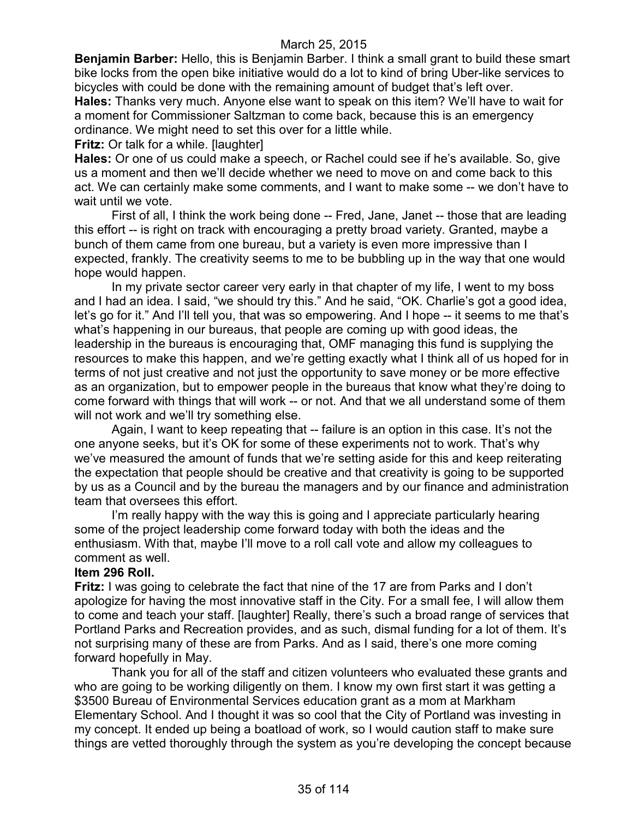**Benjamin Barber:** Hello, this is Benjamin Barber. I think a small grant to build these smart bike locks from the open bike initiative would do a lot to kind of bring Uber-like services to bicycles with could be done with the remaining amount of budget that's left over.

**Hales:** Thanks very much. Anyone else want to speak on this item? We'll have to wait for a moment for Commissioner Saltzman to come back, because this is an emergency ordinance. We might need to set this over for a little while.

**Fritz:** Or talk for a while. [laughter]

**Hales:** Or one of us could make a speech, or Rachel could see if he's available. So, give us a moment and then we'll decide whether we need to move on and come back to this act. We can certainly make some comments, and I want to make some -- we don't have to wait until we vote.

First of all, I think the work being done -- Fred, Jane, Janet -- those that are leading this effort -- is right on track with encouraging a pretty broad variety. Granted, maybe a bunch of them came from one bureau, but a variety is even more impressive than I expected, frankly. The creativity seems to me to be bubbling up in the way that one would hope would happen.

In my private sector career very early in that chapter of my life, I went to my boss and I had an idea. I said, "we should try this." And he said, "OK. Charlie's got a good idea, let's go for it." And I'll tell you, that was so empowering. And I hope -- it seems to me that's what's happening in our bureaus, that people are coming up with good ideas, the leadership in the bureaus is encouraging that, OMF managing this fund is supplying the resources to make this happen, and we're getting exactly what I think all of us hoped for in terms of not just creative and not just the opportunity to save money or be more effective as an organization, but to empower people in the bureaus that know what they're doing to come forward with things that will work -- or not. And that we all understand some of them will not work and we'll try something else.

Again, I want to keep repeating that -- failure is an option in this case. It's not the one anyone seeks, but it's OK for some of these experiments not to work. That's why we've measured the amount of funds that we're setting aside for this and keep reiterating the expectation that people should be creative and that creativity is going to be supported by us as a Council and by the bureau the managers and by our finance and administration team that oversees this effort.

I'm really happy with the way this is going and I appreciate particularly hearing some of the project leadership come forward today with both the ideas and the enthusiasm. With that, maybe I'll move to a roll call vote and allow my colleagues to comment as well.

#### **Item 296 Roll.**

**Fritz:** I was going to celebrate the fact that nine of the 17 are from Parks and I don't apologize for having the most innovative staff in the City. For a small fee, I will allow them to come and teach your staff. [laughter] Really, there's such a broad range of services that Portland Parks and Recreation provides, and as such, dismal funding for a lot of them. It's not surprising many of these are from Parks. And as I said, there's one more coming forward hopefully in May.

Thank you for all of the staff and citizen volunteers who evaluated these grants and who are going to be working diligently on them. I know my own first start it was getting a \$3500 Bureau of Environmental Services education grant as a mom at Markham Elementary School. And I thought it was so cool that the City of Portland was investing in my concept. It ended up being a boatload of work, so I would caution staff to make sure things are vetted thoroughly through the system as you're developing the concept because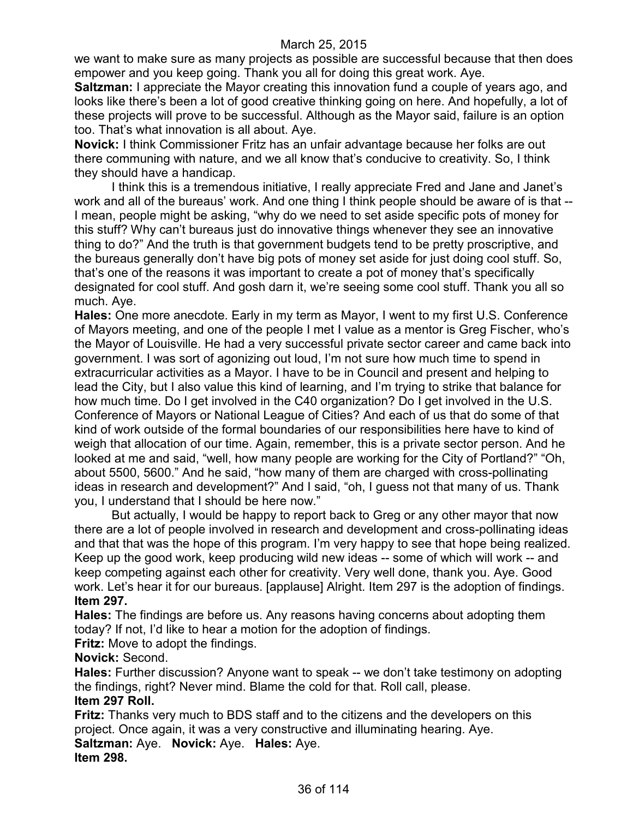we want to make sure as many projects as possible are successful because that then does empower and you keep going. Thank you all for doing this great work. Aye.

**Saltzman:** I appreciate the Mayor creating this innovation fund a couple of years ago, and looks like there's been a lot of good creative thinking going on here. And hopefully, a lot of these projects will prove to be successful. Although as the Mayor said, failure is an option too. That's what innovation is all about. Aye.

**Novick:** I think Commissioner Fritz has an unfair advantage because her folks are out there communing with nature, and we all know that's conducive to creativity. So, I think they should have a handicap.

I think this is a tremendous initiative, I really appreciate Fred and Jane and Janet's work and all of the bureaus' work. And one thing I think people should be aware of is that -- I mean, people might be asking, "why do we need to set aside specific pots of money for this stuff? Why can't bureaus just do innovative things whenever they see an innovative thing to do?" And the truth is that government budgets tend to be pretty proscriptive, and the bureaus generally don't have big pots of money set aside for just doing cool stuff. So, that's one of the reasons it was important to create a pot of money that's specifically designated for cool stuff. And gosh darn it, we're seeing some cool stuff. Thank you all so much. Aye.

**Hales:** One more anecdote. Early in my term as Mayor, I went to my first U.S. Conference of Mayors meeting, and one of the people I met I value as a mentor is Greg Fischer, who's the Mayor of Louisville. He had a very successful private sector career and came back into government. I was sort of agonizing out loud, I'm not sure how much time to spend in extracurricular activities as a Mayor. I have to be in Council and present and helping to lead the City, but I also value this kind of learning, and I'm trying to strike that balance for how much time. Do I get involved in the C40 organization? Do I get involved in the U.S. Conference of Mayors or National League of Cities? And each of us that do some of that kind of work outside of the formal boundaries of our responsibilities here have to kind of weigh that allocation of our time. Again, remember, this is a private sector person. And he looked at me and said, "well, how many people are working for the City of Portland?" "Oh, about 5500, 5600." And he said, "how many of them are charged with cross-pollinating ideas in research and development?" And I said, "oh, I guess not that many of us. Thank you, I understand that I should be here now."

But actually, I would be happy to report back to Greg or any other mayor that now there are a lot of people involved in research and development and cross-pollinating ideas and that that was the hope of this program. I'm very happy to see that hope being realized. Keep up the good work, keep producing wild new ideas -- some of which will work -- and keep competing against each other for creativity. Very well done, thank you. Aye. Good work. Let's hear it for our bureaus. [applause] Alright. Item 297 is the adoption of findings. **Item 297.**

**Hales:** The findings are before us. Any reasons having concerns about adopting them today? If not, I'd like to hear a motion for the adoption of findings.

**Fritz:** Move to adopt the findings.

### **Novick:** Second.

**Hales:** Further discussion? Anyone want to speak -- we don't take testimony on adopting the findings, right? Never mind. Blame the cold for that. Roll call, please. **Item 297 Roll.**

**Fritz:** Thanks very much to BDS staff and to the citizens and the developers on this project. Once again, it was a very constructive and illuminating hearing. Aye. **Saltzman:** Aye. **Novick:** Aye. **Hales:** Aye. **Item 298.**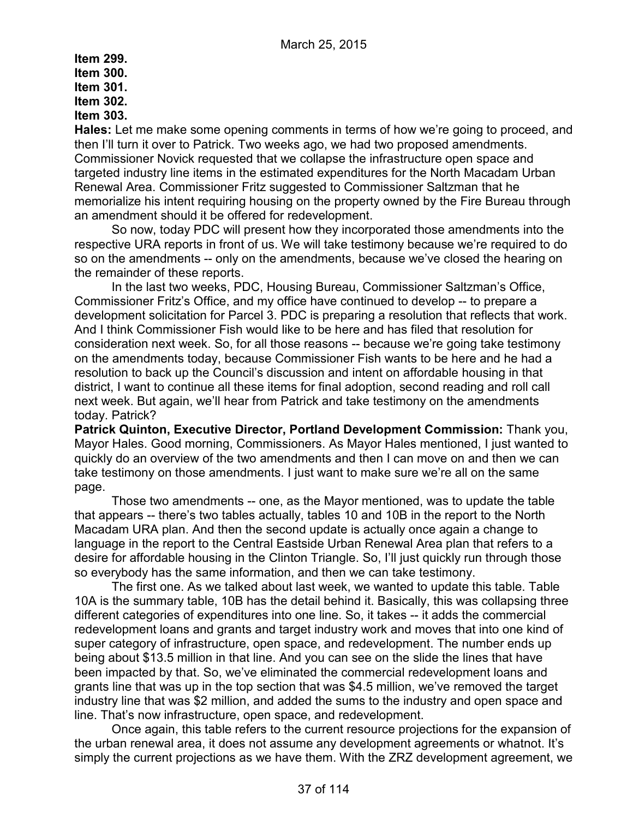# **Item 299. Item 300. Item 301. Item 302. Item 303.**

**Hales:** Let me make some opening comments in terms of how we're going to proceed, and then I'll turn it over to Patrick. Two weeks ago, we had two proposed amendments. Commissioner Novick requested that we collapse the infrastructure open space and targeted industry line items in the estimated expenditures for the North Macadam Urban Renewal Area. Commissioner Fritz suggested to Commissioner Saltzman that he memorialize his intent requiring housing on the property owned by the Fire Bureau through an amendment should it be offered for redevelopment.

So now, today PDC will present how they incorporated those amendments into the respective URA reports in front of us. We will take testimony because we're required to do so on the amendments -- only on the amendments, because we've closed the hearing on the remainder of these reports.

In the last two weeks, PDC, Housing Bureau, Commissioner Saltzman's Office, Commissioner Fritz's Office, and my office have continued to develop -- to prepare a development solicitation for Parcel 3. PDC is preparing a resolution that reflects that work. And I think Commissioner Fish would like to be here and has filed that resolution for consideration next week. So, for all those reasons -- because we're going take testimony on the amendments today, because Commissioner Fish wants to be here and he had a resolution to back up the Council's discussion and intent on affordable housing in that district, I want to continue all these items for final adoption, second reading and roll call next week. But again, we'll hear from Patrick and take testimony on the amendments today. Patrick?

**Patrick Quinton, Executive Director, Portland Development Commission:** Thank you, Mayor Hales. Good morning, Commissioners. As Mayor Hales mentioned, I just wanted to quickly do an overview of the two amendments and then I can move on and then we can take testimony on those amendments. I just want to make sure we're all on the same page.

Those two amendments -- one, as the Mayor mentioned, was to update the table that appears -- there's two tables actually, tables 10 and 10B in the report to the North Macadam URA plan. And then the second update is actually once again a change to language in the report to the Central Eastside Urban Renewal Area plan that refers to a desire for affordable housing in the Clinton Triangle. So, I'll just quickly run through those so everybody has the same information, and then we can take testimony.

The first one. As we talked about last week, we wanted to update this table. Table 10A is the summary table, 10B has the detail behind it. Basically, this was collapsing three different categories of expenditures into one line. So, it takes -- it adds the commercial redevelopment loans and grants and target industry work and moves that into one kind of super category of infrastructure, open space, and redevelopment. The number ends up being about \$13.5 million in that line. And you can see on the slide the lines that have been impacted by that. So, we've eliminated the commercial redevelopment loans and grants line that was up in the top section that was \$4.5 million, we've removed the target industry line that was \$2 million, and added the sums to the industry and open space and line. That's now infrastructure, open space, and redevelopment.

Once again, this table refers to the current resource projections for the expansion of the urban renewal area, it does not assume any development agreements or whatnot. It's simply the current projections as we have them. With the ZRZ development agreement, we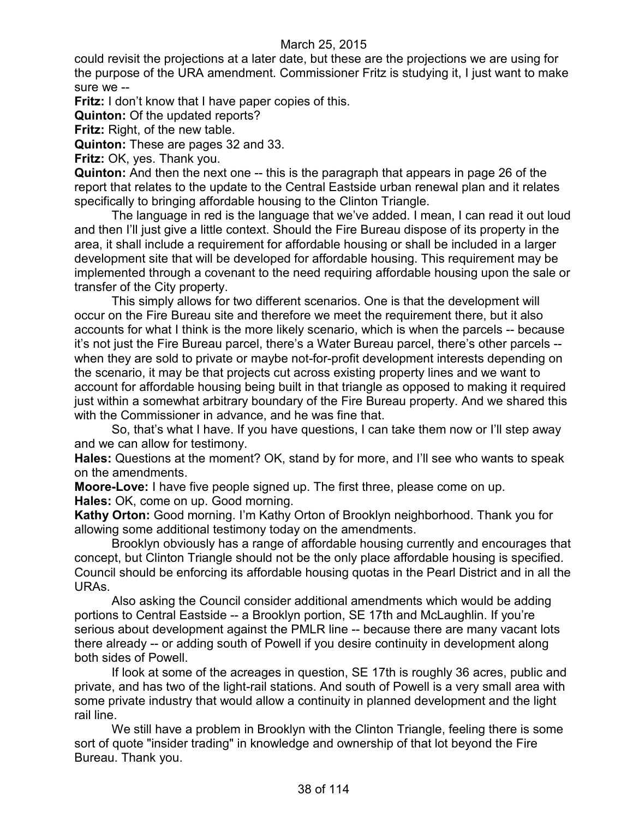could revisit the projections at a later date, but these are the projections we are using for the purpose of the URA amendment. Commissioner Fritz is studying it, I just want to make sure we --

**Fritz:** I don't know that I have paper copies of this.

**Quinton:** Of the updated reports?

**Fritz:** Right, of the new table.

**Quinton:** These are pages 32 and 33.

**Fritz:** OK, yes. Thank you.

**Quinton:** And then the next one -- this is the paragraph that appears in page 26 of the report that relates to the update to the Central Eastside urban renewal plan and it relates specifically to bringing affordable housing to the Clinton Triangle.

The language in red is the language that we've added. I mean, I can read it out loud and then I'll just give a little context. Should the Fire Bureau dispose of its property in the area, it shall include a requirement for affordable housing or shall be included in a larger development site that will be developed for affordable housing. This requirement may be implemented through a covenant to the need requiring affordable housing upon the sale or transfer of the City property.

This simply allows for two different scenarios. One is that the development will occur on the Fire Bureau site and therefore we meet the requirement there, but it also accounts for what I think is the more likely scenario, which is when the parcels -- because it's not just the Fire Bureau parcel, there's a Water Bureau parcel, there's other parcels - when they are sold to private or maybe not-for-profit development interests depending on the scenario, it may be that projects cut across existing property lines and we want to account for affordable housing being built in that triangle as opposed to making it required just within a somewhat arbitrary boundary of the Fire Bureau property. And we shared this with the Commissioner in advance, and he was fine that.

So, that's what I have. If you have questions, I can take them now or I'll step away and we can allow for testimony.

**Hales:** Questions at the moment? OK, stand by for more, and I'll see who wants to speak on the amendments.

**Moore-Love:** I have five people signed up. The first three, please come on up. **Hales:** OK, come on up. Good morning.

**Kathy Orton:** Good morning. I'm Kathy Orton of Brooklyn neighborhood. Thank you for allowing some additional testimony today on the amendments.

Brooklyn obviously has a range of affordable housing currently and encourages that concept, but Clinton Triangle should not be the only place affordable housing is specified. Council should be enforcing its affordable housing quotas in the Pearl District and in all the URAs.

Also asking the Council consider additional amendments which would be adding portions to Central Eastside -- a Brooklyn portion, SE 17th and McLaughlin. If you're serious about development against the PMLR line -- because there are many vacant lots there already -- or adding south of Powell if you desire continuity in development along both sides of Powell.

If look at some of the acreages in question, SE 17th is roughly 36 acres, public and private, and has two of the light-rail stations. And south of Powell is a very small area with some private industry that would allow a continuity in planned development and the light rail line.

We still have a problem in Brooklyn with the Clinton Triangle, feeling there is some sort of quote "insider trading" in knowledge and ownership of that lot beyond the Fire Bureau. Thank you.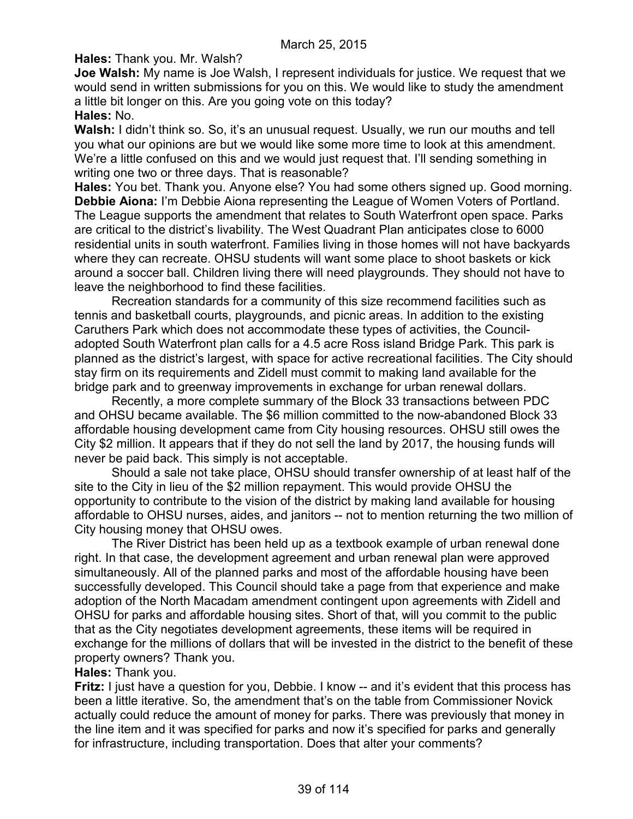**Hales:** Thank you. Mr. Walsh?

**Joe Walsh:** My name is Joe Walsh, I represent individuals for justice. We request that we would send in written submissions for you on this. We would like to study the amendment a little bit longer on this. Are you going vote on this today? **Hales:** No.

**Walsh:** I didn't think so. So, it's an unusual request. Usually, we run our mouths and tell you what our opinions are but we would like some more time to look at this amendment. We're a little confused on this and we would just request that. I'll sending something in writing one two or three days. That is reasonable?

**Hales:** You bet. Thank you. Anyone else? You had some others signed up. Good morning. **Debbie Aiona:** I'm Debbie Aiona representing the League of Women Voters of Portland. The League supports the amendment that relates to South Waterfront open space. Parks are critical to the district's livability. The West Quadrant Plan anticipates close to 6000 residential units in south waterfront. Families living in those homes will not have backyards where they can recreate. OHSU students will want some place to shoot baskets or kick around a soccer ball. Children living there will need playgrounds. They should not have to leave the neighborhood to find these facilities.

Recreation standards for a community of this size recommend facilities such as tennis and basketball courts, playgrounds, and picnic areas. In addition to the existing Caruthers Park which does not accommodate these types of activities, the Counciladopted South Waterfront plan calls for a 4.5 acre Ross island Bridge Park. This park is planned as the district's largest, with space for active recreational facilities. The City should stay firm on its requirements and Zidell must commit to making land available for the bridge park and to greenway improvements in exchange for urban renewal dollars.

Recently, a more complete summary of the Block 33 transactions between PDC and OHSU became available. The \$6 million committed to the now-abandoned Block 33 affordable housing development came from City housing resources. OHSU still owes the City \$2 million. It appears that if they do not sell the land by 2017, the housing funds will never be paid back. This simply is not acceptable.

Should a sale not take place, OHSU should transfer ownership of at least half of the site to the City in lieu of the \$2 million repayment. This would provide OHSU the opportunity to contribute to the vision of the district by making land available for housing affordable to OHSU nurses, aides, and janitors -- not to mention returning the two million of City housing money that OHSU owes.

The River District has been held up as a textbook example of urban renewal done right. In that case, the development agreement and urban renewal plan were approved simultaneously. All of the planned parks and most of the affordable housing have been successfully developed. This Council should take a page from that experience and make adoption of the North Macadam amendment contingent upon agreements with Zidell and OHSU for parks and affordable housing sites. Short of that, will you commit to the public that as the City negotiates development agreements, these items will be required in exchange for the millions of dollars that will be invested in the district to the benefit of these property owners? Thank you.

### **Hales:** Thank you.

**Fritz:** I just have a question for you, Debbie. I know -- and it's evident that this process has been a little iterative. So, the amendment that's on the table from Commissioner Novick actually could reduce the amount of money for parks. There was previously that money in the line item and it was specified for parks and now it's specified for parks and generally for infrastructure, including transportation. Does that alter your comments?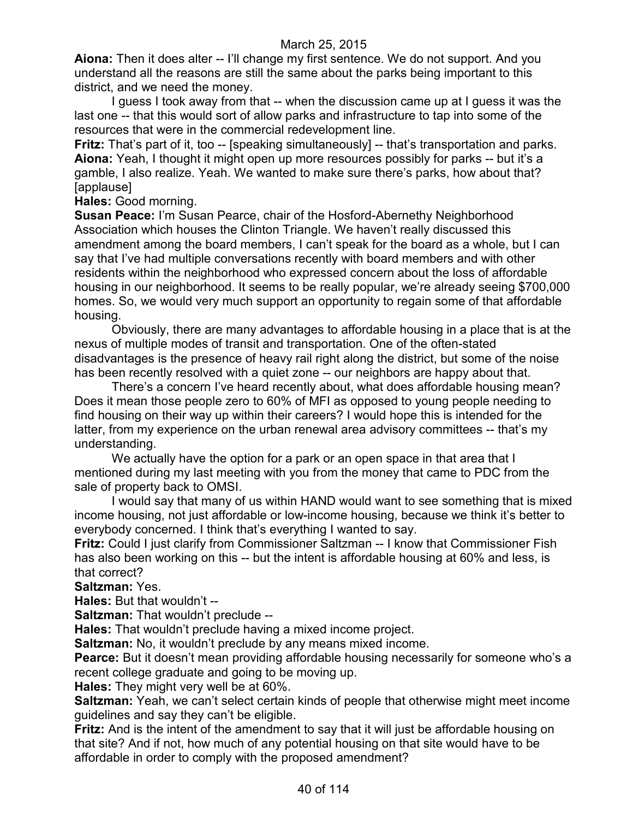**Aiona:** Then it does alter -- I'll change my first sentence. We do not support. And you understand all the reasons are still the same about the parks being important to this district, and we need the money.

I guess I took away from that -- when the discussion came up at I guess it was the last one -- that this would sort of allow parks and infrastructure to tap into some of the resources that were in the commercial redevelopment line.

**Fritz:** That's part of it, too -- [speaking simultaneously] -- that's transportation and parks. **Aiona:** Yeah, I thought it might open up more resources possibly for parks -- but it's a gamble, I also realize. Yeah. We wanted to make sure there's parks, how about that? [applause]

**Hales:** Good morning.

**Susan Peace:** I'm Susan Pearce, chair of the Hosford-Abernethy Neighborhood Association which houses the Clinton Triangle. We haven't really discussed this amendment among the board members, I can't speak for the board as a whole, but I can say that I've had multiple conversations recently with board members and with other residents within the neighborhood who expressed concern about the loss of affordable housing in our neighborhood. It seems to be really popular, we're already seeing \$700,000 homes. So, we would very much support an opportunity to regain some of that affordable housing.

Obviously, there are many advantages to affordable housing in a place that is at the nexus of multiple modes of transit and transportation. One of the often-stated disadvantages is the presence of heavy rail right along the district, but some of the noise has been recently resolved with a quiet zone -- our neighbors are happy about that.

There's a concern I've heard recently about, what does affordable housing mean? Does it mean those people zero to 60% of MFI as opposed to young people needing to find housing on their way up within their careers? I would hope this is intended for the latter, from my experience on the urban renewal area advisory committees -- that's my understanding.

We actually have the option for a park or an open space in that area that I mentioned during my last meeting with you from the money that came to PDC from the sale of property back to OMSI.

I would say that many of us within HAND would want to see something that is mixed income housing, not just affordable or low-income housing, because we think it's better to everybody concerned. I think that's everything I wanted to say.

**Fritz:** Could I just clarify from Commissioner Saltzman -- I know that Commissioner Fish has also been working on this -- but the intent is affordable housing at 60% and less, is that correct?

**Saltzman:** Yes.

**Hales:** But that wouldn't --

**Saltzman:** That wouldn't preclude --

**Hales:** That wouldn't preclude having a mixed income project.

**Saltzman:** No, it wouldn't preclude by any means mixed income.

**Pearce:** But it doesn't mean providing affordable housing necessarily for someone who's a recent college graduate and going to be moving up.

**Hales:** They might very well be at 60%.

**Saltzman:** Yeah, we can't select certain kinds of people that otherwise might meet income guidelines and say they can't be eligible.

**Fritz:** And is the intent of the amendment to say that it will just be affordable housing on that site? And if not, how much of any potential housing on that site would have to be affordable in order to comply with the proposed amendment?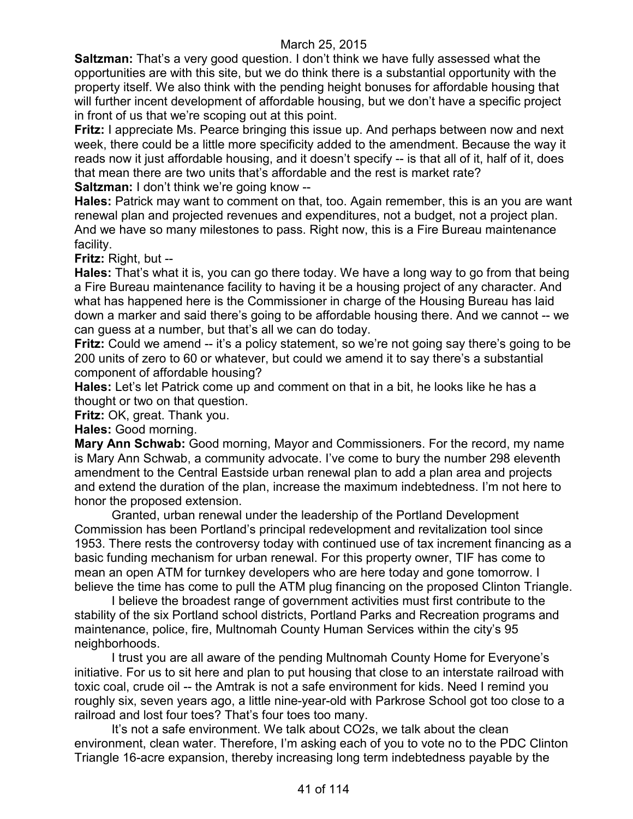**Saltzman:** That's a very good question. I don't think we have fully assessed what the opportunities are with this site, but we do think there is a substantial opportunity with the property itself. We also think with the pending height bonuses for affordable housing that will further incent development of affordable housing, but we don't have a specific project in front of us that we're scoping out at this point.

**Fritz:** I appreciate Ms. Pearce bringing this issue up. And perhaps between now and next week, there could be a little more specificity added to the amendment. Because the way it reads now it just affordable housing, and it doesn't specify -- is that all of it, half of it, does that mean there are two units that's affordable and the rest is market rate?

**Saltzman:** I don't think we're going know --

**Hales:** Patrick may want to comment on that, too. Again remember, this is an you are want renewal plan and projected revenues and expenditures, not a budget, not a project plan. And we have so many milestones to pass. Right now, this is a Fire Bureau maintenance facility.

**Fritz:** Right, but --

**Hales:** That's what it is, you can go there today. We have a long way to go from that being a Fire Bureau maintenance facility to having it be a housing project of any character. And what has happened here is the Commissioner in charge of the Housing Bureau has laid down a marker and said there's going to be affordable housing there. And we cannot -- we can guess at a number, but that's all we can do today.

**Fritz:** Could we amend -- it's a policy statement, so we're not going say there's going to be 200 units of zero to 60 or whatever, but could we amend it to say there's a substantial component of affordable housing?

**Hales:** Let's let Patrick come up and comment on that in a bit, he looks like he has a thought or two on that question.

**Fritz:** OK, great. Thank you.

**Hales:** Good morning.

**Mary Ann Schwab:** Good morning, Mayor and Commissioners. For the record, my name is Mary Ann Schwab, a community advocate. I've come to bury the number 298 eleventh amendment to the Central Eastside urban renewal plan to add a plan area and projects and extend the duration of the plan, increase the maximum indebtedness. I'm not here to honor the proposed extension.

Granted, urban renewal under the leadership of the Portland Development Commission has been Portland's principal redevelopment and revitalization tool since 1953. There rests the controversy today with continued use of tax increment financing as a basic funding mechanism for urban renewal. For this property owner, TIF has come to mean an open ATM for turnkey developers who are here today and gone tomorrow. I believe the time has come to pull the ATM plug financing on the proposed Clinton Triangle.

I believe the broadest range of government activities must first contribute to the stability of the six Portland school districts, Portland Parks and Recreation programs and maintenance, police, fire, Multnomah County Human Services within the city's 95 neighborhoods.

I trust you are all aware of the pending Multnomah County Home for Everyone's initiative. For us to sit here and plan to put housing that close to an interstate railroad with toxic coal, crude oil -- the Amtrak is not a safe environment for kids. Need I remind you roughly six, seven years ago, a little nine-year-old with Parkrose School got too close to a railroad and lost four toes? That's four toes too many.

It's not a safe environment. We talk about CO2s, we talk about the clean environment, clean water. Therefore, I'm asking each of you to vote no to the PDC Clinton Triangle 16-acre expansion, thereby increasing long term indebtedness payable by the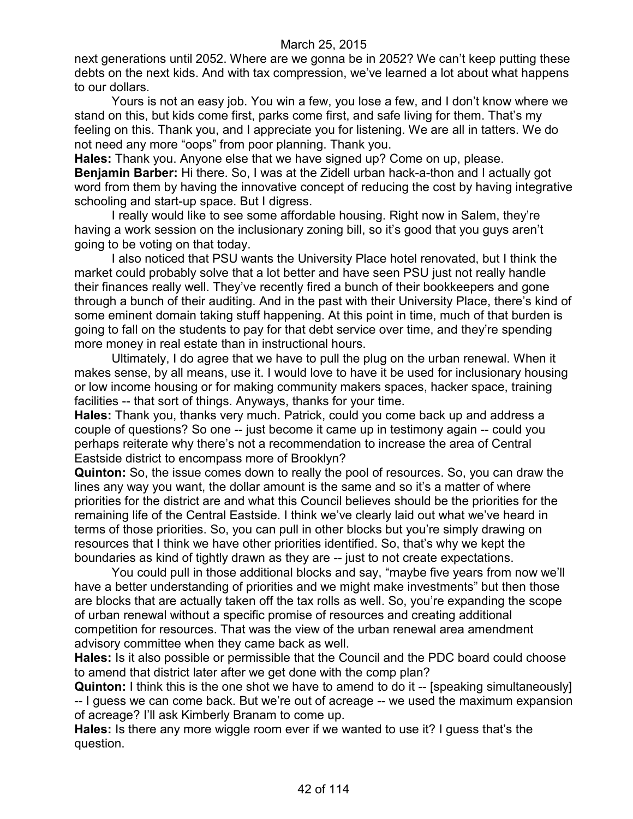next generations until 2052. Where are we gonna be in 2052? We can't keep putting these debts on the next kids. And with tax compression, we've learned a lot about what happens to our dollars.

Yours is not an easy job. You win a few, you lose a few, and I don't know where we stand on this, but kids come first, parks come first, and safe living for them. That's my feeling on this. Thank you, and I appreciate you for listening. We are all in tatters. We do not need any more "oops" from poor planning. Thank you.

**Hales:** Thank you. Anyone else that we have signed up? Come on up, please. **Benjamin Barber:** Hi there. So, I was at the Zidell urban hack-a-thon and I actually got word from them by having the innovative concept of reducing the cost by having integrative schooling and start-up space. But I digress.

I really would like to see some affordable housing. Right now in Salem, they're having a work session on the inclusionary zoning bill, so it's good that you guys aren't going to be voting on that today.

I also noticed that PSU wants the University Place hotel renovated, but I think the market could probably solve that a lot better and have seen PSU just not really handle their finances really well. They've recently fired a bunch of their bookkeepers and gone through a bunch of their auditing. And in the past with their University Place, there's kind of some eminent domain taking stuff happening. At this point in time, much of that burden is going to fall on the students to pay for that debt service over time, and they're spending more money in real estate than in instructional hours.

Ultimately, I do agree that we have to pull the plug on the urban renewal. When it makes sense, by all means, use it. I would love to have it be used for inclusionary housing or low income housing or for making community makers spaces, hacker space, training facilities -- that sort of things. Anyways, thanks for your time.

**Hales:** Thank you, thanks very much. Patrick, could you come back up and address a couple of questions? So one -- just become it came up in testimony again -- could you perhaps reiterate why there's not a recommendation to increase the area of Central Eastside district to encompass more of Brooklyn?

**Quinton:** So, the issue comes down to really the pool of resources. So, you can draw the lines any way you want, the dollar amount is the same and so it's a matter of where priorities for the district are and what this Council believes should be the priorities for the remaining life of the Central Eastside. I think we've clearly laid out what we've heard in terms of those priorities. So, you can pull in other blocks but you're simply drawing on resources that I think we have other priorities identified. So, that's why we kept the boundaries as kind of tightly drawn as they are -- just to not create expectations.

You could pull in those additional blocks and say, "maybe five years from now we'll have a better understanding of priorities and we might make investments" but then those are blocks that are actually taken off the tax rolls as well. So, you're expanding the scope of urban renewal without a specific promise of resources and creating additional competition for resources. That was the view of the urban renewal area amendment advisory committee when they came back as well.

**Hales:** Is it also possible or permissible that the Council and the PDC board could choose to amend that district later after we get done with the comp plan?

**Quinton:** I think this is the one shot we have to amend to do it -- [speaking simultaneously] -- I guess we can come back. But we're out of acreage -- we used the maximum expansion of acreage? I'll ask Kimberly Branam to come up.

**Hales:** Is there any more wiggle room ever if we wanted to use it? I guess that's the question.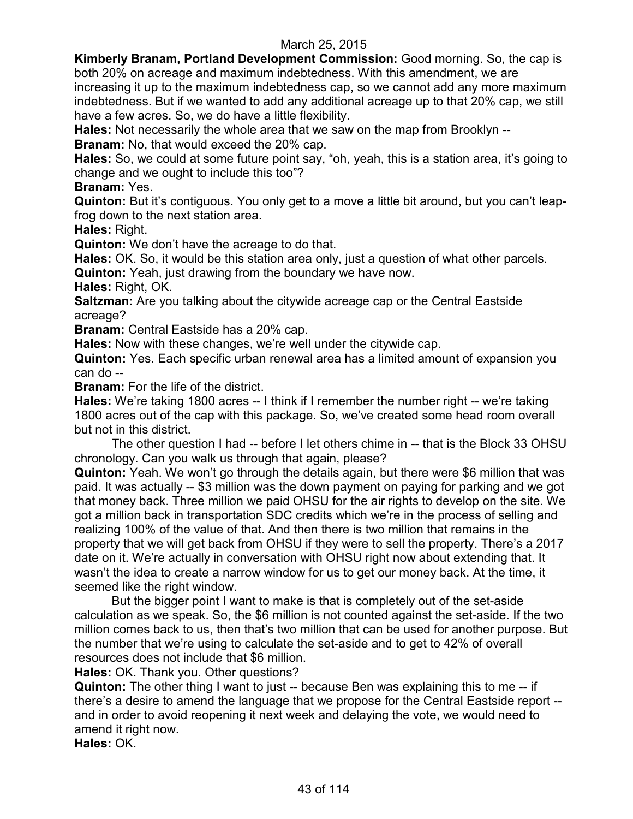**Kimberly Branam, Portland Development Commission:** Good morning. So, the cap is both 20% on acreage and maximum indebtedness. With this amendment, we are increasing it up to the maximum indebtedness cap, so we cannot add any more maximum indebtedness. But if we wanted to add any additional acreage up to that 20% cap, we still have a few acres. So, we do have a little flexibility.

**Hales:** Not necessarily the whole area that we saw on the map from Brooklyn --

**Branam:** No, that would exceed the 20% cap.

**Hales:** So, we could at some future point say, "oh, yeah, this is a station area, it's going to change and we ought to include this too"?

**Branam:** Yes.

**Quinton:** But it's contiguous. You only get to a move a little bit around, but you can't leapfrog down to the next station area.

**Hales:** Right.

**Quinton:** We don't have the acreage to do that.

**Hales:** OK. So, it would be this station area only, just a question of what other parcels. **Quinton:** Yeah, just drawing from the boundary we have now.

**Hales:** Right, OK.

**Saltzman:** Are you talking about the citywide acreage cap or the Central Eastside acreage?

**Branam:** Central Eastside has a 20% cap.

**Hales:** Now with these changes, we're well under the citywide cap.

**Quinton:** Yes. Each specific urban renewal area has a limited amount of expansion you can do --

**Branam:** For the life of the district.

**Hales:** We're taking 1800 acres -- I think if I remember the number right -- we're taking 1800 acres out of the cap with this package. So, we've created some head room overall but not in this district.

The other question I had -- before I let others chime in -- that is the Block 33 OHSU chronology. Can you walk us through that again, please?

**Quinton:** Yeah. We won't go through the details again, but there were \$6 million that was paid. It was actually -- \$3 million was the down payment on paying for parking and we got that money back. Three million we paid OHSU for the air rights to develop on the site. We got a million back in transportation SDC credits which we're in the process of selling and realizing 100% of the value of that. And then there is two million that remains in the property that we will get back from OHSU if they were to sell the property. There's a 2017 date on it. We're actually in conversation with OHSU right now about extending that. It wasn't the idea to create a narrow window for us to get our money back. At the time, it seemed like the right window.

But the bigger point I want to make is that is completely out of the set-aside calculation as we speak. So, the \$6 million is not counted against the set-aside. If the two million comes back to us, then that's two million that can be used for another purpose. But the number that we're using to calculate the set-aside and to get to 42% of overall resources does not include that \$6 million.

**Hales:** OK. Thank you. Other questions?

**Quinton:** The other thing I want to just -- because Ben was explaining this to me -- if there's a desire to amend the language that we propose for the Central Eastside report - and in order to avoid reopening it next week and delaying the vote, we would need to amend it right now.

**Hales:** OK.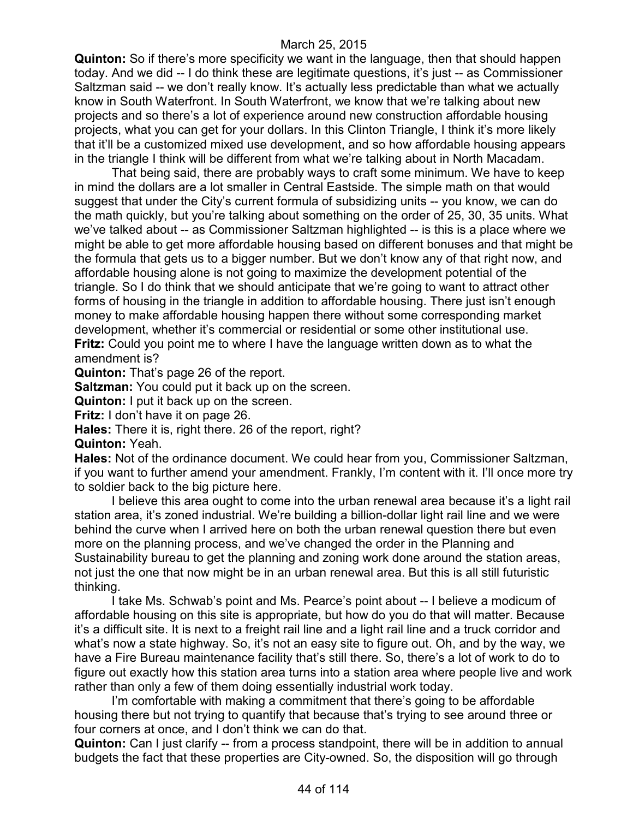**Quinton:** So if there's more specificity we want in the language, then that should happen today. And we did -- I do think these are legitimate questions, it's just -- as Commissioner Saltzman said -- we don't really know. It's actually less predictable than what we actually know in South Waterfront. In South Waterfront, we know that we're talking about new projects and so there's a lot of experience around new construction affordable housing projects, what you can get for your dollars. In this Clinton Triangle, I think it's more likely that it'll be a customized mixed use development, and so how affordable housing appears in the triangle I think will be different from what we're talking about in North Macadam.

That being said, there are probably ways to craft some minimum. We have to keep in mind the dollars are a lot smaller in Central Eastside. The simple math on that would suggest that under the City's current formula of subsidizing units -- you know, we can do the math quickly, but you're talking about something on the order of 25, 30, 35 units. What we've talked about -- as Commissioner Saltzman highlighted -- is this is a place where we might be able to get more affordable housing based on different bonuses and that might be the formula that gets us to a bigger number. But we don't know any of that right now, and affordable housing alone is not going to maximize the development potential of the triangle. So I do think that we should anticipate that we're going to want to attract other forms of housing in the triangle in addition to affordable housing. There just isn't enough money to make affordable housing happen there without some corresponding market development, whether it's commercial or residential or some other institutional use. **Fritz:** Could you point me to where I have the language written down as to what the amendment is?

**Quinton:** That's page 26 of the report.

**Saltzman:** You could put it back up on the screen.

**Quinton:** I put it back up on the screen.

**Fritz:** I don't have it on page 26.

**Hales:** There it is, right there. 26 of the report, right? **Quinton:** Yeah.

**Hales:** Not of the ordinance document. We could hear from you, Commissioner Saltzman, if you want to further amend your amendment. Frankly, I'm content with it. I'll once more try to soldier back to the big picture here.

I believe this area ought to come into the urban renewal area because it's a light rail station area, it's zoned industrial. We're building a billion-dollar light rail line and we were behind the curve when I arrived here on both the urban renewal question there but even more on the planning process, and we've changed the order in the Planning and Sustainability bureau to get the planning and zoning work done around the station areas, not just the one that now might be in an urban renewal area. But this is all still futuristic thinking.

I take Ms. Schwab's point and Ms. Pearce's point about -- I believe a modicum of affordable housing on this site is appropriate, but how do you do that will matter. Because it's a difficult site. It is next to a freight rail line and a light rail line and a truck corridor and what's now a state highway. So, it's not an easy site to figure out. Oh, and by the way, we have a Fire Bureau maintenance facility that's still there. So, there's a lot of work to do to figure out exactly how this station area turns into a station area where people live and work rather than only a few of them doing essentially industrial work today.

I'm comfortable with making a commitment that there's going to be affordable housing there but not trying to quantify that because that's trying to see around three or four corners at once, and I don't think we can do that.

**Quinton:** Can I just clarify -- from a process standpoint, there will be in addition to annual budgets the fact that these properties are City-owned. So, the disposition will go through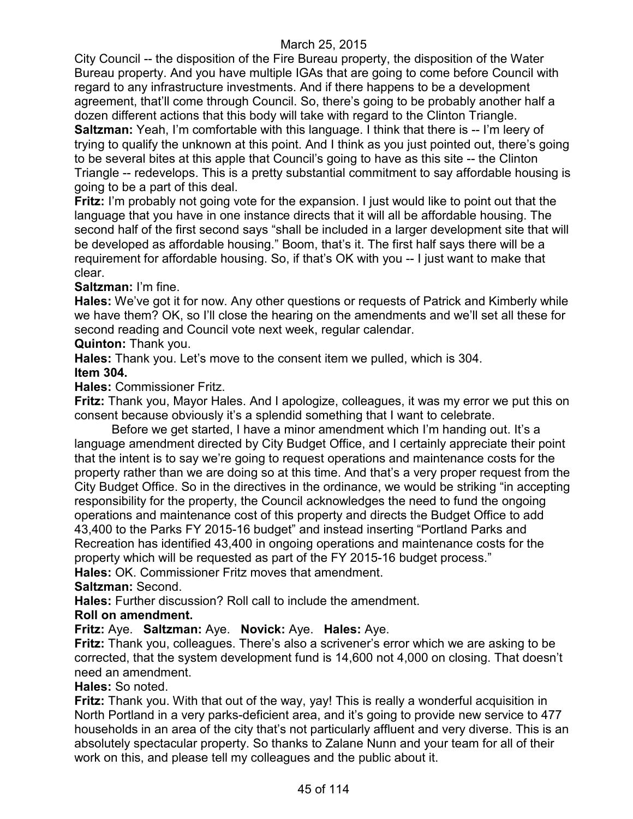City Council -- the disposition of the Fire Bureau property, the disposition of the Water Bureau property. And you have multiple IGAs that are going to come before Council with regard to any infrastructure investments. And if there happens to be a development agreement, that'll come through Council. So, there's going to be probably another half a dozen different actions that this body will take with regard to the Clinton Triangle. **Saltzman:** Yeah, I'm comfortable with this language. I think that there is -- I'm leery of trying to qualify the unknown at this point. And I think as you just pointed out, there's going to be several bites at this apple that Council's going to have as this site -- the Clinton Triangle -- redevelops. This is a pretty substantial commitment to say affordable housing is going to be a part of this deal.

**Fritz:** I'm probably not going vote for the expansion. I just would like to point out that the language that you have in one instance directs that it will all be affordable housing. The second half of the first second says "shall be included in a larger development site that will be developed as affordable housing." Boom, that's it. The first half says there will be a requirement for affordable housing. So, if that's OK with you -- I just want to make that clear.

## **Saltzman:** I'm fine.

**Hales:** We've got it for now. Any other questions or requests of Patrick and Kimberly while we have them? OK, so I'll close the hearing on the amendments and we'll set all these for second reading and Council vote next week, regular calendar.

**Quinton:** Thank you.

**Hales:** Thank you. Let's move to the consent item we pulled, which is 304.

### **Item 304.**

**Hales:** Commissioner Fritz.

**Fritz:** Thank you, Mayor Hales. And I apologize, colleagues, it was my error we put this on consent because obviously it's a splendid something that I want to celebrate.

Before we get started, I have a minor amendment which I'm handing out. It's a language amendment directed by City Budget Office, and I certainly appreciate their point that the intent is to say we're going to request operations and maintenance costs for the property rather than we are doing so at this time. And that's a very proper request from the City Budget Office. So in the directives in the ordinance, we would be striking "in accepting responsibility for the property, the Council acknowledges the need to fund the ongoing operations and maintenance cost of this property and directs the Budget Office to add 43,400 to the Parks FY 2015-16 budget" and instead inserting "Portland Parks and Recreation has identified 43,400 in ongoing operations and maintenance costs for the property which will be requested as part of the FY 2015-16 budget process."

**Hales:** OK. Commissioner Fritz moves that amendment.

**Saltzman:** Second.

**Hales:** Further discussion? Roll call to include the amendment.

## **Roll on amendment.**

## **Fritz:** Aye. **Saltzman:** Aye. **Novick:** Aye. **Hales:** Aye.

**Fritz:** Thank you, colleagues. There's also a scrivener's error which we are asking to be corrected, that the system development fund is 14,600 not 4,000 on closing. That doesn't need an amendment.

## **Hales:** So noted.

**Fritz:** Thank you. With that out of the way, yay! This is really a wonderful acquisition in North Portland in a very parks-deficient area, and it's going to provide new service to 477 households in an area of the city that's not particularly affluent and very diverse. This is an absolutely spectacular property. So thanks to Zalane Nunn and your team for all of their work on this, and please tell my colleagues and the public about it.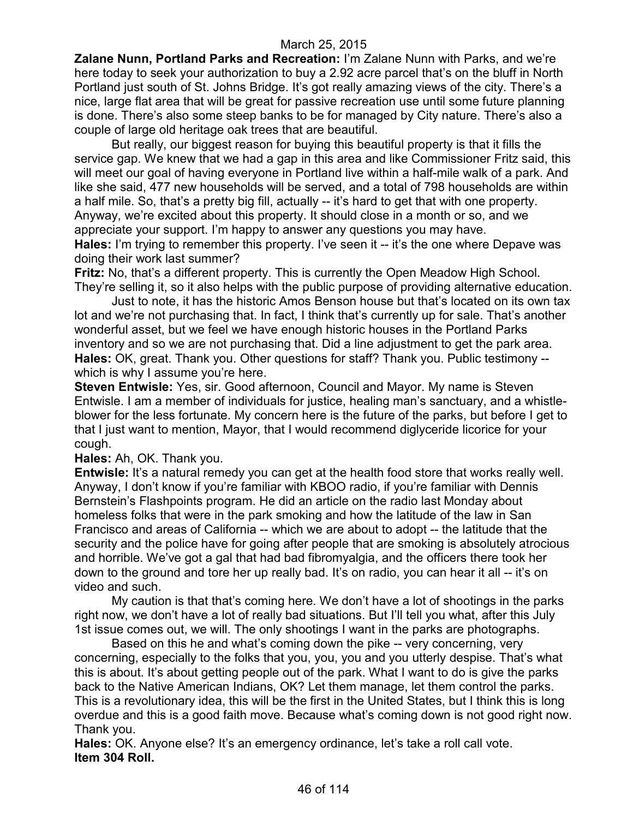**Zalane Nunn, Portland Parks and Recreation:** I'm Zalane Nunn with Parks, and we're here today to seek your authorization to buy a 2.92 acre parcel that's on the bluff in North Portland just south of St. Johns Bridge. It's got really amazing views of the city. There's a nice, large flat area that will be great for passive recreation use until some future planning is done. There's also some steep banks to be for managed by City nature. There's also a couple of large old heritage oak trees that are beautiful.

But really, our biggest reason for buying this beautiful property is that it fills the service gap. We knew that we had a gap in this area and like Commissioner Fritz said, this will meet our goal of having everyone in Portland live within a half-mile walk of a park. And like she said, 477 new households will be served, and a total of 798 households are within a half mile. So, that's a pretty big fill, actually -- it's hard to get that with one property. Anyway, we're excited about this property. It should close in a month or so, and we appreciate your support. I'm happy to answer any questions you may have. **Hales:** I'm trying to remember this property. I've seen it -- it's the one where Depave was

doing their work last summer?

**Fritz:** No, that's a different property. This is currently the Open Meadow High School. They're selling it, so it also helps with the public purpose of providing alternative education.

Just to note, it has the historic Amos Benson house but that's located on its own tax lot and we're not purchasing that. In fact, I think that's currently up for sale. That's another wonderful asset, but we feel we have enough historic houses in the Portland Parks inventory and so we are not purchasing that. Did a line adjustment to get the park area. **Hales:** OK, great. Thank you. Other questions for staff? Thank you. Public testimony - which is why I assume you're here.

**Steven Entwisle:** Yes, sir. Good afternoon, Council and Mayor. My name is Steven Entwisle. I am a member of individuals for justice, healing man's sanctuary, and a whistleblower for the less fortunate. My concern here is the future of the parks, but before I get to that I just want to mention, Mayor, that I would recommend diglyceride licorice for your cough.

### **Hales:** Ah, OK. Thank you.

**Entwisle:** It's a natural remedy you can get at the health food store that works really well. Anyway, I don't know if you're familiar with KBOO radio, if you're familiar with Dennis Bernstein's Flashpoints program. He did an article on the radio last Monday about homeless folks that were in the park smoking and how the latitude of the law in San Francisco and areas of California -- which we are about to adopt -- the latitude that the security and the police have for going after people that are smoking is absolutely atrocious and horrible. We've got a gal that had bad fibromyalgia, and the officers there took her down to the ground and tore her up really bad. It's on radio, you can hear it all -- it's on video and such.

My caution is that that's coming here. We don't have a lot of shootings in the parks right now, we don't have a lot of really bad situations. But I'll tell you what, after this July 1st issue comes out, we will. The only shootings I want in the parks are photographs.

Based on this he and what's coming down the pike -- very concerning, very concerning, especially to the folks that you, you, you and you utterly despise. That's what this is about. It's about getting people out of the park. What I want to do is give the parks back to the Native American Indians, OK? Let them manage, let them control the parks. This is a revolutionary idea, this will be the first in the United States, but I think this is long overdue and this is a good faith move. Because what's coming down is not good right now. Thank you.

**Hales:** OK. Anyone else? It's an emergency ordinance, let's take a roll call vote. **Item 304 Roll.**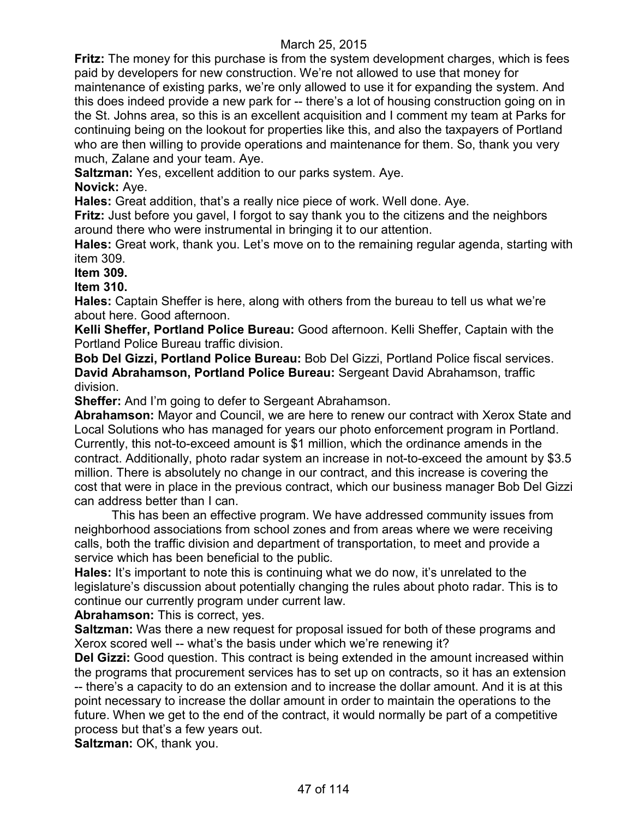**Fritz:** The money for this purchase is from the system development charges, which is fees paid by developers for new construction. We're not allowed to use that money for maintenance of existing parks, we're only allowed to use it for expanding the system. And this does indeed provide a new park for -- there's a lot of housing construction going on in the St. Johns area, so this is an excellent acquisition and I comment my team at Parks for continuing being on the lookout for properties like this, and also the taxpayers of Portland who are then willing to provide operations and maintenance for them. So, thank you very much, Zalane and your team. Aye.

**Saltzman:** Yes, excellent addition to our parks system. Aye.

## **Novick:** Aye.

**Hales:** Great addition, that's a really nice piece of work. Well done. Aye.

**Fritz:** Just before you gavel, I forgot to say thank you to the citizens and the neighbors around there who were instrumental in bringing it to our attention.

**Hales:** Great work, thank you. Let's move on to the remaining regular agenda, starting with item 309.

**Item 309.**

**Item 310.**

**Hales:** Captain Sheffer is here, along with others from the bureau to tell us what we're about here. Good afternoon.

**Kelli Sheffer, Portland Police Bureau:** Good afternoon. Kelli Sheffer, Captain with the Portland Police Bureau traffic division.

**Bob Del Gizzi, Portland Police Bureau:** Bob Del Gizzi, Portland Police fiscal services. **David Abrahamson, Portland Police Bureau:** Sergeant David Abrahamson, traffic division.

**Sheffer:** And I'm going to defer to Sergeant Abrahamson.

**Abrahamson:** Mayor and Council, we are here to renew our contract with Xerox State and Local Solutions who has managed for years our photo enforcement program in Portland. Currently, this not-to-exceed amount is \$1 million, which the ordinance amends in the contract. Additionally, photo radar system an increase in not-to-exceed the amount by \$3.5 million. There is absolutely no change in our contract, and this increase is covering the cost that were in place in the previous contract, which our business manager Bob Del Gizzi can address better than I can.

This has been an effective program. We have addressed community issues from neighborhood associations from school zones and from areas where we were receiving calls, both the traffic division and department of transportation, to meet and provide a service which has been beneficial to the public.

**Hales:** It's important to note this is continuing what we do now, it's unrelated to the legislature's discussion about potentially changing the rules about photo radar. This is to continue our currently program under current law.

**Abrahamson:** This is correct, yes.

**Saltzman:** Was there a new request for proposal issued for both of these programs and Xerox scored well -- what's the basis under which we're renewing it?

**Del Gizzi:** Good question. This contract is being extended in the amount increased within the programs that procurement services has to set up on contracts, so it has an extension -- there's a capacity to do an extension and to increase the dollar amount. And it is at this point necessary to increase the dollar amount in order to maintain the operations to the future. When we get to the end of the contract, it would normally be part of a competitive process but that's a few years out.

**Saltzman:** OK, thank you.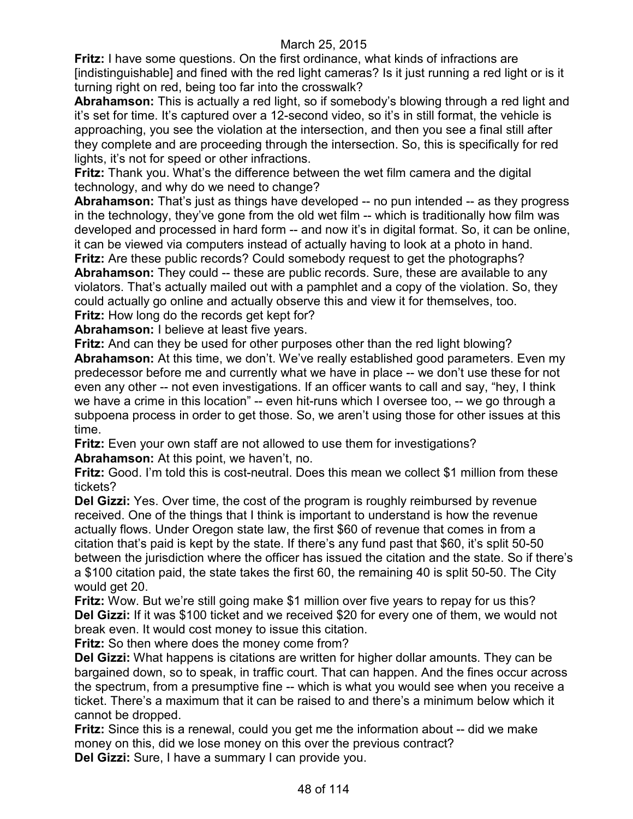**Fritz:** I have some questions. On the first ordinance, what kinds of infractions are [indistinguishable] and fined with the red light cameras? Is it just running a red light or is it turning right on red, being too far into the crosswalk?

**Abrahamson:** This is actually a red light, so if somebody's blowing through a red light and it's set for time. It's captured over a 12-second video, so it's in still format, the vehicle is approaching, you see the violation at the intersection, and then you see a final still after they complete and are proceeding through the intersection. So, this is specifically for red lights, it's not for speed or other infractions.

**Fritz:** Thank you. What's the difference between the wet film camera and the digital technology, and why do we need to change?

**Abrahamson:** That's just as things have developed -- no pun intended -- as they progress in the technology, they've gone from the old wet film -- which is traditionally how film was developed and processed in hard form -- and now it's in digital format. So, it can be online, it can be viewed via computers instead of actually having to look at a photo in hand.

**Fritz:** Are these public records? Could somebody request to get the photographs? Abrahamson: They could -- these are public records. Sure, these are available to any violators. That's actually mailed out with a pamphlet and a copy of the violation. So, they could actually go online and actually observe this and view it for themselves, too. **Fritz:** How long do the records get kept for?

**Abrahamson:** I believe at least five years.

**Fritz:** And can they be used for other purposes other than the red light blowing? **Abrahamson:** At this time, we don't. We've really established good parameters. Even my predecessor before me and currently what we have in place -- we don't use these for not even any other -- not even investigations. If an officer wants to call and say, "hey, I think we have a crime in this location" -- even hit-runs which I oversee too, -- we go through a subpoena process in order to get those. So, we aren't using those for other issues at this time.

**Fritz:** Even your own staff are not allowed to use them for investigations? **Abrahamson:** At this point, we haven't, no.

**Fritz:** Good. I'm told this is cost-neutral. Does this mean we collect \$1 million from these tickets?

**Del Gizzi:** Yes. Over time, the cost of the program is roughly reimbursed by revenue received. One of the things that I think is important to understand is how the revenue actually flows. Under Oregon state law, the first \$60 of revenue that comes in from a citation that's paid is kept by the state. If there's any fund past that \$60, it's split 50-50 between the jurisdiction where the officer has issued the citation and the state. So if there's a \$100 citation paid, the state takes the first 60, the remaining 40 is split 50-50. The City would get 20.

**Fritz:** Wow. But we're still going make \$1 million over five years to repay for us this? **Del Gizzi:** If it was \$100 ticket and we received \$20 for every one of them, we would not break even. It would cost money to issue this citation.

**Fritz:** So then where does the money come from?

**Del Gizzi:** What happens is citations are written for higher dollar amounts. They can be bargained down, so to speak, in traffic court. That can happen. And the fines occur across the spectrum, from a presumptive fine -- which is what you would see when you receive a ticket. There's a maximum that it can be raised to and there's a minimum below which it cannot be dropped.

**Fritz:** Since this is a renewal, could you get me the information about -- did we make money on this, did we lose money on this over the previous contract?

**Del Gizzi:** Sure, I have a summary I can provide you.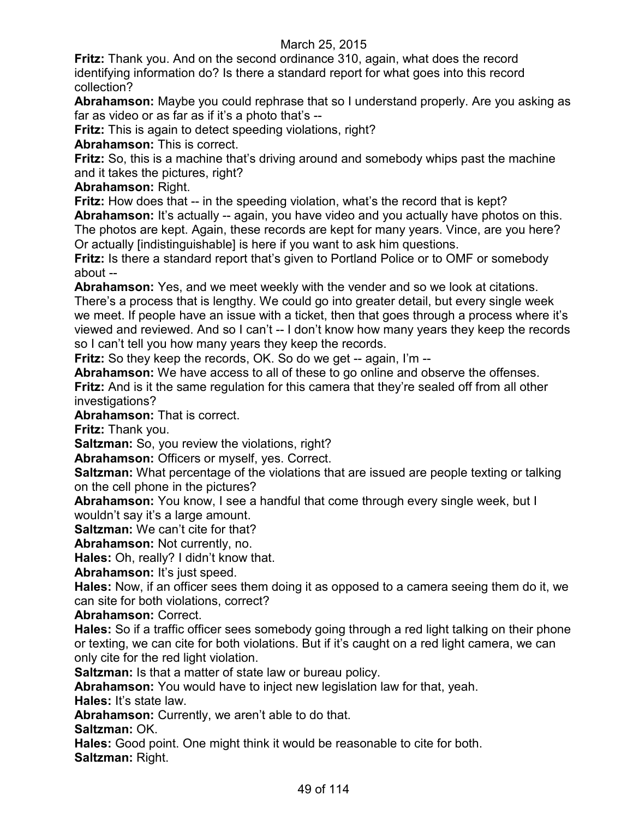**Fritz:** Thank you. And on the second ordinance 310, again, what does the record identifying information do? Is there a standard report for what goes into this record collection?

**Abrahamson:** Maybe you could rephrase that so I understand properly. Are you asking as far as video or as far as if it's a photo that's --

**Fritz:** This is again to detect speeding violations, right?

**Abrahamson:** This is correct.

**Fritz:** So, this is a machine that's driving around and somebody whips past the machine and it takes the pictures, right?

**Abrahamson:** Right.

**Fritz:** How does that -- in the speeding violation, what's the record that is kept?

**Abrahamson:** It's actually -- again, you have video and you actually have photos on this. The photos are kept. Again, these records are kept for many years. Vince, are you here? Or actually [indistinguishable] is here if you want to ask him questions.

**Fritz:** Is there a standard report that's given to Portland Police or to OMF or somebody about --

**Abrahamson:** Yes, and we meet weekly with the vender and so we look at citations. There's a process that is lengthy. We could go into greater detail, but every single week we meet. If people have an issue with a ticket, then that goes through a process where it's viewed and reviewed. And so I can't -- I don't know how many years they keep the records so I can't tell you how many years they keep the records.

**Fritz:** So they keep the records, OK. So do we get -- again, I'm --

**Abrahamson:** We have access to all of these to go online and observe the offenses. **Fritz:** And is it the same regulation for this camera that they're sealed off from all other investigations?

**Abrahamson:** That is correct.

**Fritz:** Thank you.

**Saltzman:** So, you review the violations, right?

**Abrahamson:** Officers or myself, yes. Correct.

**Saltzman:** What percentage of the violations that are issued are people texting or talking on the cell phone in the pictures?

**Abrahamson:** You know, I see a handful that come through every single week, but I wouldn't say it's a large amount.

**Saltzman:** We can't cite for that?

**Abrahamson:** Not currently, no.

**Hales:** Oh, really? I didn't know that.

**Abrahamson:** It's just speed.

**Hales:** Now, if an officer sees them doing it as opposed to a camera seeing them do it, we can site for both violations, correct?

**Abrahamson:** Correct.

**Hales:** So if a traffic officer sees somebody going through a red light talking on their phone or texting, we can cite for both violations. But if it's caught on a red light camera, we can only cite for the red light violation.

**Saltzman:** Is that a matter of state law or bureau policy.

**Abrahamson:** You would have to inject new legislation law for that, yeah.

**Hales:** It's state law.

**Abrahamson:** Currently, we aren't able to do that.

**Saltzman:** OK.

**Hales:** Good point. One might think it would be reasonable to cite for both. **Saltzman:** Right.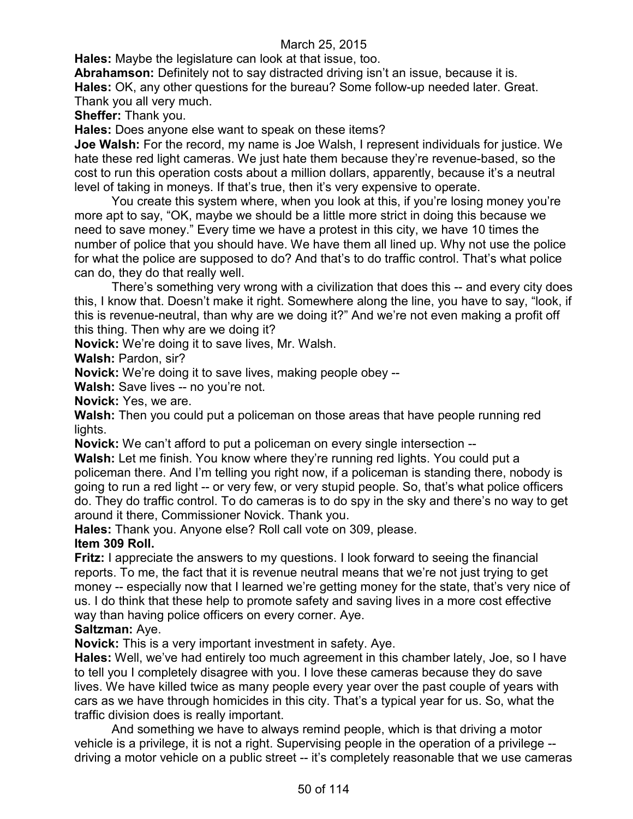**Hales:** Maybe the legislature can look at that issue, too.

**Abrahamson:** Definitely not to say distracted driving isn't an issue, because it is. **Hales:** OK, any other questions for the bureau? Some follow-up needed later. Great. Thank you all very much.

**Sheffer:** Thank you.

**Hales:** Does anyone else want to speak on these items?

**Joe Walsh:** For the record, my name is Joe Walsh, I represent individuals for justice. We hate these red light cameras. We just hate them because they're revenue-based, so the cost to run this operation costs about a million dollars, apparently, because it's a neutral level of taking in moneys. If that's true, then it's very expensive to operate.

You create this system where, when you look at this, if you're losing money you're more apt to say, "OK, maybe we should be a little more strict in doing this because we need to save money." Every time we have a protest in this city, we have 10 times the number of police that you should have. We have them all lined up. Why not use the police for what the police are supposed to do? And that's to do traffic control. That's what police can do, they do that really well.

There's something very wrong with a civilization that does this -- and every city does this, I know that. Doesn't make it right. Somewhere along the line, you have to say, "look, if this is revenue-neutral, than why are we doing it?" And we're not even making a profit off this thing. Then why are we doing it?

**Novick:** We're doing it to save lives, Mr. Walsh.

**Walsh:** Pardon, sir?

**Novick:** We're doing it to save lives, making people obey --

**Walsh:** Save lives -- no you're not.

**Novick:** Yes, we are.

**Walsh:** Then you could put a policeman on those areas that have people running red lights.

**Novick:** We can't afford to put a policeman on every single intersection --

**Walsh:** Let me finish. You know where they're running red lights. You could put a policeman there. And I'm telling you right now, if a policeman is standing there, nobody is going to run a red light -- or very few, or very stupid people. So, that's what police officers do. They do traffic control. To do cameras is to do spy in the sky and there's no way to get around it there, Commissioner Novick. Thank you.

**Hales:** Thank you. Anyone else? Roll call vote on 309, please.

## **Item 309 Roll.**

**Fritz:** I appreciate the answers to my questions. I look forward to seeing the financial reports. To me, the fact that it is revenue neutral means that we're not just trying to get money -- especially now that I learned we're getting money for the state, that's very nice of us. I do think that these help to promote safety and saving lives in a more cost effective way than having police officers on every corner. Aye.

## **Saltzman:** Aye.

**Novick:** This is a very important investment in safety. Aye.

**Hales:** Well, we've had entirely too much agreement in this chamber lately, Joe, so I have to tell you I completely disagree with you. I love these cameras because they do save lives. We have killed twice as many people every year over the past couple of years with cars as we have through homicides in this city. That's a typical year for us. So, what the traffic division does is really important.

And something we have to always remind people, which is that driving a motor vehicle is a privilege, it is not a right. Supervising people in the operation of a privilege - driving a motor vehicle on a public street -- it's completely reasonable that we use cameras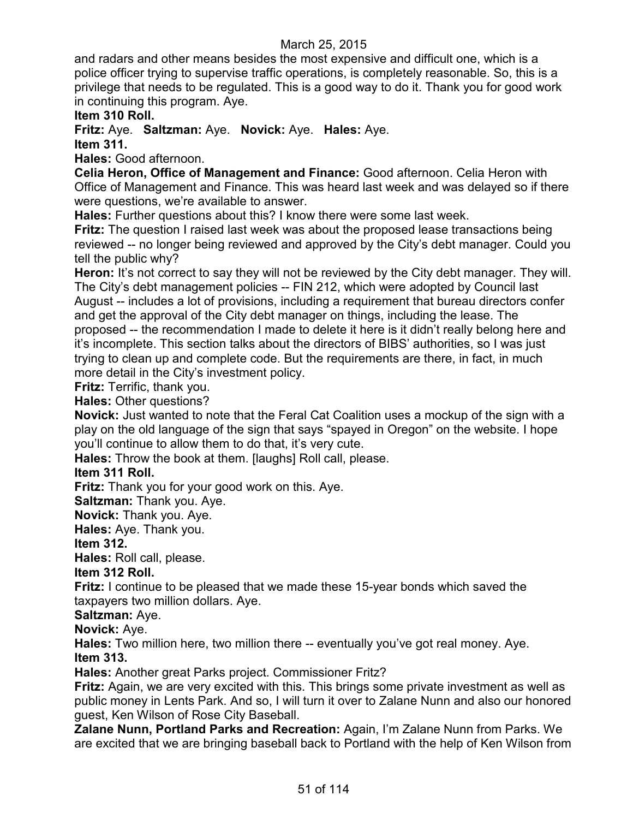and radars and other means besides the most expensive and difficult one, which is a police officer trying to supervise traffic operations, is completely reasonable. So, this is a privilege that needs to be regulated. This is a good way to do it. Thank you for good work in continuing this program. Aye.

**Item 310 Roll.**

**Fritz:** Aye. **Saltzman:** Aye. **Novick:** Aye. **Hales:** Aye.

**Item 311.**

**Hales:** Good afternoon.

**Celia Heron, Office of Management and Finance:** Good afternoon. Celia Heron with Office of Management and Finance. This was heard last week and was delayed so if there were questions, we're available to answer.

**Hales:** Further questions about this? I know there were some last week.

**Fritz:** The question I raised last week was about the proposed lease transactions being reviewed -- no longer being reviewed and approved by the City's debt manager. Could you tell the public why?

Heron: It's not correct to say they will not be reviewed by the City debt manager. They will. The City's debt management policies -- FIN 212, which were adopted by Council last August -- includes a lot of provisions, including a requirement that bureau directors confer and get the approval of the City debt manager on things, including the lease. The proposed -- the recommendation I made to delete it here is it didn't really belong here and it's incomplete. This section talks about the directors of BIBS' authorities, so I was just trying to clean up and complete code. But the requirements are there, in fact, in much more detail in the City's investment policy.

**Fritz:** Terrific, thank you.

**Hales:** Other questions?

**Novick:** Just wanted to note that the Feral Cat Coalition uses a mockup of the sign with a play on the old language of the sign that says "spayed in Oregon" on the website. I hope you'll continue to allow them to do that, it's very cute.

**Hales:** Throw the book at them. [laughs] Roll call, please.

## **Item 311 Roll.**

**Fritz:** Thank you for your good work on this. Aye.

**Saltzman:** Thank you. Aye.

**Novick:** Thank you. Aye.

**Hales:** Aye. Thank you.

## **Item 312.**

**Hales:** Roll call, please.

## **Item 312 Roll.**

**Fritz:** I continue to be pleased that we made these 15-year bonds which saved the taxpayers two million dollars. Aye.

**Saltzman:** Aye.

**Novick:** Aye.

**Hales:** Two million here, two million there -- eventually you've got real money. Aye. **Item 313.**

**Hales:** Another great Parks project. Commissioner Fritz?

**Fritz:** Again, we are very excited with this. This brings some private investment as well as public money in Lents Park. And so, I will turn it over to Zalane Nunn and also our honored guest, Ken Wilson of Rose City Baseball.

**Zalane Nunn, Portland Parks and Recreation:** Again, I'm Zalane Nunn from Parks. We are excited that we are bringing baseball back to Portland with the help of Ken Wilson from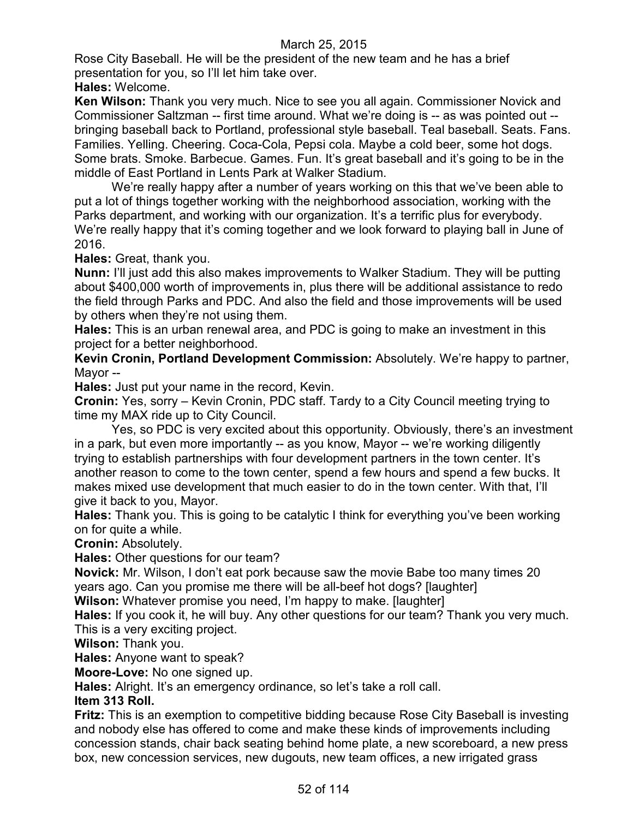Rose City Baseball. He will be the president of the new team and he has a brief presentation for you, so I'll let him take over.

**Hales:** Welcome.

**Ken Wilson:** Thank you very much. Nice to see you all again. Commissioner Novick and Commissioner Saltzman -- first time around. What we're doing is -- as was pointed out - bringing baseball back to Portland, professional style baseball. Teal baseball. Seats. Fans. Families. Yelling. Cheering. Coca-Cola, Pepsi cola. Maybe a cold beer, some hot dogs. Some brats. Smoke. Barbecue. Games. Fun. It's great baseball and it's going to be in the middle of East Portland in Lents Park at Walker Stadium.

We're really happy after a number of years working on this that we've been able to put a lot of things together working with the neighborhood association, working with the Parks department, and working with our organization. It's a terrific plus for everybody. We're really happy that it's coming together and we look forward to playing ball in June of 2016.

**Hales:** Great, thank you.

**Nunn:** I'll just add this also makes improvements to Walker Stadium. They will be putting about \$400,000 worth of improvements in, plus there will be additional assistance to redo the field through Parks and PDC. And also the field and those improvements will be used by others when they're not using them.

**Hales:** This is an urban renewal area, and PDC is going to make an investment in this project for a better neighborhood.

**Kevin Cronin, Portland Development Commission:** Absolutely. We're happy to partner, Mayor --

**Hales:** Just put your name in the record, Kevin.

**Cronin:** Yes, sorry – Kevin Cronin, PDC staff. Tardy to a City Council meeting trying to time my MAX ride up to City Council.

Yes, so PDC is very excited about this opportunity. Obviously, there's an investment in a park, but even more importantly -- as you know, Mayor -- we're working diligently trying to establish partnerships with four development partners in the town center. It's another reason to come to the town center, spend a few hours and spend a few bucks. It makes mixed use development that much easier to do in the town center. With that, I'll give it back to you, Mayor.

**Hales:** Thank you. This is going to be catalytic I think for everything you've been working on for quite a while.

**Cronin:** Absolutely.

**Hales:** Other questions for our team?

**Novick:** Mr. Wilson, I don't eat pork because saw the movie Babe too many times 20 years ago. Can you promise me there will be all-beef hot dogs? [laughter]

**Wilson:** Whatever promise you need, I'm happy to make. [laughter]

**Hales:** If you cook it, he will buy. Any other questions for our team? Thank you very much. This is a very exciting project.

**Wilson:** Thank you.

**Hales:** Anyone want to speak?

**Moore-Love:** No one signed up.

**Hales:** Alright. It's an emergency ordinance, so let's take a roll call.

### **Item 313 Roll.**

**Fritz:** This is an exemption to competitive bidding because Rose City Baseball is investing and nobody else has offered to come and make these kinds of improvements including concession stands, chair back seating behind home plate, a new scoreboard, a new press box, new concession services, new dugouts, new team offices, a new irrigated grass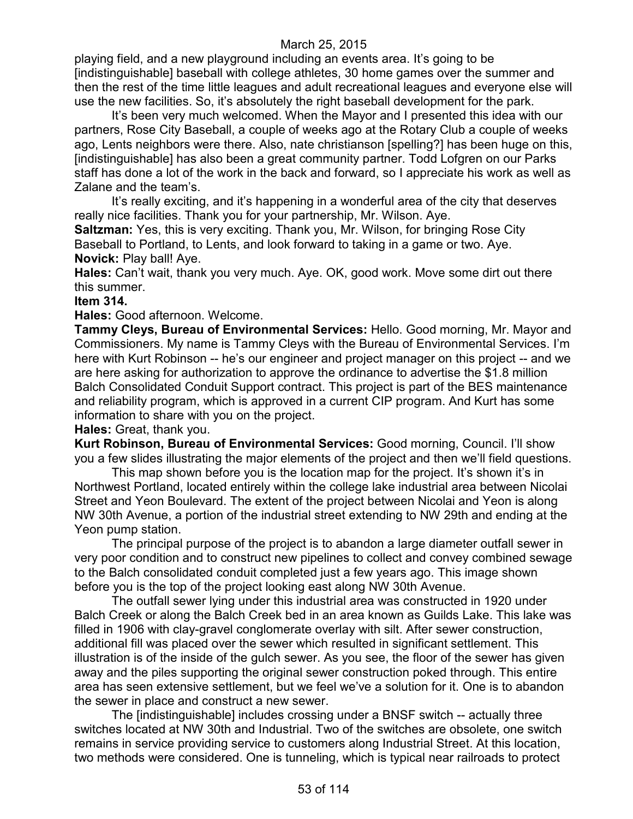playing field, and a new playground including an events area. It's going to be [indistinguishable] baseball with college athletes, 30 home games over the summer and then the rest of the time little leagues and adult recreational leagues and everyone else will use the new facilities. So, it's absolutely the right baseball development for the park.

It's been very much welcomed. When the Mayor and I presented this idea with our partners, Rose City Baseball, a couple of weeks ago at the Rotary Club a couple of weeks ago, Lents neighbors were there. Also, nate christianson [spelling?] has been huge on this, [indistinguishable] has also been a great community partner. Todd Lofgren on our Parks staff has done a lot of the work in the back and forward, so I appreciate his work as well as Zalane and the team's.

It's really exciting, and it's happening in a wonderful area of the city that deserves really nice facilities. Thank you for your partnership, Mr. Wilson. Aye.

**Saltzman:** Yes, this is very exciting. Thank you, Mr. Wilson, for bringing Rose City Baseball to Portland, to Lents, and look forward to taking in a game or two. Aye. **Novick:** Play ball! Aye.

**Hales:** Can't wait, thank you very much. Aye. OK, good work. Move some dirt out there this summer.

### **Item 314.**

**Hales:** Good afternoon. Welcome.

**Tammy Cleys, Bureau of Environmental Services:** Hello. Good morning, Mr. Mayor and Commissioners. My name is Tammy Cleys with the Bureau of Environmental Services. I'm here with Kurt Robinson -- he's our engineer and project manager on this project -- and we are here asking for authorization to approve the ordinance to advertise the \$1.8 million Balch Consolidated Conduit Support contract. This project is part of the BES maintenance and reliability program, which is approved in a current CIP program. And Kurt has some information to share with you on the project.

#### **Hales:** Great, thank you.

**Kurt Robinson, Bureau of Environmental Services:** Good morning, Council. I'll show you a few slides illustrating the major elements of the project and then we'll field questions.

This map shown before you is the location map for the project. It's shown it's in Northwest Portland, located entirely within the college lake industrial area between Nicolai Street and Yeon Boulevard. The extent of the project between Nicolai and Yeon is along NW 30th Avenue, a portion of the industrial street extending to NW 29th and ending at the Yeon pump station.

The principal purpose of the project is to abandon a large diameter outfall sewer in very poor condition and to construct new pipelines to collect and convey combined sewage to the Balch consolidated conduit completed just a few years ago. This image shown before you is the top of the project looking east along NW 30th Avenue.

The outfall sewer lying under this industrial area was constructed in 1920 under Balch Creek or along the Balch Creek bed in an area known as Guilds Lake. This lake was filled in 1906 with clay-gravel conglomerate overlay with silt. After sewer construction, additional fill was placed over the sewer which resulted in significant settlement. This illustration is of the inside of the gulch sewer. As you see, the floor of the sewer has given away and the piles supporting the original sewer construction poked through. This entire area has seen extensive settlement, but we feel we've a solution for it. One is to abandon the sewer in place and construct a new sewer.

The [indistinguishable] includes crossing under a BNSF switch -- actually three switches located at NW 30th and Industrial. Two of the switches are obsolete, one switch remains in service providing service to customers along Industrial Street. At this location, two methods were considered. One is tunneling, which is typical near railroads to protect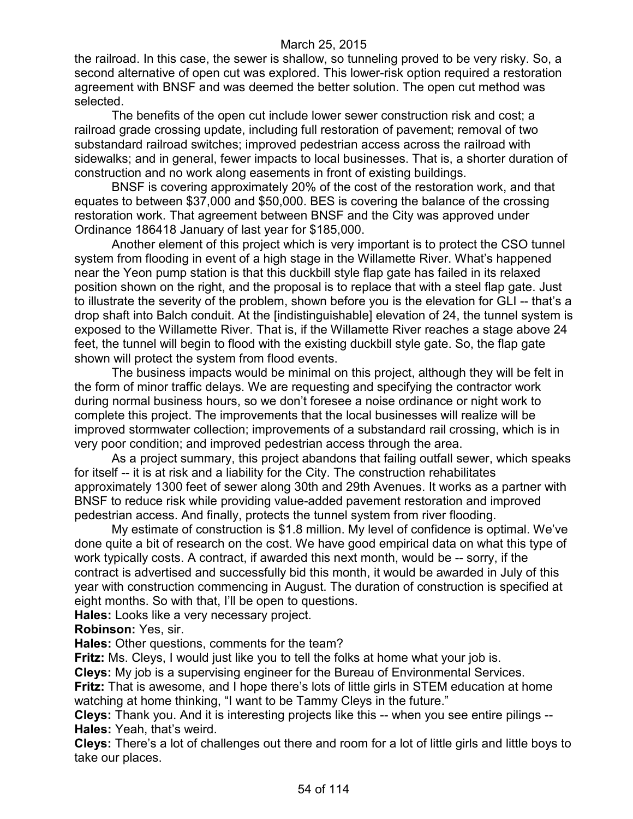the railroad. In this case, the sewer is shallow, so tunneling proved to be very risky. So, a second alternative of open cut was explored. This lower-risk option required a restoration agreement with BNSF and was deemed the better solution. The open cut method was selected.

The benefits of the open cut include lower sewer construction risk and cost; a railroad grade crossing update, including full restoration of pavement; removal of two substandard railroad switches; improved pedestrian access across the railroad with sidewalks; and in general, fewer impacts to local businesses. That is, a shorter duration of construction and no work along easements in front of existing buildings.

BNSF is covering approximately 20% of the cost of the restoration work, and that equates to between \$37,000 and \$50,000. BES is covering the balance of the crossing restoration work. That agreement between BNSF and the City was approved under Ordinance 186418 January of last year for \$185,000.

Another element of this project which is very important is to protect the CSO tunnel system from flooding in event of a high stage in the Willamette River. What's happened near the Yeon pump station is that this duckbill style flap gate has failed in its relaxed position shown on the right, and the proposal is to replace that with a steel flap gate. Just to illustrate the severity of the problem, shown before you is the elevation for GLI -- that's a drop shaft into Balch conduit. At the [indistinguishable] elevation of 24, the tunnel system is exposed to the Willamette River. That is, if the Willamette River reaches a stage above 24 feet, the tunnel will begin to flood with the existing duckbill style gate. So, the flap gate shown will protect the system from flood events.

The business impacts would be minimal on this project, although they will be felt in the form of minor traffic delays. We are requesting and specifying the contractor work during normal business hours, so we don't foresee a noise ordinance or night work to complete this project. The improvements that the local businesses will realize will be improved stormwater collection; improvements of a substandard rail crossing, which is in very poor condition; and improved pedestrian access through the area.

As a project summary, this project abandons that failing outfall sewer, which speaks for itself -- it is at risk and a liability for the City. The construction rehabilitates approximately 1300 feet of sewer along 30th and 29th Avenues. It works as a partner with BNSF to reduce risk while providing value-added pavement restoration and improved pedestrian access. And finally, protects the tunnel system from river flooding.

My estimate of construction is \$1.8 million. My level of confidence is optimal. We've done quite a bit of research on the cost. We have good empirical data on what this type of work typically costs. A contract, if awarded this next month, would be -- sorry, if the contract is advertised and successfully bid this month, it would be awarded in July of this year with construction commencing in August. The duration of construction is specified at eight months. So with that, I'll be open to questions.

**Hales:** Looks like a very necessary project.

**Robinson:** Yes, sir.

**Hales:** Other questions, comments for the team?

**Fritz:** Ms. Cleys, I would just like you to tell the folks at home what your job is.

**Cleys:** My job is a supervising engineer for the Bureau of Environmental Services.

**Fritz:** That is awesome, and I hope there's lots of little girls in STEM education at home watching at home thinking, "I want to be Tammy Cleys in the future."

**Cleys:** Thank you. And it is interesting projects like this -- when you see entire pilings -- **Hales:** Yeah, that's weird.

**Cleys:** There's a lot of challenges out there and room for a lot of little girls and little boys to take our places.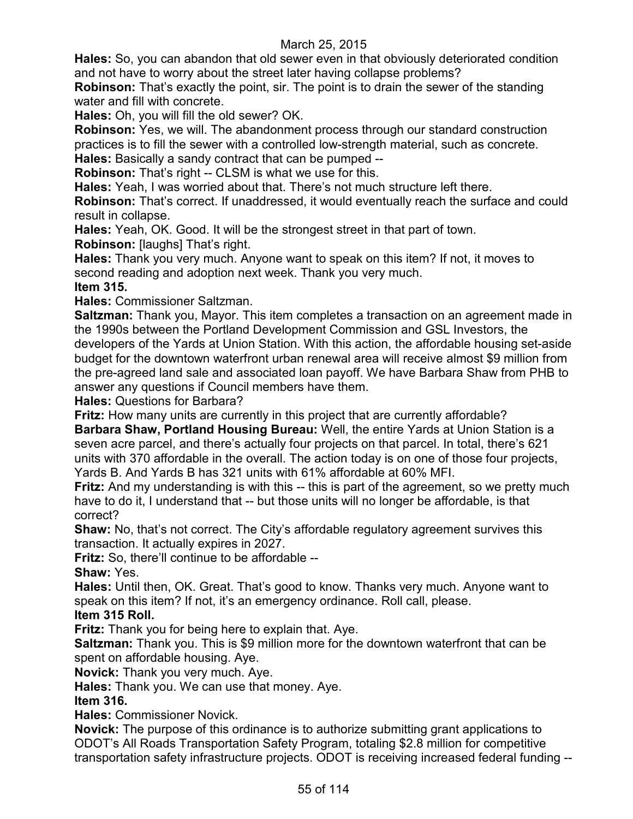**Hales:** So, you can abandon that old sewer even in that obviously deteriorated condition and not have to worry about the street later having collapse problems?

**Robinson:** That's exactly the point, sir. The point is to drain the sewer of the standing water and fill with concrete.

**Hales:** Oh, you will fill the old sewer? OK.

**Robinson:** Yes, we will. The abandonment process through our standard construction practices is to fill the sewer with a controlled low-strength material, such as concrete.

**Hales:** Basically a sandy contract that can be pumped --

**Robinson:** That's right -- CLSM is what we use for this.

**Hales:** Yeah, I was worried about that. There's not much structure left there.

**Robinson:** That's correct. If unaddressed, it would eventually reach the surface and could result in collapse.

**Hales:** Yeah, OK. Good. It will be the strongest street in that part of town.

**Robinson:** [laughs] That's right.

**Hales:** Thank you very much. Anyone want to speak on this item? If not, it moves to second reading and adoption next week. Thank you very much.

# **Item 315.**

**Hales:** Commissioner Saltzman.

**Saltzman:** Thank you, Mayor. This item completes a transaction on an agreement made in the 1990s between the Portland Development Commission and GSL Investors, the developers of the Yards at Union Station. With this action, the affordable housing set-aside budget for the downtown waterfront urban renewal area will receive almost \$9 million from the pre-agreed land sale and associated loan payoff. We have Barbara Shaw from PHB to answer any questions if Council members have them.

**Hales:** Questions for Barbara?

**Fritz:** How many units are currently in this project that are currently affordable?

**Barbara Shaw, Portland Housing Bureau:** Well, the entire Yards at Union Station is a seven acre parcel, and there's actually four projects on that parcel. In total, there's 621 units with 370 affordable in the overall. The action today is on one of those four projects, Yards B. And Yards B has 321 units with 61% affordable at 60% MFI.

**Fritz:** And my understanding is with this -- this is part of the agreement, so we pretty much have to do it, I understand that -- but those units will no longer be affordable, is that correct?

**Shaw:** No, that's not correct. The City's affordable regulatory agreement survives this transaction. It actually expires in 2027.

**Fritz:** So, there'll continue to be affordable --

**Shaw:** Yes.

**Hales:** Until then, OK. Great. That's good to know. Thanks very much. Anyone want to speak on this item? If not, it's an emergency ordinance. Roll call, please.

## **Item 315 Roll.**

**Fritz:** Thank you for being here to explain that. Aye.

**Saltzman:** Thank you. This is \$9 million more for the downtown waterfront that can be spent on affordable housing. Aye.

**Novick:** Thank you very much. Aye.

**Hales:** Thank you. We can use that money. Aye.

## **Item 316.**

**Hales:** Commissioner Novick.

**Novick:** The purpose of this ordinance is to authorize submitting grant applications to ODOT's All Roads Transportation Safety Program, totaling \$2.8 million for competitive transportation safety infrastructure projects. ODOT is receiving increased federal funding --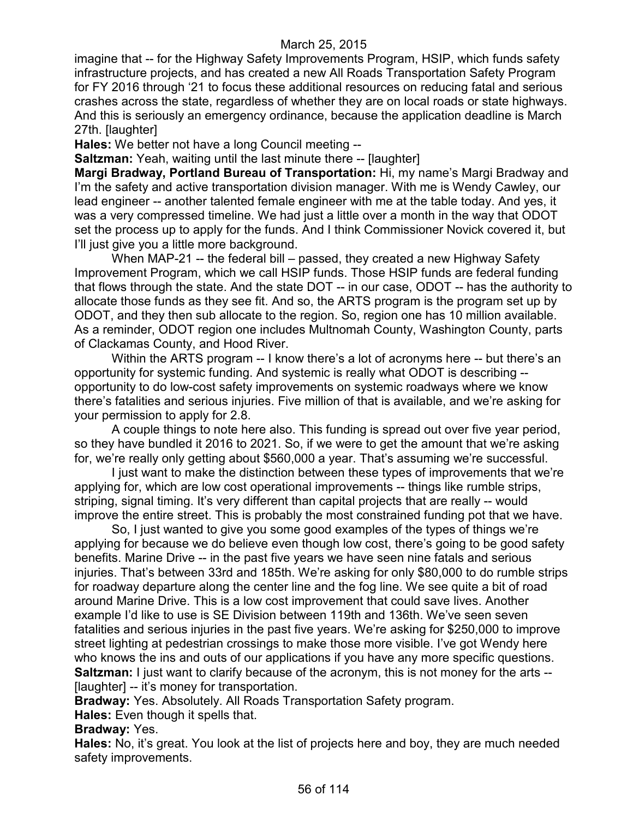imagine that -- for the Highway Safety Improvements Program, HSIP, which funds safety infrastructure projects, and has created a new All Roads Transportation Safety Program for FY 2016 through '21 to focus these additional resources on reducing fatal and serious crashes across the state, regardless of whether they are on local roads or state highways. And this is seriously an emergency ordinance, because the application deadline is March 27th. [laughter]

**Hales:** We better not have a long Council meeting --

**Saltzman:** Yeah, waiting until the last minute there -- [laughter]

**Margi Bradway, Portland Bureau of Transportation:** Hi, my name's Margi Bradway and I'm the safety and active transportation division manager. With me is Wendy Cawley, our lead engineer -- another talented female engineer with me at the table today. And yes, it was a very compressed timeline. We had just a little over a month in the way that ODOT set the process up to apply for the funds. And I think Commissioner Novick covered it, but I'll just give you a little more background.

When MAP-21 -- the federal bill – passed, they created a new Highway Safety Improvement Program, which we call HSIP funds. Those HSIP funds are federal funding that flows through the state. And the state DOT -- in our case, ODOT -- has the authority to allocate those funds as they see fit. And so, the ARTS program is the program set up by ODOT, and they then sub allocate to the region. So, region one has 10 million available. As a reminder, ODOT region one includes Multnomah County, Washington County, parts of Clackamas County, and Hood River.

Within the ARTS program -- I know there's a lot of acronyms here -- but there's an opportunity for systemic funding. And systemic is really what ODOT is describing - opportunity to do low-cost safety improvements on systemic roadways where we know there's fatalities and serious injuries. Five million of that is available, and we're asking for your permission to apply for 2.8.

A couple things to note here also. This funding is spread out over five year period, so they have bundled it 2016 to 2021. So, if we were to get the amount that we're asking for, we're really only getting about \$560,000 a year. That's assuming we're successful.

I just want to make the distinction between these types of improvements that we're applying for, which are low cost operational improvements -- things like rumble strips, striping, signal timing. It's very different than capital projects that are really -- would improve the entire street. This is probably the most constrained funding pot that we have.

So, I just wanted to give you some good examples of the types of things we're applying for because we do believe even though low cost, there's going to be good safety benefits. Marine Drive -- in the past five years we have seen nine fatals and serious injuries. That's between 33rd and 185th. We're asking for only \$80,000 to do rumble strips for roadway departure along the center line and the fog line. We see quite a bit of road around Marine Drive. This is a low cost improvement that could save lives. Another example I'd like to use is SE Division between 119th and 136th. We've seen seven fatalities and serious injuries in the past five years. We're asking for \$250,000 to improve street lighting at pedestrian crossings to make those more visible. I've got Wendy here who knows the ins and outs of our applications if you have any more specific questions. **Saltzman:** I just want to clarify because of the acronym, this is not money for the arts --[laughter] -- it's money for transportation.

**Bradway:** Yes. Absolutely. All Roads Transportation Safety program.

**Hales:** Even though it spells that.

**Bradway:** Yes.

**Hales:** No, it's great. You look at the list of projects here and boy, they are much needed safety improvements.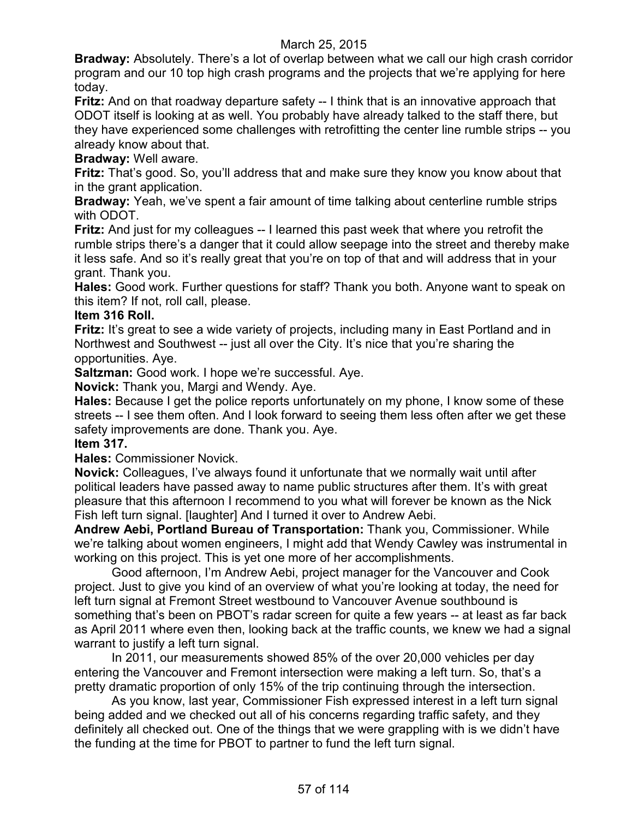**Bradway:** Absolutely. There's a lot of overlap between what we call our high crash corridor program and our 10 top high crash programs and the projects that we're applying for here today.

**Fritz:** And on that roadway departure safety -- I think that is an innovative approach that ODOT itself is looking at as well. You probably have already talked to the staff there, but they have experienced some challenges with retrofitting the center line rumble strips -- you already know about that.

# **Bradway:** Well aware.

**Fritz:** That's good. So, you'll address that and make sure they know you know about that in the grant application.

**Bradway:** Yeah, we've spent a fair amount of time talking about centerline rumble strips with ODOT.

**Fritz:** And just for my colleagues -- I learned this past week that where you retrofit the rumble strips there's a danger that it could allow seepage into the street and thereby make it less safe. And so it's really great that you're on top of that and will address that in your grant. Thank you.

**Hales:** Good work. Further questions for staff? Thank you both. Anyone want to speak on this item? If not, roll call, please.

### **Item 316 Roll.**

**Fritz:** It's great to see a wide variety of projects, including many in East Portland and in Northwest and Southwest -- just all over the City. It's nice that you're sharing the opportunities. Aye.

**Saltzman:** Good work. I hope we're successful. Aye.

**Novick:** Thank you, Margi and Wendy. Aye.

**Hales:** Because I get the police reports unfortunately on my phone, I know some of these streets -- I see them often. And I look forward to seeing them less often after we get these safety improvements are done. Thank you. Aye.

# **Item 317.**

**Hales:** Commissioner Novick.

**Novick:** Colleagues, I've always found it unfortunate that we normally wait until after political leaders have passed away to name public structures after them. It's with great pleasure that this afternoon I recommend to you what will forever be known as the Nick Fish left turn signal. [laughter] And I turned it over to Andrew Aebi.

**Andrew Aebi, Portland Bureau of Transportation:** Thank you, Commissioner. While we're talking about women engineers, I might add that Wendy Cawley was instrumental in working on this project. This is yet one more of her accomplishments.

Good afternoon, I'm Andrew Aebi, project manager for the Vancouver and Cook project. Just to give you kind of an overview of what you're looking at today, the need for left turn signal at Fremont Street westbound to Vancouver Avenue southbound is something that's been on PBOT's radar screen for quite a few years -- at least as far back as April 2011 where even then, looking back at the traffic counts, we knew we had a signal warrant to justify a left turn signal.

In 2011, our measurements showed 85% of the over 20,000 vehicles per day entering the Vancouver and Fremont intersection were making a left turn. So, that's a pretty dramatic proportion of only 15% of the trip continuing through the intersection.

As you know, last year, Commissioner Fish expressed interest in a left turn signal being added and we checked out all of his concerns regarding traffic safety, and they definitely all checked out. One of the things that we were grappling with is we didn't have the funding at the time for PBOT to partner to fund the left turn signal.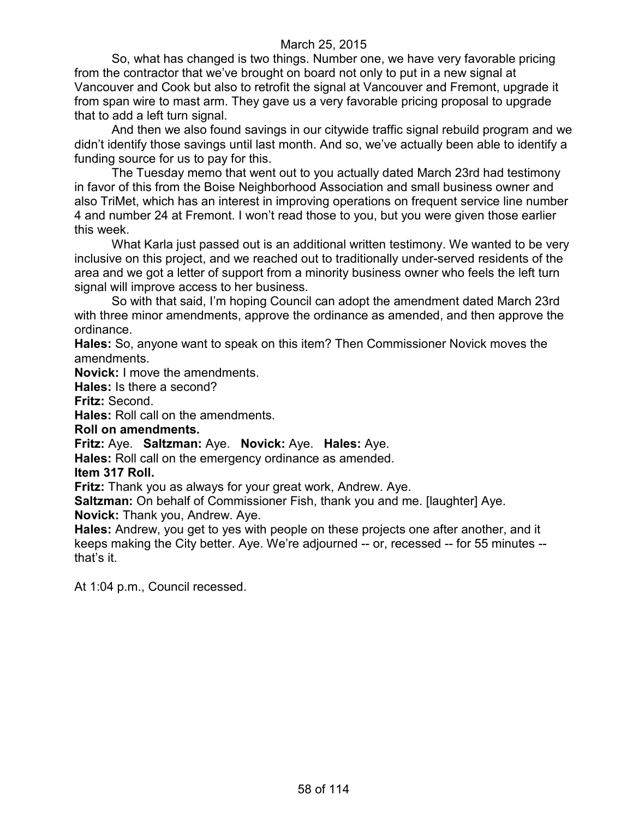So, what has changed is two things. Number one, we have very favorable pricing from the contractor that we've brought on board not only to put in a new signal at Vancouver and Cook but also to retrofit the signal at Vancouver and Fremont, upgrade it from span wire to mast arm. They gave us a very favorable pricing proposal to upgrade that to add a left turn signal.

And then we also found savings in our citywide traffic signal rebuild program and we didn't identify those savings until last month. And so, we've actually been able to identify a funding source for us to pay for this.

The Tuesday memo that went out to you actually dated March 23rd had testimony in favor of this from the Boise Neighborhood Association and small business owner and also TriMet, which has an interest in improving operations on frequent service line number 4 and number 24 at Fremont. I won't read those to you, but you were given those earlier this week.

What Karla just passed out is an additional written testimony. We wanted to be very inclusive on this project, and we reached out to traditionally under-served residents of the area and we got a letter of support from a minority business owner who feels the left turn signal will improve access to her business.

So with that said, I'm hoping Council can adopt the amendment dated March 23rd with three minor amendments, approve the ordinance as amended, and then approve the ordinance.

**Hales:** So, anyone want to speak on this item? Then Commissioner Novick moves the amendments.

**Novick:** I move the amendments.

**Hales:** Is there a second?

**Fritz:** Second.

**Hales:** Roll call on the amendments.

**Roll on amendments.**

**Fritz:** Aye. **Saltzman:** Aye. **Novick:** Aye. **Hales:** Aye.

**Hales:** Roll call on the emergency ordinance as amended.

**Item 317 Roll.**

**Fritz:** Thank you as always for your great work, Andrew. Aye.

**Saltzman:** On behalf of Commissioner Fish, thank you and me. [laughter] Aye. **Novick:** Thank you, Andrew. Aye.

**Hales:** Andrew, you get to yes with people on these projects one after another, and it keeps making the City better. Aye. We're adjourned -- or, recessed -- for 55 minutes - that's it.

At 1:04 p.m., Council recessed.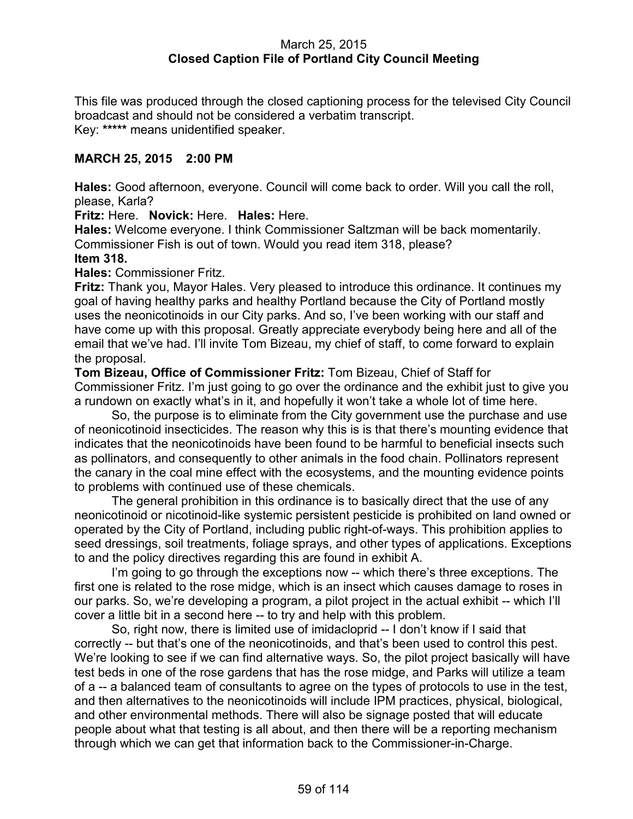## March 25, 2015 **Closed Caption File of Portland City Council Meeting**

This file was produced through the closed captioning process for the televised City Council broadcast and should not be considered a verbatim transcript. Key: **\*\*\*\*\*** means unidentified speaker.

## **MARCH 25, 2015 2:00 PM**

**Hales:** Good afternoon, everyone. Council will come back to order. Will you call the roll, please, Karla?

**Fritz:** Here. **Novick:** Here. **Hales:** Here.

**Hales:** Welcome everyone. I think Commissioner Saltzman will be back momentarily. Commissioner Fish is out of town. Would you read item 318, please?

#### **Item 318.**

**Hales:** Commissioner Fritz.

**Fritz:** Thank you, Mayor Hales. Very pleased to introduce this ordinance. It continues my goal of having healthy parks and healthy Portland because the City of Portland mostly uses the neonicotinoids in our City parks. And so, I've been working with our staff and have come up with this proposal. Greatly appreciate everybody being here and all of the email that we've had. I'll invite Tom Bizeau, my chief of staff, to come forward to explain the proposal.

**Tom Bizeau, Office of Commissioner Fritz:** Tom Bizeau, Chief of Staff for Commissioner Fritz. I'm just going to go over the ordinance and the exhibit just to give you a rundown on exactly what's in it, and hopefully it won't take a whole lot of time here.

So, the purpose is to eliminate from the City government use the purchase and use of neonicotinoid insecticides. The reason why this is is that there's mounting evidence that indicates that the neonicotinoids have been found to be harmful to beneficial insects such as pollinators, and consequently to other animals in the food chain. Pollinators represent the canary in the coal mine effect with the ecosystems, and the mounting evidence points to problems with continued use of these chemicals.

The general prohibition in this ordinance is to basically direct that the use of any neonicotinoid or nicotinoid-like systemic persistent pesticide is prohibited on land owned or operated by the City of Portland, including public right-of-ways. This prohibition applies to seed dressings, soil treatments, foliage sprays, and other types of applications. Exceptions to and the policy directives regarding this are found in exhibit A.

I'm going to go through the exceptions now -- which there's three exceptions. The first one is related to the rose midge, which is an insect which causes damage to roses in our parks. So, we're developing a program, a pilot project in the actual exhibit -- which I'll cover a little bit in a second here -- to try and help with this problem.

So, right now, there is limited use of imidacloprid -- I don't know if I said that correctly -- but that's one of the neonicotinoids, and that's been used to control this pest. We're looking to see if we can find alternative ways. So, the pilot project basically will have test beds in one of the rose gardens that has the rose midge, and Parks will utilize a team of a -- a balanced team of consultants to agree on the types of protocols to use in the test, and then alternatives to the neonicotinoids will include IPM practices, physical, biological, and other environmental methods. There will also be signage posted that will educate people about what that testing is all about, and then there will be a reporting mechanism through which we can get that information back to the Commissioner-in-Charge.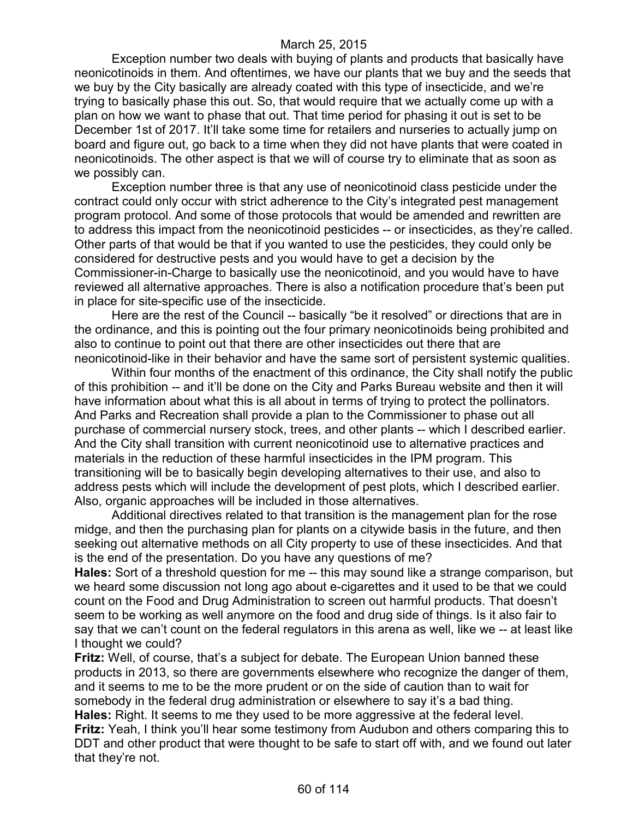Exception number two deals with buying of plants and products that basically have neonicotinoids in them. And oftentimes, we have our plants that we buy and the seeds that we buy by the City basically are already coated with this type of insecticide, and we're trying to basically phase this out. So, that would require that we actually come up with a plan on how we want to phase that out. That time period for phasing it out is set to be December 1st of 2017. It'll take some time for retailers and nurseries to actually jump on board and figure out, go back to a time when they did not have plants that were coated in neonicotinoids. The other aspect is that we will of course try to eliminate that as soon as we possibly can.

Exception number three is that any use of neonicotinoid class pesticide under the contract could only occur with strict adherence to the City's integrated pest management program protocol. And some of those protocols that would be amended and rewritten are to address this impact from the neonicotinoid pesticides -- or insecticides, as they're called. Other parts of that would be that if you wanted to use the pesticides, they could only be considered for destructive pests and you would have to get a decision by the Commissioner-in-Charge to basically use the neonicotinoid, and you would have to have reviewed all alternative approaches. There is also a notification procedure that's been put in place for site-specific use of the insecticide.

Here are the rest of the Council -- basically "be it resolved" or directions that are in the ordinance, and this is pointing out the four primary neonicotinoids being prohibited and also to continue to point out that there are other insecticides out there that are neonicotinoid-like in their behavior and have the same sort of persistent systemic qualities.

Within four months of the enactment of this ordinance, the City shall notify the public of this prohibition -- and it'll be done on the City and Parks Bureau website and then it will have information about what this is all about in terms of trying to protect the pollinators. And Parks and Recreation shall provide a plan to the Commissioner to phase out all purchase of commercial nursery stock, trees, and other plants -- which I described earlier. And the City shall transition with current neonicotinoid use to alternative practices and materials in the reduction of these harmful insecticides in the IPM program. This transitioning will be to basically begin developing alternatives to their use, and also to address pests which will include the development of pest plots, which I described earlier. Also, organic approaches will be included in those alternatives.

Additional directives related to that transition is the management plan for the rose midge, and then the purchasing plan for plants on a citywide basis in the future, and then seeking out alternative methods on all City property to use of these insecticides. And that is the end of the presentation. Do you have any questions of me?

**Hales:** Sort of a threshold question for me -- this may sound like a strange comparison, but we heard some discussion not long ago about e-cigarettes and it used to be that we could count on the Food and Drug Administration to screen out harmful products. That doesn't seem to be working as well anymore on the food and drug side of things. Is it also fair to say that we can't count on the federal regulators in this arena as well, like we -- at least like I thought we could?

**Fritz:** Well, of course, that's a subject for debate. The European Union banned these products in 2013, so there are governments elsewhere who recognize the danger of them, and it seems to me to be the more prudent or on the side of caution than to wait for somebody in the federal drug administration or elsewhere to say it's a bad thing. **Hales:** Right. It seems to me they used to be more aggressive at the federal level. **Fritz:** Yeah, I think you'll hear some testimony from Audubon and others comparing this to DDT and other product that were thought to be safe to start off with, and we found out later that they're not.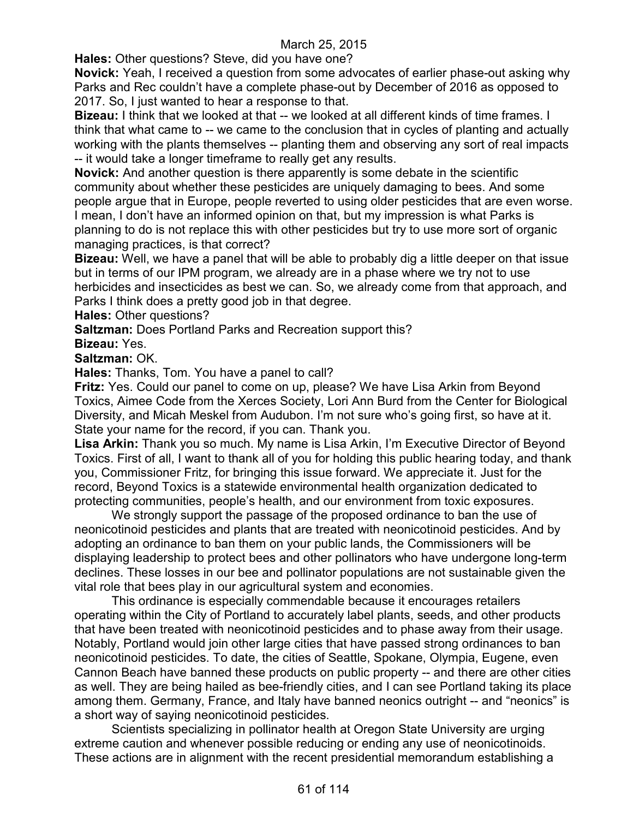**Hales:** Other questions? Steve, did you have one?

**Novick:** Yeah, I received a question from some advocates of earlier phase-out asking why Parks and Rec couldn't have a complete phase-out by December of 2016 as opposed to 2017. So, I just wanted to hear a response to that.

**Bizeau:** I think that we looked at that -- we looked at all different kinds of time frames. I think that what came to -- we came to the conclusion that in cycles of planting and actually working with the plants themselves -- planting them and observing any sort of real impacts -- it would take a longer timeframe to really get any results.

**Novick:** And another question is there apparently is some debate in the scientific community about whether these pesticides are uniquely damaging to bees. And some people argue that in Europe, people reverted to using older pesticides that are even worse. I mean, I don't have an informed opinion on that, but my impression is what Parks is planning to do is not replace this with other pesticides but try to use more sort of organic managing practices, is that correct?

**Bizeau:** Well, we have a panel that will be able to probably dig a little deeper on that issue but in terms of our IPM program, we already are in a phase where we try not to use herbicides and insecticides as best we can. So, we already come from that approach, and Parks I think does a pretty good job in that degree.

**Hales:** Other questions?

**Saltzman:** Does Portland Parks and Recreation support this?

**Bizeau:** Yes.

### **Saltzman:** OK.

**Hales:** Thanks, Tom. You have a panel to call?

**Fritz:** Yes. Could our panel to come on up, please? We have Lisa Arkin from Beyond Toxics, Aimee Code from the Xerces Society, Lori Ann Burd from the Center for Biological Diversity, and Micah Meskel from Audubon. I'm not sure who's going first, so have at it. State your name for the record, if you can. Thank you.

**Lisa Arkin:** Thank you so much. My name is Lisa Arkin, I'm Executive Director of Beyond Toxics. First of all, I want to thank all of you for holding this public hearing today, and thank you, Commissioner Fritz, for bringing this issue forward. We appreciate it. Just for the record, Beyond Toxics is a statewide environmental health organization dedicated to protecting communities, people's health, and our environment from toxic exposures.

We strongly support the passage of the proposed ordinance to ban the use of neonicotinoid pesticides and plants that are treated with neonicotinoid pesticides. And by adopting an ordinance to ban them on your public lands, the Commissioners will be displaying leadership to protect bees and other pollinators who have undergone long-term declines. These losses in our bee and pollinator populations are not sustainable given the vital role that bees play in our agricultural system and economies.

This ordinance is especially commendable because it encourages retailers operating within the City of Portland to accurately label plants, seeds, and other products that have been treated with neonicotinoid pesticides and to phase away from their usage. Notably, Portland would join other large cities that have passed strong ordinances to ban neonicotinoid pesticides. To date, the cities of Seattle, Spokane, Olympia, Eugene, even Cannon Beach have banned these products on public property -- and there are other cities as well. They are being hailed as bee-friendly cities, and I can see Portland taking its place among them. Germany, France, and Italy have banned neonics outright -- and "neonics" is a short way of saying neonicotinoid pesticides.

Scientists specializing in pollinator health at Oregon State University are urging extreme caution and whenever possible reducing or ending any use of neonicotinoids. These actions are in alignment with the recent presidential memorandum establishing a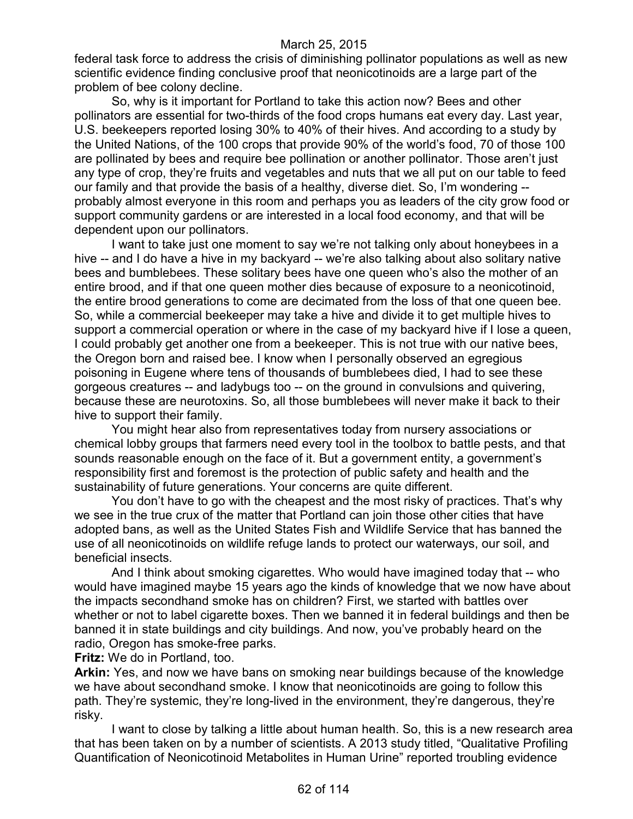federal task force to address the crisis of diminishing pollinator populations as well as new scientific evidence finding conclusive proof that neonicotinoids are a large part of the problem of bee colony decline.

So, why is it important for Portland to take this action now? Bees and other pollinators are essential for two-thirds of the food crops humans eat every day. Last year, U.S. beekeepers reported losing 30% to 40% of their hives. And according to a study by the United Nations, of the 100 crops that provide 90% of the world's food, 70 of those 100 are pollinated by bees and require bee pollination or another pollinator. Those aren't just any type of crop, they're fruits and vegetables and nuts that we all put on our table to feed our family and that provide the basis of a healthy, diverse diet. So, I'm wondering - probably almost everyone in this room and perhaps you as leaders of the city grow food or support community gardens or are interested in a local food economy, and that will be dependent upon our pollinators.

I want to take just one moment to say we're not talking only about honeybees in a hive -- and I do have a hive in my backyard -- we're also talking about also solitary native bees and bumblebees. These solitary bees have one queen who's also the mother of an entire brood, and if that one queen mother dies because of exposure to a neonicotinoid, the entire brood generations to come are decimated from the loss of that one queen bee. So, while a commercial beekeeper may take a hive and divide it to get multiple hives to support a commercial operation or where in the case of my backyard hive if I lose a queen, I could probably get another one from a beekeeper. This is not true with our native bees, the Oregon born and raised bee. I know when I personally observed an egregious poisoning in Eugene where tens of thousands of bumblebees died, I had to see these gorgeous creatures -- and ladybugs too -- on the ground in convulsions and quivering, because these are neurotoxins. So, all those bumblebees will never make it back to their hive to support their family.

You might hear also from representatives today from nursery associations or chemical lobby groups that farmers need every tool in the toolbox to battle pests, and that sounds reasonable enough on the face of it. But a government entity, a government's responsibility first and foremost is the protection of public safety and health and the sustainability of future generations. Your concerns are quite different.

You don't have to go with the cheapest and the most risky of practices. That's why we see in the true crux of the matter that Portland can join those other cities that have adopted bans, as well as the United States Fish and Wildlife Service that has banned the use of all neonicotinoids on wildlife refuge lands to protect our waterways, our soil, and beneficial insects.

And I think about smoking cigarettes. Who would have imagined today that -- who would have imagined maybe 15 years ago the kinds of knowledge that we now have about the impacts secondhand smoke has on children? First, we started with battles over whether or not to label cigarette boxes. Then we banned it in federal buildings and then be banned it in state buildings and city buildings. And now, you've probably heard on the radio, Oregon has smoke-free parks.

**Fritz:** We do in Portland, too.

**Arkin:** Yes, and now we have bans on smoking near buildings because of the knowledge we have about secondhand smoke. I know that neonicotinoids are going to follow this path. They're systemic, they're long-lived in the environment, they're dangerous, they're risky.

I want to close by talking a little about human health. So, this is a new research area that has been taken on by a number of scientists. A 2013 study titled, "Qualitative Profiling Quantification of Neonicotinoid Metabolites in Human Urine" reported troubling evidence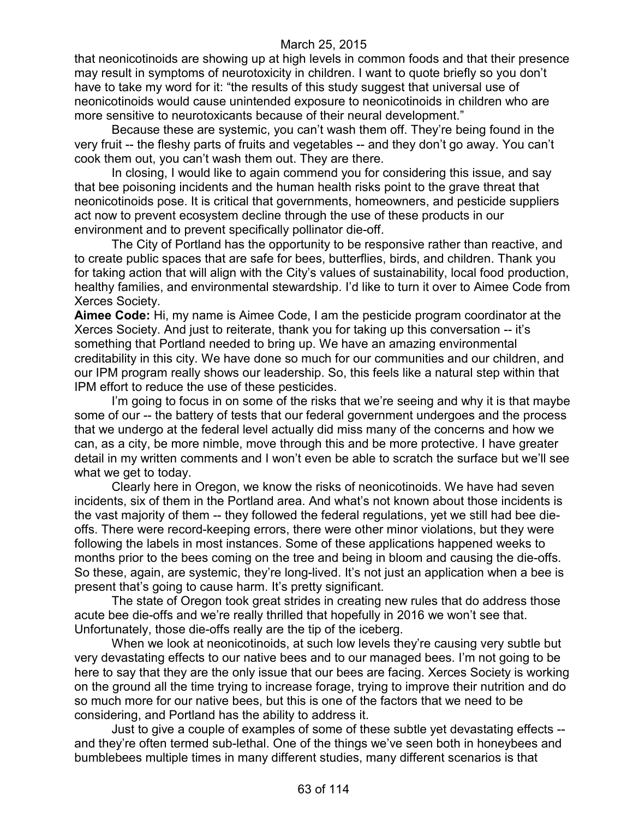that neonicotinoids are showing up at high levels in common foods and that their presence may result in symptoms of neurotoxicity in children. I want to quote briefly so you don't have to take my word for it: "the results of this study suggest that universal use of neonicotinoids would cause unintended exposure to neonicotinoids in children who are more sensitive to neurotoxicants because of their neural development."

Because these are systemic, you can't wash them off. They're being found in the very fruit -- the fleshy parts of fruits and vegetables -- and they don't go away. You can't cook them out, you can't wash them out. They are there.

In closing, I would like to again commend you for considering this issue, and say that bee poisoning incidents and the human health risks point to the grave threat that neonicotinoids pose. It is critical that governments, homeowners, and pesticide suppliers act now to prevent ecosystem decline through the use of these products in our environment and to prevent specifically pollinator die-off.

The City of Portland has the opportunity to be responsive rather than reactive, and to create public spaces that are safe for bees, butterflies, birds, and children. Thank you for taking action that will align with the City's values of sustainability, local food production, healthy families, and environmental stewardship. I'd like to turn it over to Aimee Code from Xerces Society.

**Aimee Code:** Hi, my name is Aimee Code, I am the pesticide program coordinator at the Xerces Society. And just to reiterate, thank you for taking up this conversation -- it's something that Portland needed to bring up. We have an amazing environmental creditability in this city. We have done so much for our communities and our children, and our IPM program really shows our leadership. So, this feels like a natural step within that IPM effort to reduce the use of these pesticides.

I'm going to focus in on some of the risks that we're seeing and why it is that maybe some of our -- the battery of tests that our federal government undergoes and the process that we undergo at the federal level actually did miss many of the concerns and how we can, as a city, be more nimble, move through this and be more protective. I have greater detail in my written comments and I won't even be able to scratch the surface but we'll see what we get to today.

Clearly here in Oregon, we know the risks of neonicotinoids. We have had seven incidents, six of them in the Portland area. And what's not known about those incidents is the vast majority of them -- they followed the federal regulations, yet we still had bee dieoffs. There were record-keeping errors, there were other minor violations, but they were following the labels in most instances. Some of these applications happened weeks to months prior to the bees coming on the tree and being in bloom and causing the die-offs. So these, again, are systemic, they're long-lived. It's not just an application when a bee is present that's going to cause harm. It's pretty significant.

The state of Oregon took great strides in creating new rules that do address those acute bee die-offs and we're really thrilled that hopefully in 2016 we won't see that. Unfortunately, those die-offs really are the tip of the iceberg.

When we look at neonicotinoids, at such low levels they're causing very subtle but very devastating effects to our native bees and to our managed bees. I'm not going to be here to say that they are the only issue that our bees are facing. Xerces Society is working on the ground all the time trying to increase forage, trying to improve their nutrition and do so much more for our native bees, but this is one of the factors that we need to be considering, and Portland has the ability to address it.

Just to give a couple of examples of some of these subtle yet devastating effects - and they're often termed sub-lethal. One of the things we've seen both in honeybees and bumblebees multiple times in many different studies, many different scenarios is that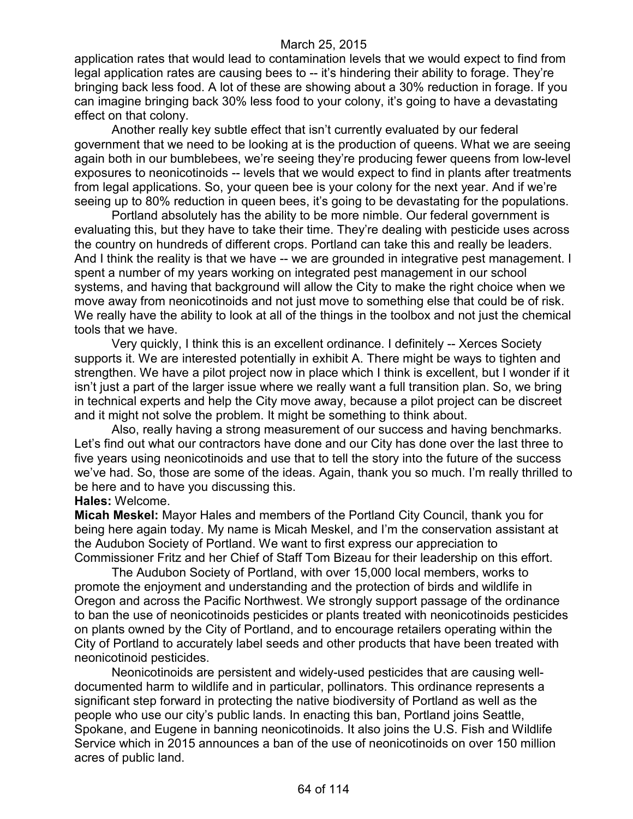application rates that would lead to contamination levels that we would expect to find from legal application rates are causing bees to -- it's hindering their ability to forage. They're bringing back less food. A lot of these are showing about a 30% reduction in forage. If you can imagine bringing back 30% less food to your colony, it's going to have a devastating effect on that colony.

Another really key subtle effect that isn't currently evaluated by our federal government that we need to be looking at is the production of queens. What we are seeing again both in our bumblebees, we're seeing they're producing fewer queens from low-level exposures to neonicotinoids -- levels that we would expect to find in plants after treatments from legal applications. So, your queen bee is your colony for the next year. And if we're seeing up to 80% reduction in queen bees, it's going to be devastating for the populations.

Portland absolutely has the ability to be more nimble. Our federal government is evaluating this, but they have to take their time. They're dealing with pesticide uses across the country on hundreds of different crops. Portland can take this and really be leaders. And I think the reality is that we have -- we are grounded in integrative pest management. I spent a number of my years working on integrated pest management in our school systems, and having that background will allow the City to make the right choice when we move away from neonicotinoids and not just move to something else that could be of risk. We really have the ability to look at all of the things in the toolbox and not just the chemical tools that we have.

Very quickly, I think this is an excellent ordinance. I definitely -- Xerces Society supports it. We are interested potentially in exhibit A. There might be ways to tighten and strengthen. We have a pilot project now in place which I think is excellent, but I wonder if it isn't just a part of the larger issue where we really want a full transition plan. So, we bring in technical experts and help the City move away, because a pilot project can be discreet and it might not solve the problem. It might be something to think about.

Also, really having a strong measurement of our success and having benchmarks. Let's find out what our contractors have done and our City has done over the last three to five years using neonicotinoids and use that to tell the story into the future of the success we've had. So, those are some of the ideas. Again, thank you so much. I'm really thrilled to be here and to have you discussing this.

### **Hales:** Welcome.

**Micah Meskel:** Mayor Hales and members of the Portland City Council, thank you for being here again today. My name is Micah Meskel, and I'm the conservation assistant at the Audubon Society of Portland. We want to first express our appreciation to Commissioner Fritz and her Chief of Staff Tom Bizeau for their leadership on this effort.

The Audubon Society of Portland, with over 15,000 local members, works to promote the enjoyment and understanding and the protection of birds and wildlife in Oregon and across the Pacific Northwest. We strongly support passage of the ordinance to ban the use of neonicotinoids pesticides or plants treated with neonicotinoids pesticides on plants owned by the City of Portland, and to encourage retailers operating within the City of Portland to accurately label seeds and other products that have been treated with neonicotinoid pesticides.

Neonicotinoids are persistent and widely-used pesticides that are causing welldocumented harm to wildlife and in particular, pollinators. This ordinance represents a significant step forward in protecting the native biodiversity of Portland as well as the people who use our city's public lands. In enacting this ban, Portland joins Seattle, Spokane, and Eugene in banning neonicotinoids. It also joins the U.S. Fish and Wildlife Service which in 2015 announces a ban of the use of neonicotinoids on over 150 million acres of public land.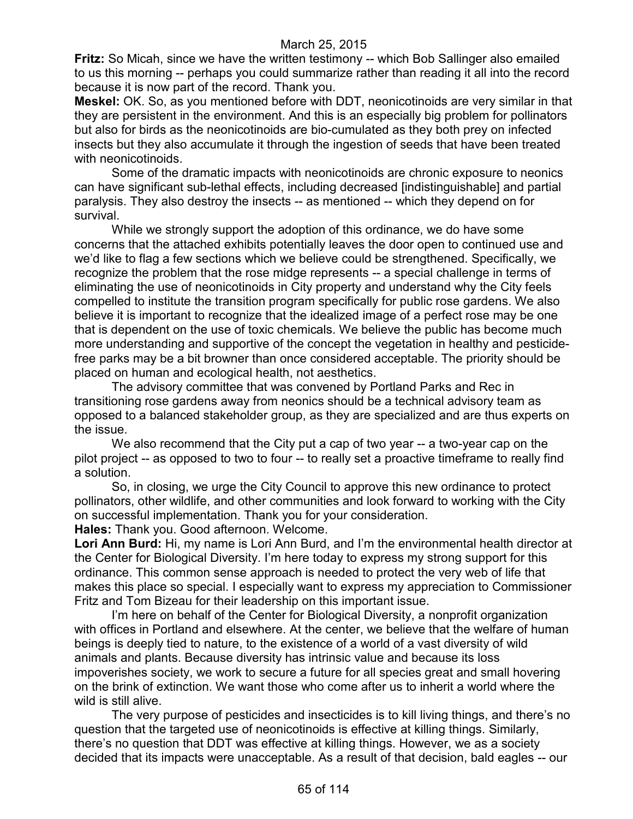**Fritz:** So Micah, since we have the written testimony -- which Bob Sallinger also emailed to us this morning -- perhaps you could summarize rather than reading it all into the record because it is now part of the record. Thank you.

**Meskel:** OK. So, as you mentioned before with DDT, neonicotinoids are very similar in that they are persistent in the environment. And this is an especially big problem for pollinators but also for birds as the neonicotinoids are bio-cumulated as they both prey on infected insects but they also accumulate it through the ingestion of seeds that have been treated with neonicotinoids.

Some of the dramatic impacts with neonicotinoids are chronic exposure to neonics can have significant sub-lethal effects, including decreased [indistinguishable] and partial paralysis. They also destroy the insects -- as mentioned -- which they depend on for survival.

While we strongly support the adoption of this ordinance, we do have some concerns that the attached exhibits potentially leaves the door open to continued use and we'd like to flag a few sections which we believe could be strengthened. Specifically, we recognize the problem that the rose midge represents -- a special challenge in terms of eliminating the use of neonicotinoids in City property and understand why the City feels compelled to institute the transition program specifically for public rose gardens. We also believe it is important to recognize that the idealized image of a perfect rose may be one that is dependent on the use of toxic chemicals. We believe the public has become much more understanding and supportive of the concept the vegetation in healthy and pesticidefree parks may be a bit browner than once considered acceptable. The priority should be placed on human and ecological health, not aesthetics.

The advisory committee that was convened by Portland Parks and Rec in transitioning rose gardens away from neonics should be a technical advisory team as opposed to a balanced stakeholder group, as they are specialized and are thus experts on the issue.

We also recommend that the City put a cap of two year -- a two-year cap on the pilot project -- as opposed to two to four -- to really set a proactive timeframe to really find a solution.

So, in closing, we urge the City Council to approve this new ordinance to protect pollinators, other wildlife, and other communities and look forward to working with the City on successful implementation. Thank you for your consideration.

**Hales:** Thank you. Good afternoon. Welcome.

**Lori Ann Burd:** Hi, my name is Lori Ann Burd, and I'm the environmental health director at the Center for Biological Diversity. I'm here today to express my strong support for this ordinance. This common sense approach is needed to protect the very web of life that makes this place so special. I especially want to express my appreciation to Commissioner Fritz and Tom Bizeau for their leadership on this important issue.

I'm here on behalf of the Center for Biological Diversity, a nonprofit organization with offices in Portland and elsewhere. At the center, we believe that the welfare of human beings is deeply tied to nature, to the existence of a world of a vast diversity of wild animals and plants. Because diversity has intrinsic value and because its loss impoverishes society, we work to secure a future for all species great and small hovering on the brink of extinction. We want those who come after us to inherit a world where the wild is still alive.

The very purpose of pesticides and insecticides is to kill living things, and there's no question that the targeted use of neonicotinoids is effective at killing things. Similarly, there's no question that DDT was effective at killing things. However, we as a society decided that its impacts were unacceptable. As a result of that decision, bald eagles -- our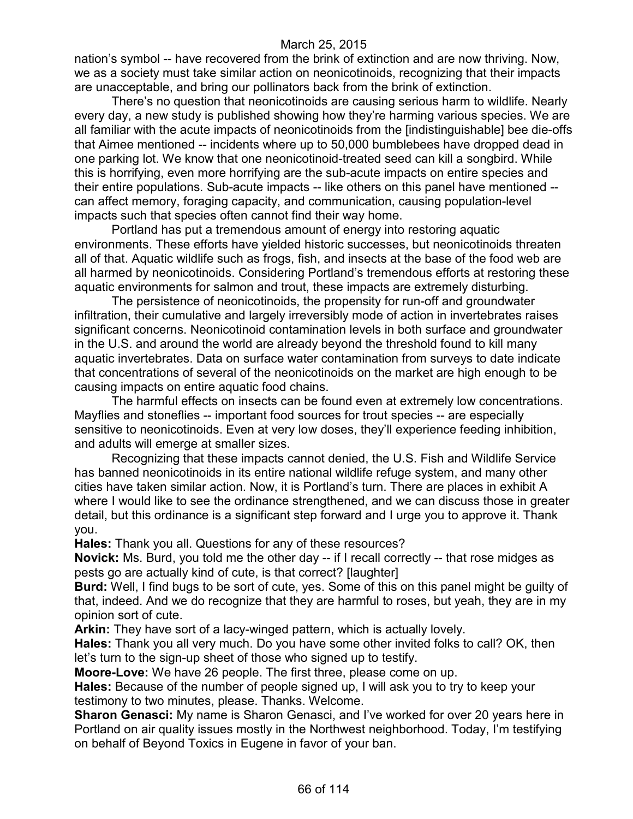nation's symbol -- have recovered from the brink of extinction and are now thriving. Now, we as a society must take similar action on neonicotinoids, recognizing that their impacts are unacceptable, and bring our pollinators back from the brink of extinction.

There's no question that neonicotinoids are causing serious harm to wildlife. Nearly every day, a new study is published showing how they're harming various species. We are all familiar with the acute impacts of neonicotinoids from the [indistinguishable] bee die-offs that Aimee mentioned -- incidents where up to 50,000 bumblebees have dropped dead in one parking lot. We know that one neonicotinoid-treated seed can kill a songbird. While this is horrifying, even more horrifying are the sub-acute impacts on entire species and their entire populations. Sub-acute impacts -- like others on this panel have mentioned - can affect memory, foraging capacity, and communication, causing population-level impacts such that species often cannot find their way home.

Portland has put a tremendous amount of energy into restoring aquatic environments. These efforts have yielded historic successes, but neonicotinoids threaten all of that. Aquatic wildlife such as frogs, fish, and insects at the base of the food web are all harmed by neonicotinoids. Considering Portland's tremendous efforts at restoring these aquatic environments for salmon and trout, these impacts are extremely disturbing.

The persistence of neonicotinoids, the propensity for run-off and groundwater infiltration, their cumulative and largely irreversibly mode of action in invertebrates raises significant concerns. Neonicotinoid contamination levels in both surface and groundwater in the U.S. and around the world are already beyond the threshold found to kill many aquatic invertebrates. Data on surface water contamination from surveys to date indicate that concentrations of several of the neonicotinoids on the market are high enough to be causing impacts on entire aquatic food chains.

The harmful effects on insects can be found even at extremely low concentrations. Mayflies and stoneflies -- important food sources for trout species -- are especially sensitive to neonicotinoids. Even at very low doses, they'll experience feeding inhibition, and adults will emerge at smaller sizes.

Recognizing that these impacts cannot denied, the U.S. Fish and Wildlife Service has banned neonicotinoids in its entire national wildlife refuge system, and many other cities have taken similar action. Now, it is Portland's turn. There are places in exhibit A where I would like to see the ordinance strengthened, and we can discuss those in greater detail, but this ordinance is a significant step forward and I urge you to approve it. Thank you.

**Hales:** Thank you all. Questions for any of these resources?

**Novick:** Ms. Burd, you told me the other day -- if I recall correctly -- that rose midges as pests go are actually kind of cute, is that correct? [laughter]

**Burd:** Well, I find bugs to be sort of cute, yes. Some of this on this panel might be guilty of that, indeed. And we do recognize that they are harmful to roses, but yeah, they are in my opinion sort of cute.

**Arkin:** They have sort of a lacy-winged pattern, which is actually lovely.

**Hales:** Thank you all very much. Do you have some other invited folks to call? OK, then let's turn to the sign-up sheet of those who signed up to testify.

**Moore-Love:** We have 26 people. The first three, please come on up.

**Hales:** Because of the number of people signed up, I will ask you to try to keep your testimony to two minutes, please. Thanks. Welcome.

**Sharon Genasci:** My name is Sharon Genasci, and I've worked for over 20 years here in Portland on air quality issues mostly in the Northwest neighborhood. Today, I'm testifying on behalf of Beyond Toxics in Eugene in favor of your ban.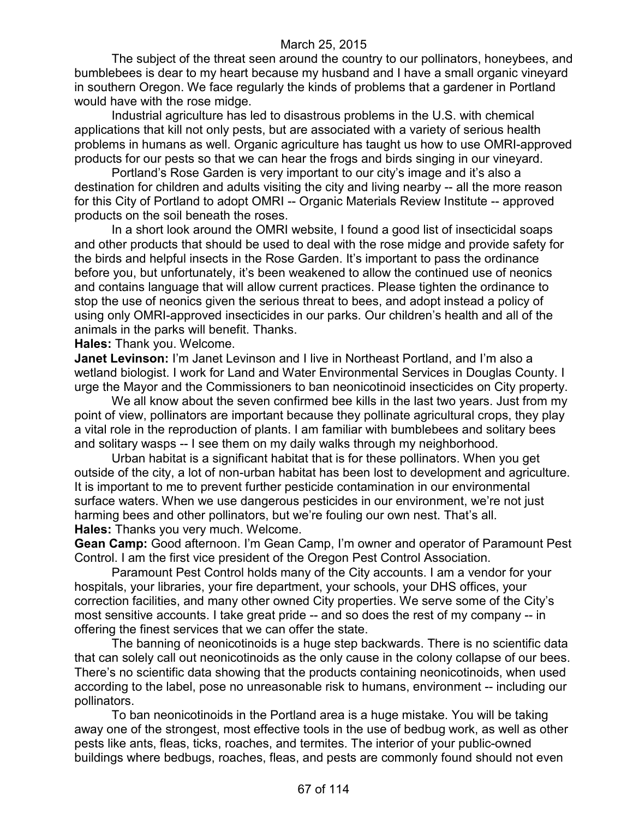The subject of the threat seen around the country to our pollinators, honeybees, and bumblebees is dear to my heart because my husband and I have a small organic vineyard in southern Oregon. We face regularly the kinds of problems that a gardener in Portland would have with the rose midge.

Industrial agriculture has led to disastrous problems in the U.S. with chemical applications that kill not only pests, but are associated with a variety of serious health problems in humans as well. Organic agriculture has taught us how to use OMRI-approved products for our pests so that we can hear the frogs and birds singing in our vineyard.

Portland's Rose Garden is very important to our city's image and it's also a destination for children and adults visiting the city and living nearby -- all the more reason for this City of Portland to adopt OMRI -- Organic Materials Review Institute -- approved products on the soil beneath the roses.

In a short look around the OMRI website, I found a good list of insecticidal soaps and other products that should be used to deal with the rose midge and provide safety for the birds and helpful insects in the Rose Garden. It's important to pass the ordinance before you, but unfortunately, it's been weakened to allow the continued use of neonics and contains language that will allow current practices. Please tighten the ordinance to stop the use of neonics given the serious threat to bees, and adopt instead a policy of using only OMRI-approved insecticides in our parks. Our children's health and all of the animals in the parks will benefit. Thanks.

**Hales:** Thank you. Welcome.

**Janet Levinson:** I'm Janet Levinson and I live in Northeast Portland, and I'm also a wetland biologist. I work for Land and Water Environmental Services in Douglas County. I urge the Mayor and the Commissioners to ban neonicotinoid insecticides on City property.

We all know about the seven confirmed bee kills in the last two years. Just from my point of view, pollinators are important because they pollinate agricultural crops, they play a vital role in the reproduction of plants. I am familiar with bumblebees and solitary bees and solitary wasps -- I see them on my daily walks through my neighborhood.

Urban habitat is a significant habitat that is for these pollinators. When you get outside of the city, a lot of non-urban habitat has been lost to development and agriculture. It is important to me to prevent further pesticide contamination in our environmental surface waters. When we use dangerous pesticides in our environment, we're not just harming bees and other pollinators, but we're fouling our own nest. That's all. **Hales:** Thanks you very much. Welcome.

**Gean Camp:** Good afternoon. I'm Gean Camp, I'm owner and operator of Paramount Pest Control. I am the first vice president of the Oregon Pest Control Association.

Paramount Pest Control holds many of the City accounts. I am a vendor for your hospitals, your libraries, your fire department, your schools, your DHS offices, your correction facilities, and many other owned City properties. We serve some of the City's most sensitive accounts. I take great pride -- and so does the rest of my company -- in offering the finest services that we can offer the state.

The banning of neonicotinoids is a huge step backwards. There is no scientific data that can solely call out neonicotinoids as the only cause in the colony collapse of our bees. There's no scientific data showing that the products containing neonicotinoids, when used according to the label, pose no unreasonable risk to humans, environment -- including our pollinators.

To ban neonicotinoids in the Portland area is a huge mistake. You will be taking away one of the strongest, most effective tools in the use of bedbug work, as well as other pests like ants, fleas, ticks, roaches, and termites. The interior of your public-owned buildings where bedbugs, roaches, fleas, and pests are commonly found should not even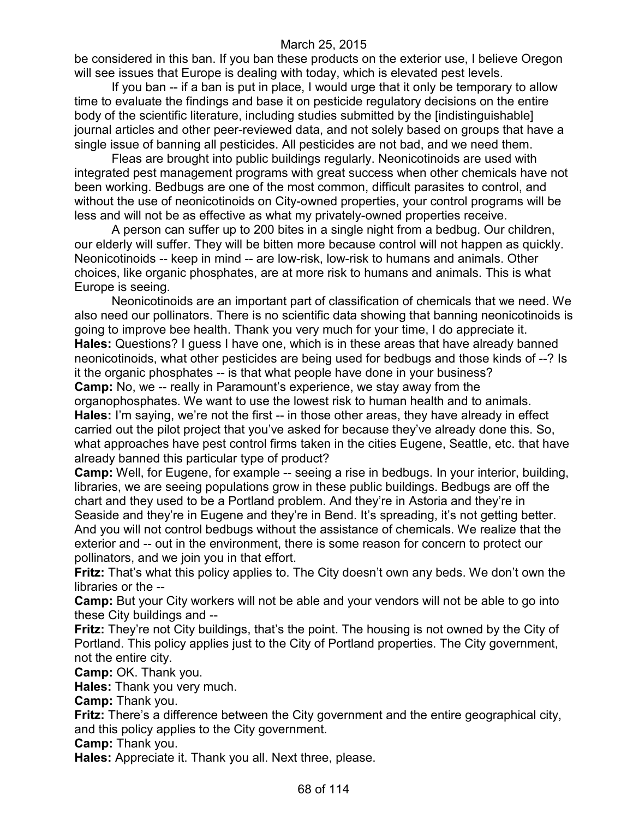be considered in this ban. If you ban these products on the exterior use, I believe Oregon will see issues that Europe is dealing with today, which is elevated pest levels.

If you ban -- if a ban is put in place, I would urge that it only be temporary to allow time to evaluate the findings and base it on pesticide regulatory decisions on the entire body of the scientific literature, including studies submitted by the [indistinguishable] journal articles and other peer-reviewed data, and not solely based on groups that have a single issue of banning all pesticides. All pesticides are not bad, and we need them.

Fleas are brought into public buildings regularly. Neonicotinoids are used with integrated pest management programs with great success when other chemicals have not been working. Bedbugs are one of the most common, difficult parasites to control, and without the use of neonicotinoids on City-owned properties, your control programs will be less and will not be as effective as what my privately-owned properties receive.

A person can suffer up to 200 bites in a single night from a bedbug. Our children, our elderly will suffer. They will be bitten more because control will not happen as quickly. Neonicotinoids -- keep in mind -- are low-risk, low-risk to humans and animals. Other choices, like organic phosphates, are at more risk to humans and animals. This is what Europe is seeing.

Neonicotinoids are an important part of classification of chemicals that we need. We also need our pollinators. There is no scientific data showing that banning neonicotinoids is going to improve bee health. Thank you very much for your time, I do appreciate it. **Hales:** Questions? I guess I have one, which is in these areas that have already banned neonicotinoids, what other pesticides are being used for bedbugs and those kinds of --? Is it the organic phosphates -- is that what people have done in your business? **Camp:** No, we -- really in Paramount's experience, we stay away from the organophosphates. We want to use the lowest risk to human health and to animals. **Hales:** I'm saying, we're not the first -- in those other areas, they have already in effect carried out the pilot project that you've asked for because they've already done this. So, what approaches have pest control firms taken in the cities Eugene, Seattle, etc. that have already banned this particular type of product?

**Camp:** Well, for Eugene, for example -- seeing a rise in bedbugs. In your interior, building, libraries, we are seeing populations grow in these public buildings. Bedbugs are off the chart and they used to be a Portland problem. And they're in Astoria and they're in Seaside and they're in Eugene and they're in Bend. It's spreading, it's not getting better. And you will not control bedbugs without the assistance of chemicals. We realize that the exterior and -- out in the environment, there is some reason for concern to protect our pollinators, and we join you in that effort.

**Fritz:** That's what this policy applies to. The City doesn't own any beds. We don't own the libraries or the --

**Camp:** But your City workers will not be able and your vendors will not be able to go into these City buildings and --

**Fritz:** They're not City buildings, that's the point. The housing is not owned by the City of Portland. This policy applies just to the City of Portland properties. The City government, not the entire city.

**Camp:** OK. Thank you.

**Hales:** Thank you very much.

**Camp:** Thank you.

**Fritz:** There's a difference between the City government and the entire geographical city, and this policy applies to the City government.

**Camp:** Thank you.

**Hales:** Appreciate it. Thank you all. Next three, please.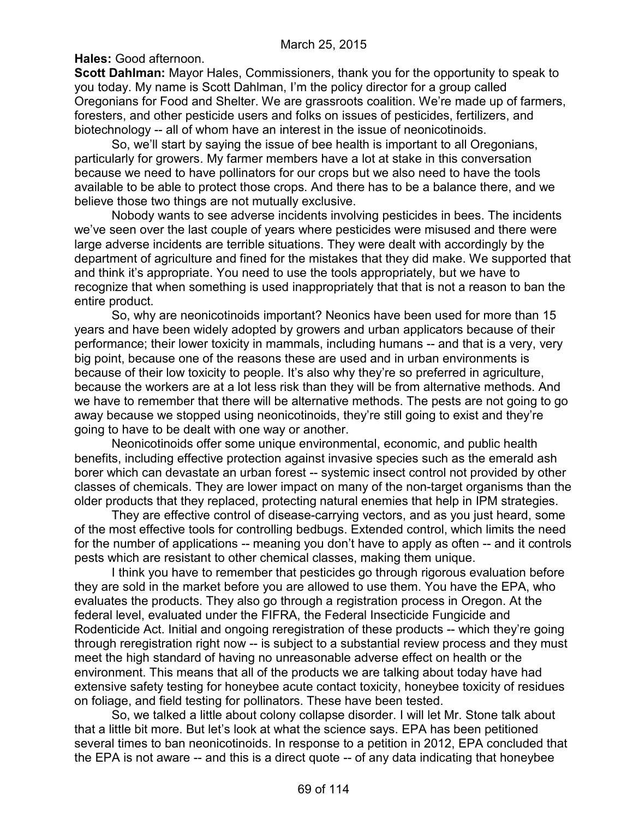**Hales:** Good afternoon.

**Scott Dahlman:** Mayor Hales, Commissioners, thank you for the opportunity to speak to you today. My name is Scott Dahlman, I'm the policy director for a group called Oregonians for Food and Shelter. We are grassroots coalition. We're made up of farmers, foresters, and other pesticide users and folks on issues of pesticides, fertilizers, and biotechnology -- all of whom have an interest in the issue of neonicotinoids.

So, we'll start by saying the issue of bee health is important to all Oregonians, particularly for growers. My farmer members have a lot at stake in this conversation because we need to have pollinators for our crops but we also need to have the tools available to be able to protect those crops. And there has to be a balance there, and we believe those two things are not mutually exclusive.

Nobody wants to see adverse incidents involving pesticides in bees. The incidents we've seen over the last couple of years where pesticides were misused and there were large adverse incidents are terrible situations. They were dealt with accordingly by the department of agriculture and fined for the mistakes that they did make. We supported that and think it's appropriate. You need to use the tools appropriately, but we have to recognize that when something is used inappropriately that that is not a reason to ban the entire product.

So, why are neonicotinoids important? Neonics have been used for more than 15 years and have been widely adopted by growers and urban applicators because of their performance; their lower toxicity in mammals, including humans -- and that is a very, very big point, because one of the reasons these are used and in urban environments is because of their low toxicity to people. It's also why they're so preferred in agriculture, because the workers are at a lot less risk than they will be from alternative methods. And we have to remember that there will be alternative methods. The pests are not going to go away because we stopped using neonicotinoids, they're still going to exist and they're going to have to be dealt with one way or another.

Neonicotinoids offer some unique environmental, economic, and public health benefits, including effective protection against invasive species such as the emerald ash borer which can devastate an urban forest -- systemic insect control not provided by other classes of chemicals. They are lower impact on many of the non-target organisms than the older products that they replaced, protecting natural enemies that help in IPM strategies.

They are effective control of disease-carrying vectors, and as you just heard, some of the most effective tools for controlling bedbugs. Extended control, which limits the need for the number of applications -- meaning you don't have to apply as often -- and it controls pests which are resistant to other chemical classes, making them unique.

I think you have to remember that pesticides go through rigorous evaluation before they are sold in the market before you are allowed to use them. You have the EPA, who evaluates the products. They also go through a registration process in Oregon. At the federal level, evaluated under the FIFRA, the Federal Insecticide Fungicide and Rodenticide Act. Initial and ongoing reregistration of these products -- which they're going through reregistration right now -- is subject to a substantial review process and they must meet the high standard of having no unreasonable adverse effect on health or the environment. This means that all of the products we are talking about today have had extensive safety testing for honeybee acute contact toxicity, honeybee toxicity of residues on foliage, and field testing for pollinators. These have been tested.

So, we talked a little about colony collapse disorder. I will let Mr. Stone talk about that a little bit more. But let's look at what the science says. EPA has been petitioned several times to ban neonicotinoids. In response to a petition in 2012, EPA concluded that the EPA is not aware -- and this is a direct quote -- of any data indicating that honeybee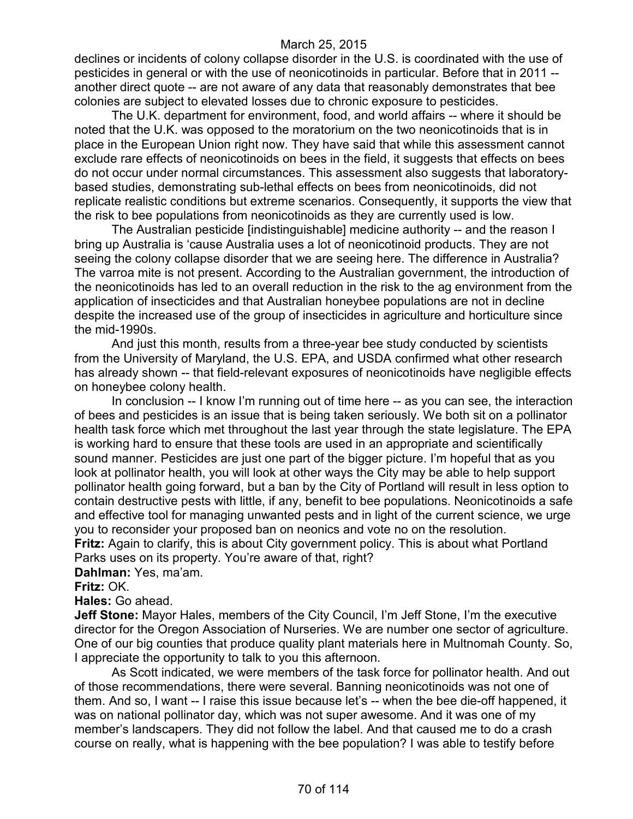declines or incidents of colony collapse disorder in the U.S. is coordinated with the use of pesticides in general or with the use of neonicotinoids in particular. Before that in 2011 - another direct quote -- are not aware of any data that reasonably demonstrates that bee colonies are subject to elevated losses due to chronic exposure to pesticides.

The U.K. department for environment, food, and world affairs -- where it should be noted that the U.K. was opposed to the moratorium on the two neonicotinoids that is in place in the European Union right now. They have said that while this assessment cannot exclude rare effects of neonicotinoids on bees in the field, it suggests that effects on bees do not occur under normal circumstances. This assessment also suggests that laboratorybased studies, demonstrating sub-lethal effects on bees from neonicotinoids, did not replicate realistic conditions but extreme scenarios. Consequently, it supports the view that the risk to bee populations from neonicotinoids as they are currently used is low.

The Australian pesticide [indistinguishable] medicine authority -- and the reason I bring up Australia is 'cause Australia uses a lot of neonicotinoid products. They are not seeing the colony collapse disorder that we are seeing here. The difference in Australia? The varroa mite is not present. According to the Australian government, the introduction of the neonicotinoids has led to an overall reduction in the risk to the ag environment from the application of insecticides and that Australian honeybee populations are not in decline despite the increased use of the group of insecticides in agriculture and horticulture since the mid-1990s.

And just this month, results from a three-year bee study conducted by scientists from the University of Maryland, the U.S. EPA, and USDA confirmed what other research has already shown -- that field-relevant exposures of neonicotinoids have negligible effects on honeybee colony health.

In conclusion -- I know I'm running out of time here -- as you can see, the interaction of bees and pesticides is an issue that is being taken seriously. We both sit on a pollinator health task force which met throughout the last year through the state legislature. The EPA is working hard to ensure that these tools are used in an appropriate and scientifically sound manner. Pesticides are just one part of the bigger picture. I'm hopeful that as you look at pollinator health, you will look at other ways the City may be able to help support pollinator health going forward, but a ban by the City of Portland will result in less option to contain destructive pests with little, if any, benefit to bee populations. Neonicotinoids a safe and effective tool for managing unwanted pests and in light of the current science, we urge you to reconsider your proposed ban on neonics and vote no on the resolution. **Fritz:** Again to clarify, this is about City government policy. This is about what Portland

Parks uses on its property. You're aware of that, right?

**Dahlman:** Yes, ma'am.

**Fritz:** OK.

**Hales:** Go ahead.

**Jeff Stone:** Mayor Hales, members of the City Council, I'm Jeff Stone, I'm the executive director for the Oregon Association of Nurseries. We are number one sector of agriculture. One of our big counties that produce quality plant materials here in Multnomah County. So, I appreciate the opportunity to talk to you this afternoon.

As Scott indicated, we were members of the task force for pollinator health. And out of those recommendations, there were several. Banning neonicotinoids was not one of them. And so, I want -- I raise this issue because let's -- when the bee die-off happened, it was on national pollinator day, which was not super awesome. And it was one of my member's landscapers. They did not follow the label. And that caused me to do a crash course on really, what is happening with the bee population? I was able to testify before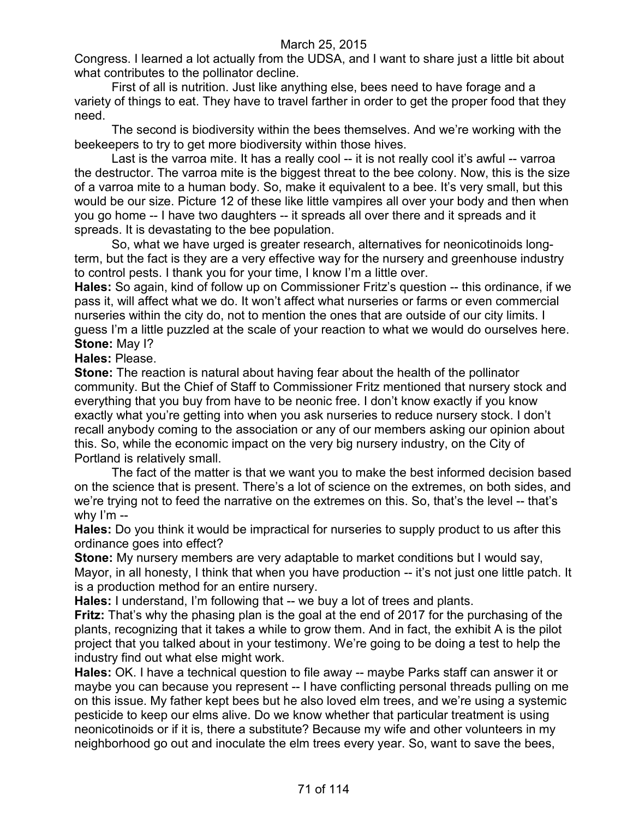Congress. I learned a lot actually from the UDSA, and I want to share just a little bit about what contributes to the pollinator decline.

First of all is nutrition. Just like anything else, bees need to have forage and a variety of things to eat. They have to travel farther in order to get the proper food that they need.

The second is biodiversity within the bees themselves. And we're working with the beekeepers to try to get more biodiversity within those hives.

Last is the varroa mite. It has a really cool -- it is not really cool it's awful -- varroa the destructor. The varroa mite is the biggest threat to the bee colony. Now, this is the size of a varroa mite to a human body. So, make it equivalent to a bee. It's very small, but this would be our size. Picture 12 of these like little vampires all over your body and then when you go home -- I have two daughters -- it spreads all over there and it spreads and it spreads. It is devastating to the bee population.

So, what we have urged is greater research, alternatives for neonicotinoids longterm, but the fact is they are a very effective way for the nursery and greenhouse industry to control pests. I thank you for your time, I know I'm a little over.

**Hales:** So again, kind of follow up on Commissioner Fritz's question -- this ordinance, if we pass it, will affect what we do. It won't affect what nurseries or farms or even commercial nurseries within the city do, not to mention the ones that are outside of our city limits. I guess I'm a little puzzled at the scale of your reaction to what we would do ourselves here. **Stone:** May I?

**Hales:** Please.

**Stone:** The reaction is natural about having fear about the health of the pollinator community. But the Chief of Staff to Commissioner Fritz mentioned that nursery stock and everything that you buy from have to be neonic free. I don't know exactly if you know exactly what you're getting into when you ask nurseries to reduce nursery stock. I don't recall anybody coming to the association or any of our members asking our opinion about this. So, while the economic impact on the very big nursery industry, on the City of Portland is relatively small.

The fact of the matter is that we want you to make the best informed decision based on the science that is present. There's a lot of science on the extremes, on both sides, and we're trying not to feed the narrative on the extremes on this. So, that's the level -- that's why  $\lim$  --

**Hales:** Do you think it would be impractical for nurseries to supply product to us after this ordinance goes into effect?

**Stone:** My nursery members are very adaptable to market conditions but I would say, Mayor, in all honesty, I think that when you have production -- it's not just one little patch. It is a production method for an entire nursery.

**Hales:** I understand, I'm following that -- we buy a lot of trees and plants.

**Fritz:** That's why the phasing plan is the goal at the end of 2017 for the purchasing of the plants, recognizing that it takes a while to grow them. And in fact, the exhibit A is the pilot project that you talked about in your testimony. We're going to be doing a test to help the industry find out what else might work.

**Hales:** OK. I have a technical question to file away -- maybe Parks staff can answer it or maybe you can because you represent -- I have conflicting personal threads pulling on me on this issue. My father kept bees but he also loved elm trees, and we're using a systemic pesticide to keep our elms alive. Do we know whether that particular treatment is using neonicotinoids or if it is, there a substitute? Because my wife and other volunteers in my neighborhood go out and inoculate the elm trees every year. So, want to save the bees,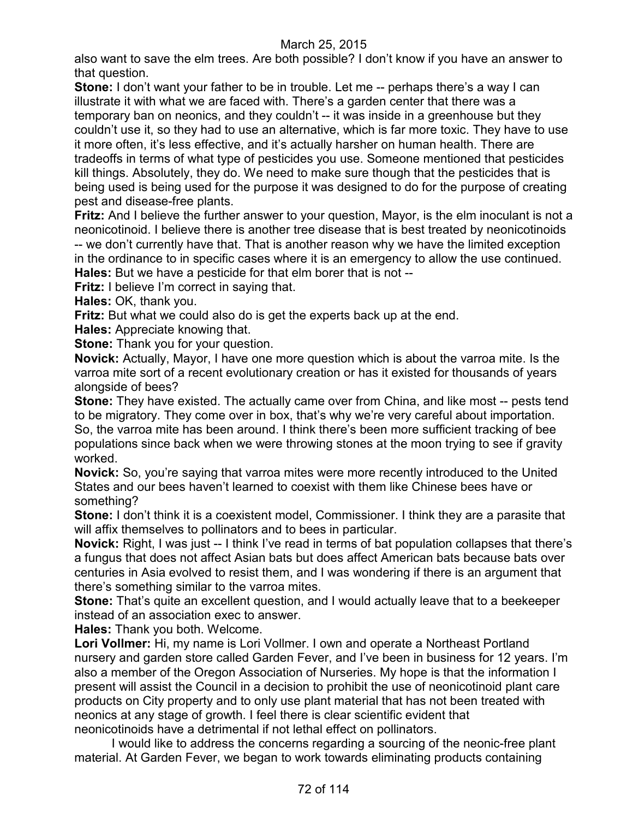also want to save the elm trees. Are both possible? I don't know if you have an answer to that question.

**Stone:** I don't want your father to be in trouble. Let me -- perhaps there's a way I can illustrate it with what we are faced with. There's a garden center that there was a temporary ban on neonics, and they couldn't -- it was inside in a greenhouse but they couldn't use it, so they had to use an alternative, which is far more toxic. They have to use it more often, it's less effective, and it's actually harsher on human health. There are tradeoffs in terms of what type of pesticides you use. Someone mentioned that pesticides kill things. Absolutely, they do. We need to make sure though that the pesticides that is being used is being used for the purpose it was designed to do for the purpose of creating pest and disease-free plants.

**Fritz:** And I believe the further answer to your question, Mayor, is the elm inoculant is not a neonicotinoid. I believe there is another tree disease that is best treated by neonicotinoids -- we don't currently have that. That is another reason why we have the limited exception in the ordinance to in specific cases where it is an emergency to allow the use continued. **Hales:** But we have a pesticide for that elm borer that is not --

**Fritz:** I believe I'm correct in saying that.

**Hales:** OK, thank you.

**Fritz:** But what we could also do is get the experts back up at the end.

**Hales:** Appreciate knowing that.

**Stone:** Thank you for your question.

**Novick:** Actually, Mayor, I have one more question which is about the varroa mite. Is the varroa mite sort of a recent evolutionary creation or has it existed for thousands of years alongside of bees?

**Stone:** They have existed. The actually came over from China, and like most -- pests tend to be migratory. They come over in box, that's why we're very careful about importation. So, the varroa mite has been around. I think there's been more sufficient tracking of bee populations since back when we were throwing stones at the moon trying to see if gravity worked.

**Novick:** So, you're saying that varroa mites were more recently introduced to the United States and our bees haven't learned to coexist with them like Chinese bees have or something?

**Stone:** I don't think it is a coexistent model, Commissioner. I think they are a parasite that will affix themselves to pollinators and to bees in particular.

**Novick:** Right, I was just -- I think I've read in terms of bat population collapses that there's a fungus that does not affect Asian bats but does affect American bats because bats over centuries in Asia evolved to resist them, and I was wondering if there is an argument that there's something similar to the varroa mites.

**Stone:** That's quite an excellent question, and I would actually leave that to a beekeeper instead of an association exec to answer.

**Hales:** Thank you both. Welcome.

**Lori Vollmer:** Hi, my name is Lori Vollmer. I own and operate a Northeast Portland nursery and garden store called Garden Fever, and I've been in business for 12 years. I'm also a member of the Oregon Association of Nurseries. My hope is that the information I present will assist the Council in a decision to prohibit the use of neonicotinoid plant care products on City property and to only use plant material that has not been treated with neonics at any stage of growth. I feel there is clear scientific evident that neonicotinoids have a detrimental if not lethal effect on pollinators.

I would like to address the concerns regarding a sourcing of the neonic-free plant material. At Garden Fever, we began to work towards eliminating products containing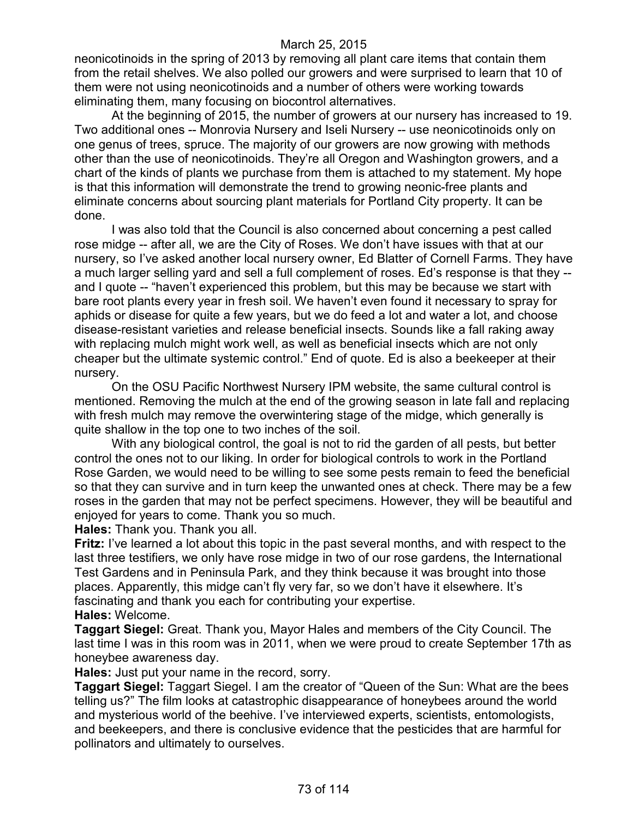neonicotinoids in the spring of 2013 by removing all plant care items that contain them from the retail shelves. We also polled our growers and were surprised to learn that 10 of them were not using neonicotinoids and a number of others were working towards eliminating them, many focusing on biocontrol alternatives.

At the beginning of 2015, the number of growers at our nursery has increased to 19. Two additional ones -- Monrovia Nursery and Iseli Nursery -- use neonicotinoids only on one genus of trees, spruce. The majority of our growers are now growing with methods other than the use of neonicotinoids. They're all Oregon and Washington growers, and a chart of the kinds of plants we purchase from them is attached to my statement. My hope is that this information will demonstrate the trend to growing neonic-free plants and eliminate concerns about sourcing plant materials for Portland City property. It can be done.

I was also told that the Council is also concerned about concerning a pest called rose midge -- after all, we are the City of Roses. We don't have issues with that at our nursery, so I've asked another local nursery owner, Ed Blatter of Cornell Farms. They have a much larger selling yard and sell a full complement of roses. Ed's response is that they - and I quote -- "haven't experienced this problem, but this may be because we start with bare root plants every year in fresh soil. We haven't even found it necessary to spray for aphids or disease for quite a few years, but we do feed a lot and water a lot, and choose disease-resistant varieties and release beneficial insects. Sounds like a fall raking away with replacing mulch might work well, as well as beneficial insects which are not only cheaper but the ultimate systemic control." End of quote. Ed is also a beekeeper at their nursery.

On the OSU Pacific Northwest Nursery IPM website, the same cultural control is mentioned. Removing the mulch at the end of the growing season in late fall and replacing with fresh mulch may remove the overwintering stage of the midge, which generally is quite shallow in the top one to two inches of the soil.

With any biological control, the goal is not to rid the garden of all pests, but better control the ones not to our liking. In order for biological controls to work in the Portland Rose Garden, we would need to be willing to see some pests remain to feed the beneficial so that they can survive and in turn keep the unwanted ones at check. There may be a few roses in the garden that may not be perfect specimens. However, they will be beautiful and enjoyed for years to come. Thank you so much.

**Hales:** Thank you. Thank you all.

**Fritz:** I've learned a lot about this topic in the past several months, and with respect to the last three testifiers, we only have rose midge in two of our rose gardens, the International Test Gardens and in Peninsula Park, and they think because it was brought into those places. Apparently, this midge can't fly very far, so we don't have it elsewhere. It's fascinating and thank you each for contributing your expertise.

**Hales:** Welcome.

**Taggart Siegel:** Great. Thank you, Mayor Hales and members of the City Council. The last time I was in this room was in 2011, when we were proud to create September 17th as honeybee awareness day.

**Hales:** Just put your name in the record, sorry.

**Taggart Siegel:** Taggart Siegel. I am the creator of "Queen of the Sun: What are the bees telling us?" The film looks at catastrophic disappearance of honeybees around the world and mysterious world of the beehive. I've interviewed experts, scientists, entomologists, and beekeepers, and there is conclusive evidence that the pesticides that are harmful for pollinators and ultimately to ourselves.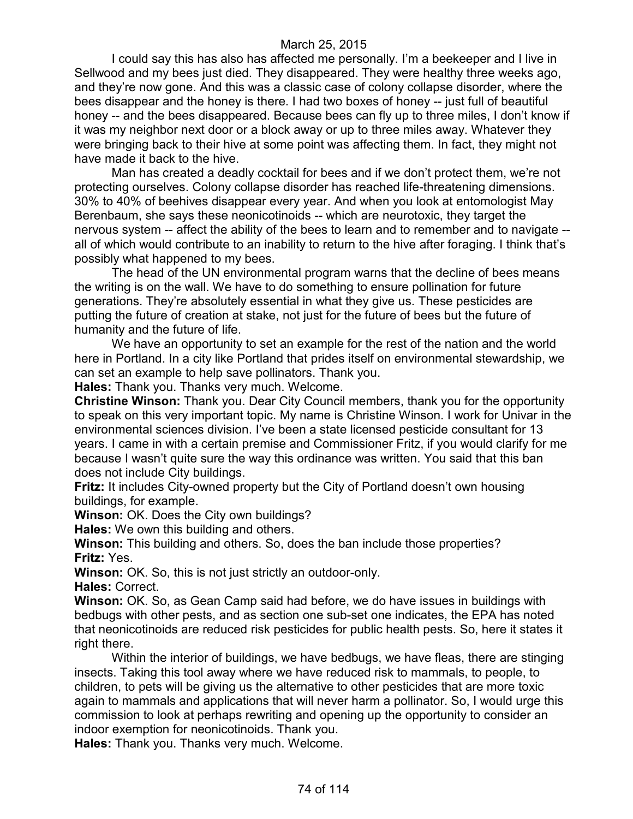I could say this has also has affected me personally. I'm a beekeeper and I live in Sellwood and my bees just died. They disappeared. They were healthy three weeks ago, and they're now gone. And this was a classic case of colony collapse disorder, where the bees disappear and the honey is there. I had two boxes of honey -- just full of beautiful honey -- and the bees disappeared. Because bees can fly up to three miles, I don't know if it was my neighbor next door or a block away or up to three miles away. Whatever they were bringing back to their hive at some point was affecting them. In fact, they might not have made it back to the hive.

Man has created a deadly cocktail for bees and if we don't protect them, we're not protecting ourselves. Colony collapse disorder has reached life-threatening dimensions. 30% to 40% of beehives disappear every year. And when you look at entomologist May Berenbaum, she says these neonicotinoids -- which are neurotoxic, they target the nervous system -- affect the ability of the bees to learn and to remember and to navigate - all of which would contribute to an inability to return to the hive after foraging. I think that's possibly what happened to my bees.

The head of the UN environmental program warns that the decline of bees means the writing is on the wall. We have to do something to ensure pollination for future generations. They're absolutely essential in what they give us. These pesticides are putting the future of creation at stake, not just for the future of bees but the future of humanity and the future of life.

We have an opportunity to set an example for the rest of the nation and the world here in Portland. In a city like Portland that prides itself on environmental stewardship, we can set an example to help save pollinators. Thank you.

**Hales:** Thank you. Thanks very much. Welcome.

**Christine Winson:** Thank you. Dear City Council members, thank you for the opportunity to speak on this very important topic. My name is Christine Winson. I work for Univar in the environmental sciences division. I've been a state licensed pesticide consultant for 13 years. I came in with a certain premise and Commissioner Fritz, if you would clarify for me because I wasn't quite sure the way this ordinance was written. You said that this ban does not include City buildings.

**Fritz:** It includes City-owned property but the City of Portland doesn't own housing buildings, for example.

**Winson:** OK. Does the City own buildings?

**Hales:** We own this building and others.

**Winson:** This building and others. So, does the ban include those properties? **Fritz:** Yes.

**Winson:** OK. So, this is not just strictly an outdoor-only.

**Hales:** Correct.

**Winson:** OK. So, as Gean Camp said had before, we do have issues in buildings with bedbugs with other pests, and as section one sub-set one indicates, the EPA has noted that neonicotinoids are reduced risk pesticides for public health pests. So, here it states it right there.

Within the interior of buildings, we have bedbugs, we have fleas, there are stinging insects. Taking this tool away where we have reduced risk to mammals, to people, to children, to pets will be giving us the alternative to other pesticides that are more toxic again to mammals and applications that will never harm a pollinator. So, I would urge this commission to look at perhaps rewriting and opening up the opportunity to consider an indoor exemption for neonicotinoids. Thank you.

**Hales:** Thank you. Thanks very much. Welcome.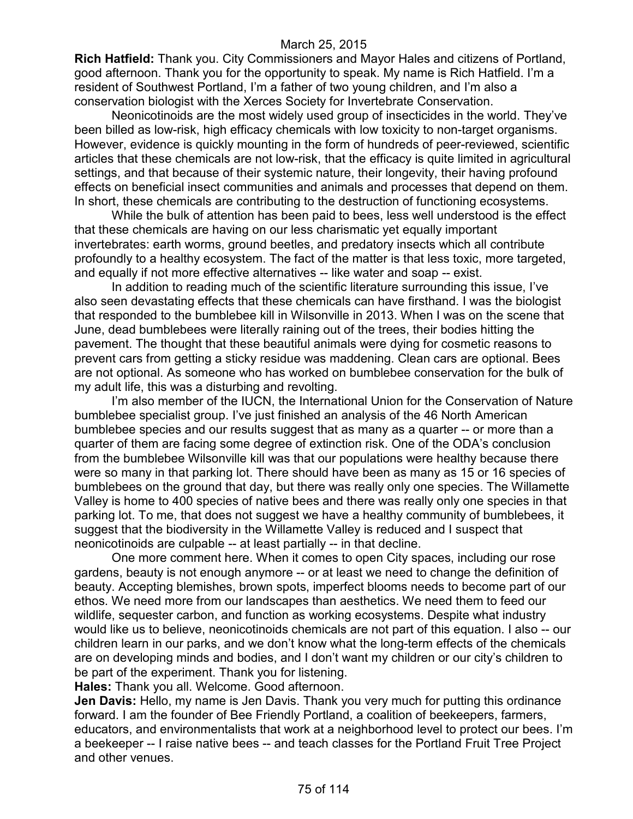**Rich Hatfield:** Thank you. City Commissioners and Mayor Hales and citizens of Portland, good afternoon. Thank you for the opportunity to speak. My name is Rich Hatfield. I'm a resident of Southwest Portland, I'm a father of two young children, and I'm also a conservation biologist with the Xerces Society for Invertebrate Conservation.

Neonicotinoids are the most widely used group of insecticides in the world. They've been billed as low-risk, high efficacy chemicals with low toxicity to non-target organisms. However, evidence is quickly mounting in the form of hundreds of peer-reviewed, scientific articles that these chemicals are not low-risk, that the efficacy is quite limited in agricultural settings, and that because of their systemic nature, their longevity, their having profound effects on beneficial insect communities and animals and processes that depend on them. In short, these chemicals are contributing to the destruction of functioning ecosystems.

While the bulk of attention has been paid to bees, less well understood is the effect that these chemicals are having on our less charismatic yet equally important invertebrates: earth worms, ground beetles, and predatory insects which all contribute profoundly to a healthy ecosystem. The fact of the matter is that less toxic, more targeted, and equally if not more effective alternatives -- like water and soap -- exist.

In addition to reading much of the scientific literature surrounding this issue, I've also seen devastating effects that these chemicals can have firsthand. I was the biologist that responded to the bumblebee kill in Wilsonville in 2013. When I was on the scene that June, dead bumblebees were literally raining out of the trees, their bodies hitting the pavement. The thought that these beautiful animals were dying for cosmetic reasons to prevent cars from getting a sticky residue was maddening. Clean cars are optional. Bees are not optional. As someone who has worked on bumblebee conservation for the bulk of my adult life, this was a disturbing and revolting.

I'm also member of the IUCN, the International Union for the Conservation of Nature bumblebee specialist group. I've just finished an analysis of the 46 North American bumblebee species and our results suggest that as many as a quarter -- or more than a quarter of them are facing some degree of extinction risk. One of the ODA's conclusion from the bumblebee Wilsonville kill was that our populations were healthy because there were so many in that parking lot. There should have been as many as 15 or 16 species of bumblebees on the ground that day, but there was really only one species. The Willamette Valley is home to 400 species of native bees and there was really only one species in that parking lot. To me, that does not suggest we have a healthy community of bumblebees, it suggest that the biodiversity in the Willamette Valley is reduced and I suspect that neonicotinoids are culpable -- at least partially -- in that decline.

One more comment here. When it comes to open City spaces, including our rose gardens, beauty is not enough anymore -- or at least we need to change the definition of beauty. Accepting blemishes, brown spots, imperfect blooms needs to become part of our ethos. We need more from our landscapes than aesthetics. We need them to feed our wildlife, sequester carbon, and function as working ecosystems. Despite what industry would like us to believe, neonicotinoids chemicals are not part of this equation. I also -- our children learn in our parks, and we don't know what the long-term effects of the chemicals are on developing minds and bodies, and I don't want my children or our city's children to be part of the experiment. Thank you for listening.

**Hales:** Thank you all. Welcome. Good afternoon.

**Jen Davis:** Hello, my name is Jen Davis. Thank you very much for putting this ordinance forward. I am the founder of Bee Friendly Portland, a coalition of beekeepers, farmers, educators, and environmentalists that work at a neighborhood level to protect our bees. I'm a beekeeper -- I raise native bees -- and teach classes for the Portland Fruit Tree Project and other venues.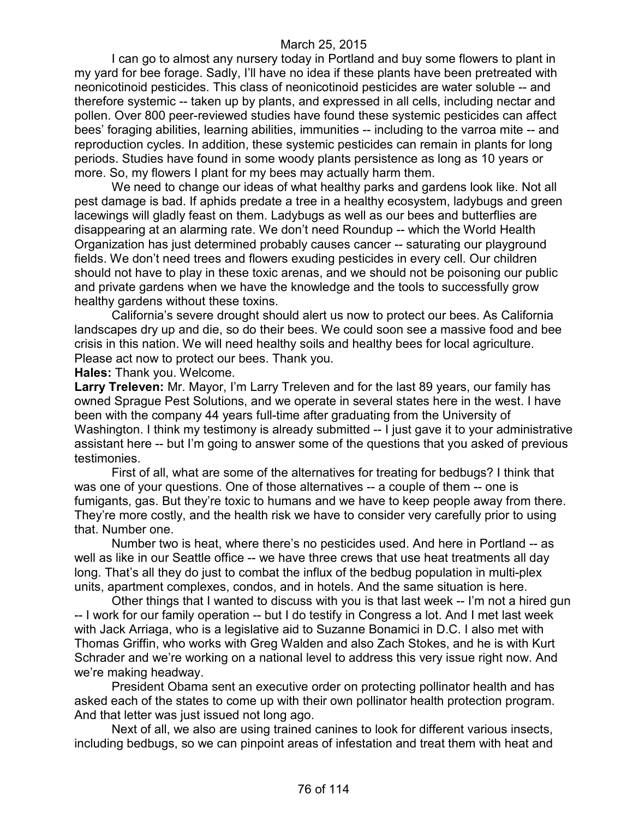I can go to almost any nursery today in Portland and buy some flowers to plant in my yard for bee forage. Sadly, I'll have no idea if these plants have been pretreated with neonicotinoid pesticides. This class of neonicotinoid pesticides are water soluble -- and therefore systemic -- taken up by plants, and expressed in all cells, including nectar and pollen. Over 800 peer-reviewed studies have found these systemic pesticides can affect bees' foraging abilities, learning abilities, immunities -- including to the varroa mite -- and reproduction cycles. In addition, these systemic pesticides can remain in plants for long periods. Studies have found in some woody plants persistence as long as 10 years or more. So, my flowers I plant for my bees may actually harm them.

We need to change our ideas of what healthy parks and gardens look like. Not all pest damage is bad. If aphids predate a tree in a healthy ecosystem, ladybugs and green lacewings will gladly feast on them. Ladybugs as well as our bees and butterflies are disappearing at an alarming rate. We don't need Roundup -- which the World Health Organization has just determined probably causes cancer -- saturating our playground fields. We don't need trees and flowers exuding pesticides in every cell. Our children should not have to play in these toxic arenas, and we should not be poisoning our public and private gardens when we have the knowledge and the tools to successfully grow healthy gardens without these toxins.

California's severe drought should alert us now to protect our bees. As California landscapes dry up and die, so do their bees. We could soon see a massive food and bee crisis in this nation. We will need healthy soils and healthy bees for local agriculture. Please act now to protect our bees. Thank you.

**Hales:** Thank you. Welcome.

**Larry Treleven:** Mr. Mayor, I'm Larry Treleven and for the last 89 years, our family has owned Sprague Pest Solutions, and we operate in several states here in the west. I have been with the company 44 years full-time after graduating from the University of Washington. I think my testimony is already submitted -- I just gave it to your administrative assistant here -- but I'm going to answer some of the questions that you asked of previous testimonies.

First of all, what are some of the alternatives for treating for bedbugs? I think that was one of your questions. One of those alternatives -- a couple of them -- one is fumigants, gas. But they're toxic to humans and we have to keep people away from there. They're more costly, and the health risk we have to consider very carefully prior to using that. Number one.

Number two is heat, where there's no pesticides used. And here in Portland -- as well as like in our Seattle office -- we have three crews that use heat treatments all day long. That's all they do just to combat the influx of the bedbug population in multi-plex units, apartment complexes, condos, and in hotels. And the same situation is here.

Other things that I wanted to discuss with you is that last week -- I'm not a hired gun -- I work for our family operation -- but I do testify in Congress a lot. And I met last week with Jack Arriaga, who is a legislative aid to Suzanne Bonamici in D.C. I also met with Thomas Griffin, who works with Greg Walden and also Zach Stokes, and he is with Kurt Schrader and we're working on a national level to address this very issue right now. And we're making headway.

President Obama sent an executive order on protecting pollinator health and has asked each of the states to come up with their own pollinator health protection program. And that letter was just issued not long ago.

Next of all, we also are using trained canines to look for different various insects, including bedbugs, so we can pinpoint areas of infestation and treat them with heat and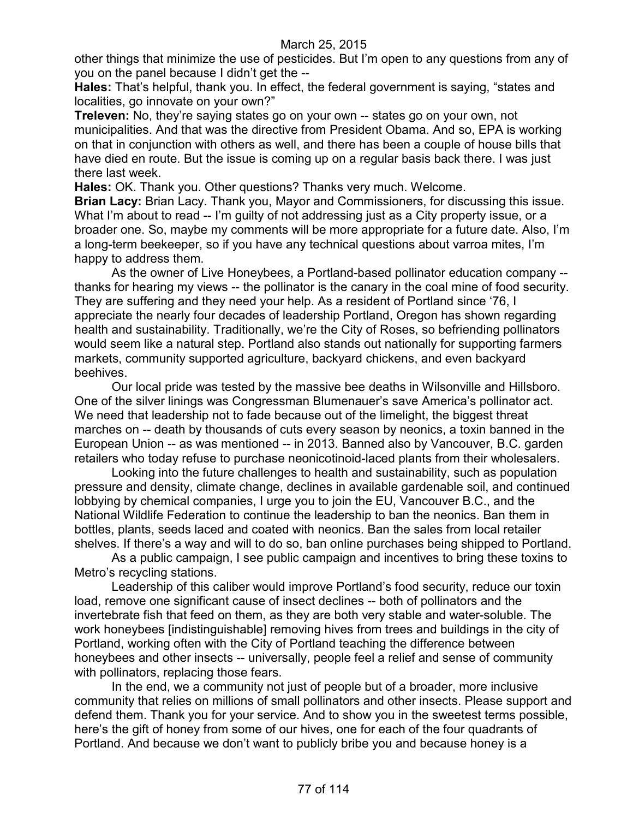other things that minimize the use of pesticides. But I'm open to any questions from any of you on the panel because I didn't get the --

**Hales:** That's helpful, thank you. In effect, the federal government is saying, "states and localities, go innovate on your own?"

**Treleven:** No, they're saying states go on your own -- states go on your own, not municipalities. And that was the directive from President Obama. And so, EPA is working on that in conjunction with others as well, and there has been a couple of house bills that have died en route. But the issue is coming up on a regular basis back there. I was just there last week.

**Hales:** OK. Thank you. Other questions? Thanks very much. Welcome.

**Brian Lacy:** Brian Lacy. Thank you, Mayor and Commissioners, for discussing this issue. What I'm about to read -- I'm guilty of not addressing just as a City property issue, or a broader one. So, maybe my comments will be more appropriate for a future date. Also, I'm a long-term beekeeper, so if you have any technical questions about varroa mites, I'm happy to address them.

As the owner of Live Honeybees, a Portland-based pollinator education company - thanks for hearing my views -- the pollinator is the canary in the coal mine of food security. They are suffering and they need your help. As a resident of Portland since '76, I appreciate the nearly four decades of leadership Portland, Oregon has shown regarding health and sustainability. Traditionally, we're the City of Roses, so befriending pollinators would seem like a natural step. Portland also stands out nationally for supporting farmers markets, community supported agriculture, backyard chickens, and even backyard beehives.

Our local pride was tested by the massive bee deaths in Wilsonville and Hillsboro. One of the silver linings was Congressman Blumenauer's save America's pollinator act. We need that leadership not to fade because out of the limelight, the biggest threat marches on -- death by thousands of cuts every season by neonics, a toxin banned in the European Union -- as was mentioned -- in 2013. Banned also by Vancouver, B.C. garden retailers who today refuse to purchase neonicotinoid-laced plants from their wholesalers.

Looking into the future challenges to health and sustainability, such as population pressure and density, climate change, declines in available gardenable soil, and continued lobbying by chemical companies, I urge you to join the EU, Vancouver B.C., and the National Wildlife Federation to continue the leadership to ban the neonics. Ban them in bottles, plants, seeds laced and coated with neonics. Ban the sales from local retailer shelves. If there's a way and will to do so, ban online purchases being shipped to Portland.

As a public campaign, I see public campaign and incentives to bring these toxins to Metro's recycling stations.

Leadership of this caliber would improve Portland's food security, reduce our toxin load, remove one significant cause of insect declines -- both of pollinators and the invertebrate fish that feed on them, as they are both very stable and water-soluble. The work honeybees [indistinguishable] removing hives from trees and buildings in the city of Portland, working often with the City of Portland teaching the difference between honeybees and other insects -- universally, people feel a relief and sense of community with pollinators, replacing those fears.

In the end, we a community not just of people but of a broader, more inclusive community that relies on millions of small pollinators and other insects. Please support and defend them. Thank you for your service. And to show you in the sweetest terms possible, here's the gift of honey from some of our hives, one for each of the four quadrants of Portland. And because we don't want to publicly bribe you and because honey is a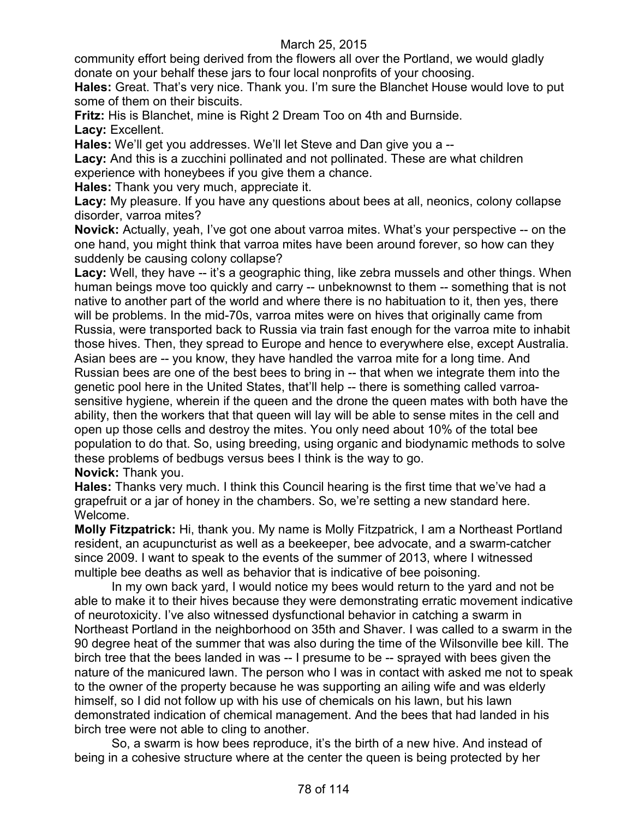community effort being derived from the flowers all over the Portland, we would gladly donate on your behalf these jars to four local nonprofits of your choosing.

**Hales:** Great. That's very nice. Thank you. I'm sure the Blanchet House would love to put some of them on their biscuits.

**Fritz:** His is Blanchet, mine is Right 2 Dream Too on 4th and Burnside. Lacy: Excellent.

**Hales:** We'll get you addresses. We'll let Steve and Dan give you a --

**Lacy:** And this is a zucchini pollinated and not pollinated. These are what children experience with honeybees if you give them a chance.

**Hales:** Thank you very much, appreciate it.

**Lacy:** My pleasure. If you have any questions about bees at all, neonics, colony collapse disorder, varroa mites?

**Novick:** Actually, yeah, I've got one about varroa mites. What's your perspective -- on the one hand, you might think that varroa mites have been around forever, so how can they suddenly be causing colony collapse?

Lacy: Well, they have -- it's a geographic thing, like zebra mussels and other things. When human beings move too quickly and carry -- unbeknownst to them -- something that is not native to another part of the world and where there is no habituation to it, then yes, there will be problems. In the mid-70s, varroa mites were on hives that originally came from Russia, were transported back to Russia via train fast enough for the varroa mite to inhabit those hives. Then, they spread to Europe and hence to everywhere else, except Australia. Asian bees are -- you know, they have handled the varroa mite for a long time. And Russian bees are one of the best bees to bring in -- that when we integrate them into the genetic pool here in the United States, that'll help -- there is something called varroasensitive hygiene, wherein if the queen and the drone the queen mates with both have the ability, then the workers that that queen will lay will be able to sense mites in the cell and open up those cells and destroy the mites. You only need about 10% of the total bee population to do that. So, using breeding, using organic and biodynamic methods to solve these problems of bedbugs versus bees I think is the way to go. **Novick:** Thank you.

**Hales:** Thanks very much. I think this Council hearing is the first time that we've had a grapefruit or a jar of honey in the chambers. So, we're setting a new standard here. Welcome.

**Molly Fitzpatrick:** Hi, thank you. My name is Molly Fitzpatrick, I am a Northeast Portland resident, an acupuncturist as well as a beekeeper, bee advocate, and a swarm-catcher since 2009. I want to speak to the events of the summer of 2013, where I witnessed multiple bee deaths as well as behavior that is indicative of bee poisoning.

In my own back yard, I would notice my bees would return to the yard and not be able to make it to their hives because they were demonstrating erratic movement indicative of neurotoxicity. I've also witnessed dysfunctional behavior in catching a swarm in Northeast Portland in the neighborhood on 35th and Shaver. I was called to a swarm in the 90 degree heat of the summer that was also during the time of the Wilsonville bee kill. The birch tree that the bees landed in was -- I presume to be -- sprayed with bees given the nature of the manicured lawn. The person who I was in contact with asked me not to speak to the owner of the property because he was supporting an ailing wife and was elderly himself, so I did not follow up with his use of chemicals on his lawn, but his lawn demonstrated indication of chemical management. And the bees that had landed in his birch tree were not able to cling to another.

So, a swarm is how bees reproduce, it's the birth of a new hive. And instead of being in a cohesive structure where at the center the queen is being protected by her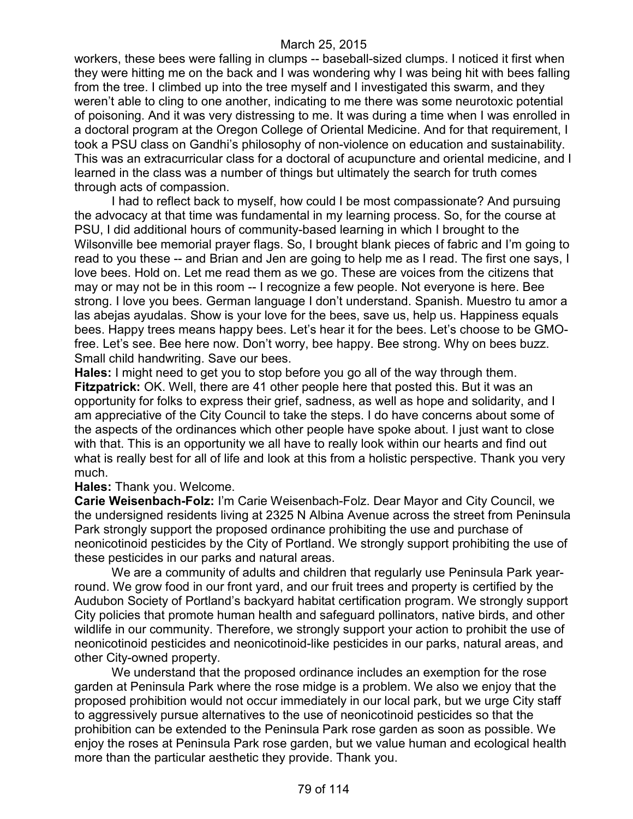workers, these bees were falling in clumps -- baseball-sized clumps. I noticed it first when they were hitting me on the back and I was wondering why I was being hit with bees falling from the tree. I climbed up into the tree myself and I investigated this swarm, and they weren't able to cling to one another, indicating to me there was some neurotoxic potential of poisoning. And it was very distressing to me. It was during a time when I was enrolled in a doctoral program at the Oregon College of Oriental Medicine. And for that requirement, I took a PSU class on Gandhi's philosophy of non-violence on education and sustainability. This was an extracurricular class for a doctoral of acupuncture and oriental medicine, and I learned in the class was a number of things but ultimately the search for truth comes through acts of compassion.

I had to reflect back to myself, how could I be most compassionate? And pursuing the advocacy at that time was fundamental in my learning process. So, for the course at PSU, I did additional hours of community-based learning in which I brought to the Wilsonville bee memorial prayer flags. So, I brought blank pieces of fabric and I'm going to read to you these -- and Brian and Jen are going to help me as I read. The first one says, I love bees. Hold on. Let me read them as we go. These are voices from the citizens that may or may not be in this room -- I recognize a few people. Not everyone is here. Bee strong. I love you bees. German language I don't understand. Spanish. Muestro tu amor a las abejas ayudalas. Show is your love for the bees, save us, help us. Happiness equals bees. Happy trees means happy bees. Let's hear it for the bees. Let's choose to be GMOfree. Let's see. Bee here now. Don't worry, bee happy. Bee strong. Why on bees buzz. Small child handwriting. Save our bees.

**Hales:** I might need to get you to stop before you go all of the way through them. **Fitzpatrick:** OK. Well, there are 41 other people here that posted this. But it was an opportunity for folks to express their grief, sadness, as well as hope and solidarity, and I am appreciative of the City Council to take the steps. I do have concerns about some of the aspects of the ordinances which other people have spoke about. I just want to close with that. This is an opportunity we all have to really look within our hearts and find out what is really best for all of life and look at this from a holistic perspective. Thank you very much.

#### **Hales:** Thank you. Welcome.

**Carie Weisenbach-Folz:** I'm Carie Weisenbach-Folz. Dear Mayor and City Council, we the undersigned residents living at 2325 N Albina Avenue across the street from Peninsula Park strongly support the proposed ordinance prohibiting the use and purchase of neonicotinoid pesticides by the City of Portland. We strongly support prohibiting the use of these pesticides in our parks and natural areas.

We are a community of adults and children that regularly use Peninsula Park yearround. We grow food in our front yard, and our fruit trees and property is certified by the Audubon Society of Portland's backyard habitat certification program. We strongly support City policies that promote human health and safeguard pollinators, native birds, and other wildlife in our community. Therefore, we strongly support your action to prohibit the use of neonicotinoid pesticides and neonicotinoid-like pesticides in our parks, natural areas, and other City-owned property.

We understand that the proposed ordinance includes an exemption for the rose garden at Peninsula Park where the rose midge is a problem. We also we enjoy that the proposed prohibition would not occur immediately in our local park, but we urge City staff to aggressively pursue alternatives to the use of neonicotinoid pesticides so that the prohibition can be extended to the Peninsula Park rose garden as soon as possible. We enjoy the roses at Peninsula Park rose garden, but we value human and ecological health more than the particular aesthetic they provide. Thank you.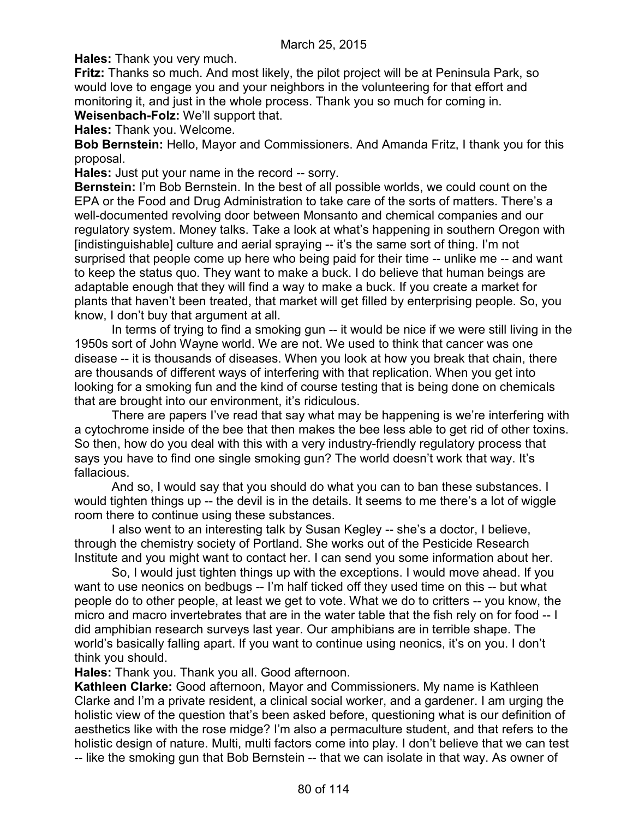**Hales:** Thank you very much.

**Fritz:** Thanks so much. And most likely, the pilot project will be at Peninsula Park, so would love to engage you and your neighbors in the volunteering for that effort and monitoring it, and just in the whole process. Thank you so much for coming in.

**Weisenbach-Folz:** We'll support that.

**Hales:** Thank you. Welcome.

**Bob Bernstein:** Hello, Mayor and Commissioners. And Amanda Fritz, I thank you for this proposal.

**Hales:** Just put your name in the record -- sorry.

**Bernstein:** I'm Bob Bernstein. In the best of all possible worlds, we could count on the EPA or the Food and Drug Administration to take care of the sorts of matters. There's a well-documented revolving door between Monsanto and chemical companies and our regulatory system. Money talks. Take a look at what's happening in southern Oregon with [indistinguishable] culture and aerial spraying -- it's the same sort of thing. I'm not surprised that people come up here who being paid for their time -- unlike me -- and want to keep the status quo. They want to make a buck. I do believe that human beings are adaptable enough that they will find a way to make a buck. If you create a market for plants that haven't been treated, that market will get filled by enterprising people. So, you know, I don't buy that argument at all.

In terms of trying to find a smoking gun -- it would be nice if we were still living in the 1950s sort of John Wayne world. We are not. We used to think that cancer was one disease -- it is thousands of diseases. When you look at how you break that chain, there are thousands of different ways of interfering with that replication. When you get into looking for a smoking fun and the kind of course testing that is being done on chemicals that are brought into our environment, it's ridiculous.

There are papers I've read that say what may be happening is we're interfering with a cytochrome inside of the bee that then makes the bee less able to get rid of other toxins. So then, how do you deal with this with a very industry-friendly regulatory process that says you have to find one single smoking gun? The world doesn't work that way. It's fallacious.

And so, I would say that you should do what you can to ban these substances. I would tighten things up -- the devil is in the details. It seems to me there's a lot of wiggle room there to continue using these substances.

I also went to an interesting talk by Susan Kegley -- she's a doctor, I believe, through the chemistry society of Portland. She works out of the Pesticide Research Institute and you might want to contact her. I can send you some information about her.

So, I would just tighten things up with the exceptions. I would move ahead. If you want to use neonics on bedbugs -- I'm half ticked off they used time on this -- but what people do to other people, at least we get to vote. What we do to critters -- you know, the micro and macro invertebrates that are in the water table that the fish rely on for food -- I did amphibian research surveys last year. Our amphibians are in terrible shape. The world's basically falling apart. If you want to continue using neonics, it's on you. I don't think you should.

**Hales:** Thank you. Thank you all. Good afternoon.

**Kathleen Clarke:** Good afternoon, Mayor and Commissioners. My name is Kathleen Clarke and I'm a private resident, a clinical social worker, and a gardener. I am urging the holistic view of the question that's been asked before, questioning what is our definition of aesthetics like with the rose midge? I'm also a permaculture student, and that refers to the holistic design of nature. Multi, multi factors come into play. I don't believe that we can test -- like the smoking gun that Bob Bernstein -- that we can isolate in that way. As owner of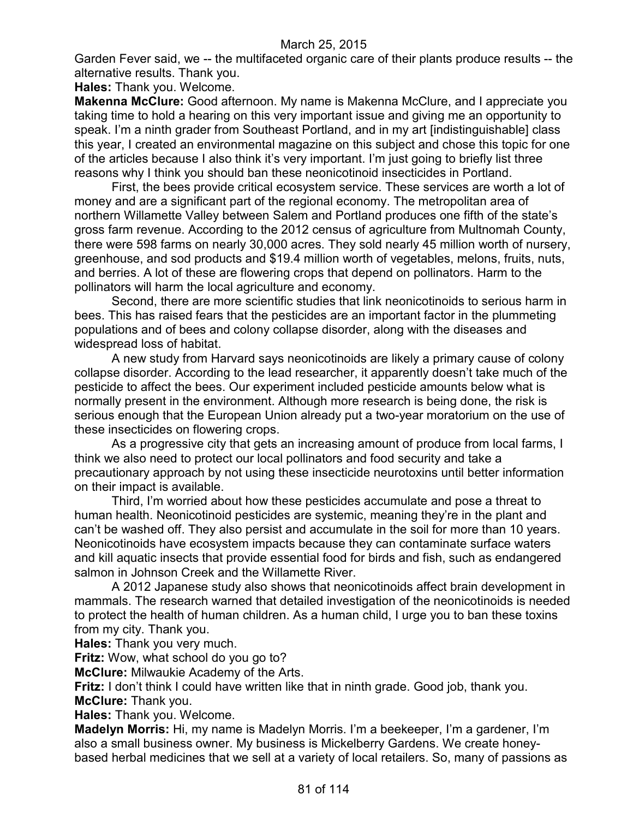Garden Fever said, we -- the multifaceted organic care of their plants produce results -- the alternative results. Thank you.

**Hales:** Thank you. Welcome.

**Makenna McClure:** Good afternoon. My name is Makenna McClure, and I appreciate you taking time to hold a hearing on this very important issue and giving me an opportunity to speak. I'm a ninth grader from Southeast Portland, and in my art [indistinguishable] class this year, I created an environmental magazine on this subject and chose this topic for one of the articles because I also think it's very important. I'm just going to briefly list three reasons why I think you should ban these neonicotinoid insecticides in Portland.

First, the bees provide critical ecosystem service. These services are worth a lot of money and are a significant part of the regional economy. The metropolitan area of northern Willamette Valley between Salem and Portland produces one fifth of the state's gross farm revenue. According to the 2012 census of agriculture from Multnomah County, there were 598 farms on nearly 30,000 acres. They sold nearly 45 million worth of nursery, greenhouse, and sod products and \$19.4 million worth of vegetables, melons, fruits, nuts, and berries. A lot of these are flowering crops that depend on pollinators. Harm to the pollinators will harm the local agriculture and economy.

Second, there are more scientific studies that link neonicotinoids to serious harm in bees. This has raised fears that the pesticides are an important factor in the plummeting populations and of bees and colony collapse disorder, along with the diseases and widespread loss of habitat.

A new study from Harvard says neonicotinoids are likely a primary cause of colony collapse disorder. According to the lead researcher, it apparently doesn't take much of the pesticide to affect the bees. Our experiment included pesticide amounts below what is normally present in the environment. Although more research is being done, the risk is serious enough that the European Union already put a two-year moratorium on the use of these insecticides on flowering crops.

As a progressive city that gets an increasing amount of produce from local farms, I think we also need to protect our local pollinators and food security and take a precautionary approach by not using these insecticide neurotoxins until better information on their impact is available.

Third, I'm worried about how these pesticides accumulate and pose a threat to human health. Neonicotinoid pesticides are systemic, meaning they're in the plant and can't be washed off. They also persist and accumulate in the soil for more than 10 years. Neonicotinoids have ecosystem impacts because they can contaminate surface waters and kill aquatic insects that provide essential food for birds and fish, such as endangered salmon in Johnson Creek and the Willamette River.

A 2012 Japanese study also shows that neonicotinoids affect brain development in mammals. The research warned that detailed investigation of the neonicotinoids is needed to protect the health of human children. As a human child, I urge you to ban these toxins from my city. Thank you.

**Hales:** Thank you very much.

**Fritz:** Wow, what school do you go to?

**McClure:** Milwaukie Academy of the Arts.

**Fritz:** I don't think I could have written like that in ninth grade. Good job, thank you. **McClure:** Thank you.

**Hales:** Thank you. Welcome.

**Madelyn Morris:** Hi, my name is Madelyn Morris. I'm a beekeeper, I'm a gardener, I'm also a small business owner. My business is Mickelberry Gardens. We create honeybased herbal medicines that we sell at a variety of local retailers. So, many of passions as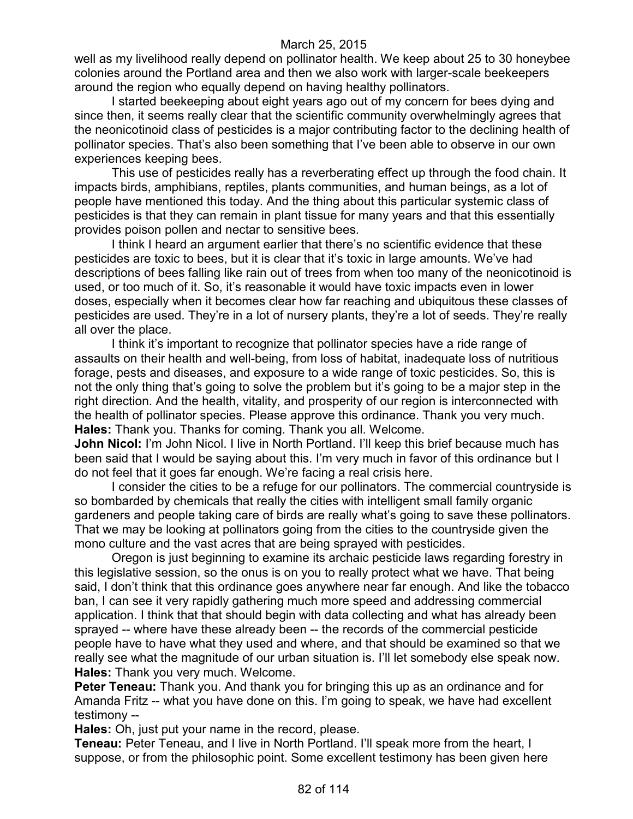well as my livelihood really depend on pollinator health. We keep about 25 to 30 honeybee colonies around the Portland area and then we also work with larger-scale beekeepers around the region who equally depend on having healthy pollinators.

I started beekeeping about eight years ago out of my concern for bees dying and since then, it seems really clear that the scientific community overwhelmingly agrees that the neonicotinoid class of pesticides is a major contributing factor to the declining health of pollinator species. That's also been something that I've been able to observe in our own experiences keeping bees.

This use of pesticides really has a reverberating effect up through the food chain. It impacts birds, amphibians, reptiles, plants communities, and human beings, as a lot of people have mentioned this today. And the thing about this particular systemic class of pesticides is that they can remain in plant tissue for many years and that this essentially provides poison pollen and nectar to sensitive bees.

I think I heard an argument earlier that there's no scientific evidence that these pesticides are toxic to bees, but it is clear that it's toxic in large amounts. We've had descriptions of bees falling like rain out of trees from when too many of the neonicotinoid is used, or too much of it. So, it's reasonable it would have toxic impacts even in lower doses, especially when it becomes clear how far reaching and ubiquitous these classes of pesticides are used. They're in a lot of nursery plants, they're a lot of seeds. They're really all over the place.

I think it's important to recognize that pollinator species have a ride range of assaults on their health and well-being, from loss of habitat, inadequate loss of nutritious forage, pests and diseases, and exposure to a wide range of toxic pesticides. So, this is not the only thing that's going to solve the problem but it's going to be a major step in the right direction. And the health, vitality, and prosperity of our region is interconnected with the health of pollinator species. Please approve this ordinance. Thank you very much. **Hales:** Thank you. Thanks for coming. Thank you all. Welcome.

**John Nicol:** I'm John Nicol. I live in North Portland. I'll keep this brief because much has been said that I would be saying about this. I'm very much in favor of this ordinance but I do not feel that it goes far enough. We're facing a real crisis here.

I consider the cities to be a refuge for our pollinators. The commercial countryside is so bombarded by chemicals that really the cities with intelligent small family organic gardeners and people taking care of birds are really what's going to save these pollinators. That we may be looking at pollinators going from the cities to the countryside given the mono culture and the vast acres that are being sprayed with pesticides.

Oregon is just beginning to examine its archaic pesticide laws regarding forestry in this legislative session, so the onus is on you to really protect what we have. That being said, I don't think that this ordinance goes anywhere near far enough. And like the tobacco ban, I can see it very rapidly gathering much more speed and addressing commercial application. I think that that should begin with data collecting and what has already been sprayed -- where have these already been -- the records of the commercial pesticide people have to have what they used and where, and that should be examined so that we really see what the magnitude of our urban situation is. I'll let somebody else speak now. **Hales:** Thank you very much. Welcome.

**Peter Teneau:** Thank you. And thank you for bringing this up as an ordinance and for Amanda Fritz -- what you have done on this. I'm going to speak, we have had excellent testimony --

**Hales:** Oh, just put your name in the record, please.

**Teneau:** Peter Teneau, and I live in North Portland. I'll speak more from the heart, I suppose, or from the philosophic point. Some excellent testimony has been given here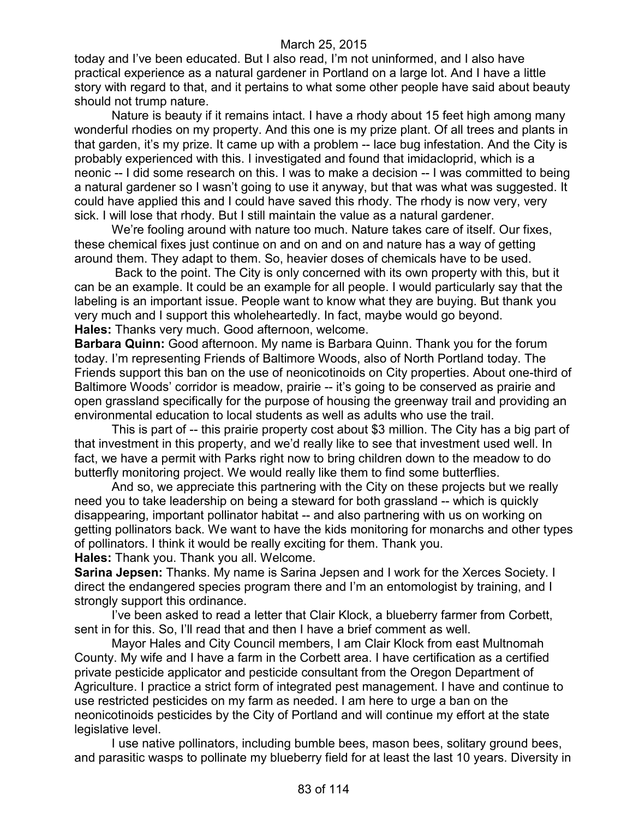today and I've been educated. But I also read, I'm not uninformed, and I also have practical experience as a natural gardener in Portland on a large lot. And I have a little story with regard to that, and it pertains to what some other people have said about beauty should not trump nature.

Nature is beauty if it remains intact. I have a rhody about 15 feet high among many wonderful rhodies on my property. And this one is my prize plant. Of all trees and plants in that garden, it's my prize. It came up with a problem -- lace bug infestation. And the City is probably experienced with this. I investigated and found that imidacloprid, which is a neonic -- I did some research on this. I was to make a decision -- I was committed to being a natural gardener so I wasn't going to use it anyway, but that was what was suggested. It could have applied this and I could have saved this rhody. The rhody is now very, very sick. I will lose that rhody. But I still maintain the value as a natural gardener.

We're fooling around with nature too much. Nature takes care of itself. Our fixes, these chemical fixes just continue on and on and on and nature has a way of getting around them. They adapt to them. So, heavier doses of chemicals have to be used.

Back to the point. The City is only concerned with its own property with this, but it can be an example. It could be an example for all people. I would particularly say that the labeling is an important issue. People want to know what they are buying. But thank you very much and I support this wholeheartedly. In fact, maybe would go beyond. **Hales:** Thanks very much. Good afternoon, welcome.

**Barbara Quinn:** Good afternoon. My name is Barbara Quinn. Thank you for the forum today. I'm representing Friends of Baltimore Woods, also of North Portland today. The Friends support this ban on the use of neonicotinoids on City properties. About one-third of Baltimore Woods' corridor is meadow, prairie -- it's going to be conserved as prairie and open grassland specifically for the purpose of housing the greenway trail and providing an environmental education to local students as well as adults who use the trail.

This is part of -- this prairie property cost about \$3 million. The City has a big part of that investment in this property, and we'd really like to see that investment used well. In fact, we have a permit with Parks right now to bring children down to the meadow to do butterfly monitoring project. We would really like them to find some butterflies.

And so, we appreciate this partnering with the City on these projects but we really need you to take leadership on being a steward for both grassland -- which is quickly disappearing, important pollinator habitat -- and also partnering with us on working on getting pollinators back. We want to have the kids monitoring for monarchs and other types of pollinators. I think it would be really exciting for them. Thank you. **Hales:** Thank you. Thank you all. Welcome.

**Sarina Jepsen:** Thanks. My name is Sarina Jepsen and I work for the Xerces Society. I direct the endangered species program there and I'm an entomologist by training, and I strongly support this ordinance.

I've been asked to read a letter that Clair Klock, a blueberry farmer from Corbett, sent in for this. So, I'll read that and then I have a brief comment as well.

Mayor Hales and City Council members, I am Clair Klock from east Multnomah County. My wife and I have a farm in the Corbett area. I have certification as a certified private pesticide applicator and pesticide consultant from the Oregon Department of Agriculture. I practice a strict form of integrated pest management. I have and continue to use restricted pesticides on my farm as needed. I am here to urge a ban on the neonicotinoids pesticides by the City of Portland and will continue my effort at the state legislative level.

I use native pollinators, including bumble bees, mason bees, solitary ground bees, and parasitic wasps to pollinate my blueberry field for at least the last 10 years. Diversity in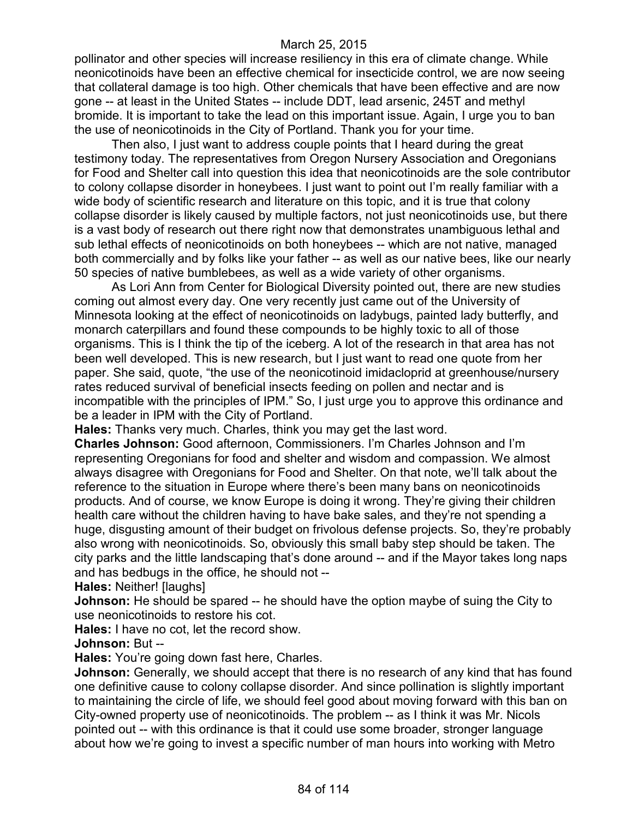pollinator and other species will increase resiliency in this era of climate change. While neonicotinoids have been an effective chemical for insecticide control, we are now seeing that collateral damage is too high. Other chemicals that have been effective and are now gone -- at least in the United States -- include DDT, lead arsenic, 245T and methyl bromide. It is important to take the lead on this important issue. Again, I urge you to ban the use of neonicotinoids in the City of Portland. Thank you for your time.

Then also, I just want to address couple points that I heard during the great testimony today. The representatives from Oregon Nursery Association and Oregonians for Food and Shelter call into question this idea that neonicotinoids are the sole contributor to colony collapse disorder in honeybees. I just want to point out I'm really familiar with a wide body of scientific research and literature on this topic, and it is true that colony collapse disorder is likely caused by multiple factors, not just neonicotinoids use, but there is a vast body of research out there right now that demonstrates unambiguous lethal and sub lethal effects of neonicotinoids on both honeybees -- which are not native, managed both commercially and by folks like your father -- as well as our native bees, like our nearly 50 species of native bumblebees, as well as a wide variety of other organisms.

As Lori Ann from Center for Biological Diversity pointed out, there are new studies coming out almost every day. One very recently just came out of the University of Minnesota looking at the effect of neonicotinoids on ladybugs, painted lady butterfly, and monarch caterpillars and found these compounds to be highly toxic to all of those organisms. This is I think the tip of the iceberg. A lot of the research in that area has not been well developed. This is new research, but I just want to read one quote from her paper. She said, quote, "the use of the neonicotinoid imidacloprid at greenhouse/nursery rates reduced survival of beneficial insects feeding on pollen and nectar and is incompatible with the principles of IPM." So, I just urge you to approve this ordinance and be a leader in IPM with the City of Portland.

**Hales:** Thanks very much. Charles, think you may get the last word.

**Charles Johnson:** Good afternoon, Commissioners. I'm Charles Johnson and I'm representing Oregonians for food and shelter and wisdom and compassion. We almost always disagree with Oregonians for Food and Shelter. On that note, we'll talk about the reference to the situation in Europe where there's been many bans on neonicotinoids products. And of course, we know Europe is doing it wrong. They're giving their children health care without the children having to have bake sales, and they're not spending a huge, disgusting amount of their budget on frivolous defense projects. So, they're probably also wrong with neonicotinoids. So, obviously this small baby step should be taken. The city parks and the little landscaping that's done around -- and if the Mayor takes long naps and has bedbugs in the office, he should not --

**Hales: Neither! Ilaughs]** 

**Johnson:** He should be spared -- he should have the option maybe of suing the City to use neonicotinoids to restore his cot.

**Hales:** I have no cot, let the record show.

**Johnson:** But --

**Hales:** You're going down fast here, Charles.

**Johnson:** Generally, we should accept that there is no research of any kind that has found one definitive cause to colony collapse disorder. And since pollination is slightly important to maintaining the circle of life, we should feel good about moving forward with this ban on City-owned property use of neonicotinoids. The problem -- as I think it was Mr. Nicols pointed out -- with this ordinance is that it could use some broader, stronger language about how we're going to invest a specific number of man hours into working with Metro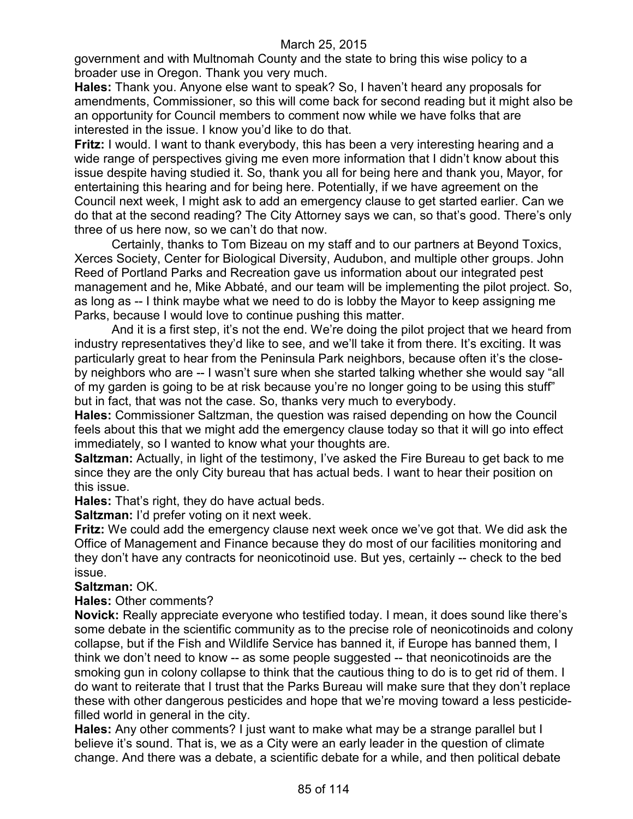government and with Multnomah County and the state to bring this wise policy to a broader use in Oregon. Thank you very much.

**Hales:** Thank you. Anyone else want to speak? So, I haven't heard any proposals for amendments, Commissioner, so this will come back for second reading but it might also be an opportunity for Council members to comment now while we have folks that are interested in the issue. I know you'd like to do that.

**Fritz:** I would. I want to thank everybody, this has been a very interesting hearing and a wide range of perspectives giving me even more information that I didn't know about this issue despite having studied it. So, thank you all for being here and thank you, Mayor, for entertaining this hearing and for being here. Potentially, if we have agreement on the Council next week, I might ask to add an emergency clause to get started earlier. Can we do that at the second reading? The City Attorney says we can, so that's good. There's only three of us here now, so we can't do that now.

Certainly, thanks to Tom Bizeau on my staff and to our partners at Beyond Toxics, Xerces Society, Center for Biological Diversity, Audubon, and multiple other groups. John Reed of Portland Parks and Recreation gave us information about our integrated pest management and he, Mike Abbaté, and our team will be implementing the pilot project. So, as long as -- I think maybe what we need to do is lobby the Mayor to keep assigning me Parks, because I would love to continue pushing this matter.

And it is a first step, it's not the end. We're doing the pilot project that we heard from industry representatives they'd like to see, and we'll take it from there. It's exciting. It was particularly great to hear from the Peninsula Park neighbors, because often it's the closeby neighbors who are -- I wasn't sure when she started talking whether she would say "all of my garden is going to be at risk because you're no longer going to be using this stuff" but in fact, that was not the case. So, thanks very much to everybody.

**Hales:** Commissioner Saltzman, the question was raised depending on how the Council feels about this that we might add the emergency clause today so that it will go into effect immediately, so I wanted to know what your thoughts are.

**Saltzman:** Actually, in light of the testimony, I've asked the Fire Bureau to get back to me since they are the only City bureau that has actual beds. I want to hear their position on this issue.

**Hales:** That's right, they do have actual beds.

**Saltzman:** I'd prefer voting on it next week.

**Fritz:** We could add the emergency clause next week once we've got that. We did ask the Office of Management and Finance because they do most of our facilities monitoring and they don't have any contracts for neonicotinoid use. But yes, certainly -- check to the bed issue.

#### **Saltzman:** OK.

**Hales:** Other comments?

**Novick:** Really appreciate everyone who testified today. I mean, it does sound like there's some debate in the scientific community as to the precise role of neonicotinoids and colony collapse, but if the Fish and Wildlife Service has banned it, if Europe has banned them, I think we don't need to know -- as some people suggested -- that neonicotinoids are the smoking gun in colony collapse to think that the cautious thing to do is to get rid of them. I do want to reiterate that I trust that the Parks Bureau will make sure that they don't replace these with other dangerous pesticides and hope that we're moving toward a less pesticidefilled world in general in the city.

**Hales:** Any other comments? I just want to make what may be a strange parallel but I believe it's sound. That is, we as a City were an early leader in the question of climate change. And there was a debate, a scientific debate for a while, and then political debate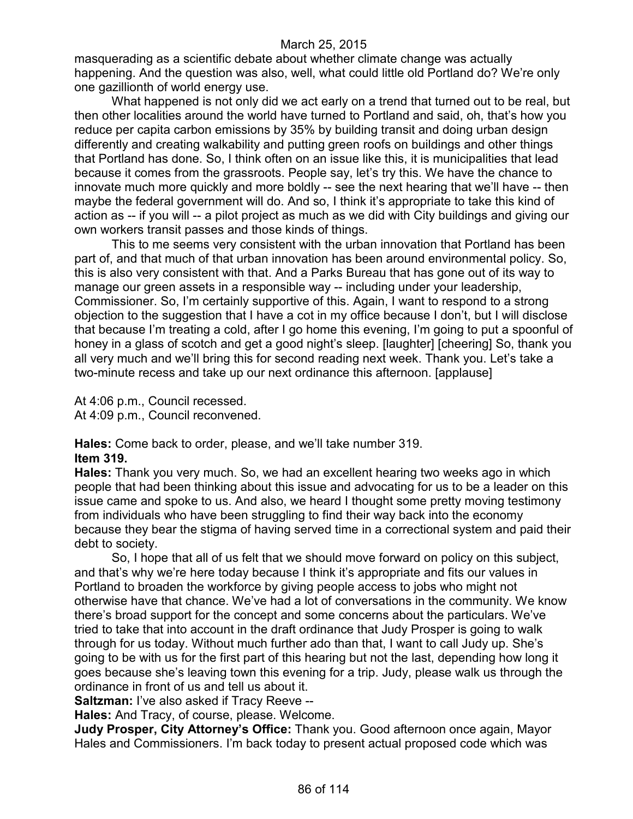masquerading as a scientific debate about whether climate change was actually happening. And the question was also, well, what could little old Portland do? We're only one gazillionth of world energy use.

What happened is not only did we act early on a trend that turned out to be real, but then other localities around the world have turned to Portland and said, oh, that's how you reduce per capita carbon emissions by 35% by building transit and doing urban design differently and creating walkability and putting green roofs on buildings and other things that Portland has done. So, I think often on an issue like this, it is municipalities that lead because it comes from the grassroots. People say, let's try this. We have the chance to innovate much more quickly and more boldly -- see the next hearing that we'll have -- then maybe the federal government will do. And so, I think it's appropriate to take this kind of action as -- if you will -- a pilot project as much as we did with City buildings and giving our own workers transit passes and those kinds of things.

This to me seems very consistent with the urban innovation that Portland has been part of, and that much of that urban innovation has been around environmental policy. So, this is also very consistent with that. And a Parks Bureau that has gone out of its way to manage our green assets in a responsible way -- including under your leadership, Commissioner. So, I'm certainly supportive of this. Again, I want to respond to a strong objection to the suggestion that I have a cot in my office because I don't, but I will disclose that because I'm treating a cold, after I go home this evening, I'm going to put a spoonful of honey in a glass of scotch and get a good night's sleep. [laughter] [cheering] So, thank you all very much and we'll bring this for second reading next week. Thank you. Let's take a two-minute recess and take up our next ordinance this afternoon. [applause]

At 4:06 p.m., Council recessed. At 4:09 p.m., Council reconvened.

**Hales:** Come back to order, please, and we'll take number 319. **Item 319.**

**Hales:** Thank you very much. So, we had an excellent hearing two weeks ago in which people that had been thinking about this issue and advocating for us to be a leader on this issue came and spoke to us. And also, we heard I thought some pretty moving testimony from individuals who have been struggling to find their way back into the economy because they bear the stigma of having served time in a correctional system and paid their debt to society.

So, I hope that all of us felt that we should move forward on policy on this subject, and that's why we're here today because I think it's appropriate and fits our values in Portland to broaden the workforce by giving people access to jobs who might not otherwise have that chance. We've had a lot of conversations in the community. We know there's broad support for the concept and some concerns about the particulars. We've tried to take that into account in the draft ordinance that Judy Prosper is going to walk through for us today. Without much further ado than that, I want to call Judy up. She's going to be with us for the first part of this hearing but not the last, depending how long it goes because she's leaving town this evening for a trip. Judy, please walk us through the ordinance in front of us and tell us about it.

**Saltzman:** I've also asked if Tracy Reeve --

**Hales:** And Tracy, of course, please. Welcome.

**Judy Prosper, City Attorney's Office:** Thank you. Good afternoon once again, Mayor Hales and Commissioners. I'm back today to present actual proposed code which was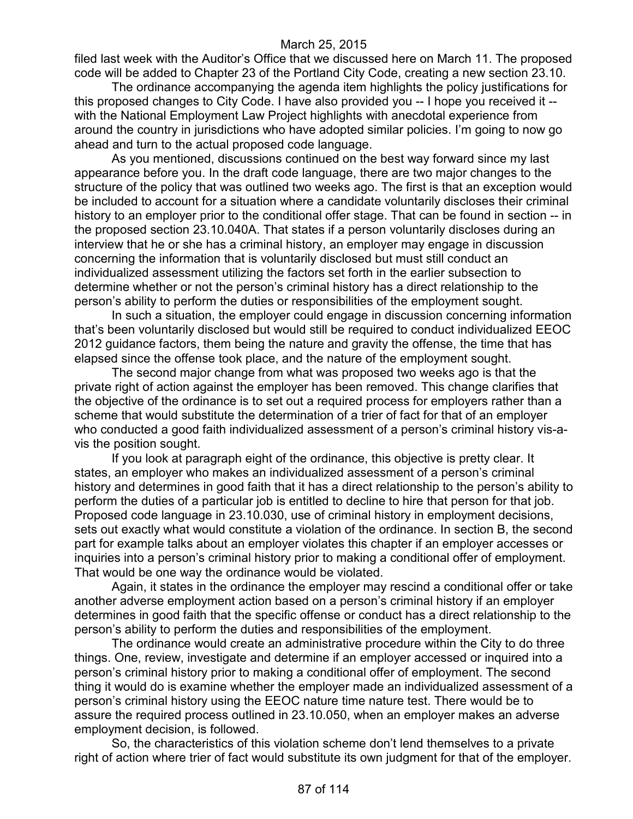filed last week with the Auditor's Office that we discussed here on March 11. The proposed code will be added to Chapter 23 of the Portland City Code, creating a new section 23.10.

The ordinance accompanying the agenda item highlights the policy justifications for this proposed changes to City Code. I have also provided you -- I hope you received it - with the National Employment Law Project highlights with anecdotal experience from around the country in jurisdictions who have adopted similar policies. I'm going to now go ahead and turn to the actual proposed code language.

As you mentioned, discussions continued on the best way forward since my last appearance before you. In the draft code language, there are two major changes to the structure of the policy that was outlined two weeks ago. The first is that an exception would be included to account for a situation where a candidate voluntarily discloses their criminal history to an employer prior to the conditional offer stage. That can be found in section -- in the proposed section 23.10.040A. That states if a person voluntarily discloses during an interview that he or she has a criminal history, an employer may engage in discussion concerning the information that is voluntarily disclosed but must still conduct an individualized assessment utilizing the factors set forth in the earlier subsection to determine whether or not the person's criminal history has a direct relationship to the person's ability to perform the duties or responsibilities of the employment sought.

In such a situation, the employer could engage in discussion concerning information that's been voluntarily disclosed but would still be required to conduct individualized EEOC 2012 guidance factors, them being the nature and gravity the offense, the time that has elapsed since the offense took place, and the nature of the employment sought.

The second major change from what was proposed two weeks ago is that the private right of action against the employer has been removed. This change clarifies that the objective of the ordinance is to set out a required process for employers rather than a scheme that would substitute the determination of a trier of fact for that of an employer who conducted a good faith individualized assessment of a person's criminal history vis-avis the position sought.

If you look at paragraph eight of the ordinance, this objective is pretty clear. It states, an employer who makes an individualized assessment of a person's criminal history and determines in good faith that it has a direct relationship to the person's ability to perform the duties of a particular job is entitled to decline to hire that person for that job. Proposed code language in 23.10.030, use of criminal history in employment decisions, sets out exactly what would constitute a violation of the ordinance. In section B, the second part for example talks about an employer violates this chapter if an employer accesses or inquiries into a person's criminal history prior to making a conditional offer of employment. That would be one way the ordinance would be violated.

Again, it states in the ordinance the employer may rescind a conditional offer or take another adverse employment action based on a person's criminal history if an employer determines in good faith that the specific offense or conduct has a direct relationship to the person's ability to perform the duties and responsibilities of the employment.

The ordinance would create an administrative procedure within the City to do three things. One, review, investigate and determine if an employer accessed or inquired into a person's criminal history prior to making a conditional offer of employment. The second thing it would do is examine whether the employer made an individualized assessment of a person's criminal history using the EEOC nature time nature test. There would be to assure the required process outlined in 23.10.050, when an employer makes an adverse employment decision, is followed.

So, the characteristics of this violation scheme don't lend themselves to a private right of action where trier of fact would substitute its own judgment for that of the employer.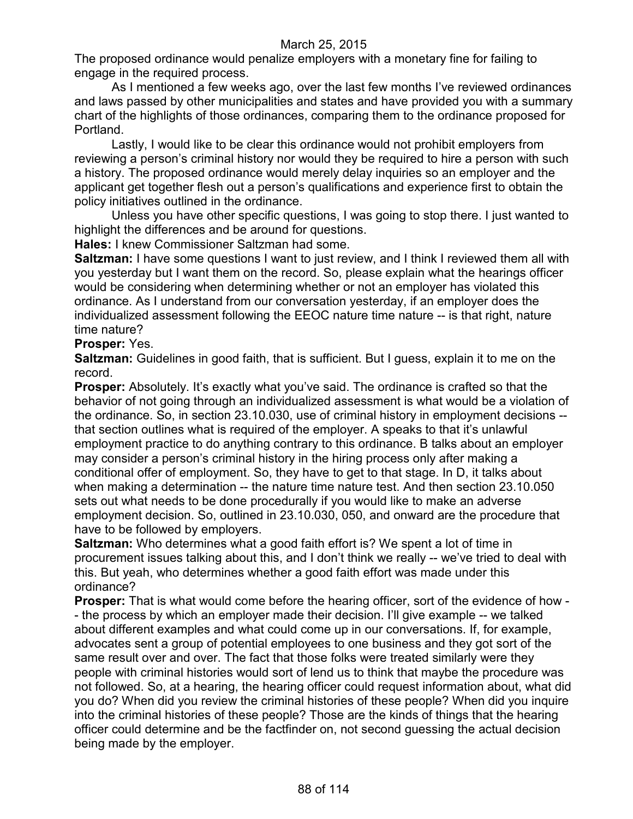The proposed ordinance would penalize employers with a monetary fine for failing to engage in the required process.

As I mentioned a few weeks ago, over the last few months I've reviewed ordinances and laws passed by other municipalities and states and have provided you with a summary chart of the highlights of those ordinances, comparing them to the ordinance proposed for Portland.

Lastly, I would like to be clear this ordinance would not prohibit employers from reviewing a person's criminal history nor would they be required to hire a person with such a history. The proposed ordinance would merely delay inquiries so an employer and the applicant get together flesh out a person's qualifications and experience first to obtain the policy initiatives outlined in the ordinance.

Unless you have other specific questions, I was going to stop there. I just wanted to highlight the differences and be around for questions.

**Hales:** I knew Commissioner Saltzman had some.

**Saltzman:** I have some questions I want to just review, and I think I reviewed them all with you yesterday but I want them on the record. So, please explain what the hearings officer would be considering when determining whether or not an employer has violated this ordinance. As I understand from our conversation yesterday, if an employer does the individualized assessment following the EEOC nature time nature -- is that right, nature time nature?

# **Prosper:** Yes.

**Saltzman:** Guidelines in good faith, that is sufficient. But I guess, explain it to me on the record.

**Prosper:** Absolutely. It's exactly what you've said. The ordinance is crafted so that the behavior of not going through an individualized assessment is what would be a violation of the ordinance. So, in section 23.10.030, use of criminal history in employment decisions - that section outlines what is required of the employer. A speaks to that it's unlawful employment practice to do anything contrary to this ordinance. B talks about an employer may consider a person's criminal history in the hiring process only after making a conditional offer of employment. So, they have to get to that stage. In D, it talks about when making a determination -- the nature time nature test. And then section 23.10.050 sets out what needs to be done procedurally if you would like to make an adverse employment decision. So, outlined in 23.10.030, 050, and onward are the procedure that have to be followed by employers.

**Saltzman:** Who determines what a good faith effort is? We spent a lot of time in procurement issues talking about this, and I don't think we really -- we've tried to deal with this. But yeah, who determines whether a good faith effort was made under this ordinance?

**Prosper:** That is what would come before the hearing officer, sort of the evidence of how - - the process by which an employer made their decision. I'll give example -- we talked about different examples and what could come up in our conversations. If, for example, advocates sent a group of potential employees to one business and they got sort of the same result over and over. The fact that those folks were treated similarly were they people with criminal histories would sort of lend us to think that maybe the procedure was not followed. So, at a hearing, the hearing officer could request information about, what did you do? When did you review the criminal histories of these people? When did you inquire into the criminal histories of these people? Those are the kinds of things that the hearing officer could determine and be the factfinder on, not second guessing the actual decision being made by the employer.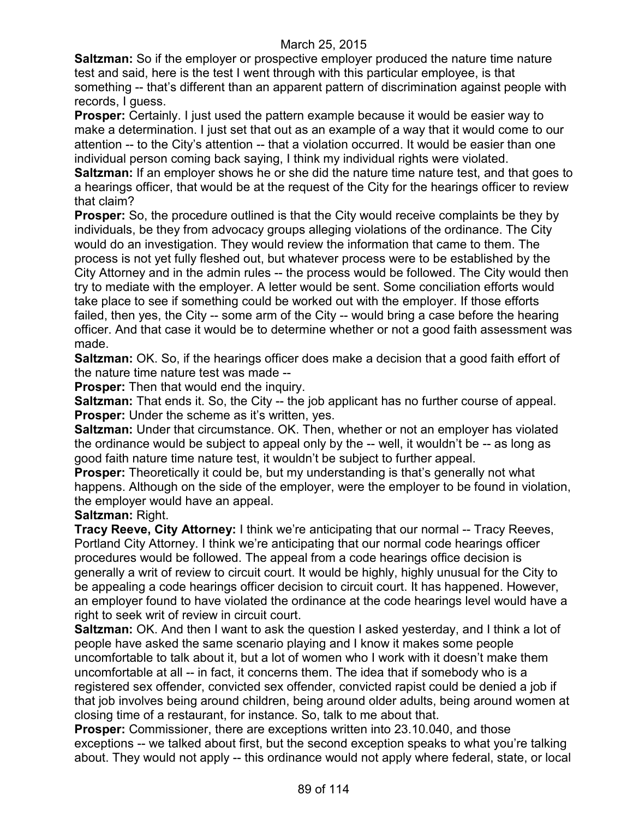**Saltzman:** So if the employer or prospective employer produced the nature time nature test and said, here is the test I went through with this particular employee, is that something -- that's different than an apparent pattern of discrimination against people with records, I guess.

**Prosper:** Certainly. I just used the pattern example because it would be easier way to make a determination. I just set that out as an example of a way that it would come to our attention -- to the City's attention -- that a violation occurred. It would be easier than one individual person coming back saying, I think my individual rights were violated.

**Saltzman:** If an employer shows he or she did the nature time nature test, and that goes to a hearings officer, that would be at the request of the City for the hearings officer to review that claim?

**Prosper:** So, the procedure outlined is that the City would receive complaints be they by individuals, be they from advocacy groups alleging violations of the ordinance. The City would do an investigation. They would review the information that came to them. The process is not yet fully fleshed out, but whatever process were to be established by the City Attorney and in the admin rules -- the process would be followed. The City would then try to mediate with the employer. A letter would be sent. Some conciliation efforts would take place to see if something could be worked out with the employer. If those efforts failed, then yes, the City -- some arm of the City -- would bring a case before the hearing officer. And that case it would be to determine whether or not a good faith assessment was made.

**Saltzman:** OK. So, if the hearings officer does make a decision that a good faith effort of the nature time nature test was made --

**Prosper:** Then that would end the inquiry.

**Saltzman:** That ends it. So, the City -- the job applicant has no further course of appeal. **Prosper:** Under the scheme as it's written, yes.

**Saltzman:** Under that circumstance. OK. Then, whether or not an employer has violated the ordinance would be subject to appeal only by the -- well, it wouldn't be -- as long as good faith nature time nature test, it wouldn't be subject to further appeal.

**Prosper:** Theoretically it could be, but my understanding is that's generally not what happens. Although on the side of the employer, were the employer to be found in violation, the employer would have an appeal.

# **Saltzman:** Right.

**Tracy Reeve, City Attorney:** I think we're anticipating that our normal -- Tracy Reeves, Portland City Attorney. I think we're anticipating that our normal code hearings officer procedures would be followed. The appeal from a code hearings office decision is generally a writ of review to circuit court. It would be highly, highly unusual for the City to be appealing a code hearings officer decision to circuit court. It has happened. However, an employer found to have violated the ordinance at the code hearings level would have a right to seek writ of review in circuit court.

**Saltzman:** OK. And then I want to ask the question I asked yesterday, and I think a lot of people have asked the same scenario playing and I know it makes some people uncomfortable to talk about it, but a lot of women who I work with it doesn't make them uncomfortable at all -- in fact, it concerns them. The idea that if somebody who is a registered sex offender, convicted sex offender, convicted rapist could be denied a job if that job involves being around children, being around older adults, being around women at closing time of a restaurant, for instance. So, talk to me about that.

**Prosper:** Commissioner, there are exceptions written into 23.10.040, and those exceptions -- we talked about first, but the second exception speaks to what you're talking about. They would not apply -- this ordinance would not apply where federal, state, or local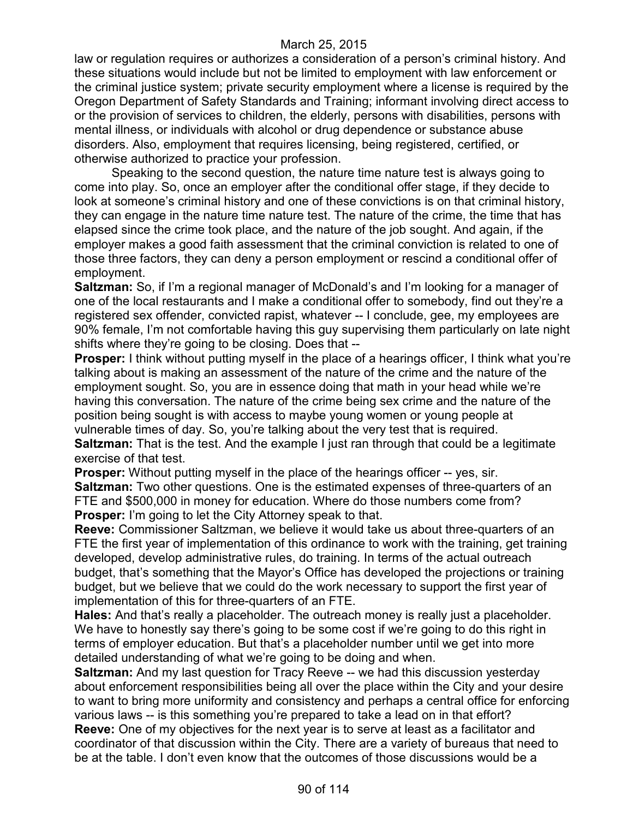law or regulation requires or authorizes a consideration of a person's criminal history. And these situations would include but not be limited to employment with law enforcement or the criminal justice system; private security employment where a license is required by the Oregon Department of Safety Standards and Training; informant involving direct access to or the provision of services to children, the elderly, persons with disabilities, persons with mental illness, or individuals with alcohol or drug dependence or substance abuse disorders. Also, employment that requires licensing, being registered, certified, or otherwise authorized to practice your profession.

Speaking to the second question, the nature time nature test is always going to come into play. So, once an employer after the conditional offer stage, if they decide to look at someone's criminal history and one of these convictions is on that criminal history, they can engage in the nature time nature test. The nature of the crime, the time that has elapsed since the crime took place, and the nature of the job sought. And again, if the employer makes a good faith assessment that the criminal conviction is related to one of those three factors, they can deny a person employment or rescind a conditional offer of employment.

**Saltzman:** So, if I'm a regional manager of McDonald's and I'm looking for a manager of one of the local restaurants and I make a conditional offer to somebody, find out they're a registered sex offender, convicted rapist, whatever -- I conclude, gee, my employees are 90% female, I'm not comfortable having this guy supervising them particularly on late night shifts where they're going to be closing. Does that --

**Prosper:** I think without putting myself in the place of a hearings officer, I think what you're talking about is making an assessment of the nature of the crime and the nature of the employment sought. So, you are in essence doing that math in your head while we're having this conversation. The nature of the crime being sex crime and the nature of the position being sought is with access to maybe young women or young people at vulnerable times of day. So, you're talking about the very test that is required. **Saltzman:** That is the test. And the example I just ran through that could be a legitimate exercise of that test.

**Prosper:** Without putting myself in the place of the hearings officer -- yes, sir. **Saltzman:** Two other questions. One is the estimated expenses of three-quarters of an FTE and \$500,000 in money for education. Where do those numbers come from? **Prosper:** I'm going to let the City Attorney speak to that.

**Reeve:** Commissioner Saltzman, we believe it would take us about three-quarters of an FTE the first year of implementation of this ordinance to work with the training, get training developed, develop administrative rules, do training. In terms of the actual outreach budget, that's something that the Mayor's Office has developed the projections or training budget, but we believe that we could do the work necessary to support the first year of implementation of this for three-quarters of an FTE.

**Hales:** And that's really a placeholder. The outreach money is really just a placeholder. We have to honestly say there's going to be some cost if we're going to do this right in terms of employer education. But that's a placeholder number until we get into more detailed understanding of what we're going to be doing and when.

**Saltzman:** And my last question for Tracy Reeve -- we had this discussion yesterday about enforcement responsibilities being all over the place within the City and your desire to want to bring more uniformity and consistency and perhaps a central office for enforcing various laws -- is this something you're prepared to take a lead on in that effort? **Reeve:** One of my objectives for the next year is to serve at least as a facilitator and coordinator of that discussion within the City. There are a variety of bureaus that need to be at the table. I don't even know that the outcomes of those discussions would be a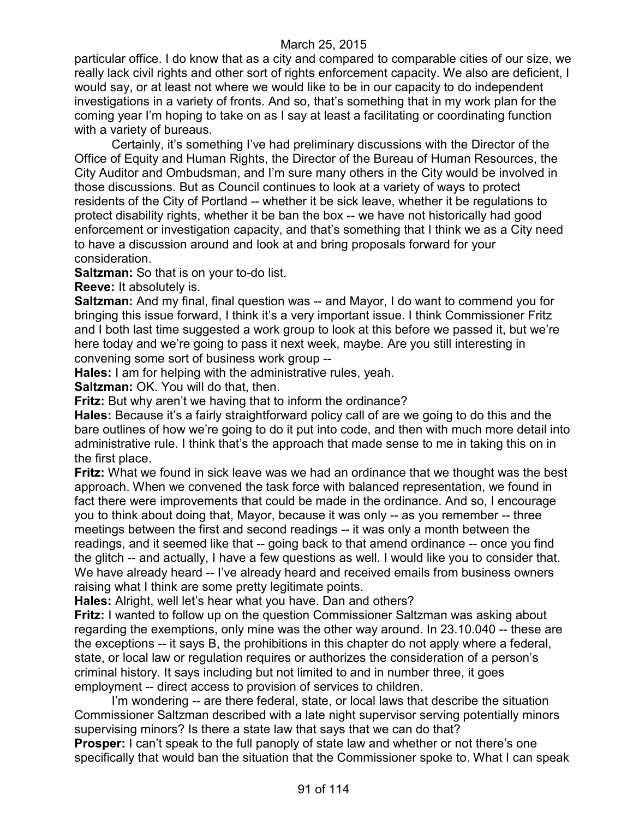particular office. I do know that as a city and compared to comparable cities of our size, we really lack civil rights and other sort of rights enforcement capacity. We also are deficient, I would say, or at least not where we would like to be in our capacity to do independent investigations in a variety of fronts. And so, that's something that in my work plan for the coming year I'm hoping to take on as I say at least a facilitating or coordinating function with a variety of bureaus.

Certainly, it's something I've had preliminary discussions with the Director of the Office of Equity and Human Rights, the Director of the Bureau of Human Resources, the City Auditor and Ombudsman, and I'm sure many others in the City would be involved in those discussions. But as Council continues to look at a variety of ways to protect residents of the City of Portland -- whether it be sick leave, whether it be regulations to protect disability rights, whether it be ban the box -- we have not historically had good enforcement or investigation capacity, and that's something that I think we as a City need to have a discussion around and look at and bring proposals forward for your consideration.

**Saltzman:** So that is on your to-do list.

**Reeve:** It absolutely is.

**Saltzman:** And my final, final question was -- and Mayor, I do want to commend you for bringing this issue forward, I think it's a very important issue. I think Commissioner Fritz and I both last time suggested a work group to look at this before we passed it, but we're here today and we're going to pass it next week, maybe. Are you still interesting in convening some sort of business work group --

**Hales:** I am for helping with the administrative rules, yeah.

**Saltzman:** OK. You will do that, then.

**Fritz:** But why aren't we having that to inform the ordinance?

**Hales:** Because it's a fairly straightforward policy call of are we going to do this and the bare outlines of how we're going to do it put into code, and then with much more detail into administrative rule. I think that's the approach that made sense to me in taking this on in the first place.

**Fritz:** What we found in sick leave was we had an ordinance that we thought was the best approach. When we convened the task force with balanced representation, we found in fact there were improvements that could be made in the ordinance. And so, I encourage you to think about doing that, Mayor, because it was only -- as you remember -- three meetings between the first and second readings -- it was only a month between the readings, and it seemed like that -- going back to that amend ordinance -- once you find the glitch -- and actually, I have a few questions as well. I would like you to consider that. We have already heard -- I've already heard and received emails from business owners raising what I think are some pretty legitimate points.

**Hales:** Alright, well let's hear what you have. Dan and others?

**Fritz:** I wanted to follow up on the question Commissioner Saltzman was asking about regarding the exemptions, only mine was the other way around. In 23.10.040 -- these are the exceptions -- it says B, the prohibitions in this chapter do not apply where a federal, state, or local law or regulation requires or authorizes the consideration of a person's criminal history. It says including but not limited to and in number three, it goes employment -- direct access to provision of services to children.

I'm wondering -- are there federal, state, or local laws that describe the situation Commissioner Saltzman described with a late night supervisor serving potentially minors supervising minors? Is there a state law that says that we can do that?

**Prosper:** I can't speak to the full panoply of state law and whether or not there's one specifically that would ban the situation that the Commissioner spoke to. What I can speak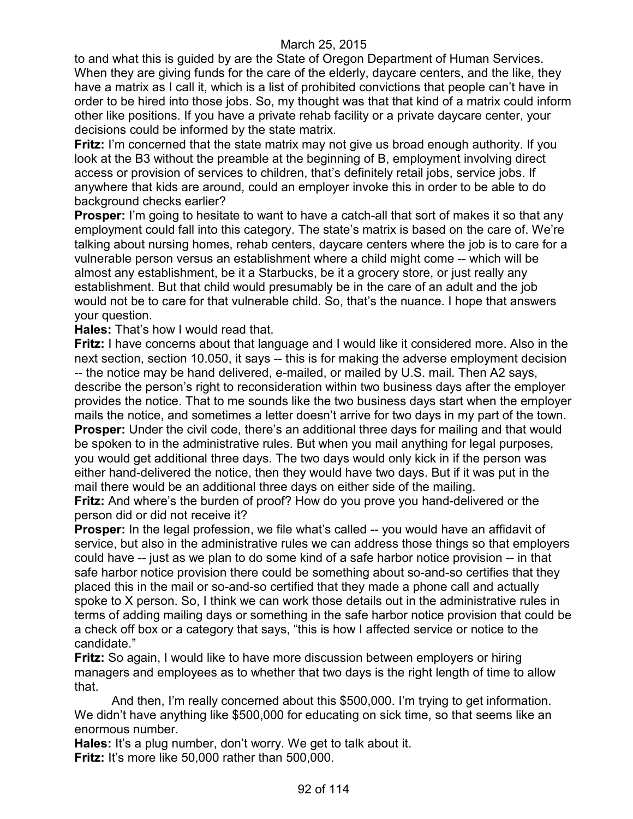to and what this is guided by are the State of Oregon Department of Human Services. When they are giving funds for the care of the elderly, daycare centers, and the like, they have a matrix as I call it, which is a list of prohibited convictions that people can't have in order to be hired into those jobs. So, my thought was that that kind of a matrix could inform other like positions. If you have a private rehab facility or a private daycare center, your decisions could be informed by the state matrix.

**Fritz:** I'm concerned that the state matrix may not give us broad enough authority. If you look at the B3 without the preamble at the beginning of B, employment involving direct access or provision of services to children, that's definitely retail jobs, service jobs. If anywhere that kids are around, could an employer invoke this in order to be able to do background checks earlier?

**Prosper:** I'm going to hesitate to want to have a catch-all that sort of makes it so that any employment could fall into this category. The state's matrix is based on the care of. We're talking about nursing homes, rehab centers, daycare centers where the job is to care for a vulnerable person versus an establishment where a child might come -- which will be almost any establishment, be it a Starbucks, be it a grocery store, or just really any establishment. But that child would presumably be in the care of an adult and the job would not be to care for that vulnerable child. So, that's the nuance. I hope that answers your question.

**Hales:** That's how I would read that.

**Fritz:** I have concerns about that language and I would like it considered more. Also in the next section, section 10.050, it says -- this is for making the adverse employment decision -- the notice may be hand delivered, e-mailed, or mailed by U.S. mail. Then A2 says, describe the person's right to reconsideration within two business days after the employer provides the notice. That to me sounds like the two business days start when the employer mails the notice, and sometimes a letter doesn't arrive for two days in my part of the town. **Prosper:** Under the civil code, there's an additional three days for mailing and that would be spoken to in the administrative rules. But when you mail anything for legal purposes, you would get additional three days. The two days would only kick in if the person was either hand-delivered the notice, then they would have two days. But if it was put in the mail there would be an additional three days on either side of the mailing.

**Fritz:** And where's the burden of proof? How do you prove you hand-delivered or the person did or did not receive it?

**Prosper:** In the legal profession, we file what's called -- you would have an affidavit of service, but also in the administrative rules we can address those things so that employers could have -- just as we plan to do some kind of a safe harbor notice provision -- in that safe harbor notice provision there could be something about so-and-so certifies that they placed this in the mail or so-and-so certified that they made a phone call and actually spoke to X person. So, I think we can work those details out in the administrative rules in terms of adding mailing days or something in the safe harbor notice provision that could be a check off box or a category that says, "this is how I affected service or notice to the candidate."

**Fritz:** So again, I would like to have more discussion between employers or hiring managers and employees as to whether that two days is the right length of time to allow that.

And then, I'm really concerned about this \$500,000. I'm trying to get information. We didn't have anything like \$500,000 for educating on sick time, so that seems like an enormous number.

**Hales:** It's a plug number, don't worry. We get to talk about it.

**Fritz:** It's more like 50,000 rather than 500,000.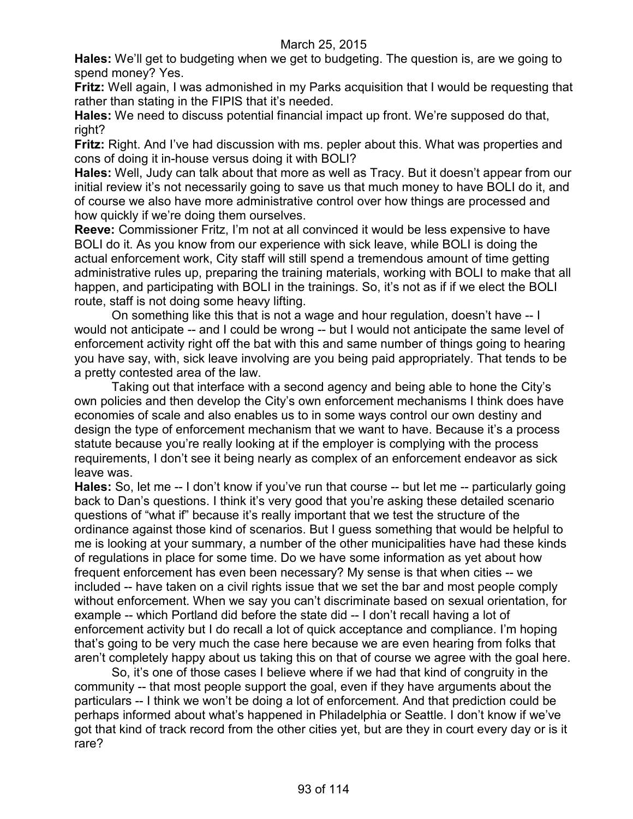**Hales:** We'll get to budgeting when we get to budgeting. The question is, are we going to spend money? Yes.

**Fritz:** Well again, I was admonished in my Parks acquisition that I would be requesting that rather than stating in the FIPIS that it's needed.

**Hales:** We need to discuss potential financial impact up front. We're supposed do that, right?

**Fritz:** Right. And I've had discussion with ms. pepler about this. What was properties and cons of doing it in-house versus doing it with BOLI?

**Hales:** Well, Judy can talk about that more as well as Tracy. But it doesn't appear from our initial review it's not necessarily going to save us that much money to have BOLI do it, and of course we also have more administrative control over how things are processed and how quickly if we're doing them ourselves.

**Reeve:** Commissioner Fritz, I'm not at all convinced it would be less expensive to have BOLI do it. As you know from our experience with sick leave, while BOLI is doing the actual enforcement work, City staff will still spend a tremendous amount of time getting administrative rules up, preparing the training materials, working with BOLI to make that all happen, and participating with BOLI in the trainings. So, it's not as if if we elect the BOLI route, staff is not doing some heavy lifting.

On something like this that is not a wage and hour regulation, doesn't have -- I would not anticipate -- and I could be wrong -- but I would not anticipate the same level of enforcement activity right off the bat with this and same number of things going to hearing you have say, with, sick leave involving are you being paid appropriately. That tends to be a pretty contested area of the law.

Taking out that interface with a second agency and being able to hone the City's own policies and then develop the City's own enforcement mechanisms I think does have economies of scale and also enables us to in some ways control our own destiny and design the type of enforcement mechanism that we want to have. Because it's a process statute because you're really looking at if the employer is complying with the process requirements, I don't see it being nearly as complex of an enforcement endeavor as sick leave was.

**Hales:** So, let me -- I don't know if you've run that course -- but let me -- particularly going back to Dan's questions. I think it's very good that you're asking these detailed scenario questions of "what if" because it's really important that we test the structure of the ordinance against those kind of scenarios. But I guess something that would be helpful to me is looking at your summary, a number of the other municipalities have had these kinds of regulations in place for some time. Do we have some information as yet about how frequent enforcement has even been necessary? My sense is that when cities -- we included -- have taken on a civil rights issue that we set the bar and most people comply without enforcement. When we say you can't discriminate based on sexual orientation, for example -- which Portland did before the state did -- I don't recall having a lot of enforcement activity but I do recall a lot of quick acceptance and compliance. I'm hoping that's going to be very much the case here because we are even hearing from folks that aren't completely happy about us taking this on that of course we agree with the goal here.

So, it's one of those cases I believe where if we had that kind of congruity in the community -- that most people support the goal, even if they have arguments about the particulars -- I think we won't be doing a lot of enforcement. And that prediction could be perhaps informed about what's happened in Philadelphia or Seattle. I don't know if we've got that kind of track record from the other cities yet, but are they in court every day or is it rare?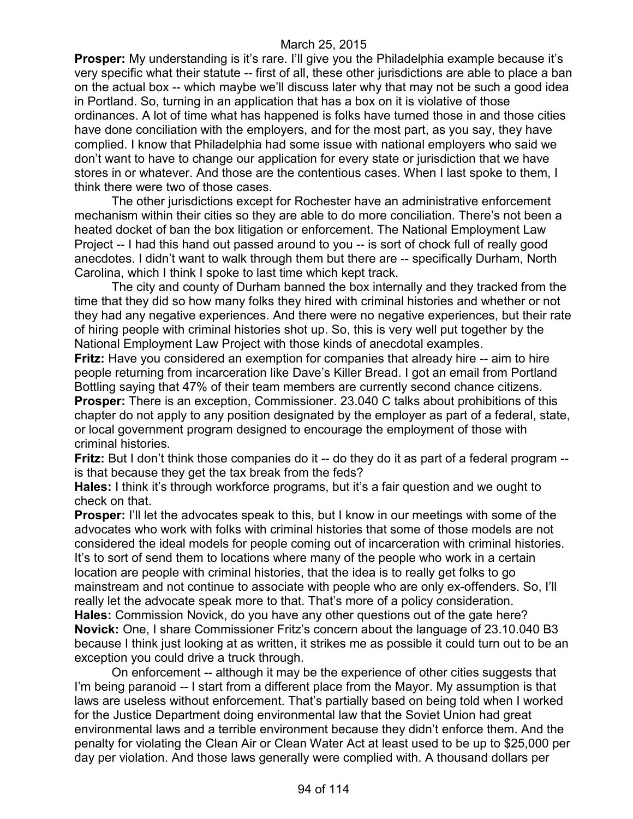**Prosper:** My understanding is it's rare. I'll give you the Philadelphia example because it's very specific what their statute -- first of all, these other jurisdictions are able to place a ban on the actual box -- which maybe we'll discuss later why that may not be such a good idea in Portland. So, turning in an application that has a box on it is violative of those ordinances. A lot of time what has happened is folks have turned those in and those cities have done conciliation with the employers, and for the most part, as you say, they have complied. I know that Philadelphia had some issue with national employers who said we don't want to have to change our application for every state or jurisdiction that we have stores in or whatever. And those are the contentious cases. When I last spoke to them, I think there were two of those cases.

The other jurisdictions except for Rochester have an administrative enforcement mechanism within their cities so they are able to do more conciliation. There's not been a heated docket of ban the box litigation or enforcement. The National Employment Law Project -- I had this hand out passed around to you -- is sort of chock full of really good anecdotes. I didn't want to walk through them but there are -- specifically Durham, North Carolina, which I think I spoke to last time which kept track.

The city and county of Durham banned the box internally and they tracked from the time that they did so how many folks they hired with criminal histories and whether or not they had any negative experiences. And there were no negative experiences, but their rate of hiring people with criminal histories shot up. So, this is very well put together by the National Employment Law Project with those kinds of anecdotal examples.

**Fritz:** Have you considered an exemption for companies that already hire -- aim to hire people returning from incarceration like Dave's Killer Bread. I got an email from Portland Bottling saying that 47% of their team members are currently second chance citizens. **Prosper:** There is an exception, Commissioner. 23.040 C talks about prohibitions of this chapter do not apply to any position designated by the employer as part of a federal, state, or local government program designed to encourage the employment of those with criminal histories.

**Fritz:** But I don't think those companies do it -- do they do it as part of a federal program -is that because they get the tax break from the feds?

**Hales:** I think it's through workforce programs, but it's a fair question and we ought to check on that.

**Prosper:** I'll let the advocates speak to this, but I know in our meetings with some of the advocates who work with folks with criminal histories that some of those models are not considered the ideal models for people coming out of incarceration with criminal histories. It's to sort of send them to locations where many of the people who work in a certain location are people with criminal histories, that the idea is to really get folks to go mainstream and not continue to associate with people who are only ex-offenders. So, I'll really let the advocate speak more to that. That's more of a policy consideration. **Hales:** Commission Novick, do you have any other questions out of the gate here? **Novick:** One, I share Commissioner Fritz's concern about the language of 23.10.040 B3 because I think just looking at as written, it strikes me as possible it could turn out to be an exception you could drive a truck through.

On enforcement -- although it may be the experience of other cities suggests that I'm being paranoid -- I start from a different place from the Mayor. My assumption is that laws are useless without enforcement. That's partially based on being told when I worked for the Justice Department doing environmental law that the Soviet Union had great environmental laws and a terrible environment because they didn't enforce them. And the penalty for violating the Clean Air or Clean Water Act at least used to be up to \$25,000 per day per violation. And those laws generally were complied with. A thousand dollars per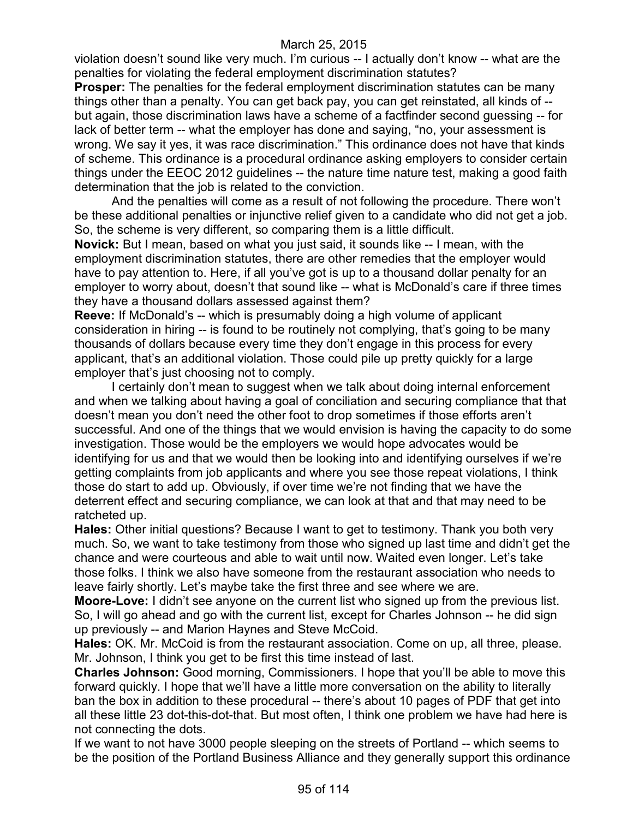violation doesn't sound like very much. I'm curious -- I actually don't know -- what are the penalties for violating the federal employment discrimination statutes?

**Prosper:** The penalties for the federal employment discrimination statutes can be many things other than a penalty. You can get back pay, you can get reinstated, all kinds of - but again, those discrimination laws have a scheme of a factfinder second guessing -- for lack of better term -- what the employer has done and saying, "no, your assessment is wrong. We say it yes, it was race discrimination." This ordinance does not have that kinds of scheme. This ordinance is a procedural ordinance asking employers to consider certain things under the EEOC 2012 guidelines -- the nature time nature test, making a good faith determination that the job is related to the conviction.

And the penalties will come as a result of not following the procedure. There won't be these additional penalties or injunctive relief given to a candidate who did not get a job. So, the scheme is very different, so comparing them is a little difficult.

**Novick:** But I mean, based on what you just said, it sounds like -- I mean, with the employment discrimination statutes, there are other remedies that the employer would have to pay attention to. Here, if all you've got is up to a thousand dollar penalty for an employer to worry about, doesn't that sound like -- what is McDonald's care if three times they have a thousand dollars assessed against them?

**Reeve:** If McDonald's -- which is presumably doing a high volume of applicant consideration in hiring -- is found to be routinely not complying, that's going to be many thousands of dollars because every time they don't engage in this process for every applicant, that's an additional violation. Those could pile up pretty quickly for a large employer that's just choosing not to comply.

I certainly don't mean to suggest when we talk about doing internal enforcement and when we talking about having a goal of conciliation and securing compliance that that doesn't mean you don't need the other foot to drop sometimes if those efforts aren't successful. And one of the things that we would envision is having the capacity to do some investigation. Those would be the employers we would hope advocates would be identifying for us and that we would then be looking into and identifying ourselves if we're getting complaints from job applicants and where you see those repeat violations, I think those do start to add up. Obviously, if over time we're not finding that we have the deterrent effect and securing compliance, we can look at that and that may need to be ratcheted up.

**Hales:** Other initial questions? Because I want to get to testimony. Thank you both very much. So, we want to take testimony from those who signed up last time and didn't get the chance and were courteous and able to wait until now. Waited even longer. Let's take those folks. I think we also have someone from the restaurant association who needs to leave fairly shortly. Let's maybe take the first three and see where we are.

**Moore-Love:** I didn't see anyone on the current list who signed up from the previous list. So, I will go ahead and go with the current list, except for Charles Johnson -- he did sign up previously -- and Marion Haynes and Steve McCoid.

**Hales:** OK. Mr. McCoid is from the restaurant association. Come on up, all three, please. Mr. Johnson, I think you get to be first this time instead of last.

**Charles Johnson:** Good morning, Commissioners. I hope that you'll be able to move this forward quickly. I hope that we'll have a little more conversation on the ability to literally ban the box in addition to these procedural -- there's about 10 pages of PDF that get into all these little 23 dot-this-dot-that. But most often, I think one problem we have had here is not connecting the dots.

If we want to not have 3000 people sleeping on the streets of Portland -- which seems to be the position of the Portland Business Alliance and they generally support this ordinance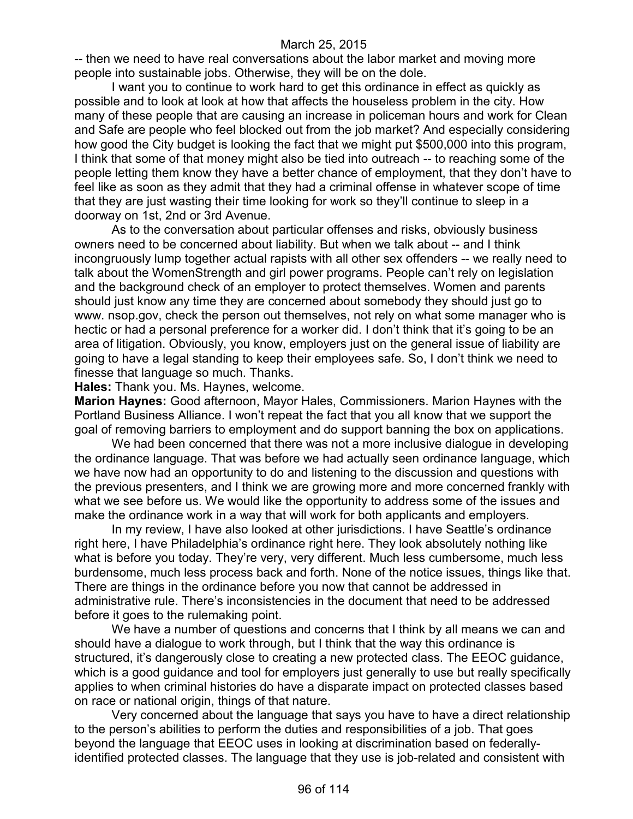-- then we need to have real conversations about the labor market and moving more people into sustainable jobs. Otherwise, they will be on the dole.

I want you to continue to work hard to get this ordinance in effect as quickly as possible and to look at look at how that affects the houseless problem in the city. How many of these people that are causing an increase in policeman hours and work for Clean and Safe are people who feel blocked out from the job market? And especially considering how good the City budget is looking the fact that we might put \$500,000 into this program, I think that some of that money might also be tied into outreach -- to reaching some of the people letting them know they have a better chance of employment, that they don't have to feel like as soon as they admit that they had a criminal offense in whatever scope of time that they are just wasting their time looking for work so they'll continue to sleep in a doorway on 1st, 2nd or 3rd Avenue.

As to the conversation about particular offenses and risks, obviously business owners need to be concerned about liability. But when we talk about -- and I think incongruously lump together actual rapists with all other sex offenders -- we really need to talk about the WomenStrength and girl power programs. People can't rely on legislation and the background check of an employer to protect themselves. Women and parents should just know any time they are concerned about somebody they should just go to www. nsop.gov, check the person out themselves, not rely on what some manager who is hectic or had a personal preference for a worker did. I don't think that it's going to be an area of litigation. Obviously, you know, employers just on the general issue of liability are going to have a legal standing to keep their employees safe. So, I don't think we need to finesse that language so much. Thanks.

**Hales:** Thank you. Ms. Haynes, welcome.

**Marion Haynes:** Good afternoon, Mayor Hales, Commissioners. Marion Haynes with the Portland Business Alliance. I won't repeat the fact that you all know that we support the goal of removing barriers to employment and do support banning the box on applications.

We had been concerned that there was not a more inclusive dialogue in developing the ordinance language. That was before we had actually seen ordinance language, which we have now had an opportunity to do and listening to the discussion and questions with the previous presenters, and I think we are growing more and more concerned frankly with what we see before us. We would like the opportunity to address some of the issues and make the ordinance work in a way that will work for both applicants and employers.

In my review, I have also looked at other jurisdictions. I have Seattle's ordinance right here, I have Philadelphia's ordinance right here. They look absolutely nothing like what is before you today. They're very, very different. Much less cumbersome, much less burdensome, much less process back and forth. None of the notice issues, things like that. There are things in the ordinance before you now that cannot be addressed in administrative rule. There's inconsistencies in the document that need to be addressed before it goes to the rulemaking point.

We have a number of questions and concerns that I think by all means we can and should have a dialogue to work through, but I think that the way this ordinance is structured, it's dangerously close to creating a new protected class. The EEOC guidance, which is a good guidance and tool for employers just generally to use but really specifically applies to when criminal histories do have a disparate impact on protected classes based on race or national origin, things of that nature.

Very concerned about the language that says you have to have a direct relationship to the person's abilities to perform the duties and responsibilities of a job. That goes beyond the language that EEOC uses in looking at discrimination based on federallyidentified protected classes. The language that they use is job-related and consistent with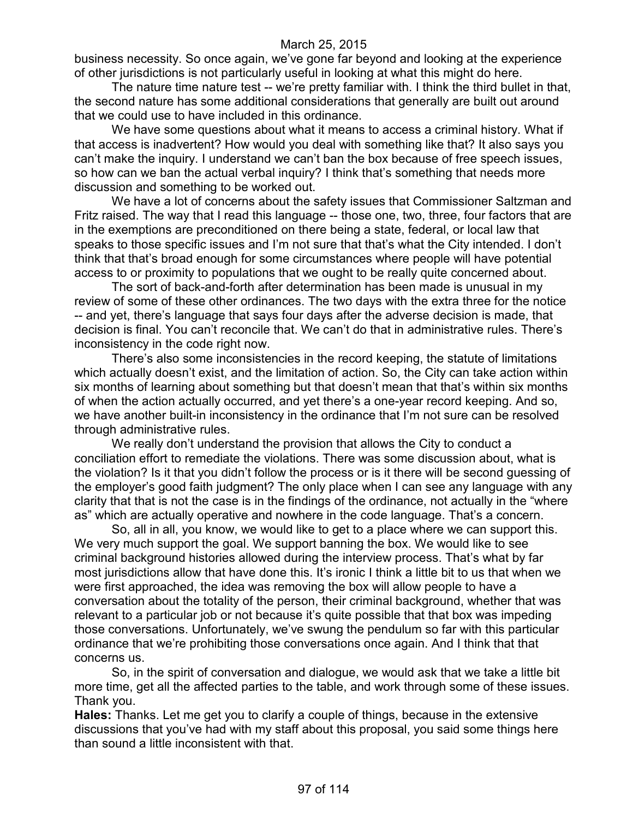business necessity. So once again, we've gone far beyond and looking at the experience of other jurisdictions is not particularly useful in looking at what this might do here.

The nature time nature test -- we're pretty familiar with. I think the third bullet in that, the second nature has some additional considerations that generally are built out around that we could use to have included in this ordinance.

We have some questions about what it means to access a criminal history. What if that access is inadvertent? How would you deal with something like that? It also says you can't make the inquiry. I understand we can't ban the box because of free speech issues, so how can we ban the actual verbal inquiry? I think that's something that needs more discussion and something to be worked out.

We have a lot of concerns about the safety issues that Commissioner Saltzman and Fritz raised. The way that I read this language -- those one, two, three, four factors that are in the exemptions are preconditioned on there being a state, federal, or local law that speaks to those specific issues and I'm not sure that that's what the City intended. I don't think that that's broad enough for some circumstances where people will have potential access to or proximity to populations that we ought to be really quite concerned about.

The sort of back-and-forth after determination has been made is unusual in my review of some of these other ordinances. The two days with the extra three for the notice -- and yet, there's language that says four days after the adverse decision is made, that decision is final. You can't reconcile that. We can't do that in administrative rules. There's inconsistency in the code right now.

There's also some inconsistencies in the record keeping, the statute of limitations which actually doesn't exist, and the limitation of action. So, the City can take action within six months of learning about something but that doesn't mean that that's within six months of when the action actually occurred, and yet there's a one-year record keeping. And so, we have another built-in inconsistency in the ordinance that I'm not sure can be resolved through administrative rules.

We really don't understand the provision that allows the City to conduct a conciliation effort to remediate the violations. There was some discussion about, what is the violation? Is it that you didn't follow the process or is it there will be second guessing of the employer's good faith judgment? The only place when I can see any language with any clarity that that is not the case is in the findings of the ordinance, not actually in the "where as" which are actually operative and nowhere in the code language. That's a concern.

So, all in all, you know, we would like to get to a place where we can support this. We very much support the goal. We support banning the box. We would like to see criminal background histories allowed during the interview process. That's what by far most jurisdictions allow that have done this. It's ironic I think a little bit to us that when we were first approached, the idea was removing the box will allow people to have a conversation about the totality of the person, their criminal background, whether that was relevant to a particular job or not because it's quite possible that that box was impeding those conversations. Unfortunately, we've swung the pendulum so far with this particular ordinance that we're prohibiting those conversations once again. And I think that that concerns us.

So, in the spirit of conversation and dialogue, we would ask that we take a little bit more time, get all the affected parties to the table, and work through some of these issues. Thank you.

**Hales:** Thanks. Let me get you to clarify a couple of things, because in the extensive discussions that you've had with my staff about this proposal, you said some things here than sound a little inconsistent with that.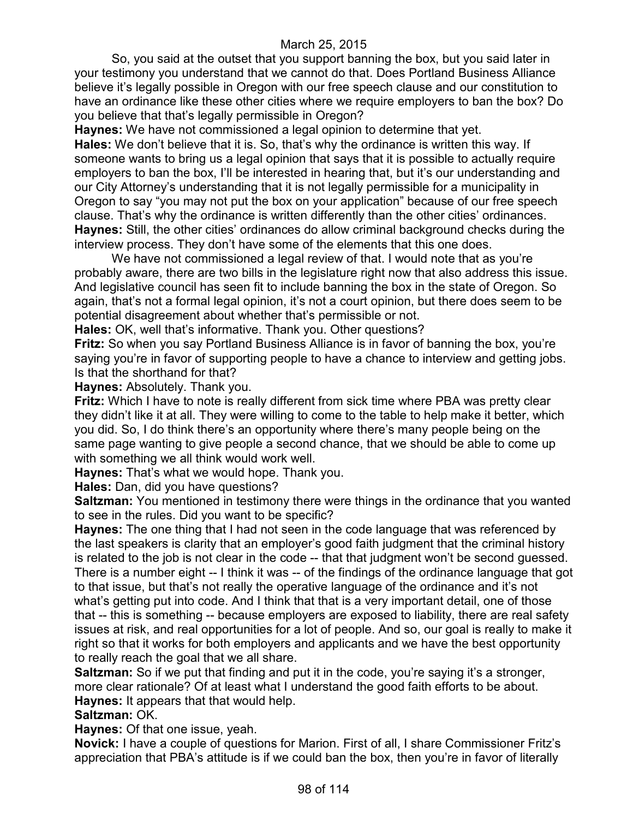So, you said at the outset that you support banning the box, but you said later in your testimony you understand that we cannot do that. Does Portland Business Alliance believe it's legally possible in Oregon with our free speech clause and our constitution to have an ordinance like these other cities where we require employers to ban the box? Do you believe that that's legally permissible in Oregon?

**Haynes:** We have not commissioned a legal opinion to determine that yet.

**Hales:** We don't believe that it is. So, that's why the ordinance is written this way. If someone wants to bring us a legal opinion that says that it is possible to actually require employers to ban the box, I'll be interested in hearing that, but it's our understanding and our City Attorney's understanding that it is not legally permissible for a municipality in Oregon to say "you may not put the box on your application" because of our free speech clause. That's why the ordinance is written differently than the other cities' ordinances. **Haynes:** Still, the other cities' ordinances do allow criminal background checks during the interview process. They don't have some of the elements that this one does.

We have not commissioned a legal review of that. I would note that as you're probably aware, there are two bills in the legislature right now that also address this issue. And legislative council has seen fit to include banning the box in the state of Oregon. So again, that's not a formal legal opinion, it's not a court opinion, but there does seem to be potential disagreement about whether that's permissible or not.

**Hales:** OK, well that's informative. Thank you. Other questions?

**Fritz:** So when you say Portland Business Alliance is in favor of banning the box, you're saying you're in favor of supporting people to have a chance to interview and getting jobs. Is that the shorthand for that?

**Haynes:** Absolutely. Thank you.

**Fritz:** Which I have to note is really different from sick time where PBA was pretty clear they didn't like it at all. They were willing to come to the table to help make it better, which you did. So, I do think there's an opportunity where there's many people being on the same page wanting to give people a second chance, that we should be able to come up with something we all think would work well.

**Haynes:** That's what we would hope. Thank you.

**Hales:** Dan, did you have questions?

**Saltzman:** You mentioned in testimony there were things in the ordinance that you wanted to see in the rules. Did you want to be specific?

**Haynes:** The one thing that I had not seen in the code language that was referenced by the last speakers is clarity that an employer's good faith judgment that the criminal history is related to the job is not clear in the code -- that that judgment won't be second guessed. There is a number eight -- I think it was -- of the findings of the ordinance language that got to that issue, but that's not really the operative language of the ordinance and it's not what's getting put into code. And I think that that is a very important detail, one of those that -- this is something -- because employers are exposed to liability, there are real safety issues at risk, and real opportunities for a lot of people. And so, our goal is really to make it right so that it works for both employers and applicants and we have the best opportunity to really reach the goal that we all share.

**Saltzman:** So if we put that finding and put it in the code, you're saying it's a stronger, more clear rationale? Of at least what I understand the good faith efforts to be about. **Haynes:** It appears that that would help.

# **Saltzman:** OK.

**Haynes:** Of that one issue, yeah.

**Novick:** I have a couple of questions for Marion. First of all, I share Commissioner Fritz's appreciation that PBA's attitude is if we could ban the box, then you're in favor of literally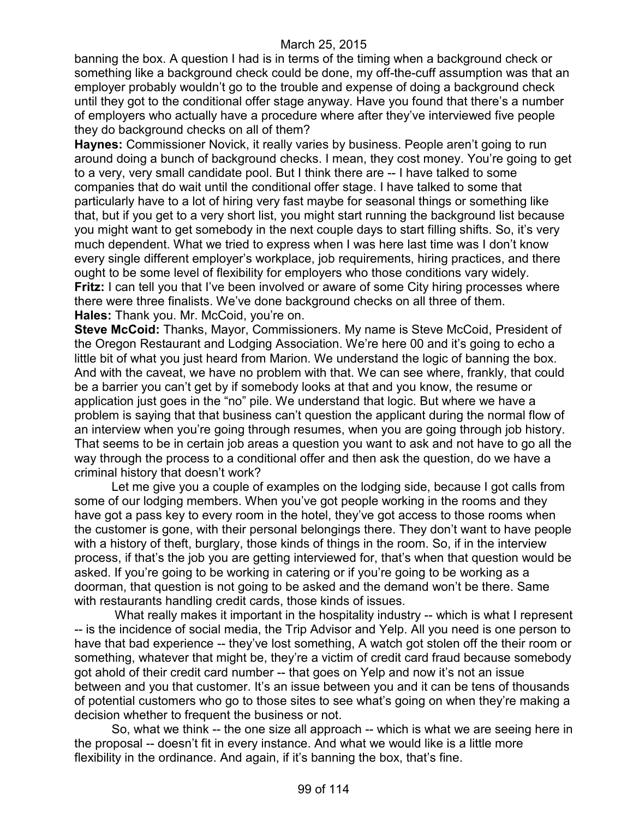banning the box. A question I had is in terms of the timing when a background check or something like a background check could be done, my off-the-cuff assumption was that an employer probably wouldn't go to the trouble and expense of doing a background check until they got to the conditional offer stage anyway. Have you found that there's a number of employers who actually have a procedure where after they've interviewed five people they do background checks on all of them?

**Haynes:** Commissioner Novick, it really varies by business. People aren't going to run around doing a bunch of background checks. I mean, they cost money. You're going to get to a very, very small candidate pool. But I think there are -- I have talked to some companies that do wait until the conditional offer stage. I have talked to some that particularly have to a lot of hiring very fast maybe for seasonal things or something like that, but if you get to a very short list, you might start running the background list because you might want to get somebody in the next couple days to start filling shifts. So, it's very much dependent. What we tried to express when I was here last time was I don't know every single different employer's workplace, job requirements, hiring practices, and there ought to be some level of flexibility for employers who those conditions vary widely. **Fritz:** I can tell you that I've been involved or aware of some City hiring processes where there were three finalists. We've done background checks on all three of them. **Hales:** Thank you. Mr. McCoid, you're on.

**Steve McCoid:** Thanks, Mayor, Commissioners. My name is Steve McCoid, President of the Oregon Restaurant and Lodging Association. We're here 00 and it's going to echo a little bit of what you just heard from Marion. We understand the logic of banning the box. And with the caveat, we have no problem with that. We can see where, frankly, that could be a barrier you can't get by if somebody looks at that and you know, the resume or application just goes in the "no" pile. We understand that logic. But where we have a problem is saying that that business can't question the applicant during the normal flow of an interview when you're going through resumes, when you are going through job history. That seems to be in certain job areas a question you want to ask and not have to go all the way through the process to a conditional offer and then ask the question, do we have a criminal history that doesn't work?

Let me give you a couple of examples on the lodging side, because I got calls from some of our lodging members. When you've got people working in the rooms and they have got a pass key to every room in the hotel, they've got access to those rooms when the customer is gone, with their personal belongings there. They don't want to have people with a history of theft, burglary, those kinds of things in the room. So, if in the interview process, if that's the job you are getting interviewed for, that's when that question would be asked. If you're going to be working in catering or if you're going to be working as a doorman, that question is not going to be asked and the demand won't be there. Same with restaurants handling credit cards, those kinds of issues.

What really makes it important in the hospitality industry -- which is what I represent -- is the incidence of social media, the Trip Advisor and Yelp. All you need is one person to have that bad experience -- they've lost something, A watch got stolen off the their room or something, whatever that might be, they're a victim of credit card fraud because somebody got ahold of their credit card number -- that goes on Yelp and now it's not an issue between and you that customer. It's an issue between you and it can be tens of thousands of potential customers who go to those sites to see what's going on when they're making a decision whether to frequent the business or not.

So, what we think -- the one size all approach -- which is what we are seeing here in the proposal -- doesn't fit in every instance. And what we would like is a little more flexibility in the ordinance. And again, if it's banning the box, that's fine.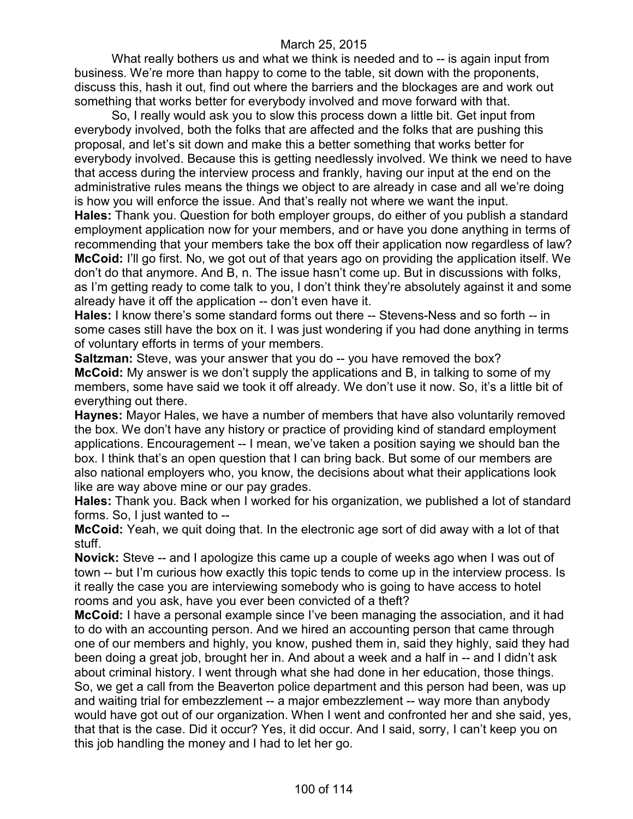What really bothers us and what we think is needed and to -- is again input from business. We're more than happy to come to the table, sit down with the proponents, discuss this, hash it out, find out where the barriers and the blockages are and work out something that works better for everybody involved and move forward with that.

So, I really would ask you to slow this process down a little bit. Get input from everybody involved, both the folks that are affected and the folks that are pushing this proposal, and let's sit down and make this a better something that works better for everybody involved. Because this is getting needlessly involved. We think we need to have that access during the interview process and frankly, having our input at the end on the administrative rules means the things we object to are already in case and all we're doing is how you will enforce the issue. And that's really not where we want the input. **Hales:** Thank you. Question for both employer groups, do either of you publish a standard employment application now for your members, and or have you done anything in terms of recommending that your members take the box off their application now regardless of law? **McCoid:** I'll go first. No, we got out of that years ago on providing the application itself. We don't do that anymore. And B, n. The issue hasn't come up. But in discussions with folks, as I'm getting ready to come talk to you, I don't think they're absolutely against it and some already have it off the application -- don't even have it.

**Hales:** I know there's some standard forms out there -- Stevens-Ness and so forth -- in some cases still have the box on it. I was just wondering if you had done anything in terms of voluntary efforts in terms of your members.

**Saltzman:** Steve, was your answer that you do -- you have removed the box? **McCoid:** My answer is we don't supply the applications and B, in talking to some of my members, some have said we took it off already. We don't use it now. So, it's a little bit of everything out there.

**Haynes:** Mayor Hales, we have a number of members that have also voluntarily removed the box. We don't have any history or practice of providing kind of standard employment applications. Encouragement -- I mean, we've taken a position saying we should ban the box. I think that's an open question that I can bring back. But some of our members are also national employers who, you know, the decisions about what their applications look like are way above mine or our pay grades.

**Hales:** Thank you. Back when I worked for his organization, we published a lot of standard forms. So, I just wanted to --

**McCoid:** Yeah, we quit doing that. In the electronic age sort of did away with a lot of that stuff.

**Novick:** Steve -- and I apologize this came up a couple of weeks ago when I was out of town -- but I'm curious how exactly this topic tends to come up in the interview process. Is it really the case you are interviewing somebody who is going to have access to hotel rooms and you ask, have you ever been convicted of a theft?

**McCoid:** I have a personal example since I've been managing the association, and it had to do with an accounting person. And we hired an accounting person that came through one of our members and highly, you know, pushed them in, said they highly, said they had been doing a great job, brought her in. And about a week and a half in -- and I didn't ask about criminal history. I went through what she had done in her education, those things. So, we get a call from the Beaverton police department and this person had been, was up and waiting trial for embezzlement -- a major embezzlement -- way more than anybody would have got out of our organization. When I went and confronted her and she said, yes, that that is the case. Did it occur? Yes, it did occur. And I said, sorry, I can't keep you on this job handling the money and I had to let her go.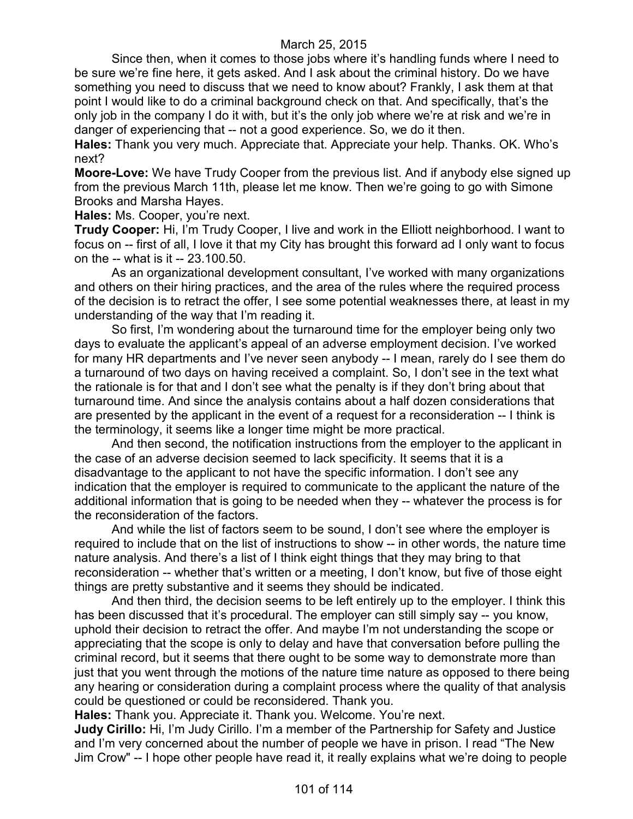Since then, when it comes to those jobs where it's handling funds where I need to be sure we're fine here, it gets asked. And I ask about the criminal history. Do we have something you need to discuss that we need to know about? Frankly, I ask them at that point I would like to do a criminal background check on that. And specifically, that's the only job in the company I do it with, but it's the only job where we're at risk and we're in danger of experiencing that -- not a good experience. So, we do it then.

**Hales:** Thank you very much. Appreciate that. Appreciate your help. Thanks. OK. Who's next?

**Moore-Love:** We have Trudy Cooper from the previous list. And if anybody else signed up from the previous March 11th, please let me know. Then we're going to go with Simone Brooks and Marsha Hayes.

**Hales:** Ms. Cooper, you're next.

**Trudy Cooper:** Hi, I'm Trudy Cooper, I live and work in the Elliott neighborhood. I want to focus on -- first of all, I love it that my City has brought this forward ad I only want to focus on the -- what is it -- 23.100.50.

As an organizational development consultant, I've worked with many organizations and others on their hiring practices, and the area of the rules where the required process of the decision is to retract the offer, I see some potential weaknesses there, at least in my understanding of the way that I'm reading it.

So first, I'm wondering about the turnaround time for the employer being only two days to evaluate the applicant's appeal of an adverse employment decision. I've worked for many HR departments and I've never seen anybody -- I mean, rarely do I see them do a turnaround of two days on having received a complaint. So, I don't see in the text what the rationale is for that and I don't see what the penalty is if they don't bring about that turnaround time. And since the analysis contains about a half dozen considerations that are presented by the applicant in the event of a request for a reconsideration -- I think is the terminology, it seems like a longer time might be more practical.

And then second, the notification instructions from the employer to the applicant in the case of an adverse decision seemed to lack specificity. It seems that it is a disadvantage to the applicant to not have the specific information. I don't see any indication that the employer is required to communicate to the applicant the nature of the additional information that is going to be needed when they -- whatever the process is for the reconsideration of the factors.

And while the list of factors seem to be sound, I don't see where the employer is required to include that on the list of instructions to show -- in other words, the nature time nature analysis. And there's a list of I think eight things that they may bring to that reconsideration -- whether that's written or a meeting, I don't know, but five of those eight things are pretty substantive and it seems they should be indicated.

And then third, the decision seems to be left entirely up to the employer. I think this has been discussed that it's procedural. The employer can still simply say -- you know, uphold their decision to retract the offer. And maybe I'm not understanding the scope or appreciating that the scope is only to delay and have that conversation before pulling the criminal record, but it seems that there ought to be some way to demonstrate more than just that you went through the motions of the nature time nature as opposed to there being any hearing or consideration during a complaint process where the quality of that analysis could be questioned or could be reconsidered. Thank you.

**Hales:** Thank you. Appreciate it. Thank you. Welcome. You're next.

**Judy Cirillo:** Hi, I'm Judy Cirillo. I'm a member of the Partnership for Safety and Justice and I'm very concerned about the number of people we have in prison. I read "The New Jim Crow" -- I hope other people have read it, it really explains what we're doing to people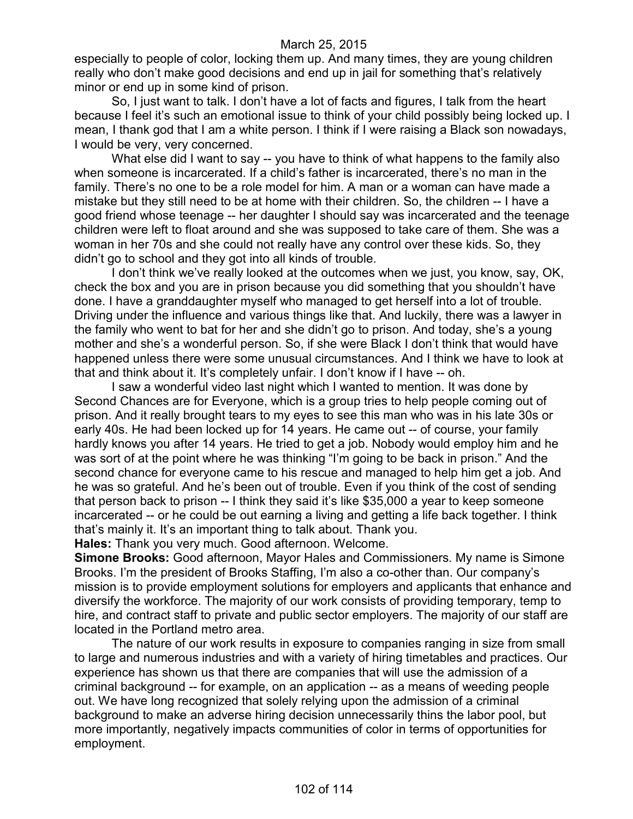especially to people of color, locking them up. And many times, they are young children really who don't make good decisions and end up in jail for something that's relatively minor or end up in some kind of prison.

So, I just want to talk. I don't have a lot of facts and figures, I talk from the heart because I feel it's such an emotional issue to think of your child possibly being locked up. I mean, I thank god that I am a white person. I think if I were raising a Black son nowadays, I would be very, very concerned.

What else did I want to say -- you have to think of what happens to the family also when someone is incarcerated. If a child's father is incarcerated, there's no man in the family. There's no one to be a role model for him. A man or a woman can have made a mistake but they still need to be at home with their children. So, the children -- I have a good friend whose teenage -- her daughter I should say was incarcerated and the teenage children were left to float around and she was supposed to take care of them. She was a woman in her 70s and she could not really have any control over these kids. So, they didn't go to school and they got into all kinds of trouble.

I don't think we've really looked at the outcomes when we just, you know, say, OK, check the box and you are in prison because you did something that you shouldn't have done. I have a granddaughter myself who managed to get herself into a lot of trouble. Driving under the influence and various things like that. And luckily, there was a lawyer in the family who went to bat for her and she didn't go to prison. And today, she's a young mother and she's a wonderful person. So, if she were Black I don't think that would have happened unless there were some unusual circumstances. And I think we have to look at that and think about it. It's completely unfair. I don't know if I have -- oh.

I saw a wonderful video last night which I wanted to mention. It was done by Second Chances are for Everyone, which is a group tries to help people coming out of prison. And it really brought tears to my eyes to see this man who was in his late 30s or early 40s. He had been locked up for 14 years. He came out -- of course, your family hardly knows you after 14 years. He tried to get a job. Nobody would employ him and he was sort of at the point where he was thinking "I'm going to be back in prison." And the second chance for everyone came to his rescue and managed to help him get a job. And he was so grateful. And he's been out of trouble. Even if you think of the cost of sending that person back to prison -- I think they said it's like \$35,000 a year to keep someone incarcerated -- or he could be out earning a living and getting a life back together. I think that's mainly it. It's an important thing to talk about. Thank you.

**Hales:** Thank you very much. Good afternoon. Welcome.

**Simone Brooks:** Good afternoon, Mayor Hales and Commissioners. My name is Simone Brooks. I'm the president of Brooks Staffing, I'm also a co-other than. Our company's mission is to provide employment solutions for employers and applicants that enhance and diversify the workforce. The majority of our work consists of providing temporary, temp to hire, and contract staff to private and public sector employers. The majority of our staff are located in the Portland metro area.

The nature of our work results in exposure to companies ranging in size from small to large and numerous industries and with a variety of hiring timetables and practices. Our experience has shown us that there are companies that will use the admission of a criminal background -- for example, on an application -- as a means of weeding people out. We have long recognized that solely relying upon the admission of a criminal background to make an adverse hiring decision unnecessarily thins the labor pool, but more importantly, negatively impacts communities of color in terms of opportunities for employment.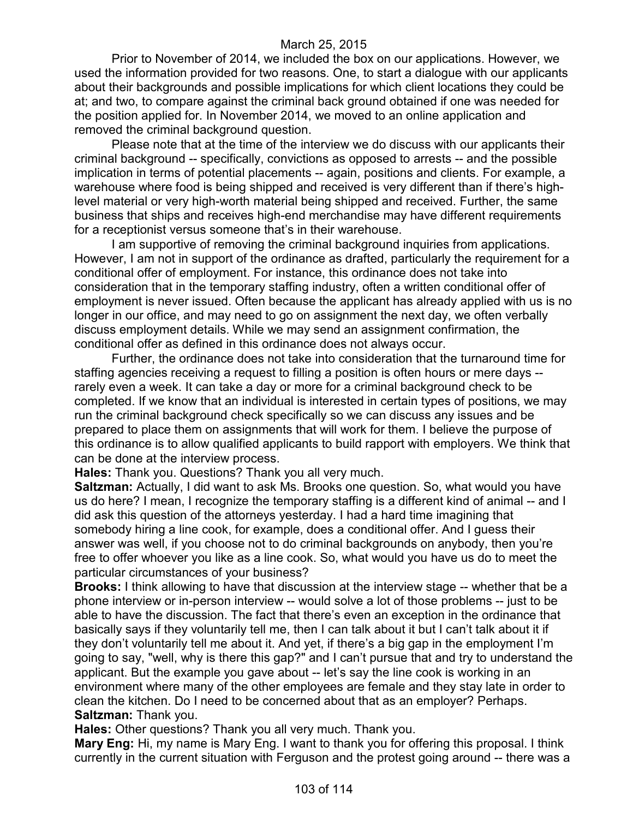Prior to November of 2014, we included the box on our applications. However, we used the information provided for two reasons. One, to start a dialogue with our applicants about their backgrounds and possible implications for which client locations they could be at; and two, to compare against the criminal back ground obtained if one was needed for the position applied for. In November 2014, we moved to an online application and removed the criminal background question.

Please note that at the time of the interview we do discuss with our applicants their criminal background -- specifically, convictions as opposed to arrests -- and the possible implication in terms of potential placements -- again, positions and clients. For example, a warehouse where food is being shipped and received is very different than if there's highlevel material or very high-worth material being shipped and received. Further, the same business that ships and receives high-end merchandise may have different requirements for a receptionist versus someone that's in their warehouse.

I am supportive of removing the criminal background inquiries from applications. However, I am not in support of the ordinance as drafted, particularly the requirement for a conditional offer of employment. For instance, this ordinance does not take into consideration that in the temporary staffing industry, often a written conditional offer of employment is never issued. Often because the applicant has already applied with us is no longer in our office, and may need to go on assignment the next day, we often verbally discuss employment details. While we may send an assignment confirmation, the conditional offer as defined in this ordinance does not always occur.

Further, the ordinance does not take into consideration that the turnaround time for staffing agencies receiving a request to filling a position is often hours or mere days - rarely even a week. It can take a day or more for a criminal background check to be completed. If we know that an individual is interested in certain types of positions, we may run the criminal background check specifically so we can discuss any issues and be prepared to place them on assignments that will work for them. I believe the purpose of this ordinance is to allow qualified applicants to build rapport with employers. We think that can be done at the interview process.

**Hales:** Thank you. Questions? Thank you all very much.

**Saltzman:** Actually, I did want to ask Ms. Brooks one question. So, what would you have us do here? I mean, I recognize the temporary staffing is a different kind of animal -- and I did ask this question of the attorneys yesterday. I had a hard time imagining that somebody hiring a line cook, for example, does a conditional offer. And I guess their answer was well, if you choose not to do criminal backgrounds on anybody, then you're free to offer whoever you like as a line cook. So, what would you have us do to meet the particular circumstances of your business?

**Brooks:** I think allowing to have that discussion at the interview stage -- whether that be a phone interview or in-person interview -- would solve a lot of those problems -- just to be able to have the discussion. The fact that there's even an exception in the ordinance that basically says if they voluntarily tell me, then I can talk about it but I can't talk about it if they don't voluntarily tell me about it. And yet, if there's a big gap in the employment I'm going to say, "well, why is there this gap?" and I can't pursue that and try to understand the applicant. But the example you gave about -- let's say the line cook is working in an environment where many of the other employees are female and they stay late in order to clean the kitchen. Do I need to be concerned about that as an employer? Perhaps. **Saltzman:** Thank you.

**Hales:** Other questions? Thank you all very much. Thank you.

**Mary Eng:** Hi, my name is Mary Eng. I want to thank you for offering this proposal. I think currently in the current situation with Ferguson and the protest going around -- there was a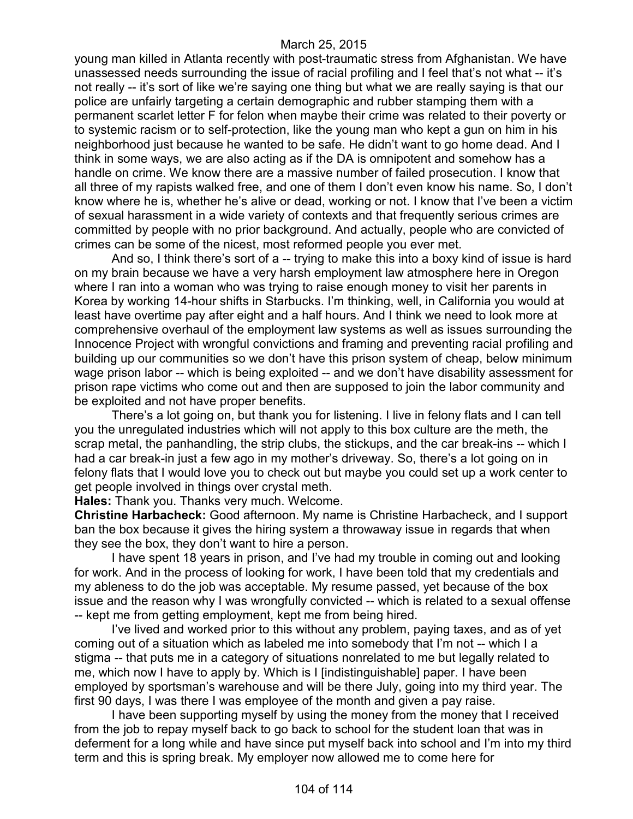young man killed in Atlanta recently with post-traumatic stress from Afghanistan. We have unassessed needs surrounding the issue of racial profiling and I feel that's not what -- it's not really -- it's sort of like we're saying one thing but what we are really saying is that our police are unfairly targeting a certain demographic and rubber stamping them with a permanent scarlet letter F for felon when maybe their crime was related to their poverty or to systemic racism or to self-protection, like the young man who kept a gun on him in his neighborhood just because he wanted to be safe. He didn't want to go home dead. And I think in some ways, we are also acting as if the DA is omnipotent and somehow has a handle on crime. We know there are a massive number of failed prosecution. I know that all three of my rapists walked free, and one of them I don't even know his name. So, I don't know where he is, whether he's alive or dead, working or not. I know that I've been a victim of sexual harassment in a wide variety of contexts and that frequently serious crimes are committed by people with no prior background. And actually, people who are convicted of crimes can be some of the nicest, most reformed people you ever met.

And so, I think there's sort of a -- trying to make this into a boxy kind of issue is hard on my brain because we have a very harsh employment law atmosphere here in Oregon where I ran into a woman who was trying to raise enough money to visit her parents in Korea by working 14-hour shifts in Starbucks. I'm thinking, well, in California you would at least have overtime pay after eight and a half hours. And I think we need to look more at comprehensive overhaul of the employment law systems as well as issues surrounding the Innocence Project with wrongful convictions and framing and preventing racial profiling and building up our communities so we don't have this prison system of cheap, below minimum wage prison labor -- which is being exploited -- and we don't have disability assessment for prison rape victims who come out and then are supposed to join the labor community and be exploited and not have proper benefits.

There's a lot going on, but thank you for listening. I live in felony flats and I can tell you the unregulated industries which will not apply to this box culture are the meth, the scrap metal, the panhandling, the strip clubs, the stickups, and the car break-ins -- which I had a car break-in just a few ago in my mother's driveway. So, there's a lot going on in felony flats that I would love you to check out but maybe you could set up a work center to get people involved in things over crystal meth.

**Hales:** Thank you. Thanks very much. Welcome.

**Christine Harbacheck:** Good afternoon. My name is Christine Harbacheck, and I support ban the box because it gives the hiring system a throwaway issue in regards that when they see the box, they don't want to hire a person.

I have spent 18 years in prison, and I've had my trouble in coming out and looking for work. And in the process of looking for work, I have been told that my credentials and my ableness to do the job was acceptable. My resume passed, yet because of the box issue and the reason why I was wrongfully convicted -- which is related to a sexual offense -- kept me from getting employment, kept me from being hired.

I've lived and worked prior to this without any problem, paying taxes, and as of yet coming out of a situation which as labeled me into somebody that I'm not -- which I a stigma -- that puts me in a category of situations nonrelated to me but legally related to me, which now I have to apply by. Which is I [indistinguishable] paper. I have been employed by sportsman's warehouse and will be there July, going into my third year. The first 90 days, I was there I was employee of the month and given a pay raise.

I have been supporting myself by using the money from the money that I received from the job to repay myself back to go back to school for the student loan that was in deferment for a long while and have since put myself back into school and I'm into my third term and this is spring break. My employer now allowed me to come here for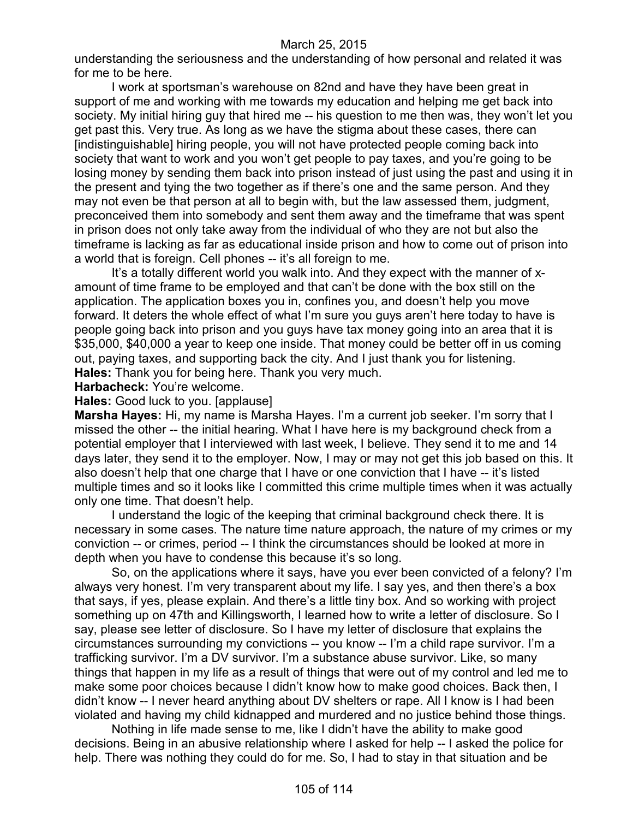understanding the seriousness and the understanding of how personal and related it was for me to be here.

I work at sportsman's warehouse on 82nd and have they have been great in support of me and working with me towards my education and helping me get back into society. My initial hiring guy that hired me -- his question to me then was, they won't let you get past this. Very true. As long as we have the stigma about these cases, there can [indistinguishable] hiring people, you will not have protected people coming back into society that want to work and you won't get people to pay taxes, and you're going to be losing money by sending them back into prison instead of just using the past and using it in the present and tying the two together as if there's one and the same person. And they may not even be that person at all to begin with, but the law assessed them, judgment, preconceived them into somebody and sent them away and the timeframe that was spent in prison does not only take away from the individual of who they are not but also the timeframe is lacking as far as educational inside prison and how to come out of prison into a world that is foreign. Cell phones -- it's all foreign to me.

It's a totally different world you walk into. And they expect with the manner of xamount of time frame to be employed and that can't be done with the box still on the application. The application boxes you in, confines you, and doesn't help you move forward. It deters the whole effect of what I'm sure you guys aren't here today to have is people going back into prison and you guys have tax money going into an area that it is \$35,000, \$40,000 a year to keep one inside. That money could be better off in us coming out, paying taxes, and supporting back the city. And I just thank you for listening. **Hales:** Thank you for being here. Thank you very much.

**Harbacheck:** You're welcome.

**Hales:** Good luck to you. [applause]

**Marsha Hayes:** Hi, my name is Marsha Hayes. I'm a current job seeker. I'm sorry that I missed the other -- the initial hearing. What I have here is my background check from a potential employer that I interviewed with last week, I believe. They send it to me and 14 days later, they send it to the employer. Now, I may or may not get this job based on this. It also doesn't help that one charge that I have or one conviction that I have -- it's listed multiple times and so it looks like I committed this crime multiple times when it was actually only one time. That doesn't help.

I understand the logic of the keeping that criminal background check there. It is necessary in some cases. The nature time nature approach, the nature of my crimes or my conviction -- or crimes, period -- I think the circumstances should be looked at more in depth when you have to condense this because it's so long.

So, on the applications where it says, have you ever been convicted of a felony? I'm always very honest. I'm very transparent about my life. I say yes, and then there's a box that says, if yes, please explain. And there's a little tiny box. And so working with project something up on 47th and Killingsworth, I learned how to write a letter of disclosure. So I say, please see letter of disclosure. So I have my letter of disclosure that explains the circumstances surrounding my convictions -- you know -- I'm a child rape survivor. I'm a trafficking survivor. I'm a DV survivor. I'm a substance abuse survivor. Like, so many things that happen in my life as a result of things that were out of my control and led me to make some poor choices because I didn't know how to make good choices. Back then, I didn't know -- I never heard anything about DV shelters or rape. All I know is I had been violated and having my child kidnapped and murdered and no justice behind those things.

Nothing in life made sense to me, like I didn't have the ability to make good decisions. Being in an abusive relationship where I asked for help -- I asked the police for help. There was nothing they could do for me. So, I had to stay in that situation and be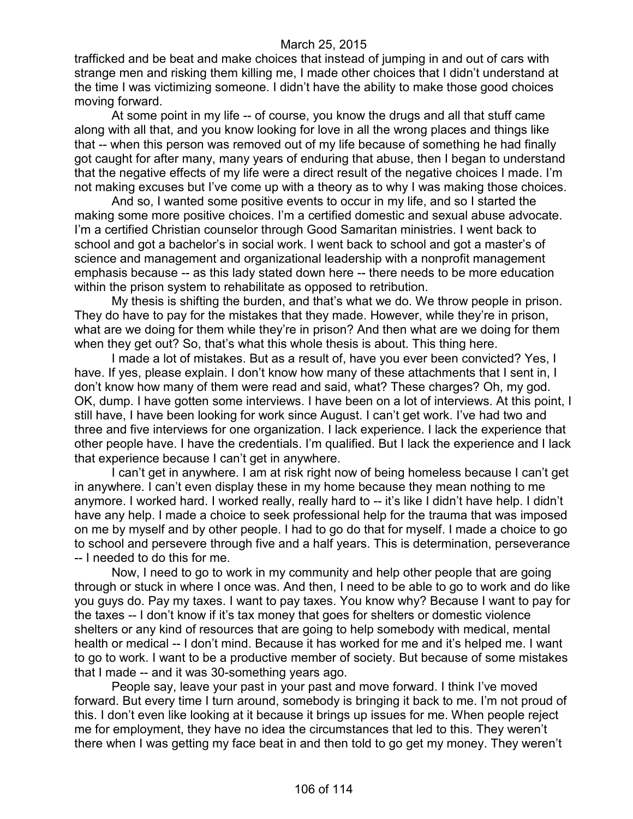trafficked and be beat and make choices that instead of jumping in and out of cars with strange men and risking them killing me, I made other choices that I didn't understand at the time I was victimizing someone. I didn't have the ability to make those good choices moving forward.

At some point in my life -- of course, you know the drugs and all that stuff came along with all that, and you know looking for love in all the wrong places and things like that -- when this person was removed out of my life because of something he had finally got caught for after many, many years of enduring that abuse, then I began to understand that the negative effects of my life were a direct result of the negative choices I made. I'm not making excuses but I've come up with a theory as to why I was making those choices.

And so, I wanted some positive events to occur in my life, and so I started the making some more positive choices. I'm a certified domestic and sexual abuse advocate. I'm a certified Christian counselor through Good Samaritan ministries. I went back to school and got a bachelor's in social work. I went back to school and got a master's of science and management and organizational leadership with a nonprofit management emphasis because -- as this lady stated down here -- there needs to be more education within the prison system to rehabilitate as opposed to retribution.

My thesis is shifting the burden, and that's what we do. We throw people in prison. They do have to pay for the mistakes that they made. However, while they're in prison, what are we doing for them while they're in prison? And then what are we doing for them when they get out? So, that's what this whole thesis is about. This thing here.

I made a lot of mistakes. But as a result of, have you ever been convicted? Yes, I have. If yes, please explain. I don't know how many of these attachments that I sent in, I don't know how many of them were read and said, what? These charges? Oh, my god. OK, dump. I have gotten some interviews. I have been on a lot of interviews. At this point, I still have, I have been looking for work since August. I can't get work. I've had two and three and five interviews for one organization. I lack experience. I lack the experience that other people have. I have the credentials. I'm qualified. But I lack the experience and I lack that experience because I can't get in anywhere.

I can't get in anywhere. I am at risk right now of being homeless because I can't get in anywhere. I can't even display these in my home because they mean nothing to me anymore. I worked hard. I worked really, really hard to -- it's like I didn't have help. I didn't have any help. I made a choice to seek professional help for the trauma that was imposed on me by myself and by other people. I had to go do that for myself. I made a choice to go to school and persevere through five and a half years. This is determination, perseverance -- I needed to do this for me.

Now, I need to go to work in my community and help other people that are going through or stuck in where I once was. And then, I need to be able to go to work and do like you guys do. Pay my taxes. I want to pay taxes. You know why? Because I want to pay for the taxes -- I don't know if it's tax money that goes for shelters or domestic violence shelters or any kind of resources that are going to help somebody with medical, mental health or medical -- I don't mind. Because it has worked for me and it's helped me. I want to go to work. I want to be a productive member of society. But because of some mistakes that I made -- and it was 30-something years ago.

People say, leave your past in your past and move forward. I think I've moved forward. But every time I turn around, somebody is bringing it back to me. I'm not proud of this. I don't even like looking at it because it brings up issues for me. When people reject me for employment, they have no idea the circumstances that led to this. They weren't there when I was getting my face beat in and then told to go get my money. They weren't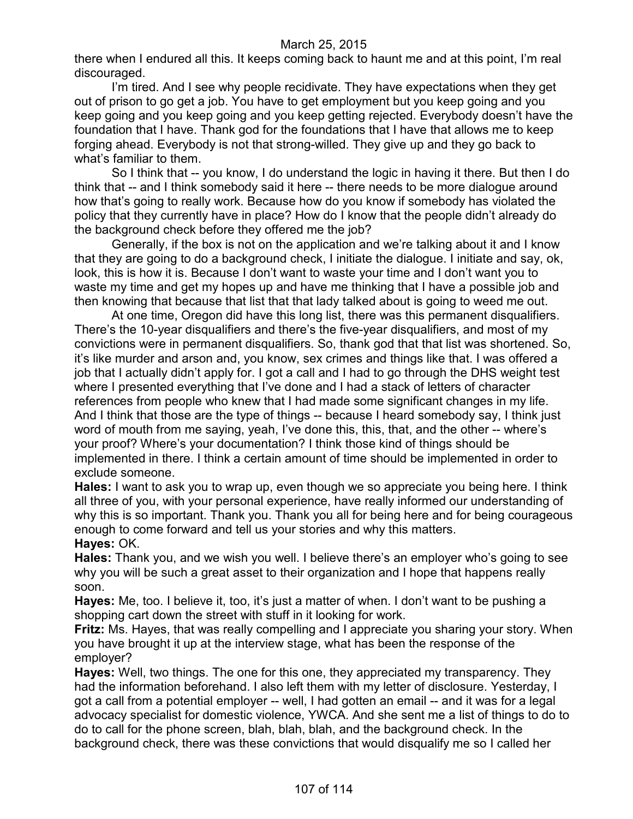there when I endured all this. It keeps coming back to haunt me and at this point, I'm real discouraged.

I'm tired. And I see why people recidivate. They have expectations when they get out of prison to go get a job. You have to get employment but you keep going and you keep going and you keep going and you keep getting rejected. Everybody doesn't have the foundation that I have. Thank god for the foundations that I have that allows me to keep forging ahead. Everybody is not that strong-willed. They give up and they go back to what's familiar to them.

So I think that -- you know, I do understand the logic in having it there. But then I do think that -- and I think somebody said it here -- there needs to be more dialogue around how that's going to really work. Because how do you know if somebody has violated the policy that they currently have in place? How do I know that the people didn't already do the background check before they offered me the job?

Generally, if the box is not on the application and we're talking about it and I know that they are going to do a background check, I initiate the dialogue. I initiate and say, ok, look, this is how it is. Because I don't want to waste your time and I don't want you to waste my time and get my hopes up and have me thinking that I have a possible job and then knowing that because that list that that lady talked about is going to weed me out.

At one time, Oregon did have this long list, there was this permanent disqualifiers. There's the 10-year disqualifiers and there's the five-year disqualifiers, and most of my convictions were in permanent disqualifiers. So, thank god that that list was shortened. So, it's like murder and arson and, you know, sex crimes and things like that. I was offered a job that I actually didn't apply for. I got a call and I had to go through the DHS weight test where I presented everything that I've done and I had a stack of letters of character references from people who knew that I had made some significant changes in my life. And I think that those are the type of things -- because I heard somebody say, I think just word of mouth from me saying, yeah, I've done this, this, that, and the other -- where's your proof? Where's your documentation? I think those kind of things should be implemented in there. I think a certain amount of time should be implemented in order to exclude someone.

**Hales:** I want to ask you to wrap up, even though we so appreciate you being here. I think all three of you, with your personal experience, have really informed our understanding of why this is so important. Thank you. Thank you all for being here and for being courageous enough to come forward and tell us your stories and why this matters.

#### **Hayes:** OK.

**Hales:** Thank you, and we wish you well. I believe there's an employer who's going to see why you will be such a great asset to their organization and I hope that happens really soon.

**Hayes:** Me, too. I believe it, too, it's just a matter of when. I don't want to be pushing a shopping cart down the street with stuff in it looking for work.

**Fritz:** Ms. Hayes, that was really compelling and I appreciate you sharing your story. When you have brought it up at the interview stage, what has been the response of the employer?

**Hayes:** Well, two things. The one for this one, they appreciated my transparency. They had the information beforehand. I also left them with my letter of disclosure. Yesterday, I got a call from a potential employer -- well, I had gotten an email -- and it was for a legal advocacy specialist for domestic violence, YWCA. And she sent me a list of things to do to do to call for the phone screen, blah, blah, blah, and the background check. In the background check, there was these convictions that would disqualify me so I called her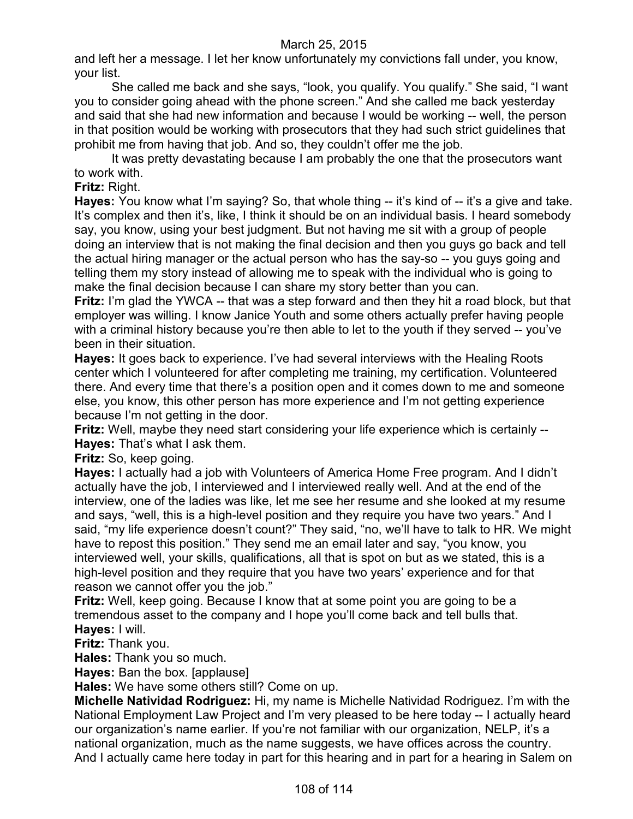and left her a message. I let her know unfortunately my convictions fall under, you know, your list.

She called me back and she says, "look, you qualify. You qualify." She said, "I want you to consider going ahead with the phone screen." And she called me back yesterday and said that she had new information and because I would be working -- well, the person in that position would be working with prosecutors that they had such strict guidelines that prohibit me from having that job. And so, they couldn't offer me the job.

It was pretty devastating because I am probably the one that the prosecutors want to work with.

**Fritz:** Right.

**Hayes:** You know what I'm saying? So, that whole thing -- it's kind of -- it's a give and take. It's complex and then it's, like, I think it should be on an individual basis. I heard somebody say, you know, using your best judgment. But not having me sit with a group of people doing an interview that is not making the final decision and then you guys go back and tell the actual hiring manager or the actual person who has the say-so -- you guys going and telling them my story instead of allowing me to speak with the individual who is going to make the final decision because I can share my story better than you can.

**Fritz:** I'm glad the YWCA -- that was a step forward and then they hit a road block, but that employer was willing. I know Janice Youth and some others actually prefer having people with a criminal history because you're then able to let to the youth if they served -- you've been in their situation.

**Hayes:** It goes back to experience. I've had several interviews with the Healing Roots center which I volunteered for after completing me training, my certification. Volunteered there. And every time that there's a position open and it comes down to me and someone else, you know, this other person has more experience and I'm not getting experience because I'm not getting in the door.

**Fritz:** Well, maybe they need start considering your life experience which is certainly -- **Hayes:** That's what I ask them.

**Fritz:** So, keep going.

**Hayes:** I actually had a job with Volunteers of America Home Free program. And I didn't actually have the job, I interviewed and I interviewed really well. And at the end of the interview, one of the ladies was like, let me see her resume and she looked at my resume and says, "well, this is a high-level position and they require you have two years." And I said, "my life experience doesn't count?" They said, "no, we'll have to talk to HR. We might have to repost this position." They send me an email later and say, "you know, you interviewed well, your skills, qualifications, all that is spot on but as we stated, this is a high-level position and they require that you have two years' experience and for that reason we cannot offer you the job."

**Fritz:** Well, keep going. Because I know that at some point you are going to be a tremendous asset to the company and I hope you'll come back and tell bulls that. **Hayes:** I will.

**Fritz:** Thank you.

**Hales:** Thank you so much.

**Hayes:** Ban the box. [applause]

**Hales:** We have some others still? Come on up.

**Michelle Natividad Rodriguez:** Hi, my name is Michelle Natividad Rodriguez. I'm with the National Employment Law Project and I'm very pleased to be here today -- I actually heard our organization's name earlier. If you're not familiar with our organization, NELP, it's a national organization, much as the name suggests, we have offices across the country. And I actually came here today in part for this hearing and in part for a hearing in Salem on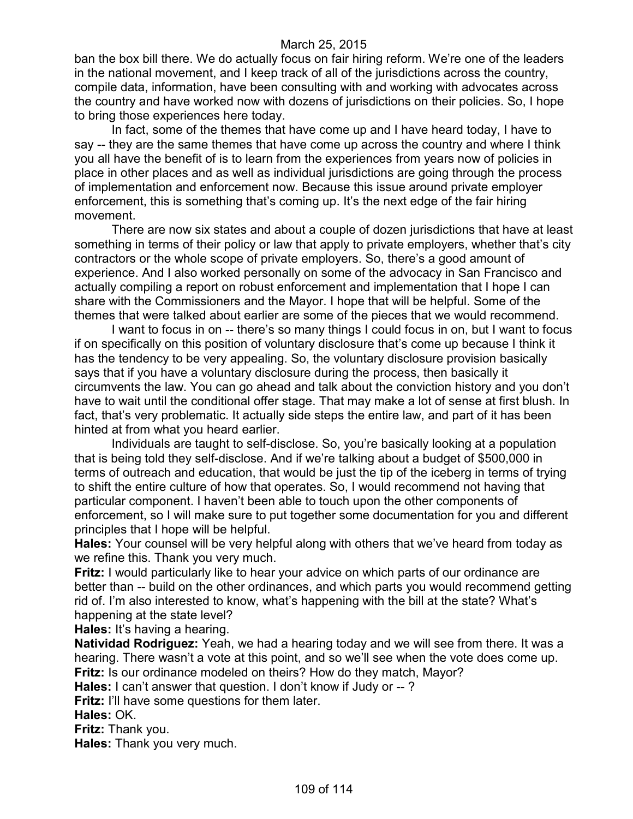ban the box bill there. We do actually focus on fair hiring reform. We're one of the leaders in the national movement, and I keep track of all of the jurisdictions across the country, compile data, information, have been consulting with and working with advocates across the country and have worked now with dozens of jurisdictions on their policies. So, I hope to bring those experiences here today.

In fact, some of the themes that have come up and I have heard today, I have to say -- they are the same themes that have come up across the country and where I think you all have the benefit of is to learn from the experiences from years now of policies in place in other places and as well as individual jurisdictions are going through the process of implementation and enforcement now. Because this issue around private employer enforcement, this is something that's coming up. It's the next edge of the fair hiring movement.

There are now six states and about a couple of dozen jurisdictions that have at least something in terms of their policy or law that apply to private employers, whether that's city contractors or the whole scope of private employers. So, there's a good amount of experience. And I also worked personally on some of the advocacy in San Francisco and actually compiling a report on robust enforcement and implementation that I hope I can share with the Commissioners and the Mayor. I hope that will be helpful. Some of the themes that were talked about earlier are some of the pieces that we would recommend.

I want to focus in on -- there's so many things I could focus in on, but I want to focus if on specifically on this position of voluntary disclosure that's come up because I think it has the tendency to be very appealing. So, the voluntary disclosure provision basically says that if you have a voluntary disclosure during the process, then basically it circumvents the law. You can go ahead and talk about the conviction history and you don't have to wait until the conditional offer stage. That may make a lot of sense at first blush. In fact, that's very problematic. It actually side steps the entire law, and part of it has been hinted at from what you heard earlier.

Individuals are taught to self-disclose. So, you're basically looking at a population that is being told they self-disclose. And if we're talking about a budget of \$500,000 in terms of outreach and education, that would be just the tip of the iceberg in terms of trying to shift the entire culture of how that operates. So, I would recommend not having that particular component. I haven't been able to touch upon the other components of enforcement, so I will make sure to put together some documentation for you and different principles that I hope will be helpful.

**Hales:** Your counsel will be very helpful along with others that we've heard from today as we refine this. Thank you very much.

**Fritz:** I would particularly like to hear your advice on which parts of our ordinance are better than -- build on the other ordinances, and which parts you would recommend getting rid of. I'm also interested to know, what's happening with the bill at the state? What's happening at the state level?

**Hales:** It's having a hearing.

**Natividad Rodriguez:** Yeah, we had a hearing today and we will see from there. It was a hearing. There wasn't a vote at this point, and so we'll see when the vote does come up. **Fritz:** Is our ordinance modeled on theirs? How do they match, Mayor?

**Hales:** I can't answer that question. I don't know if Judy or -- ?

**Fritz:** I'll have some questions for them later.

**Hales:** OK.

**Fritz:** Thank you.

**Hales:** Thank you very much.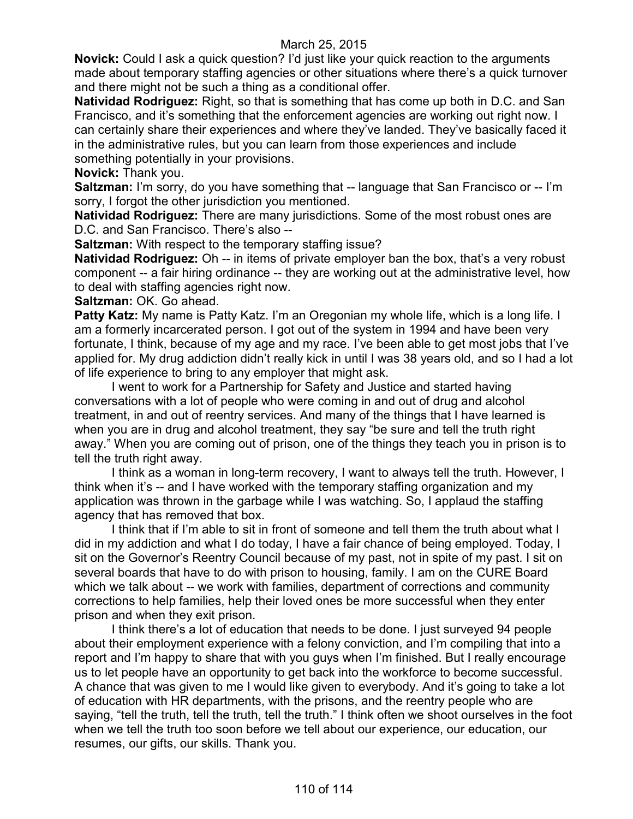**Novick:** Could I ask a quick question? I'd just like your quick reaction to the arguments made about temporary staffing agencies or other situations where there's a quick turnover and there might not be such a thing as a conditional offer.

**Natividad Rodriguez:** Right, so that is something that has come up both in D.C. and San Francisco, and it's something that the enforcement agencies are working out right now. I can certainly share their experiences and where they've landed. They've basically faced it in the administrative rules, but you can learn from those experiences and include something potentially in your provisions.

**Novick:** Thank you.

**Saltzman:** I'm sorry, do you have something that -- language that San Francisco or -- I'm sorry, I forgot the other jurisdiction you mentioned.

**Natividad Rodriguez:** There are many jurisdictions. Some of the most robust ones are D.C. and San Francisco. There's also --

**Saltzman:** With respect to the temporary staffing issue?

**Natividad Rodriguez:** Oh -- in items of private employer ban the box, that's a very robust component -- a fair hiring ordinance -- they are working out at the administrative level, how to deal with staffing agencies right now.

**Saltzman:** OK. Go ahead.

**Patty Katz:** My name is Patty Katz. I'm an Oregonian my whole life, which is a long life. I am a formerly incarcerated person. I got out of the system in 1994 and have been very fortunate, I think, because of my age and my race. I've been able to get most jobs that I've applied for. My drug addiction didn't really kick in until I was 38 years old, and so I had a lot of life experience to bring to any employer that might ask.

I went to work for a Partnership for Safety and Justice and started having conversations with a lot of people who were coming in and out of drug and alcohol treatment, in and out of reentry services. And many of the things that I have learned is when you are in drug and alcohol treatment, they say "be sure and tell the truth right away." When you are coming out of prison, one of the things they teach you in prison is to tell the truth right away.

I think as a woman in long-term recovery, I want to always tell the truth. However, I think when it's -- and I have worked with the temporary staffing organization and my application was thrown in the garbage while I was watching. So, I applaud the staffing agency that has removed that box.

I think that if I'm able to sit in front of someone and tell them the truth about what I did in my addiction and what I do today, I have a fair chance of being employed. Today, I sit on the Governor's Reentry Council because of my past, not in spite of my past. I sit on several boards that have to do with prison to housing, family. I am on the CURE Board which we talk about -- we work with families, department of corrections and community corrections to help families, help their loved ones be more successful when they enter prison and when they exit prison.

I think there's a lot of education that needs to be done. I just surveyed 94 people about their employment experience with a felony conviction, and I'm compiling that into a report and I'm happy to share that with you guys when I'm finished. But I really encourage us to let people have an opportunity to get back into the workforce to become successful. A chance that was given to me I would like given to everybody. And it's going to take a lot of education with HR departments, with the prisons, and the reentry people who are saying, "tell the truth, tell the truth, tell the truth." I think often we shoot ourselves in the foot when we tell the truth too soon before we tell about our experience, our education, our resumes, our gifts, our skills. Thank you.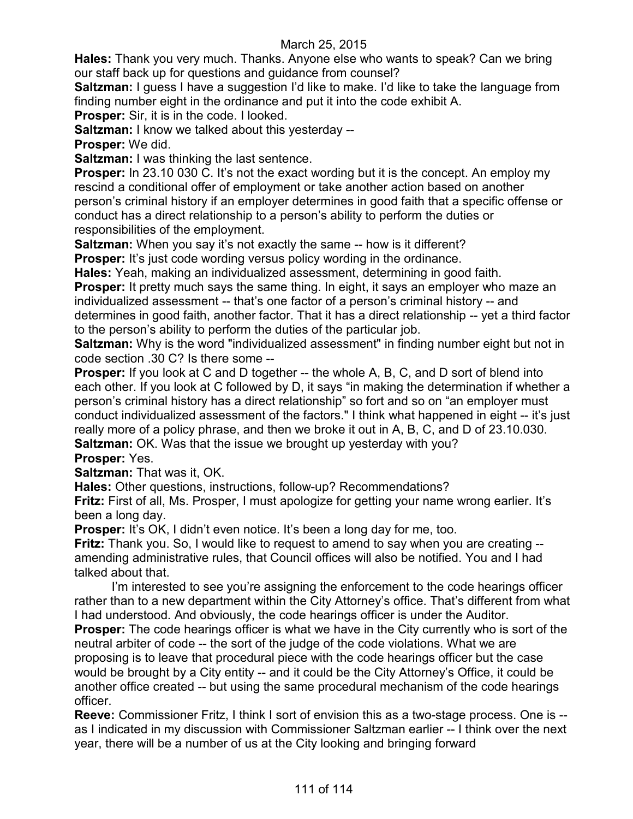**Hales:** Thank you very much. Thanks. Anyone else who wants to speak? Can we bring our staff back up for questions and guidance from counsel?

**Saltzman:** I guess I have a suggestion I'd like to make. I'd like to take the language from finding number eight in the ordinance and put it into the code exhibit A.

**Prosper:** Sir, it is in the code. I looked.

**Saltzman:** I know we talked about this yesterday --

**Prosper:** We did.

**Saltzman:** I was thinking the last sentence.

**Prosper:** In 23.10 030 C. It's not the exact wording but it is the concept. An employ my rescind a conditional offer of employment or take another action based on another person's criminal history if an employer determines in good faith that a specific offense or conduct has a direct relationship to a person's ability to perform the duties or responsibilities of the employment.

**Saltzman:** When you say it's not exactly the same -- how is it different?

**Prosper:** It's just code wording versus policy wording in the ordinance.

**Hales:** Yeah, making an individualized assessment, determining in good faith.

**Prosper:** It pretty much says the same thing. In eight, it says an employer who maze an individualized assessment -- that's one factor of a person's criminal history -- and determines in good faith, another factor. That it has a direct relationship -- yet a third factor to the person's ability to perform the duties of the particular job.

**Saltzman:** Why is the word "individualized assessment" in finding number eight but not in code section .30 C? Is there some --

**Prosper:** If you look at C and D together -- the whole A, B, C, and D sort of blend into each other. If you look at C followed by D, it says "in making the determination if whether a person's criminal history has a direct relationship" so fort and so on "an employer must conduct individualized assessment of the factors." I think what happened in eight -- it's just really more of a policy phrase, and then we broke it out in A, B, C, and D of 23.10.030. **Saltzman:** OK. Was that the issue we brought up yesterday with you?

# **Prosper:** Yes.

**Saltzman:** That was it, OK.

**Hales:** Other questions, instructions, follow-up? Recommendations?

**Fritz:** First of all, Ms. Prosper, I must apologize for getting your name wrong earlier. It's been a long day.

**Prosper:** It's OK, I didn't even notice. It's been a long day for me, too.

**Fritz:** Thank you. So, I would like to request to amend to say when you are creating - amending administrative rules, that Council offices will also be notified. You and I had talked about that.

I'm interested to see you're assigning the enforcement to the code hearings officer rather than to a new department within the City Attorney's office. That's different from what I had understood. And obviously, the code hearings officer is under the Auditor.

**Prosper:** The code hearings officer is what we have in the City currently who is sort of the neutral arbiter of code -- the sort of the judge of the code violations. What we are proposing is to leave that procedural piece with the code hearings officer but the case would be brought by a City entity -- and it could be the City Attorney's Office, it could be another office created -- but using the same procedural mechanism of the code hearings officer.

**Reeve:** Commissioner Fritz, I think I sort of envision this as a two-stage process. One is - as I indicated in my discussion with Commissioner Saltzman earlier -- I think over the next year, there will be a number of us at the City looking and bringing forward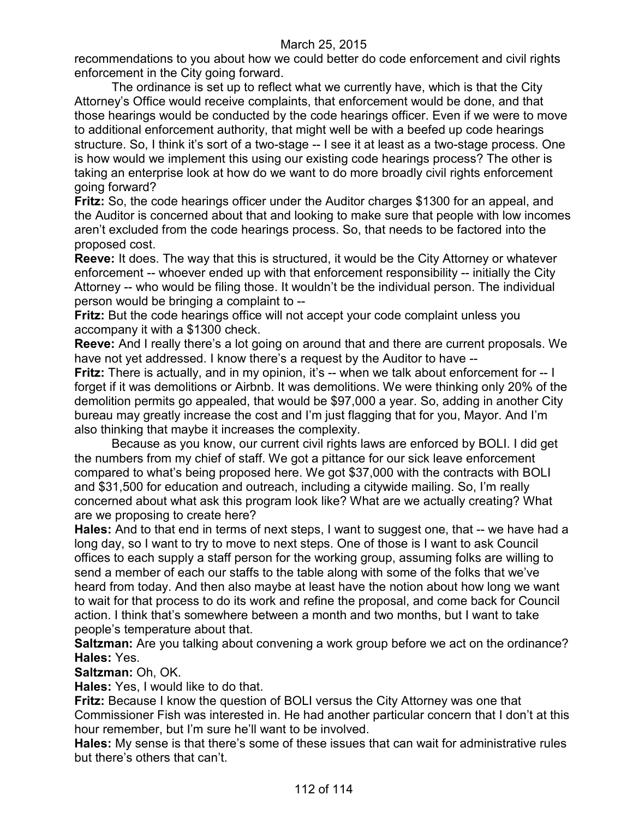recommendations to you about how we could better do code enforcement and civil rights enforcement in the City going forward.

The ordinance is set up to reflect what we currently have, which is that the City Attorney's Office would receive complaints, that enforcement would be done, and that those hearings would be conducted by the code hearings officer. Even if we were to move to additional enforcement authority, that might well be with a beefed up code hearings structure. So, I think it's sort of a two-stage -- I see it at least as a two-stage process. One is how would we implement this using our existing code hearings process? The other is taking an enterprise look at how do we want to do more broadly civil rights enforcement going forward?

**Fritz:** So, the code hearings officer under the Auditor charges \$1300 for an appeal, and the Auditor is concerned about that and looking to make sure that people with low incomes aren't excluded from the code hearings process. So, that needs to be factored into the proposed cost.

**Reeve:** It does. The way that this is structured, it would be the City Attorney or whatever enforcement -- whoever ended up with that enforcement responsibility -- initially the City Attorney -- who would be filing those. It wouldn't be the individual person. The individual person would be bringing a complaint to --

**Fritz:** But the code hearings office will not accept your code complaint unless you accompany it with a \$1300 check.

**Reeve:** And I really there's a lot going on around that and there are current proposals. We have not yet addressed. I know there's a request by the Auditor to have --

**Fritz:** There is actually, and in my opinion, it's -- when we talk about enforcement for -- I forget if it was demolitions or Airbnb. It was demolitions. We were thinking only 20% of the demolition permits go appealed, that would be \$97,000 a year. So, adding in another City bureau may greatly increase the cost and I'm just flagging that for you, Mayor. And I'm also thinking that maybe it increases the complexity.

Because as you know, our current civil rights laws are enforced by BOLI. I did get the numbers from my chief of staff. We got a pittance for our sick leave enforcement compared to what's being proposed here. We got \$37,000 with the contracts with BOLI and \$31,500 for education and outreach, including a citywide mailing. So, I'm really concerned about what ask this program look like? What are we actually creating? What are we proposing to create here?

**Hales:** And to that end in terms of next steps, I want to suggest one, that -- we have had a long day, so I want to try to move to next steps. One of those is I want to ask Council offices to each supply a staff person for the working group, assuming folks are willing to send a member of each our staffs to the table along with some of the folks that we've heard from today. And then also maybe at least have the notion about how long we want to wait for that process to do its work and refine the proposal, and come back for Council action. I think that's somewhere between a month and two months, but I want to take people's temperature about that.

**Saltzman:** Are you talking about convening a work group before we act on the ordinance? **Hales:** Yes.

**Saltzman:** Oh, OK.

**Hales:** Yes, I would like to do that.

**Fritz:** Because I know the question of BOLI versus the City Attorney was one that Commissioner Fish was interested in. He had another particular concern that I don't at this hour remember, but I'm sure he'll want to be involved.

**Hales:** My sense is that there's some of these issues that can wait for administrative rules but there's others that can't.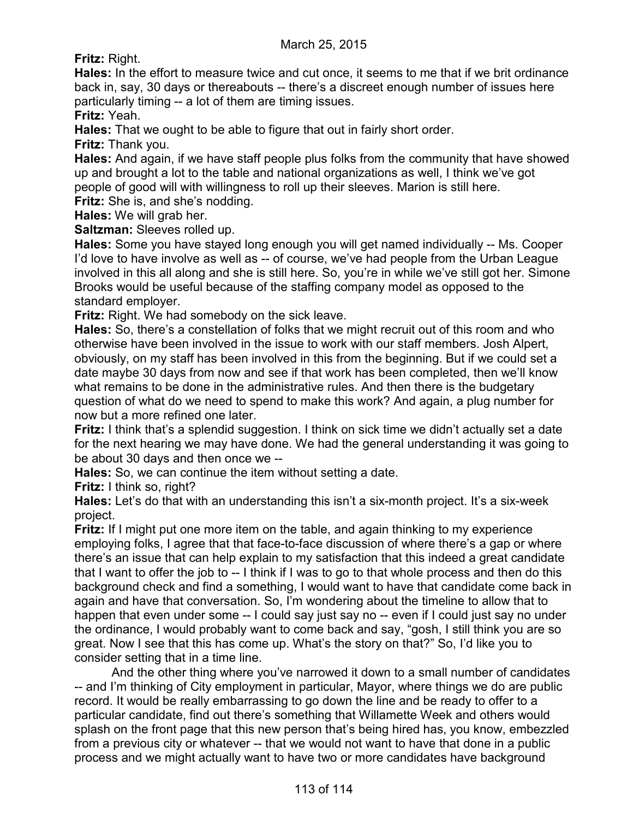**Fritz:** Right.

**Hales:** In the effort to measure twice and cut once, it seems to me that if we brit ordinance back in, say, 30 days or thereabouts -- there's a discreet enough number of issues here particularly timing -- a lot of them are timing issues.

**Fritz:** Yeah.

**Hales:** That we ought to be able to figure that out in fairly short order.

**Fritz:** Thank you.

**Hales:** And again, if we have staff people plus folks from the community that have showed up and brought a lot to the table and national organizations as well, I think we've got people of good will with willingness to roll up their sleeves. Marion is still here.

**Fritz:** She is, and she's nodding.

**Hales:** We will grab her.

**Saltzman:** Sleeves rolled up.

**Hales:** Some you have stayed long enough you will get named individually -- Ms. Cooper I'd love to have involve as well as -- of course, we've had people from the Urban League involved in this all along and she is still here. So, you're in while we've still got her. Simone Brooks would be useful because of the staffing company model as opposed to the standard employer.

**Fritz:** Right. We had somebody on the sick leave.

**Hales:** So, there's a constellation of folks that we might recruit out of this room and who otherwise have been involved in the issue to work with our staff members. Josh Alpert, obviously, on my staff has been involved in this from the beginning. But if we could set a date maybe 30 days from now and see if that work has been completed, then we'll know what remains to be done in the administrative rules. And then there is the budgetary question of what do we need to spend to make this work? And again, a plug number for now but a more refined one later.

**Fritz:** I think that's a splendid suggestion. I think on sick time we didn't actually set a date for the next hearing we may have done. We had the general understanding it was going to be about 30 days and then once we --

**Hales:** So, we can continue the item without setting a date.

**Fritz:** I think so, right?

**Hales:** Let's do that with an understanding this isn't a six-month project. It's a six-week project.

**Fritz:** If I might put one more item on the table, and again thinking to my experience employing folks, I agree that that face-to-face discussion of where there's a gap or where there's an issue that can help explain to my satisfaction that this indeed a great candidate that I want to offer the job to -- I think if I was to go to that whole process and then do this background check and find a something, I would want to have that candidate come back in again and have that conversation. So, I'm wondering about the timeline to allow that to happen that even under some -- I could say just say no -- even if I could just say no under the ordinance, I would probably want to come back and say, "gosh, I still think you are so great. Now I see that this has come up. What's the story on that?" So, I'd like you to consider setting that in a time line.

And the other thing where you've narrowed it down to a small number of candidates -- and I'm thinking of City employment in particular, Mayor, where things we do are public record. It would be really embarrassing to go down the line and be ready to offer to a particular candidate, find out there's something that Willamette Week and others would splash on the front page that this new person that's being hired has, you know, embezzled from a previous city or whatever -- that we would not want to have that done in a public process and we might actually want to have two or more candidates have background